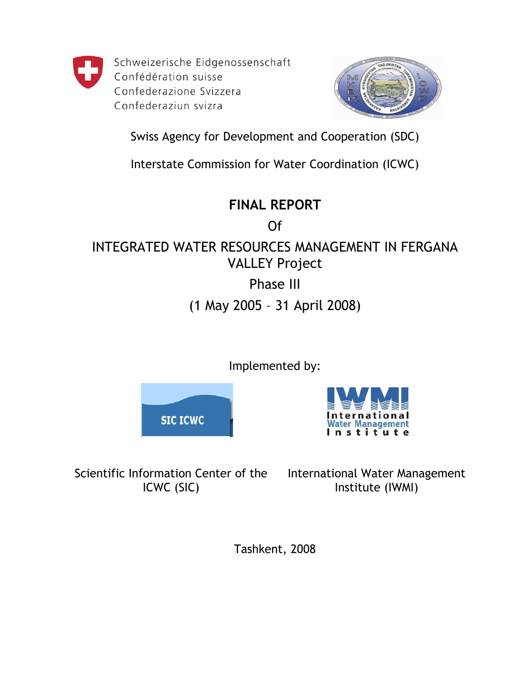

Schweizerische Eidgenossenschaft Confédération suisse Confederazione Svizzera Confederaziun svizra



Swiss Agency for Development and Cooperation (SDC)

Interstate Commission for Water Coordination (ICWC)

# **FINAL REPORT**

Of INTEGRATED WATER RESOURCES MANAGEMENT IN FERGANA VALLEY Project

Phase III

(1 May 2005 – 31 April 2008)

Implemented by:

**SIC ICWC** 



Scientific Information Center of the ICWC (SIC)

International Water Management Institute (IWMI)

Tashkent, 2008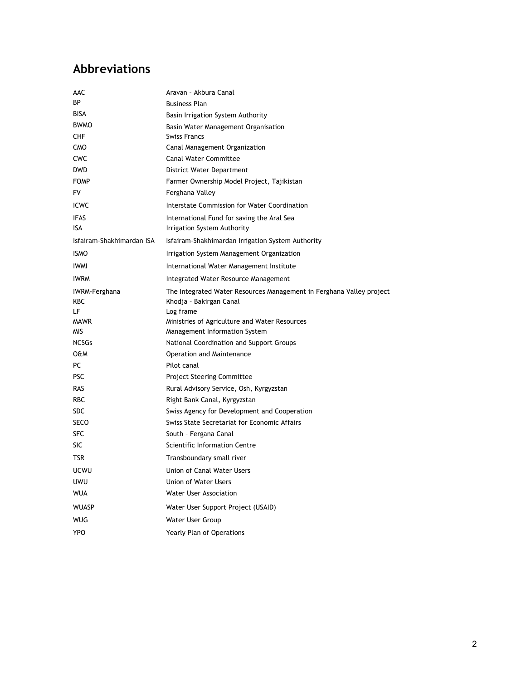# <span id="page-1-0"></span>**Abbreviations**

| AAC                       | Aravan - Akbura Canal                                                |
|---------------------------|----------------------------------------------------------------------|
| ВP                        | <b>Business Plan</b>                                                 |
| <b>BISA</b>               | Basin Irrigation System Authority                                    |
| <b>BWMO</b>               | Basin Water Management Organisation                                  |
| <b>CHF</b>                | <b>Swiss Francs</b>                                                  |
| CMO                       | Canal Management Organization                                        |
| CWC                       | <b>Canal Water Committee</b>                                         |
| <b>DWD</b>                | District Water Department                                            |
| <b>FOMP</b>               | Farmer Ownership Model Project, Tajikistan                           |
| FV                        | Ferghana Valley                                                      |
| <b>ICWC</b>               | Interstate Commission for Water Coordination                         |
| <b>IFAS</b>               | International Fund for saving the Aral Sea                           |
| <b>ISA</b>                | Irrigation System Authority                                          |
| Isfairam-Shakhimardan ISA | Isfairam-Shakhimardan Irrigation System Authority                    |
| <b>ISMO</b>               | Irrigation System Management Organization                            |
| <b>IWMI</b>               | International Water Management Institute                             |
| <b>IWRM</b>               | Integrated Water Resource Management                                 |
| IWRM-Ferghana             | The Integrated Water Resources Management in Ferghana Valley project |
| KBC                       | Khodja - Bakirgan Canal                                              |
| LF.                       | Log frame                                                            |
| <b>MAWR</b><br>MIS.       | Ministries of Agriculture and Water Resources                        |
| <b>NCSGs</b>              | Management Information System                                        |
| <b>O&amp;M</b>            | National Coordination and Support Groups                             |
| PC                        | Operation and Maintenance<br>Pilot canal                             |
| <b>PSC</b>                |                                                                      |
|                           | <b>Project Steering Committee</b>                                    |
| <b>RAS</b>                | Rural Advisory Service, Osh, Kyrgyzstan                              |
| <b>RBC</b>                | Right Bank Canal, Kyrgyzstan                                         |
| <b>SDC</b>                | Swiss Agency for Development and Cooperation                         |
| <b>SECO</b>               | Swiss State Secretariat for Economic Affairs                         |
| SFC<br>SIC                | South - Fergana Canal<br>Scientific Information Centre               |
| TSR                       | Transboundary small river                                            |
|                           |                                                                      |
| <b>UCWU</b>               | Union of Canal Water Users                                           |
| UWU                       | <b>Union of Water Users</b>                                          |
| <b>WUA</b>                | <b>Water User Association</b>                                        |
| <b>WUASP</b>              | Water User Support Project (USAID)                                   |
| <b>WUG</b>                | Water User Group                                                     |
| <b>YPO</b>                | Yearly Plan of Operations                                            |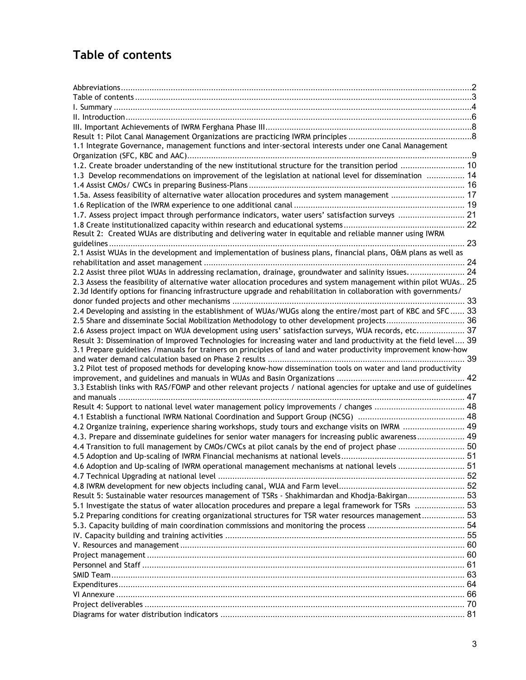# <span id="page-2-0"></span>**Table of contents**

| 1.1 Integrate Governance, management functions and inter-sectoral interests under one Canal Management             |    |
|--------------------------------------------------------------------------------------------------------------------|----|
|                                                                                                                    |    |
| 1.2. Create broader understanding of the new institutional structure for the transition period  10                 |    |
| 1.3 Develop recommendations on improvement of the legislation at national level for dissemination  14              |    |
|                                                                                                                    |    |
| 1.5a. Assess feasibility of alternative water allocation procedures and system management  17                      |    |
|                                                                                                                    |    |
| 1.7. Assess project impact through performance indicators, water users' satisfaction surveys  21                   |    |
|                                                                                                                    |    |
| Result 2: Created WUAs are distributing and delivering water in equitable and reliable manner using IWRM           |    |
|                                                                                                                    |    |
| 2.1 Assist WUAs in the development and implementation of business plans, financial plans, O&M plans as well as     |    |
|                                                                                                                    |    |
| 2.2 Assist three pilot WUAs in addressing reclamation, drainage, groundwater and salinity issues 24                |    |
| 2.3 Assess the feasibility of alternative water allocation procedures and system management within pilot WUAs 25   |    |
| 2.3d Identify options for financing infrastructure upgrade and rehabilitation in collaboration with governments/   |    |
|                                                                                                                    |    |
| 2.4 Developing and assisting in the establishment of WUAs/WUGs along the entire/most part of KBC and SFC 33        |    |
| 2.5 Share and disseminate Social Mobilization Methodology to other development projects 36                         |    |
| 2.6 Assess project impact on WUA development using users' satisfaction surveys, WUA records, etc 37                |    |
| Result 3: Dissemination of Improved Technologies for increasing water and land productivity at the field level 39  |    |
| 3.1 Prepare guidelines /manuals for trainers on principles of land and water productivity improvement know-how     |    |
|                                                                                                                    |    |
| 3.2 Pilot test of proposed methods for developing know-how dissemination tools on water and land productivity      |    |
|                                                                                                                    |    |
| 3.3 Establish links with RAS/FOMP and other relevant projects / national agencies for uptake and use of guidelines |    |
|                                                                                                                    |    |
| Result 4: Support to national level water management policy improvements / changes  48                             |    |
|                                                                                                                    |    |
| 4.2 Organize training, experience sharing workshops, study tours and exchange visits on IWRM  49                   |    |
| 4.3. Prepare and disseminate guidelines for senior water managers for increasing public awareness 49               |    |
| 4.4 Transition to full management by CMOs/CWCs at pilot canals by the end of project phase  50                     |    |
|                                                                                                                    |    |
| 4.6 Adoption and Up-scaling of IWRM operational management mechanisms at national levels                           | 51 |
|                                                                                                                    |    |
|                                                                                                                    |    |
| Result 5: Sustainable water resources management of TSRs - Shakhimardan and Khodja-Bakirgan 53                     |    |
|                                                                                                                    |    |
| 53  53 .2 Preparing organizational structures for TSR water resources management 53                                |    |
|                                                                                                                    |    |
|                                                                                                                    |    |
|                                                                                                                    |    |
|                                                                                                                    |    |
|                                                                                                                    |    |
|                                                                                                                    |    |
|                                                                                                                    |    |
|                                                                                                                    |    |
|                                                                                                                    |    |
|                                                                                                                    |    |
|                                                                                                                    |    |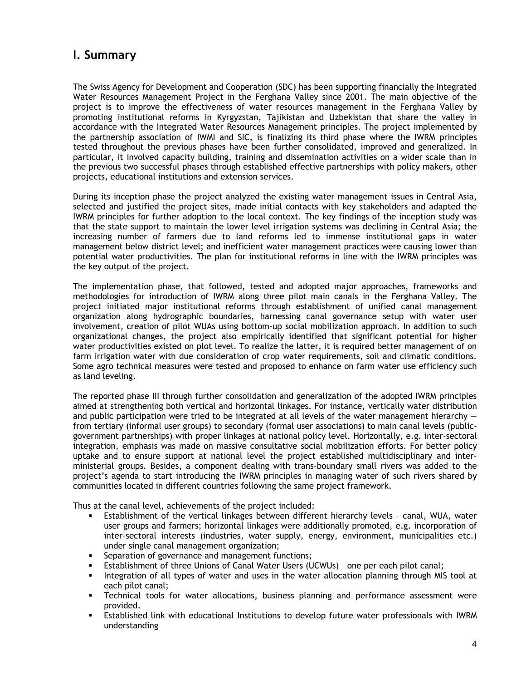# <span id="page-3-0"></span>**I. Summary**

The Swiss Agency for Development and Cooperation (SDC) has been supporting financially the Integrated Water Resources Management Project in the Ferghana Valley since 2001. The main objective of the project is to improve the effectiveness of water resources management in the Ferghana Valley by promoting institutional reforms in Kyrgyzstan, Tajikistan and Uzbekistan that share the valley in accordance with the Integrated Water Resources Management principles. The project implemented by the partnership association of IWMI and SIC, is finalizing its third phase where the IWRM principles tested throughout the previous phases have been further consolidated, improved and generalized. In particular, it involved capacity building, training and dissemination activities on a wider scale than in the previous two successful phases through established effective partnerships with policy makers, other projects, educational institutions and extension services.

During its inception phase the project analyzed the existing water management issues in Central Asia, selected and justified the project sites, made initial contacts with key stakeholders and adapted the IWRM principles for further adoption to the local context. The key findings of the inception study was that the state support to maintain the lower level irrigation systems was declining in Central Asia; the increasing number of farmers due to land reforms led to immense institutional gaps in water management below district level; and inefficient water management practices were causing lower than potential water productivities. The plan for institutional reforms in line with the IWRM principles was the key output of the project.

The implementation phase, that followed, tested and adopted major approaches, frameworks and methodologies for introduction of IWRM along three pilot main canals in the Ferghana Valley. The project initiated major institutional reforms through establishment of unified canal management organization along hydrographic boundaries, harnessing canal governance setup with water user involvement, creation of pilot WUAs using bottom-up social mobilization approach. In addition to such organizational changes, the project also empirically identified that significant potential for higher water productivities existed on plot level. To realize the latter, it is required better management of on farm irrigation water with due consideration of crop water requirements, soil and climatic conditions. Some agro technical measures were tested and proposed to enhance on farm water use efficiency such as land leveling.

The reported phase III through further consolidation and generalization of the adopted IWRM principles aimed at strengthening both vertical and horizontal linkages. For instance, vertically water distribution and public participation were tried to be integrated at all levels of the water management hierarchy from tertiary (informal user groups) to secondary (formal user associations) to main canal levels (publicgovernment partnerships) with proper linkages at national policy level. Horizontally, e.g. inter-sectoral integration, emphasis was made on massive consultative social mobilization efforts. For better policy uptake and to ensure support at national level the project established multidisciplinary and interministerial groups. Besides, a component dealing with trans-boundary small rivers was added to the project's agenda to start introducing the IWRM principles in managing water of such rivers shared by communities located in different countries following the same project framework.

Thus at the canal level, achievements of the project included:

- Establishment of the vertical linkages between different hierarchy levels canal, WUA, water user groups and farmers; horizontal linkages were additionally promoted, e.g. incorporation of inter-sectoral interests (industries, water supply, energy, environment, municipalities etc.) under single canal management organization;
- Separation of governance and management functions;
- Establishment of three Unions of Canal Water Users (UCWUs) one per each pilot canal;
- Integration of all types of water and uses in the water allocation planning through MIS tool at each pilot canal;
- Technical tools for water allocations, business planning and performance assessment were provided.
- Established link with educational Institutions to develop future water professionals with IWRM understanding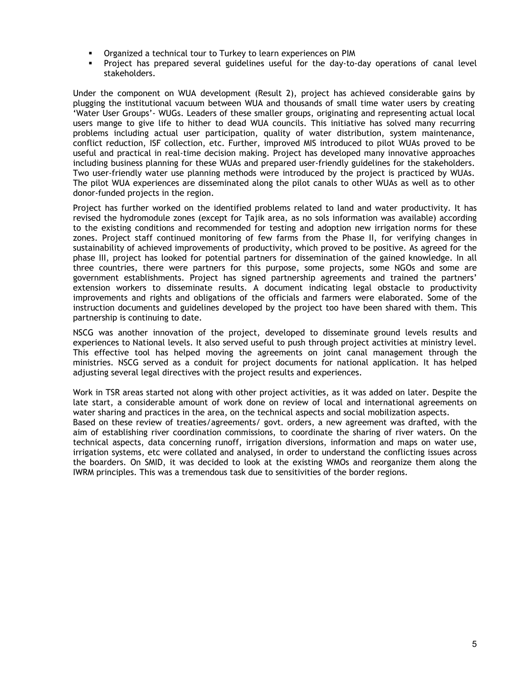- Organized a technical tour to Turkey to learn experiences on PIM
- Project has prepared several guidelines useful for the day-to-day operations of canal level stakeholders.

Under the component on WUA development (Result 2), project has achieved considerable gains by plugging the institutional vacuum between WUA and thousands of small time water users by creating 'Water User Groups'- WUGs. Leaders of these smaller groups, originating and representing actual local users mange to give life to hither to dead WUA councils. This initiative has solved many recurring problems including actual user participation, quality of water distribution, system maintenance, conflict reduction, ISF collection, etc. Further, improved MIS introduced to pilot WUAs proved to be useful and practical in real-time decision making. Project has developed many innovative approaches including business planning for these WUAs and prepared user-friendly guidelines for the stakeholders. Two user-friendly water use planning methods were introduced by the project is practiced by WUAs. The pilot WUA experiences are disseminated along the pilot canals to other WUAs as well as to other donor-funded projects in the region.

Project has further worked on the identified problems related to land and water productivity. It has revised the hydromodule zones (except for Tajik area, as no sols information was available) according to the existing conditions and recommended for testing and adoption new irrigation norms for these zones. Project staff continued monitoring of few farms from the Phase II, for verifying changes in sustainability of achieved improvements of productivity, which proved to be positive. As agreed for the phase III, project has looked for potential partners for dissemination of the gained knowledge. In all three countries, there were partners for this purpose, some projects, some NGOs and some are government establishments. Project has signed partnership agreements and trained the partners' extension workers to disseminate results. A document indicating legal obstacle to productivity improvements and rights and obligations of the officials and farmers were elaborated. Some of the instruction documents and guidelines developed by the project too have been shared with them. This partnership is continuing to date.

NSCG was another innovation of the project, developed to disseminate ground levels results and experiences to National levels. It also served useful to push through project activities at ministry level. This effective tool has helped moving the agreements on joint canal management through the ministries. NSCG served as a conduit for project documents for national application. It has helped adjusting several legal directives with the project results and experiences.

Work in TSR areas started not along with other project activities, as it was added on later. Despite the late start, a considerable amount of work done on review of local and international agreements on water sharing and practices in the area, on the technical aspects and social mobilization aspects. Based on these review of treaties/agreements/ govt. orders, a new agreement was drafted, with the aim of establishing river coordination commissions, to coordinate the sharing of river waters. On the technical aspects, data concerning runoff, irrigation diversions, information and maps on water use, irrigation systems, etc were collated and analysed, in order to understand the conflicting issues across the boarders. On SMID, it was decided to look at the existing WMOs and reorganize them along the IWRM principles. This was a tremendous task due to sensitivities of the border regions.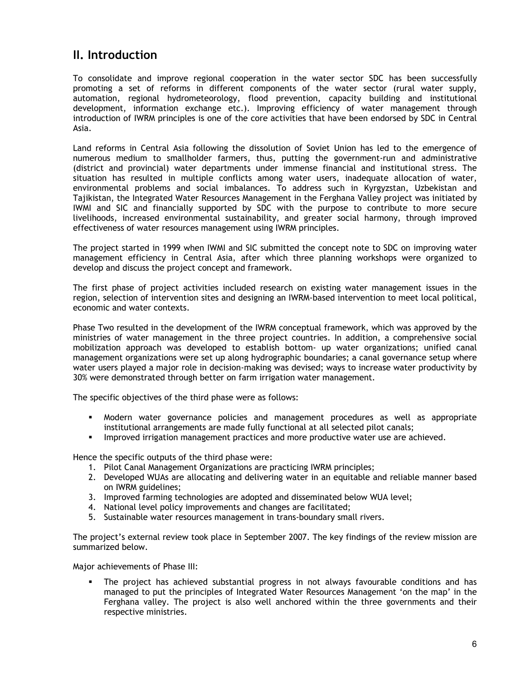# <span id="page-5-0"></span>**II. Introduction**

To consolidate and improve regional cooperation in the water sector SDC has been successfully promoting a set of reforms in different components of the water sector (rural water supply, automation, regional hydrometeorology, flood prevention, capacity building and institutional development, information exchange etc.). Improving efficiency of water management through introduction of IWRM principles is one of the core activities that have been endorsed by SDC in Central Asia.

Land reforms in Central Asia following the dissolution of Soviet Union has led to the emergence of numerous medium to smallholder farmers, thus, putting the government-run and administrative (district and provincial) water departments under immense financial and institutional stress. The situation has resulted in multiple conflicts among water users, inadequate allocation of water, environmental problems and social imbalances. To address such in Kyrgyzstan, Uzbekistan and Tajikistan, the Integrated Water Resources Management in the Ferghana Valley project was initiated by IWMI and SIC and financially supported by SDC with the purpose to contribute to more secure livelihoods, increased environmental sustainability, and greater social harmony, through improved effectiveness of water resources management using IWRM principles.

The project started in 1999 when IWMI and SIC submitted the concept note to SDC on improving water management efficiency in Central Asia, after which three planning workshops were organized to develop and discuss the project concept and framework.

The first phase of project activities included research on existing water management issues in the region, selection of intervention sites and designing an IWRM-based intervention to meet local political, economic and water contexts.

Phase Two resulted in the development of the IWRM conceptual framework, which was approved by the ministries of water management in the three project countries. In addition, a comprehensive social mobilization approach was developed to establish bottom- up water organizations; unified canal management organizations were set up along hydrographic boundaries; a canal governance setup where water users played a major role in decision-making was devised; ways to increase water productivity by 30% were demonstrated through better on farm irrigation water management.

The specific objectives of the third phase were as follows:

- Modern water governance policies and management procedures as well as appropriate institutional arrangements are made fully functional at all selected pilot canals;
- **IMPROVED 19 Improved irrigation management practices and more productive water use are achieved.**

Hence the specific outputs of the third phase were:

- 1. Pilot Canal Management Organizations are practicing IWRM principles;
- 2. Developed WUAs are allocating and delivering water in an equitable and reliable manner based on IWRM guidelines;
- 3. Improved farming technologies are adopted and disseminated below WUA level;
- 4. National level policy improvements and changes are facilitated;
- 5. Sustainable water resources management in trans-boundary small rivers.

The project's external review took place in September 2007. The key findings of the review mission are summarized below.

Major achievements of Phase III:

 The project has achieved substantial progress in not always favourable conditions and has managed to put the principles of Integrated Water Resources Management 'on the map' in the Ferghana valley. The project is also well anchored within the three governments and their respective ministries.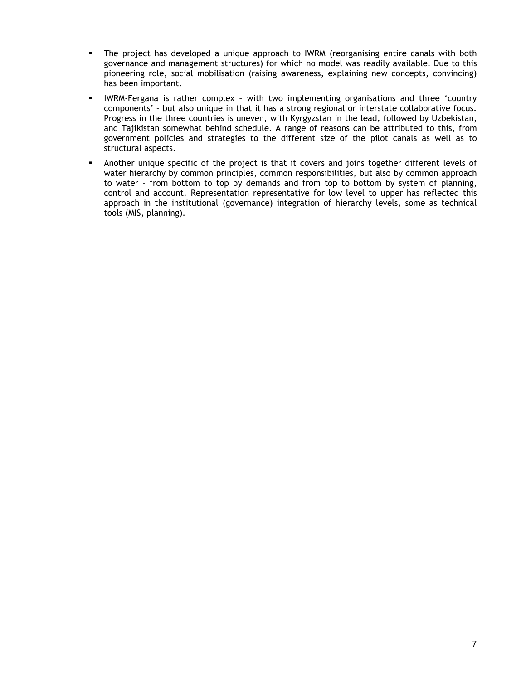- The project has developed a unique approach to IWRM (reorganising entire canals with both governance and management structures) for which no model was readily available. Due to this pioneering role, social mobilisation (raising awareness, explaining new concepts, convincing) has been important.
- IWRM-Fergana is rather complex with two implementing organisations and three 'country components' – but also unique in that it has a strong regional or interstate collaborative focus. Progress in the three countries is uneven, with Kyrgyzstan in the lead, followed by Uzbekistan, and Tajikistan somewhat behind schedule. A range of reasons can be attributed to this, from government policies and strategies to the different size of the pilot canals as well as to structural aspects.
- Another unique specific of the project is that it covers and joins together different levels of water hierarchy by common principles, common responsibilities, but also by common approach to water – from bottom to top by demands and from top to bottom by system of planning, control and account. Representation representative for low level to upper has reflected this approach in the institutional (governance) integration of hierarchy levels, some as technical tools (MIS, planning).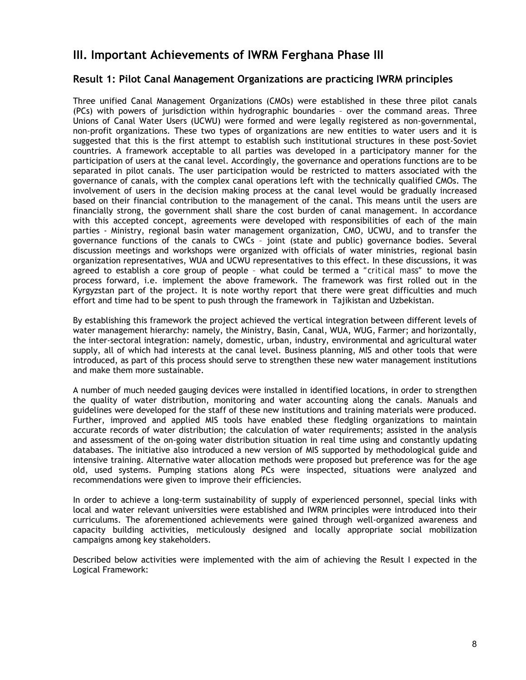# <span id="page-7-0"></span>**III. Important Achievements of IWRM Ferghana Phase III**

# **Result 1: Pilot Canal Management Organizations are practicing IWRM principles**

Three unified Canal Management Organizations (CMOs) were established in these three pilot canals (PCs) with powers of jurisdiction within hydrographic boundaries – over the command areas. Three Unions of Canal Water Users (UCWU) were formed and were legally registered as non-governmental, non-profit organizations. These two types of organizations are new entities to water users and it is suggested that this is the first attempt to establish such institutional structures in these post-Soviet countries. A framework acceptable to all parties was developed in a participatory manner for the participation of users at the canal level. Accordingly, the governance and operations functions are to be separated in pilot canals. The user participation would be restricted to matters associated with the governance of canals, with the complex canal operations left with the technically qualified CMOs. The involvement of users in the decision making process at the canal level would be gradually increased based on their financial contribution to the management of the canal. This means until the users are financially strong, the government shall share the cost burden of canal management. In accordance with this accepted concept, agreements were developed with responsibilities of each of the main parties - Ministry, regional basin water management organization, CMO, UCWU, and to transfer the governance functions of the canals to CWCs – joint (state and public) governance bodies. Several discussion meetings and workshops were organized with officials of water ministries, regional basin organization representatives, WUA and UCWU representatives to this effect. In these discussions, it was agreed to establish a core group of people – what could be termed a *"critical mass"* to move the process forward, i.e. implement the above framework. The framework was first rolled out in the Kyrgyzstan part of the project. It is note worthy report that there were great difficulties and much effort and time had to be spent to push through the framework in Tajikistan and Uzbekistan.

By establishing this framework the project achieved the vertical integration between different levels of water management hierarchy: namely, the Ministry, Basin, Canal, WUA, WUG, Farmer; and horizontally, the inter-sectoral integration: namely, domestic, urban, industry, environmental and agricultural water supply, all of which had interests at the canal level. Business planning, MIS and other tools that were introduced, as part of this process should serve to strengthen these new water management institutions and make them more sustainable.

A number of much needed gauging devices were installed in identified locations, in order to strengthen the quality of water distribution, monitoring and water accounting along the canals. Manuals and guidelines were developed for the staff of these new institutions and training materials were produced. Further, improved and applied MIS tools have enabled these fledgling organizations to maintain accurate records of water distribution; the calculation of water requirements; assisted in the analysis and assessment of the on-going water distribution situation in real time using and constantly updating databases. The initiative also introduced a new version of MIS supported by methodological guide and intensive training. Alternative water allocation methods were proposed but preference was for the age old, used systems. Pumping stations along PCs were inspected, situations were analyzed and recommendations were given to improve their efficiencies.

In order to achieve a long-term sustainability of supply of experienced personnel, special links with local and water relevant universities were established and IWRM principles were introduced into their curriculums. The aforementioned achievements were gained through well-organized awareness and capacity building activities, meticulously designed and locally appropriate social mobilization campaigns among key stakeholders.

Described below activities were implemented with the aim of achieving the Result I expected in the Logical Framework: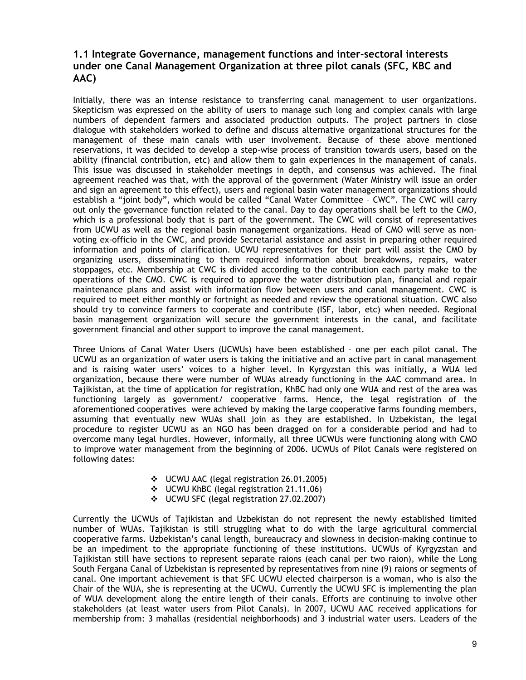# <span id="page-8-0"></span>**1.1 Integrate Governance, management functions and inter-sectoral interests under one Canal Management Organization at three pilot canals (SFC, KBC and AAC)**

Initially, there was an intense resistance to transferring canal management to user organizations. Skepticism was expressed on the ability of users to manage such long and complex canals with large numbers of dependent farmers and associated production outputs. The project partners in close dialogue with stakeholders worked to define and discuss alternative organizational structures for the management of these main canals with user involvement. Because of these above mentioned reservations, it was decided to develop a step-wise process of transition towards users, based on the ability (financial contribution, etc) and allow them to gain experiences in the management of canals. This issue was discussed in stakeholder meetings in depth, and consensus was achieved. The final agreement reached was that, with the approval of the government (Water Ministry will issue an order and sign an agreement to this effect), users and regional basin water management organizations should establish a "joint body", which would be called "Canal Water Committee – CWC". The CWC will carry out only the governance function related to the canal. Day to day operations shall be left to the CMO, which is a professional body that is part of the government. The CWC will consist of representatives from UCWU as well as the regional basin management organizations. Head of CMO will serve as nonvoting ex-officio in the CWC, and provide Secretarial assistance and assist in preparing other required information and points of clarification. UCWU representatives for their part will assist the CMO by organizing users, disseminating to them required information about breakdowns, repairs, water stoppages, etc. Membership at CWC is divided according to the contribution each party make to the operations of the CMO. CWC is required to approve the water distribution plan, financial and repair maintenance plans and assist with information flow between users and canal management. CWC is required to meet either monthly or fortnight as needed and review the operational situation. CWC also should try to convince farmers to cooperate and contribute (ISF, labor, etc) when needed. Regional basin management organization will secure the government interests in the canal, and facilitate government financial and other support to improve the canal management.

Three Unions of Canal Water Users (UCWUs) have been established – one per each pilot canal. The UCWU as an organization of water users is taking the initiative and an active part in canal management and is raising water users' voices to a higher level. In Kyrgyzstan this was initially, a WUA led organization, because there were number of WUAs already functioning in the AAC command area. In Tajikistan, at the time of application for registration, KhBC had only one WUA and rest of the area was functioning largely as government/ cooperative farms. Hence, the legal registration of the aforementioned cooperatives were achieved by making the large cooperative farms founding members, assuming that eventually new WUAs shall join as they are established. In Uzbekistan, the legal procedure to register UCWU as an NGO has been dragged on for a considerable period and had to overcome many legal hurdles. However, informally, all three UCWUs were functioning along with CMO to improve water management from the beginning of 2006. UCWUs of Pilot Canals were registered on following dates:

- UCWU AAC (legal registration 26.01.2005)
- UCWU KhBC (legal registration 21.11.06)
- UCWU SFC (legal registration 27.02.2007)

Currently the UCWUs of Tajikistan and Uzbekistan do not represent the newly established limited number of WUAs. Tajikistan is still struggling what to do with the large agricultural commercial cooperative farms. Uzbekistan's canal length, bureaucracy and slowness in decision-making continue to be an impediment to the appropriate functioning of these institutions. UCWUs of Kyrgyzstan and Tajikistan still have sections to represent separate raions (each canal per two raion), while the Long South Fergana Canal of Uzbekistan is represented by representatives from nine (9) raions or segments of canal. One important achievement is that SFC UCWU elected chairperson is a woman, who is also the Chair of the WUA, she is representing at the UCWU. Currently the UCWU SFC is implementing the plan of WUA development along the entire length of their canals. Efforts are continuing to involve other stakeholders (at least water users from Pilot Canals). In 2007, UCWU AAC received applications for membership from: 3 mahallas (residential neighborhoods) and 3 industrial water users. Leaders of the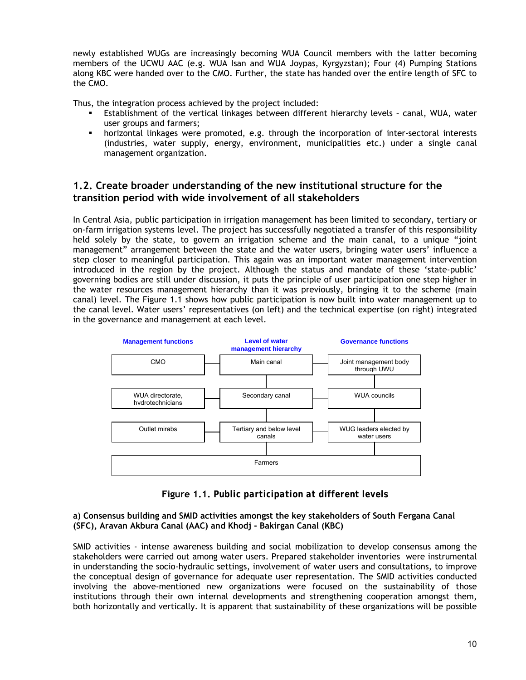<span id="page-9-0"></span>newly established WUGs are increasingly becoming WUA Council members with the latter becoming members of the UCWU AAC (e.g. WUA Isan and WUA Joypas, Kyrgyzstan); Four (4) Pumping Stations along KBC were handed over to the CMO. Further, the state has handed over the entire length of SFC to the CMO.

Thus, the integration process achieved by the project included:

- Establishment of the vertical linkages between different hierarchy levels canal, WUA, water user groups and farmers;
- horizontal linkages were promoted, e.g. through the incorporation of inter-sectoral interests (industries, water supply, energy, environment, municipalities etc.) under a single canal management organization.

# **1.2. Create broader understanding of the new institutional structure for the transition period with wide involvement of all stakeholders**

In Central Asia, public participation in irrigation management has been limited to secondary, tertiary or on-farm irrigation systems level. The project has successfully negotiated a transfer of this responsibility held solely by the state, to govern an irrigation scheme and the main canal, to a unique "joint management" arrangement between the state and the water users, bringing water users' influence a step closer to meaningful participation. This again was an important water management intervention introduced in the region by the project. Although the status and mandate of these 'state-public' governing bodies are still under discussion, it puts the principle of user participation one step higher in the water resources management hierarchy than it was previously, bringing it to the scheme (main canal) level. The Figure 1.1 shows how public participation is now built into water management up to the canal level. Water users' representatives (on left) and the technical expertise (on right) integrated in the governance and management at each level.



**Figure 1.1.** *Public participation at different levels*

#### **a) Consensus building and SMID activities amongst the key stakeholders of South Fergana Canal (SFC), Aravan Akbura Canal (AAC) and Khodj - Bakirgan Canal (KBC)**

SMID activities - intense awareness building and social mobilization to develop consensus among the stakeholders were carried out among water users. Prepared stakeholder inventories were instrumental in understanding the socio-hydraulic settings, involvement of water users and consultations, to improve the conceptual design of governance for adequate user representation. The SMID activities conducted involving the above-mentioned new organizations were focused on the sustainability of those institutions through their own internal developments and strengthening cooperation amongst them, both horizontally and vertically. It is apparent that sustainability of these organizations will be possible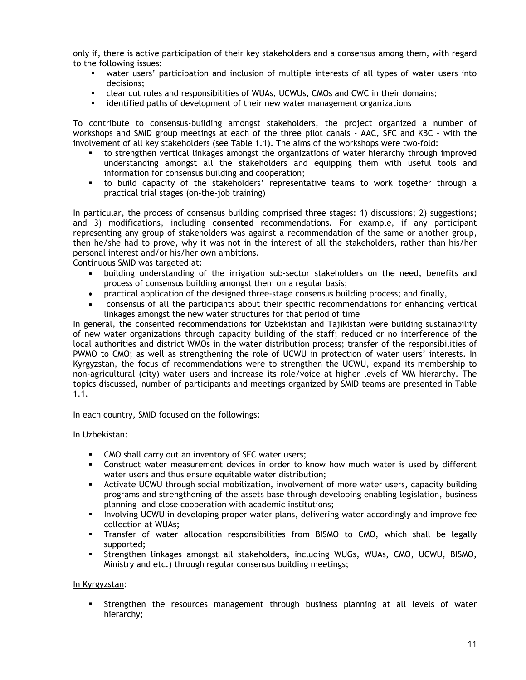only if, there is active participation of their key stakeholders and a consensus among them, with regard to the following issues:

- water users' participation and inclusion of multiple interests of all types of water users into decisions;
- clear cut roles and responsibilities of WUAs, UCWUs, CMOs and CWC in their domains;
- identified paths of development of their new water management organizations

To contribute to consensus-building amongst stakeholders, the project organized a number of workshops and SMID group meetings at each of the three pilot canals - AAC, SFC and KBC – with the involvement of all key stakeholders (see Table 1.1). The aims of the workshops were two-fold:

- to strengthen vertical linkages amongst the organizations of water hierarchy through improved understanding amongst all the stakeholders and equipping them with useful tools and information for consensus building and cooperation;
- to build capacity of the stakeholders' representative teams to work together through a practical trial stages (on-the-job training)

In particular, the process of consensus building comprised three stages: 1) discussions; 2) suggestions; and 3) modifications, including **consented** recommendations. For example, if any participant representing any group of stakeholders was against a recommendation of the same or another group, then he/she had to prove, why it was not in the interest of all the stakeholders, rather than his/her personal interest and/or his/her own ambitions.

Continuous SMID was targeted at:

- building understanding of the irrigation sub-sector stakeholders on the need, benefits and process of consensus building amongst them on a regular basis;
- practical application of the designed three-stage consensus building process; and finally,
- consensus of all the participants about their specific recommendations for enhancing vertical linkages amongst the new water structures for that period of time

In general, the consented recommendations for Uzbekistan and Tajikistan were building sustainability of new water organizations through capacity building of the staff; reduced or no interference of the local authorities and district WMOs in the water distribution process; transfer of the responsibilities of PWMO to CMO; as well as strengthening the role of UCWU in protection of water users' interests. In Kyrgyzstan, the focus of recommendations were to strengthen the UCWU, expand its membership to non-agricultural (city) water users and increase its role/voice at higher levels of WM hierarchy. The topics discussed, number of participants and meetings organized by SMID teams are presented in Table 1.1.

In each country, SMID focused on the followings:

#### In Uzbekistan:

- **CMO** shall carry out an inventory of SFC water users;
- Construct water measurement devices in order to know how much water is used by different water users and thus ensure equitable water distribution;
- Activate UCWU through social mobilization, involvement of more water users, capacity building programs and strengthening of the assets base through developing enabling legislation, business planning and close cooperation with academic institutions;
- Involving UCWU in developing proper water plans, delivering water accordingly and improve fee collection at WUAs;
- Transfer of water allocation responsibilities from BISMO to CMO, which shall be legally supported;
- Strengthen linkages amongst all stakeholders, including WUGs, WUAs, CMO, UCWU, BISMO, Ministry and etc.) through regular consensus building meetings;

#### In Kyrgyzstan:

 Strengthen the resources management through business planning at all levels of water hierarchy;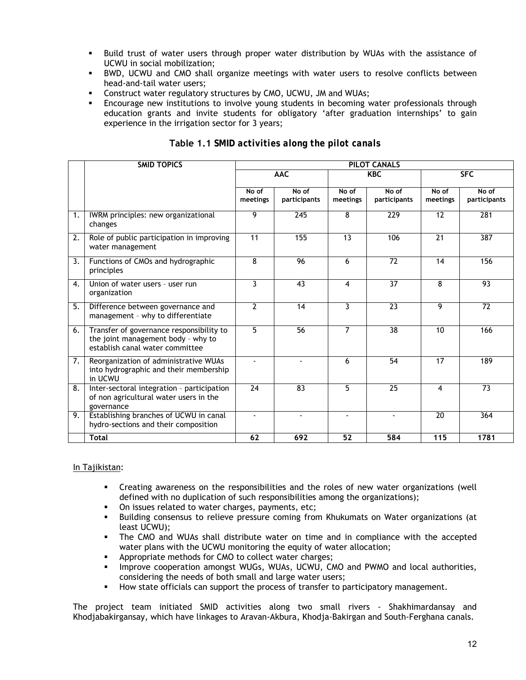- Build trust of water users through proper water distribution by WUAs with the assistance of UCWU in social mobilization;
- BWD, UCWU and CMO shall organize meetings with water users to resolve conflicts between head-and-tail water users;
- Construct water regulatory structures by CMO, UCWU, JM and WUAs;
- Encourage new institutions to involve young students in becoming water professionals through education grants and invite students for obligatory 'after graduation internships' to gain experience in the irrigation sector for 3 years;

|    | <b>SMID TOPICS</b>                                                                                                | <b>PILOT CANALS</b> |                       |                         |                       |                   |                       |  |  |
|----|-------------------------------------------------------------------------------------------------------------------|---------------------|-----------------------|-------------------------|-----------------------|-------------------|-----------------------|--|--|
|    |                                                                                                                   |                     | <b>AAC</b>            |                         | <b>KBC</b>            |                   | <b>SFC</b>            |  |  |
|    |                                                                                                                   | No of<br>meetings   | No of<br>participants | No of<br>meetings       | No of<br>participants | No of<br>meetings | No of<br>participants |  |  |
| 1. | IWRM principles: new organizational<br>changes                                                                    | 9                   | 245                   | 8                       | 229                   | 12                | 281                   |  |  |
| 2. | Role of public participation in improving<br>water management                                                     | 11                  | 155                   | 13                      | 106                   | 21                | 387                   |  |  |
| 3. | Functions of CMOs and hydrographic<br>principles                                                                  | 8                   | 96                    | 6                       | $\overline{72}$       | 14                | 156                   |  |  |
| 4. | Union of water users - user run<br>organization                                                                   | 3                   | 43                    | $\overline{\mathbf{4}}$ | $\overline{37}$       | 8                 | 93                    |  |  |
| 5. | Difference between governance and<br>management - why to differentiate                                            | $\overline{2}$      | 14                    | $\overline{3}$          | $\overline{23}$       | $\overline{9}$    | $\overline{72}$       |  |  |
| 6. | Transfer of governance responsibility to<br>the joint management body - why to<br>establish canal water committee | 5                   | 56                    | 7                       | $\overline{38}$       | 10                | 166                   |  |  |
| 7. | Reorganization of administrative WUAs<br>into hydrographic and their membership<br>in UCWU                        |                     |                       | 6                       | $\overline{54}$       | $\overline{17}$   | 189                   |  |  |
| 8. | Inter-sectoral integration - participation<br>of non agricultural water users in the<br>governance                | 24                  | 83                    | 5                       | 25                    | 4                 | 73                    |  |  |
| 9. | Establishing branches of UCWU in canal<br>hydro-sections and their composition                                    | ÷.                  | ÷                     | $\blacksquare$          | $\mathbf{r}$          | 20                | 364                   |  |  |
|    | <b>Total</b>                                                                                                      | 62                  | 692                   | 52                      | 584                   | 115               | 1781                  |  |  |

# **Table 1.1** *SMID activities along the pilot canals*

#### In Tajikistan:

- Creating awareness on the responsibilities and the roles of new water organizations (well defined with no duplication of such responsibilities among the organizations);
- On issues related to water charges, payments, etc;
- Building consensus to relieve pressure coming from Khukumats on Water organizations (at least UCWU);
- The CMO and WUAs shall distribute water on time and in compliance with the accepted water plans with the UCWU monitoring the equity of water allocation;
- Appropriate methods for CMO to collect water charges;
- **IMPROVE COOPERATION AMONGST WUGS, WUAS, UCWU, CMO and PWMO and local authorities,** considering the needs of both small and large water users;
- How state officials can support the process of transfer to participatory management.

The project team initiated SMID activities along two small rivers - Shakhimardansay and Khodjabakirgansay, which have linkages to Aravan-Akbura, Khodja-Bakirgan and South-Ferghana canals.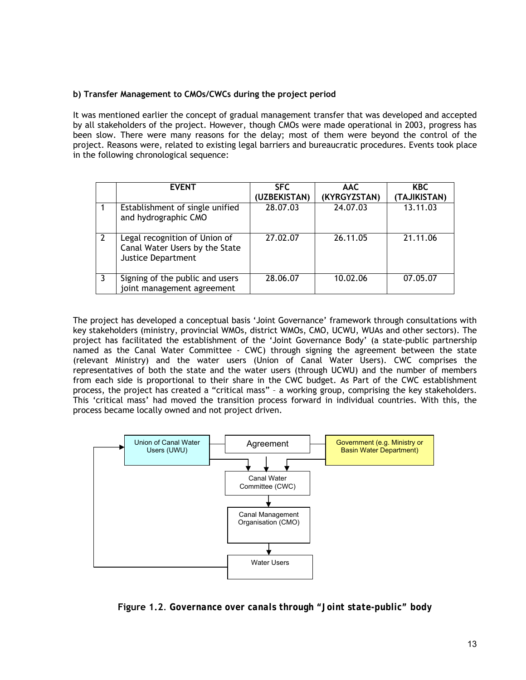## **b) Transfer Management to CMOs/CWCs during the project period**

It was mentioned earlier the concept of gradual management transfer that was developed and accepted by all stakeholders of the project. However, though CMOs were made operational in 2003, progress has been slow. There were many reasons for the delay; most of them were beyond the control of the project. Reasons were, related to existing legal barriers and bureaucratic procedures. Events took place in the following chronological sequence:

| <b>EVENT</b>                                                                                 | <b>SFC</b><br>(UZBEKISTAN) | <b>AAC</b><br>(KYRGYZSTAN) | <b>KBC</b><br>(TAJIKISTAN) |
|----------------------------------------------------------------------------------------------|----------------------------|----------------------------|----------------------------|
| Establishment of single unified<br>and hydrographic CMO                                      | 28.07.03                   | 24.07.03                   | 13.11.03                   |
| Legal recognition of Union of<br>Canal Water Users by the State<br><b>Justice Department</b> | 27.02.07                   | 26.11.05                   | 21.11.06                   |
| Signing of the public and users<br>joint management agreement                                | 28.06.07                   | 10.02.06                   | 07.05.07                   |

The project has developed a conceptual basis 'Joint Governance' framework through consultations with key stakeholders (ministry, provincial WMOs, district WMOs, CMO, UCWU, WUAs and other sectors). The project has facilitated the establishment of the 'Joint Governance Body' (a state-public partnership named as the Canal Water Committee - CWC) through signing the agreement between the state (relevant Ministry) and the water users (Union of Canal Water Users). CWC comprises the representatives of both the state and the water users (through UCWU) and the number of members from each side is proportional to their share in the CWC budget. As Part of the CWC establishment process, the project has created a "critical mass" – a working group, comprising the key stakeholders. This 'critical mass' had moved the transition process forward in individual countries. With this, the process became locally owned and not project driven.



**Figure 1.2**. *Governance over canals through "Joint state-public" body*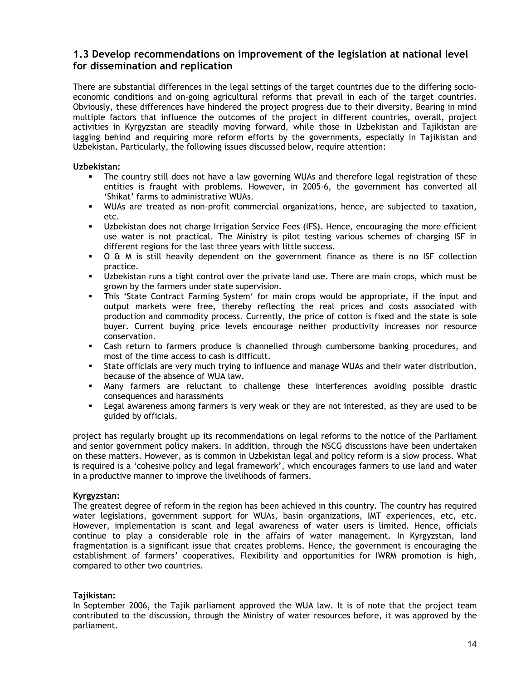# <span id="page-13-0"></span>**1.3 Develop recommendations on improvement of the legislation at national level for dissemination and replication**

There are substantial differences in the legal settings of the target countries due to the differing socioeconomic conditions and on-going agricultural reforms that prevail in each of the target countries. Obviously, these differences have hindered the project progress due to their diversity. Bearing in mind multiple factors that influence the outcomes of the project in different countries, overall, project activities in Kyrgyzstan are steadily moving forward, while those in Uzbekistan and Tajikistan are lagging behind and requiring more reform efforts by the governments, especially in Tajikistan and Uzbekistan. Particularly, the following issues discussed below, require attention:

#### **Uzbekistan:**

- The country still does not have a law governing WUAs and therefore legal registration of these entities is fraught with problems. However, in 2005-6, the government has converted all 'Shikat' farms to administrative WUAs.
- WUAs are treated as non-profit commercial organizations, hence, are subjected to taxation, etc.
- Uzbekistan does not charge Irrigation Service Fees (IFS). Hence, encouraging the more efficient use water is not practical. The Ministry is pilot testing various schemes of charging ISF in different regions for the last three years with little success.
- O & M is still heavily dependent on the government finance as there is no ISF collection practice.
- Uzbekistan runs a tight control over the private land use. There are main crops, which must be grown by the farmers under state supervision.
- This 'State Contract Farming System' for main crops would be appropriate, if the input and output markets were free, thereby reflecting the real prices and costs associated with production and commodity process. Currently, the price of cotton is fixed and the state is sole buyer. Current buying price levels encourage neither productivity increases nor resource conservation.
- Cash return to farmers produce is channelled through cumbersome banking procedures, and most of the time access to cash is difficult.
- State officials are very much trying to influence and manage WUAs and their water distribution, because of the absence of WUA law.
- Many farmers are reluctant to challenge these interferences avoiding possible drastic consequences and harassments
- Legal awareness among farmers is very weak or they are not interested, as they are used to be guided by officials.

project has regularly brought up its recommendations on legal reforms to the notice of the Parliament and senior government policy makers. In addition, through the NSCG discussions have been undertaken on these matters. However, as is common in Uzbekistan legal and policy reform is a slow process. What is required is a 'cohesive policy and legal framework', which encourages farmers to use land and water in a productive manner to improve the livelihoods of farmers.

## **Kyrgyzstan:**

The greatest degree of reform in the region has been achieved in this country. The country has required water legislations, government support for WUAs, basin organizations, IMT experiences, etc, etc. However, implementation is scant and legal awareness of water users is limited. Hence, officials continue to play a considerable role in the affairs of water management. In Kyrgyzstan, land fragmentation is a significant issue that creates problems. Hence, the government is encouraging the establishment of farmers' cooperatives. Flexibility and opportunities for IWRM promotion is high, compared to other two countries.

## **Tajikistan:**

In September 2006, the Tajik parliament approved the WUA law. It is of note that the project team contributed to the discussion, through the Ministry of water resources before, it was approved by the parliament.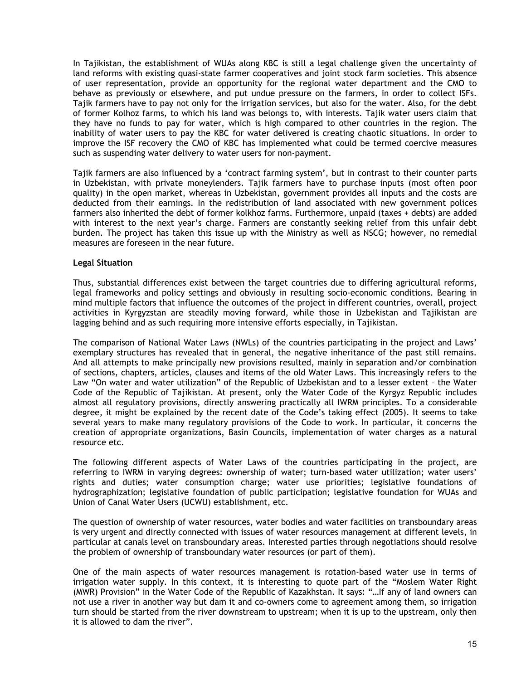In Tajikistan, the establishment of WUAs along KBC is still a legal challenge given the uncertainty of land reforms with existing quasi-state farmer cooperatives and joint stock farm societies. This absence of user representation, provide an opportunity for the regional water department and the CMO to behave as previously or elsewhere, and put undue pressure on the farmers, in order to collect ISFs. Tajik farmers have to pay not only for the irrigation services, but also for the water. Also, for the debt of former Kolhoz farms, to which his land was belongs to, with interests. Tajik water users claim that they have no funds to pay for water, which is high compared to other countries in the region. The inability of water users to pay the KBC for water delivered is creating chaotic situations. In order to improve the ISF recovery the CMO of KBC has implemented what could be termed coercive measures such as suspending water delivery to water users for non-payment.

Tajik farmers are also influenced by a 'contract farming system', but in contrast to their counter parts in Uzbekistan, with private moneylenders. Tajik farmers have to purchase inputs (most often poor quality) in the open market, whereas in Uzbekistan, government provides all inputs and the costs are deducted from their earnings. In the redistribution of land associated with new government polices farmers also inherited the debt of former kolkhoz farms. Furthermore, unpaid (taxes + debts) are added with interest to the next year's charge. Farmers are constantly seeking relief from this unfair debt burden. The project has taken this issue up with the Ministry as well as NSCG; however, no remedial measures are foreseen in the near future.

#### **Legal Situation**

Thus, substantial differences exist between the target countries due to differing agricultural reforms, legal frameworks and policy settings and obviously in resulting socio-economic conditions. Bearing in mind multiple factors that influence the outcomes of the project in different countries, overall, project activities in Kyrgyzstan are steadily moving forward, while those in Uzbekistan and Tajikistan are lagging behind and as such requiring more intensive efforts especially, in Tajikistan.

The comparison of National Water Laws (NWLs) of the countries participating in the project and Laws' exemplary structures has revealed that in general, the negative inheritance of the past still remains. And all attempts to make principally new provisions resulted, mainly in separation and/or combination of sections, chapters, articles, clauses and items of the old Water Laws. This increasingly refers to the Law "On water and water utilization" of the Republic of Uzbekistan and to a lesser extent – the Water Code of the Republic of Tajikistan. At present, only the Water Code of the Kyrgyz Republic includes almost all regulatory provisions, directly answering practically all IWRM principles. To a considerable degree, it might be explained by the recent date of the Code's taking effect (2005). It seems to take several years to make many regulatory provisions of the Code to work. In particular, it concerns the creation of appropriate organizations, Basin Councils, implementation of water charges as a natural resource etc.

The following different aspects of Water Laws of the countries participating in the project, are referring to IWRM in varying degrees: ownership of water; turn-based water utilization; water users' rights and duties; water consumption charge; water use priorities; legislative foundations of hydrographization; legislative foundation of public participation; legislative foundation for WUAs and Union of Canal Water Users (UCWU) establishment, etc.

The question of ownership of water resources, water bodies and water facilities on transboundary areas is very urgent and directly connected with issues of water resources management at different levels, in particular at canals level on transboundary areas. Interested parties through negotiations should resolve the problem of ownership of transboundary water resources (or part of them).

One of the main aspects of water resources management is rotation-based water use in terms of irrigation water supply. In this context, it is interesting to quote part of the "Moslem Water Right (MWR) Provision" in the Water Code of the Republic of Kazakhstan. It says: "…If any of land owners can not use a river in another way but dam it and co-owners come to agreement among them, so irrigation turn should be started from the river downstream to upstream; when it is up to the upstream, only then it is allowed to dam the river".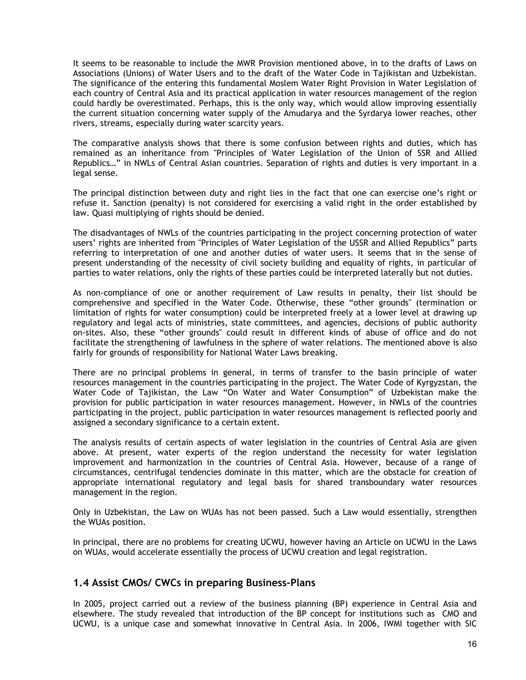<span id="page-15-0"></span>It seems to be reasonable to include the MWR Provision mentioned above, in to the drafts of Laws on Associations (Unions) of Water Users and to the draft of the Water Code in Tajikistan and Uzbekistan. The significance of the entering this fundamental Moslem Water Right Provision in Water Legislation of each country of Central Asia and its practical application in water resources management of the region could hardly be overestimated. Perhaps, this is the only way, which would allow improving essentially the current situation concerning water supply of the Amudarya and the Syrdarya lower reaches, other rivers, streams, especially during water scarcity years.

The comparative analysis shows that there is some confusion between rights and duties, which has remained as an inheritance from "Principles of Water Legislation of the Union of SSR and Allied Republics…" in NWLs of Central Asian countries. Separation of rights and duties is very important in a legal sense.

The principal distinction between duty and right lies in the fact that one can exercise one's right or refuse it. Sanction (penalty) is not considered for exercising a valid right in the order established by law. Quasi multiplying of rights should be denied.

The disadvantages of NWLs of the countries participating in the project concerning protection of water users' rights are inherited from "Principles of Water Legislation of the USSR and Allied Republics" parts referring to interpretation of one and another duties of water users. It seems that in the sense of present understanding of the necessity of civil society building and equality of rights, in particular of parties to water relations, only the rights of these parties could be interpreted laterally but not duties.

As non-compliance of one or another requirement of Law results in penalty, their list should be comprehensive and specified in the Water Code. Otherwise, these "other grounds" (termination or limitation of rights for water consumption) could be interpreted freely at a lower level at drawing up regulatory and legal acts of ministries, state committees, and agencies, decisions of public authority on-sites. Also, these "other grounds" could result in different kinds of abuse of office and do not facilitate the strengthening of lawfulness in the sphere of water relations. The mentioned above is also fairly for grounds of responsibility for National Water Laws breaking.

There are no principal problems in general, in terms of transfer to the basin principle of water resources management in the countries participating in the project. The Water Code of Kyrgyzstan, the Water Code of Tajikistan, the Law "On Water and Water Consumption" of Uzbekistan make the provision for public participation in water resources management. However, in NWLs of the countries participating in the project, public participation in water resources management is reflected poorly and assigned a secondary significance to a certain extent.

The analysis results of certain aspects of water legislation in the countries of Central Asia are given above. At present, water experts of the region understand the necessity for water legislation improvement and harmonization in the countries of Central Asia. However, because of a range of circumstances, centrifugal tendencies dominate in this matter, which are the obstacle for creation of appropriate international regulatory and legal basis for shared transboundary water resources management in the region.

Only in Uzbekistan, the Law on WUAs has not been passed. Such a Law would essentially, strengthen the WUAs position.

In principal, there are no problems for creating UCWU, however having an Article on UCWU in the Laws on WUAs, would accelerate essentially the process of UCWU creation and legal registration.

# **1.4 Assist CMOs/ CWCs in preparing Business-Plans**

In 2005, project carried out a review of the business planning (BP) experience in Central Asia and elsewhere. The study revealed that introduction of the BP concept for institutions such as CMO and UCWU, is a unique case and somewhat innovative in Central Asia. In 2006, IWMI together with SIC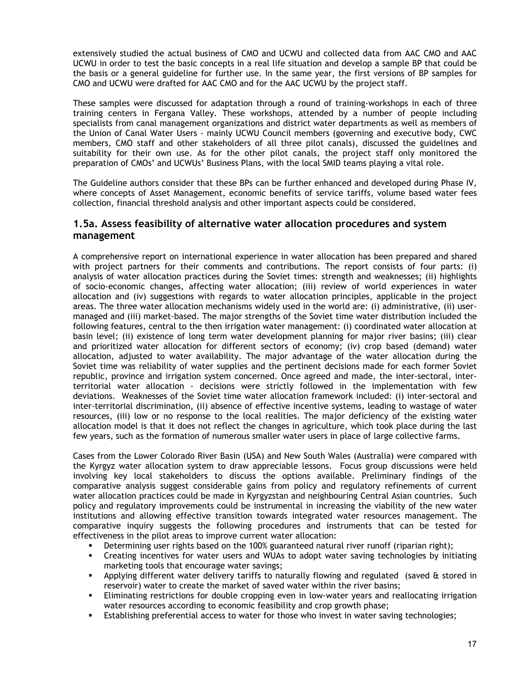<span id="page-16-0"></span>extensively studied the actual business of CMO and UCWU and collected data from AAC CMO and AAC UCWU in order to test the basic concepts in a real life situation and develop a sample BP that could be the basis or a general guideline for further use. In the same year, the first versions of BP samples for CMO and UCWU were drafted for AAC CMO and for the AAC UCWU by the project staff.

These samples were discussed for adaptation through a round of training-workshops in each of three training centers in Fergana Valley. These workshops, attended by a number of people including specialists from canal management organizations and district water departments as well as members of the Union of Canal Water Users - mainly UCWU Council members (governing and executive body, CWC members, CMO staff and other stakeholders of all three pilot canals), discussed the guidelines and suitability for their own use. As for the other pilot canals, the project staff only monitored the preparation of CMOs' and UCWUs' Business Plans, with the local SMID teams playing a vital role.

The Guideline authors consider that these BPs can be further enhanced and developed during Phase IV, where concepts of Asset Management, economic benefits of service tariffs, volume based water fees collection, financial threshold analysis and other important aspects could be considered.

# **1.5a. Assess feasibility of alternative water allocation procedures and system management**

A comprehensive report on international experience in water allocation has been prepared and shared with project partners for their comments and contributions. The report consists of four parts: (i) analysis of water allocation practices during the Soviet times: strength and weaknesses; (ii) highlights of socio-economic changes, affecting water allocation; (iii) review of world experiences in water allocation and (iv) suggestions with regards to water allocation principles, applicable in the project areas. The three water allocation mechanisms widely used in the world are: (i) administrative, (ii) usermanaged and (iii) market-based. The major strengths of the Soviet time water distribution included the following features, central to the then irrigation water management: (i) coordinated water allocation at basin level; (ii) existence of long term water development planning for major river basins; (iii) clear and prioritized water allocation for different sectors of economy; (iv) crop based (demand) water allocation, adjusted to water availability. The major advantage of the water allocation during the Soviet time was reliability of water supplies and the pertinent decisions made for each former Soviet republic, province and irrigation system concerned. Once agreed and made, the inter-sectoral, interterritorial water allocation - decisions were strictly followed in the implementation with few deviations. Weaknesses of the Soviet time water allocation framework included: (i) inter-sectoral and inter-territorial discrimination, (ii) absence of effective incentive systems, leading to wastage of water resources, (iii) low or no response to the local realities. The major deficiency of the existing water allocation model is that it does not reflect the changes in agriculture, which took place during the last few years, such as the formation of numerous smaller water users in place of large collective farms.

Cases from the Lower Colorado River Basin (USA) and New South Wales (Australia) were compared with the Kyrgyz water allocation system to draw appreciable lessons. Focus group discussions were held involving key local stakeholders to discuss the options available. Preliminary findings of the comparative analysis suggest considerable gains from policy and regulatory refinements of current water allocation practices could be made in Kyrgyzstan and neighbouring Central Asian countries. Such policy and regulatory improvements could be instrumental in increasing the viability of the new water institutions and allowing effective transition towards integrated water resources management. The comparative inquiry suggests the following procedures and instruments that can be tested for effectiveness in the pilot areas to improve current water allocation:

- Determining user rights based on the 100% guaranteed natural river runoff (riparian right);
- Creating incentives for water users and WUAs to adopt water saving technologies by initiating marketing tools that encourage water savings;
- Applying different water delivery tariffs to naturally flowing and regulated (saved & stored in reservoir) water to create the market of saved water within the river basins;
- Eliminating restrictions for double cropping even in low-water years and reallocating irrigation water resources according to economic feasibility and crop growth phase;
- Establishing preferential access to water for those who invest in water saving technologies;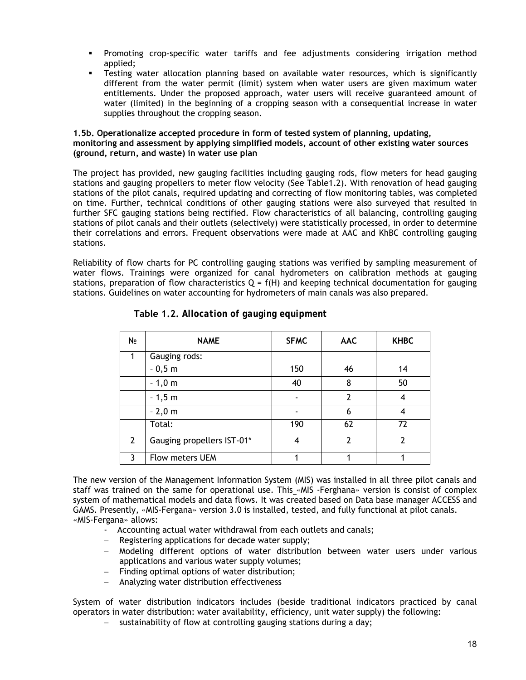- Promoting crop-specific water tariffs and fee adjustments considering irrigation method applied;
- Testing water allocation planning based on available water resources, which is significantly different from the water permit (limit) system when water users are given maximum water entitlements. Under the proposed approach, water users will receive guaranteed amount of water (limited) in the beginning of a cropping season with a consequential increase in water supplies throughout the cropping season.

#### **1.5b. Operationalize accepted procedure in form of tested system of planning, updating, monitoring and assessment by applying simplified models, account of other existing water sources (ground, return, and waste) in water use plan**

The project has provided, new gauging facilities including gauging rods, flow meters for head gauging stations and gauging propellers to meter flow velocity (See Table1.2). With renovation of head gauging stations of the pilot canals, required updating and correcting of flow monitoring tables, was completed on time. Further, technical conditions of other gauging stations were also surveyed that resulted in further SFC gauging stations being rectified. Flow characteristics of all balancing, controlling gauging stations of pilot canals and their outlets (selectively) were statistically processed, in order to determine their correlations and errors. Frequent observations were made at AAC and KhBC controlling gauging stations.

Reliability of flow charts for PC controlling gauging stations was verified by sampling measurement of water flows. Trainings were organized for canal hydrometers on calibration methods at gauging stations, preparation of flow characteristics  $Q = f(H)$  and keeping technical documentation for gauging stations. Guidelines on water accounting for hydrometers of main canals was also prepared.

| N∘             | <b>NAME</b>                | <b>SFMC</b> | <b>AAC</b>    | <b>KHBC</b> |
|----------------|----------------------------|-------------|---------------|-------------|
|                | Gauging rods:              |             |               |             |
|                | $-0,5$ m                   | 150         | 46            | 14          |
|                | $-1,0$ m                   | 40          | 8             | 50          |
|                | $-1,5$ m                   |             | $\mathcal{P}$ | 4           |
|                | $-2,0$ m                   |             | 6             | 4           |
|                | Total:                     | 190         | 62            | 72          |
| $\overline{2}$ | Gauging propellers IST-01* | 4           | 2             | 7           |
| ર              | Flow meters UEM            |             |               |             |

**Table 1.2.** *Allocation of gauging equipment* 

The new version of the Management Information System (MIS) was installed in all three pilot canals and staff was trained on the same for operational use. This «MIS -Ferghana» version is consist of complex system of mathematical models and data flows. It was created based on Data base manager ACCESS and GAMS. Presently, «MIS-Fergana» version 3.0 is installed, tested, and fully functional at pilot canals. «MIS-Fergana» allows:

- Accounting actual water withdrawal from each outlets and canals;
- − Registering applications for decade water supply;
- − Modeling different options of water distribution between water users under various applications and various water supply volumes;
- Finding optimal options of water distribution;
- − Analyzing water distribution effectiveness

System of water distribution indicators includes (beside traditional indicators practiced by canal operators in water distribution: water availability, efficiency, unit water supply) the following:

− sustainability of flow at controlling gauging stations during a day;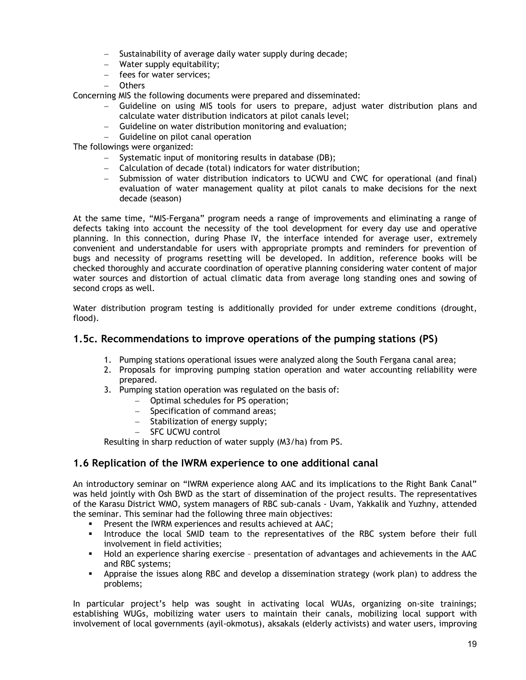- <span id="page-18-0"></span>− Sustainability of average daily water supply during decade;
- − Water supply equitability;
- − fees for water services;
- − Others

Concerning MIS the following documents were prepared and disseminated:

- − Guideline on using MIS tools for users to prepare, adjust water distribution plans and calculate water distribution indicators at pilot canals level;
- − Guideline on water distribution monitoring and evaluation;
- − Guideline on pilot canal operation

The followings were organized:

- − Systematic input of monitoring results in database (DB);
- − Calculation of decade (total) indicators for water distribution;
- − Submission of water distribution indicators to UCWU and CWC for operational (and final) evaluation of water management quality at pilot canals to make decisions for the next decade (season)

At the same time, "MIS-Fergana" program needs a range of improvements and eliminating a range of defects taking into account the necessity of the tool development for every day use and operative planning. In this connection, during Phase IV, the interface intended for average user, extremely convenient and understandable for users with appropriate prompts and reminders for prevention of bugs and necessity of programs resetting will be developed. In addition, reference books will be checked thoroughly and accurate coordination of operative planning considering water content of major water sources and distortion of actual climatic data from average long standing ones and sowing of second crops as well.

Water distribution program testing is additionally provided for under extreme conditions (drought, flood).

# **1.5c. Recommendations to improve operations of the pumping stations (PS)**

- 1. Pumping stations operational issues were analyzed along the South Fergana canal area;
- 2. Proposals for improving pumping station operation and water accounting reliability were prepared.
- 3. Pumping station operation was regulated on the basis of:
	- − Optimal schedules for PS operation;
	- − Specification of command areas;
	- − Stabilization of energy supply;
	- − SFC UCWU control

Resulting in sharp reduction of water supply (M3/ha) from PS.

# **1.6 Replication of the IWRM experience to one additional canal**

An introductory seminar on "IWRM experience along AAC and its implications to the Right Bank Canal" was held jointly with Osh BWD as the start of dissemination of the project results. The representatives of the Karasu District WMO, system managers of RBC sub-canals - Uvam, Yakkalik and Yuzhny, attended the seminar. This seminar had the following three main objectives:

- **Present the IWRM experiences and results achieved at AAC;**
- **Introduce the local SMID team to the representatives of the RBC system before their full** involvement in field activities;
- Hold an experience sharing exercise presentation of advantages and achievements in the AAC and RBC systems;
- Appraise the issues along RBC and develop a dissemination strategy (work plan) to address the problems;

In particular project's help was sought in activating local WUAs, organizing on-site trainings; establishing WUGs, mobilizing water users to maintain their canals, mobilizing local support with involvement of local governments (ayil-okmotus), aksakals (elderly activists) and water users, improving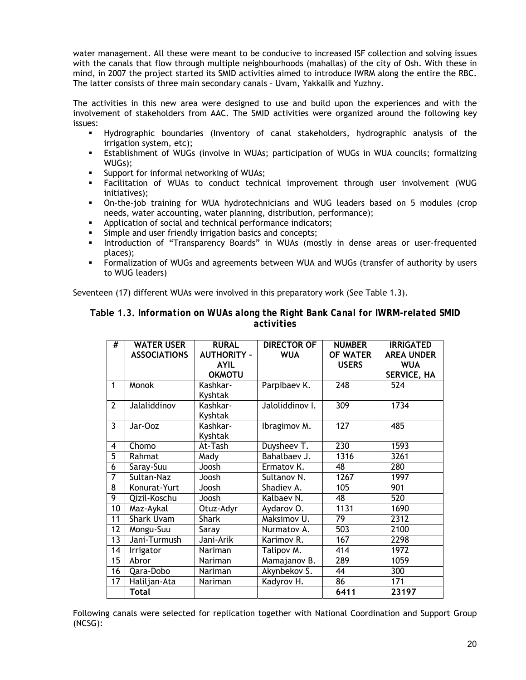water management. All these were meant to be conducive to increased ISF collection and solving issues with the canals that flow through multiple neighbourhoods (mahallas) of the city of Osh. With these in mind, in 2007 the project started its SMID activities aimed to introduce IWRM along the entire the RBC. The latter consists of three main secondary canals – Uvam, Yakkalik and Yuzhny.

The activities in this new area were designed to use and build upon the experiences and with the involvement of stakeholders from AAC. The SMID activities were organized around the following key issues:

- Hydrographic boundaries (Inventory of canal stakeholders, hydrographic analysis of the irrigation system, etc);
- Establishment of WUGs (involve in WUAs; participation of WUGs in WUA councils; formalizing WUGs);
- Support for informal networking of WUAs;
- Facilitation of WUAs to conduct technical improvement through user involvement (WUG initiatives);
- On-the-job training for WUA hydrotechnicians and WUG leaders based on 5 modules (crop needs, water accounting, water planning, distribution, performance);
- Application of social and technical performance indicators;
- Simple and user friendly irrigation basics and concepts;
- Introduction of "Transparency Boards" in WUAs (mostly in dense areas or user-frequented places);
- Formalization of WUGs and agreements between WUA and WUGs (transfer of authority by users to WUG leaders)

Seventeen (17) different WUAs were involved in this preparatory work (See Table 1.3).

| Table 1.3. Information on WUAs along the Right Bank Canal for IWRM-related SMID |            |  |  |
|---------------------------------------------------------------------------------|------------|--|--|
|                                                                                 | activities |  |  |

| #              | <b>WATER USER</b><br><b>ASSOCIATIONS</b> | <b>RURAL</b><br><b>AUTHORITY -</b><br><b>AYIL</b><br><b>OKMOTU</b> | <b>DIRECTOR OF</b><br><b>WUA</b> | <b>NUMBER</b><br><b>OF WATER</b><br><b>USERS</b> | <b>IRRIGATED</b><br><b>AREA UNDER</b><br><b>WUA</b><br>SERVICE, HA |
|----------------|------------------------------------------|--------------------------------------------------------------------|----------------------------------|--------------------------------------------------|--------------------------------------------------------------------|
| $\mathbf{1}$   | Monok                                    | Kashkar-<br>Kyshtak                                                | Parpibaev K.                     | $\overline{248}$                                 | 524                                                                |
| $\overline{2}$ | Jalaliddinov                             | Kashkar-<br>Kyshtak                                                | Jaloliddinov I.                  | 309                                              | 1734                                                               |
| 3              | Jar-Ooz                                  | Kashkar-<br>Kyshtak                                                | Ibragimov M.                     | $\overline{127}$                                 | 485                                                                |
| 4              | Chomo                                    | At-Tash                                                            | Duysheev T.                      | 230                                              | 1593                                                               |
| $\overline{5}$ | Rahmat                                   | Mady                                                               | Bahalbaev J.                     | 1316                                             | 3261                                                               |
| $\overline{6}$ | Saray-Suu                                | Joosh                                                              | Ermatov K.                       | 48                                               | 280                                                                |
| 7              | Sultan-Naz                               | Joosh                                                              | Sultanov N.                      | 1267                                             | 1997                                                               |
| 8              | Konurat-Yurt                             | Joosh                                                              | Shadiev A.                       | 105                                              | 901                                                                |
| 9              | Qizil-Koschu                             | Joosh                                                              | Kalbaev N.                       | 48                                               | 520                                                                |
| 10             | Maz-Aykal                                | Otuz-Adyr                                                          | Aydarov O.                       | 1131                                             | 1690                                                               |
| 11             | <b>Shark Uvam</b>                        | <b>Shark</b>                                                       | Maksimov U.                      | 79                                               | 2312                                                               |
| 12             | Mongu-Suu                                | Saray                                                              | Nurmatov A.                      | 503                                              | 2100                                                               |
| 13             | Jani-Turmush                             | Jani-Arik                                                          | Karimov R.                       | 167                                              | 2298                                                               |
| 14             | Irrigator                                | Nariman                                                            | Talipov M.                       | 414                                              | 1972                                                               |
| 15             | Abror                                    | Nariman                                                            | Mamajanov B.                     | 289                                              | 1059                                                               |
| 16             | Qara-Dobo                                | Nariman                                                            | Akynbekov S.                     | 44                                               | 300                                                                |
| 17             | Haliljan-Ata                             | Nariman                                                            | Kadyrov H.                       | 86                                               | 171                                                                |
|                | <b>Total</b>                             |                                                                    |                                  | 6411                                             | 23197                                                              |

Following canals were selected for replication together with National Coordination and Support Group (NCSG):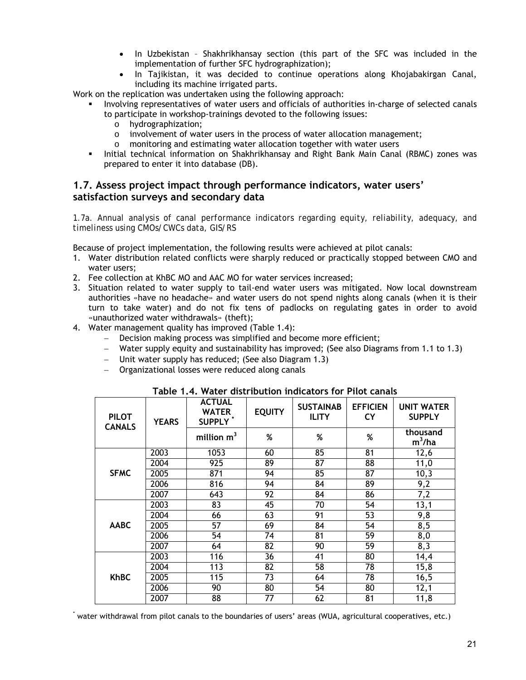- In Uzbekistan Shakhrikhansay section (this part of the SFC was included in the implementation of further SFC hydrographization);
- In Tajikistan, it was decided to continue operations along Khojabakirgan Canal, including its machine irrigated parts.

<span id="page-20-0"></span>Work on the replication was undertaken using the following approach:

- Involving representatives of water users and officials of authorities in-charge of selected canals to participate in workshop-trainings devoted to the following issues:
	- o hydrographization;
	- $\circ$  involvement of water users in the process of water allocation management;
	- o monitoring and estimating water allocation together with water users
- Initial technical information on Shakhrikhansay and Right Bank Main Canal (RBMC) zones was prepared to enter it into database (DB).

# **1.7. Assess project impact through performance indicators, water users' satisfaction surveys and secondary data**

*1.7a. Annual analysis of canal performance indicators regarding equity, reliability, adequacy, and timeliness using CMOs/CWCs data, GIS/RS* 

Because of project implementation, the following results were achieved at pilot canals:

- 1. Water distribution related conflicts were sharply reduced or practically stopped between CMO and water users;
- 2. Fee collection at KhBC MO and AAC MO for water services increased;
- 3. Situation related to water supply to tail-end water users was mitigated. Now local downstream authorities «have no headache» and water users do not spend nights along canals (when it is their turn to take water) and do not fix tens of padlocks on regulating gates in order to avoid «unauthorized water withdrawals» (theft);
- 4. Water management quality has improved (Table 1.4):
	- − Decision making process was simplified and become more efficient;
	- − Water supply equity and sustainability has improved; (See also Diagrams from 1.1 to 1.3)
	- − Unit water supply has reduced; (See also Diagram 1.3)
	- − Organizational losses were reduced along canals

| <b>PILOT</b><br><b>CANALS</b> | <b>YEARS</b> | <b>ACTUAL</b><br><b>WATER</b><br>SUPPLY <sup>*</sup> | <b>EQUITY</b>   | <b>SUSTAINAB</b><br><b>ILITY</b> | <b>EFFICIEN</b><br><b>CY</b> | <b>UNIT WATER</b><br><b>SUPPLY</b> |
|-------------------------------|--------------|------------------------------------------------------|-----------------|----------------------------------|------------------------------|------------------------------------|
|                               |              | million $m3$                                         | %               | %                                | %                            | thousand<br>$m^3/ha$               |
|                               | 2003         | 1053                                                 | 60              | 85                               | 81                           | 12,6                               |
|                               | 2004         | 925                                                  | 89              | 87                               | 88                           | 11,0                               |
| <b>SFMC</b>                   | 2005         | 871                                                  | $\overline{94}$ | 85                               | 87                           | 10,3                               |
|                               | 2006         | 816                                                  | 94              | 84                               | 89                           | 9,2                                |
|                               | 2007         | 643                                                  | 92              | 84                               | 86                           | 7,2                                |
|                               | 2003         | 83                                                   | 45              | 70                               | 54                           | 13,1                               |
|                               | 2004         | 66                                                   | 63              | $\overline{91}$                  | 53                           | 9,8                                |
| <b>AABC</b>                   | 2005         | 57                                                   | 69              | 84                               | 54                           | 8,5                                |
|                               | 2006         | 54                                                   | 74              | $\overline{81}$                  | $\overline{59}$              | 8,0                                |
|                               | 2007         | 64                                                   | 82              | 90                               | 59                           | 8,3                                |
|                               | 2003         | 116                                                  | 36              | 41                               | 80                           | 14,4                               |
| <b>KhBC</b>                   | 2004         | $\overline{113}$                                     | 82              | 58                               | 78                           | 15,8                               |
|                               | 2005         | 115                                                  | 73              | 64                               | 78                           | 16,5                               |
|                               | 2006         | 90                                                   | 80              | 54                               | 80                           | 12,1                               |
|                               | 2007         | 88                                                   | 77              | 62                               | 81                           | 11,8                               |

**Table 1.4. Water distribution indicators for Pilot canals** 

\* water withdrawal from pilot canals to the boundaries of users' areas (WUA, agricultural cooperatives, etc.)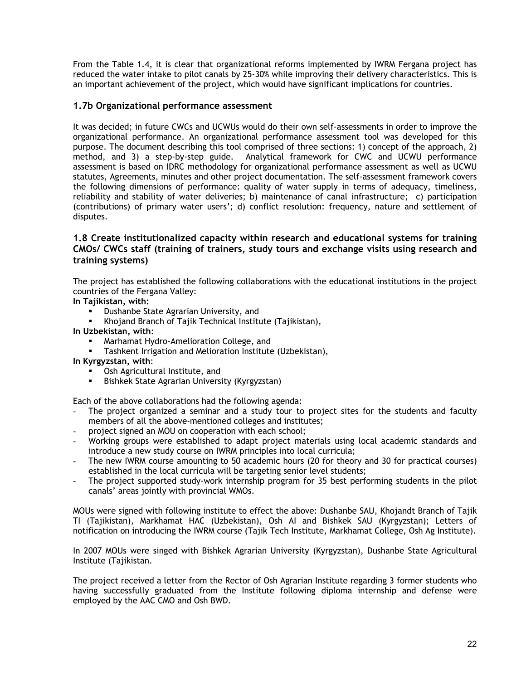<span id="page-21-0"></span>From the Table 1.4, it is clear that organizational reforms implemented by IWRM Fergana project has reduced the water intake to pilot canals by 25-30% while improving their delivery characteristics. This is an important achievement of the project, which would have significant implications for countries.

# **1.7b Organizational performance assessment**

It was decided; in future CWCs and UCWUs would do their own self-assessments in order to improve the organizational performance. An organizational performance assessment tool was developed for this purpose. The document describing this tool comprised of three sections: 1) concept of the approach, 2) method, and 3) a step-by-step guide. Analytical framework for CWC and UCWU performance assessment is based on IDRC methodology for organizational performance assessment as well as UCWU statutes, Agreements, minutes and other project documentation. The self-assessment framework covers the following dimensions of performance: quality of water supply in terms of adequacy, timeliness, reliability and stability of water deliveries; b) maintenance of canal infrastructure; c) participation (contributions) of primary water users'; d) conflict resolution: frequency, nature and settlement of disputes.

# **1.8 Create institutionalized capacity within research and educational systems for training CMOs/ CWCs staff (training of trainers, study tours and exchange visits using research and training systems)**

The project has established the following collaborations with the educational institutions in the project countries of the Fergana Valley:

**In Tajikistan, with:** 

- Dushanbe State Agrarian University, and
- Khojand Branch of Tajik Technical Institute (Tajikistan),

**In Uzbekistan, with**:

- Marhamat Hydro-Amelioration College, and
- Tashkent Irrigation and Melioration Institute (Uzbekistan),
- **In Kyrgyzstan, with**:
	- Osh Agricultural Institute, and
	- Bishkek State Agrarian University (Kyrgyzstan)

Each of the above collaborations had the following agenda:

- The project organized a seminar and a study tour to project sites for the students and faculty members of all the above-mentioned colleges and institutes;
- project signed an MOU on cooperation with each school;
- Working groups were established to adapt project materials using local academic standards and introduce a new study course on IWRM principles into local curricula;
- The new IWRM course amounting to 50 academic hours (20 for theory and 30 for practical courses) established in the local curricula will be targeting senior level students;
- The project supported study-work internship program for 35 best performing students in the pilot canals' areas jointly with provincial WMOs.

MOUs were signed with following institute to effect the above: Dushanbe SAU, Khojandt Branch of Tajik TI (Tajikistan), Markhamat HAC (Uzbekistan), Osh AI and Bishkek SAU (Kyrgyzstan); Letters of notification on introducing the IWRM course (Tajik Tech Institute, Markhamat College, Osh Ag Institute).

In 2007 MOUs were singed with Bishkek Agrarian University (Kyrgyzstan), Dushanbe State Agricultural Institute (Tajikistan.

The project received a letter from the Rector of Osh Agrarian Institute regarding 3 former students who having successfully graduated from the Institute following diploma internship and defense were employed by the AAC CMO and Osh BWD.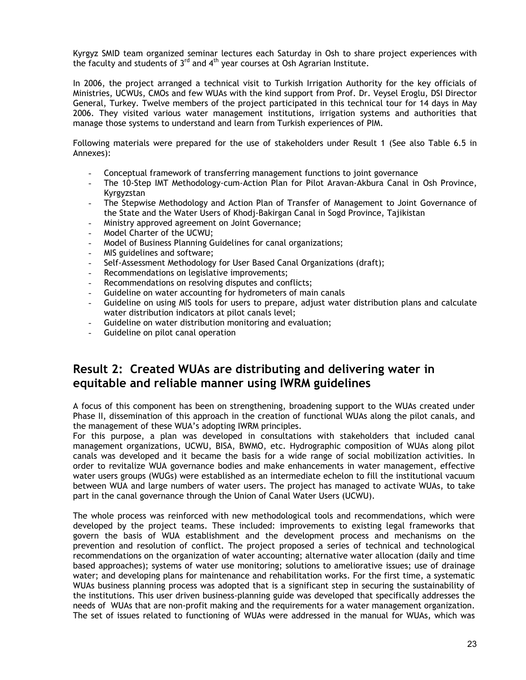<span id="page-22-0"></span>Kyrgyz SMID team organized seminar lectures each Saturday in Osh to share project experiences with the faculty and students of  $3<sup>rd</sup>$  and  $4<sup>th</sup>$  year courses at Osh Agrarian Institute.

In 2006, the project arranged a technical visit to Turkish Irrigation Authority for the key officials of Ministries, UCWUs, CMOs and few WUAs with the kind support from Prof. Dr. Veysel Eroglu, DSI Director General, Turkey. Twelve members of the project participated in this technical tour for 14 days in May 2006. They visited various water management institutions, irrigation systems and authorities that manage those systems to understand and learn from Turkish experiences of PIM.

Following materials were prepared for the use of stakeholders under Result 1 (See also Table 6.5 in Annexes):

- Conceptual framework of transferring management functions to joint governance
- The 10-Step IMT Methodology-cum-Action Plan for Pilot Aravan-Akbura Canal in Osh Province, Kyrgyzstan
- The Stepwise Methodology and Action Plan of Transfer of Management to Joint Governance of the State and the Water Users of Khodj-Bakirgan Canal in Sogd Province, Tajikistan
- Ministry approved agreement on Joint Governance;
- Model Charter of the UCWU;
- Model of Business Planning Guidelines for canal organizations;
- MIS guidelines and software;
- Self-Assessment Methodology for User Based Canal Organizations (draft);
- Recommendations on legislative improvements;
- Recommendations on resolving disputes and conflicts;
- Guideline on water accounting for hydrometers of main canals
- Guideline on using MIS tools for users to prepare, adjust water distribution plans and calculate water distribution indicators at pilot canals level;
- Guideline on water distribution monitoring and evaluation;
- Guideline on pilot canal operation

# **Result 2: Created WUAs are distributing and delivering water in equitable and reliable manner using IWRM guidelines**

A focus of this component has been on strengthening, broadening support to the WUAs created under Phase II, dissemination of this approach in the creation of functional WUAs along the pilot canals, and the management of these WUA's adopting IWRM principles.

For this purpose, a plan was developed in consultations with stakeholders that included canal management organizations, UCWU, BISA, BWMO, etc. Hydrographic composition of WUAs along pilot canals was developed and it became the basis for a wide range of social mobilization activities. In order to revitalize WUA governance bodies and make enhancements in water management, effective water users groups (WUGs) were established as an intermediate echelon to fill the institutional vacuum between WUA and large numbers of water users. The project has managed to activate WUAs, to take part in the canal governance through the Union of Canal Water Users (UCWU).

The whole process was reinforced with new methodological tools and recommendations, which were developed by the project teams. These included: improvements to existing legal frameworks that govern the basis of WUA establishment and the development process and mechanisms on the prevention and resolution of conflict. The project proposed a series of technical and technological recommendations on the organization of water accounting; alternative water allocation (daily and time based approaches); systems of water use monitoring; solutions to ameliorative issues; use of drainage water; and developing plans for maintenance and rehabilitation works. For the first time, a systematic WUAs business planning process was adopted that is a significant step in securing the sustainability of the institutions. This user driven business-planning guide was developed that specifically addresses the needs of WUAs that are non-profit making and the requirements for a water management organization. The set of issues related to functioning of WUAs were addressed in the manual for WUAs, which was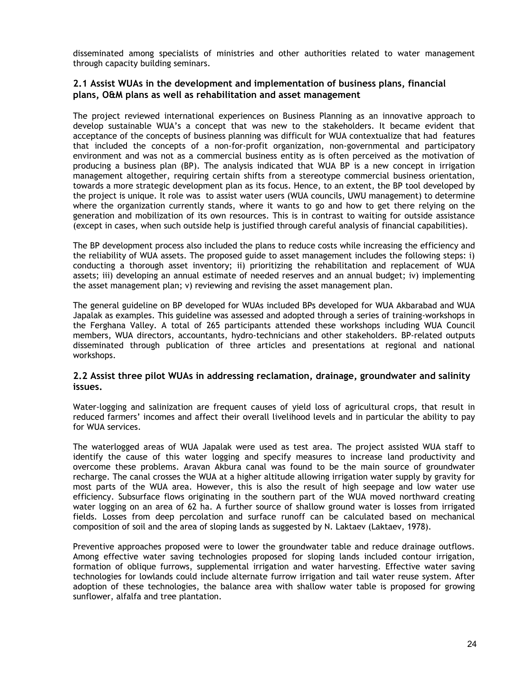<span id="page-23-0"></span>disseminated among specialists of ministries and other authorities related to water management through capacity building seminars.

## **2.1 Assist WUAs in the development and implementation of business plans, financial plans, O&M plans as well as rehabilitation and asset management**

The project reviewed international experiences on Business Planning as an innovative approach to develop sustainable WUA's a concept that was new to the stakeholders. It became evident that acceptance of the concepts of business planning was difficult for WUA contextualize that had features that included the concepts of a non-for-profit organization, non-governmental and participatory environment and was not as a commercial business entity as is often perceived as the motivation of producing a business plan (BP). The analysis indicated that WUA BP is a new concept in irrigation management altogether, requiring certain shifts from a stereotype commercial business orientation, towards a more strategic development plan as its focus. Hence, to an extent, the BP tool developed by the project is unique. It role was to assist water users (WUA councils, UWU management) to determine where the organization currently stands, where it wants to go and how to get there relying on the generation and mobilization of its own resources. This is in contrast to waiting for outside assistance (except in cases, when such outside help is justified through careful analysis of financial capabilities).

The BP development process also included the plans to reduce costs while increasing the efficiency and the reliability of WUA assets. The proposed guide to asset management includes the following steps: i) conducting a thorough asset inventory; ii) prioritizing the rehabilitation and replacement of WUA assets; iii) developing an annual estimate of needed reserves and an annual budget; iv) implementing the asset management plan; v) reviewing and revising the asset management plan.

The general guideline on BP developed for WUAs included BPs developed for WUA Akbarabad and WUA Japalak as examples. This guideline was assessed and adopted through a series of training-workshops in the Ferghana Valley. A total of 265 participants attended these workshops including WUA Council members, WUA directors, accountants, hydro-technicians and other stakeholders. BP-related outputs disseminated through publication of three articles and presentations at regional and national workshops.

#### **2.2 Assist three pilot WUAs in addressing reclamation, drainage, groundwater and salinity issues.**

Water-logging and salinization are frequent causes of yield loss of agricultural crops, that result in reduced farmers' incomes and affect their overall livelihood levels and in particular the ability to pay for WUA services.

The waterlogged areas of WUA Japalak were used as test area. The project assisted WUA staff to identify the cause of this water logging and specify measures to increase land productivity and overcome these problems. Aravan Akbura canal was found to be the main source of groundwater recharge. The canal crosses the WUA at a higher altitude allowing irrigation water supply by gravity for most parts of the WUA area. However, this is also the result of high seepage and low water use efficiency. Subsurface flows originating in the southern part of the WUA moved northward creating water logging on an area of 62 ha. A further source of shallow ground water is losses from irrigated fields. Losses from deep percolation and surface runoff can be calculated based on mechanical composition of soil and the area of sloping lands as suggested by N. Laktaev (Laktaev, 1978).

Preventive approaches proposed were to lower the groundwater table and reduce drainage outflows. Among effective water saving technologies proposed for sloping lands included contour irrigation, formation of oblique furrows, supplemental irrigation and water harvesting. Effective water saving technologies for lowlands could include alternate furrow irrigation and tail water reuse system. After adoption of these technologies, the balance area with shallow water table is proposed for growing sunflower, alfalfa and tree plantation.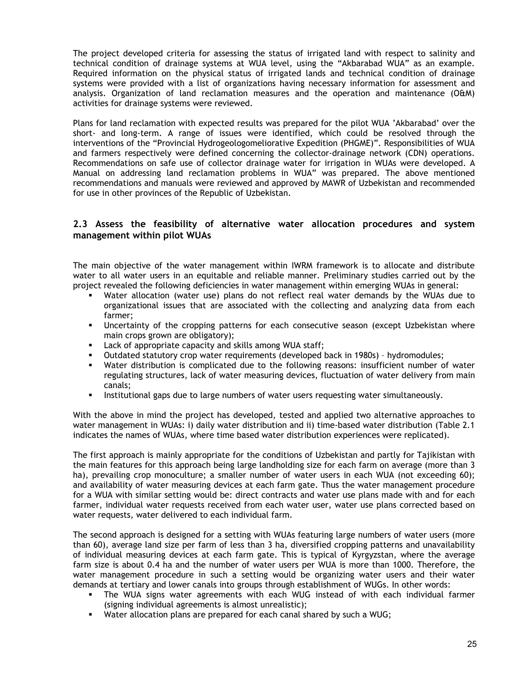<span id="page-24-0"></span>The project developed criteria for assessing the status of irrigated land with respect to salinity and technical condition of drainage systems at WUA level, using the "Akbarabad WUA" as an example. Required information on the physical status of irrigated lands and technical condition of drainage systems were provided with a list of organizations having necessary information for assessment and analysis. Organization of land reclamation measures and the operation and maintenance (O&M) activities for drainage systems were reviewed.

Plans for land reclamation with expected results was prepared for the pilot WUA 'Akbarabad' over the short- and long-term. A range of issues were identified, which could be resolved through the interventions of the "Provincial Hydrogeologomeliorative Expedition (PHGME)". Responsibilities of WUA and farmers respectively were defined concerning the collector-drainage network (CDN) operations. Recommendations on safe use of collector drainage water for irrigation in WUAs were developed. A Manual on addressing land reclamation problems in WUA" was prepared. The above mentioned recommendations and manuals were reviewed and approved by MAWR of Uzbekistan and recommended for use in other provinces of the Republic of Uzbekistan.

# **2.3 Assess the feasibility of alternative water allocation procedures and system management within pilot WUAs**

The main objective of the water management within IWRM framework is to allocate and distribute water to all water users in an equitable and reliable manner. Preliminary studies carried out by the project revealed the following deficiencies in water management within emerging WUAs in general:

- Water allocation (water use) plans do not reflect real water demands by the WUAs due to organizational issues that are associated with the collecting and analyzing data from each farmer;
- Uncertainty of the cropping patterns for each consecutive season (except Uzbekistan where main crops grown are obligatory);
- Lack of appropriate capacity and skills among WUA staff;
- Outdated statutory crop water requirements (developed back in 1980s) hydromodules;
- Water distribution is complicated due to the following reasons: insufficient number of water regulating structures, lack of water measuring devices, fluctuation of water delivery from main canals;
- **Institutional gaps due to large numbers of water users requesting water simultaneously.**

With the above in mind the project has developed, tested and applied two alternative approaches to water management in WUAs: i) daily water distribution and ii) time-based water distribution (Table 2.1 indicates the names of WUAs, where time based water distribution experiences were replicated).

The first approach is mainly appropriate for the conditions of Uzbekistan and partly for Tajikistan with the main features for this approach being large landholding size for each farm on average (more than 3 ha), prevailing crop monoculture; a smaller number of water users in each WUA (not exceeding 60); and availability of water measuring devices at each farm gate. Thus the water management procedure for a WUA with similar setting would be: direct contracts and water use plans made with and for each farmer, individual water requests received from each water user, water use plans corrected based on water requests, water delivered to each individual farm.

The second approach is designed for a setting with WUAs featuring large numbers of water users (more than 60), average land size per farm of less than 3 ha, diversified cropping patterns and unavailability of individual measuring devices at each farm gate. This is typical of Kyrgyzstan, where the average farm size is about 0.4 ha and the number of water users per WUA is more than 1000. Therefore, the water management procedure in such a setting would be organizing water users and their water demands at tertiary and lower canals into groups through establishment of WUGs. In other words:

- The WUA signs water agreements with each WUG instead of with each individual farmer (signing individual agreements is almost unrealistic);
- Water allocation plans are prepared for each canal shared by such a WUG;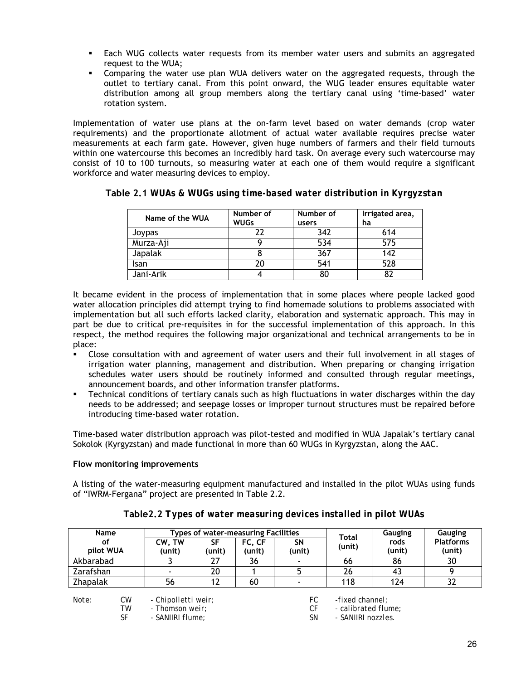- Each WUG collects water requests from its member water users and submits an aggregated request to the WUA;
- Comparing the water use plan WUA delivers water on the aggregated requests, through the outlet to tertiary canal. From this point onward, the WUG leader ensures equitable water distribution among all group members along the tertiary canal using 'time-based' water rotation system.

Implementation of water use plans at the on-farm level based on water demands (crop water requirements) and the proportionate allotment of actual water available requires precise water measurements at each farm gate. However, given huge numbers of farmers and their field turnouts within one watercourse this becomes an incredibly hard task. On average every such watercourse may consist of 10 to 100 turnouts, so measuring water at each one of them would require a significant workforce and water measuring devices to employ.

| Name of the WUA | Number of<br><b>WUGs</b> | Number of<br>users | Irrigated area,<br>ha |  |
|-----------------|--------------------------|--------------------|-----------------------|--|
| Joypas          |                          | 342                | 614                   |  |
| Murza-Aji       |                          | 534                | 575                   |  |
| Japalak         |                          | 367                | 142                   |  |
| Isan            | 20                       | 541                | 528                   |  |
| Jani-Arik       |                          | 80                 | 82                    |  |

**Table 2.1** *WUAs & WUGs using time-based water distribution in Kyrgyzstan* 

It became evident in the process of implementation that in some places where people lacked good water allocation principles did attempt trying to find homemade solutions to problems associated with implementation but all such efforts lacked clarity, elaboration and systematic approach. This may in part be due to critical pre-requisites in for the successful implementation of this approach. In this respect, the method requires the following major organizational and technical arrangements to be in place:

- Close consultation with and agreement of water users and their full involvement in all stages of irrigation water planning, management and distribution. When preparing or changing irrigation schedules water users should be routinely informed and consulted through regular meetings, announcement boards, and other information transfer platforms.
- Technical conditions of tertiary canals such as high fluctuations in water discharges within the day needs to be addressed; and seepage losses or improper turnout structures must be repaired before introducing time-based water rotation.

Time-based water distribution approach was pilot-tested and modified in WUA Japalak's tertiary canal Sokolok (Kyrgyzstan) and made functional in more than 60 WUGs in Kyrgyzstan, along the AAC.

## **Flow monitoring improvements**

A listing of the water-measuring equipment manufactured and installed in the pilot WUAs using funds of "IWRM-Fergana" project are presented in Table 2.2.

| Name            |          | <b>Types of water-measuring Facilities</b>    |              |                  |              | Total                                  | Gauging        | Gauging                    |
|-----------------|----------|-----------------------------------------------|--------------|------------------|--------------|----------------------------------------|----------------|----------------------------|
| оf<br>pilot WUA |          | CW, TW<br>(unit)                              | SF<br>(unit) | FC, CF<br>(unit) | SΝ<br>(unit) | (unit)                                 | rods<br>(unit) | <b>Platforms</b><br>(unit) |
| Akbarabad       |          |                                               | 27           | 36               |              | 66                                     | 86             | 30                         |
| Zarafshan       |          |                                               | 20           |                  |              | 26                                     | 43             |                            |
| <b>Zhapalak</b> |          | 56                                            | 12           | 60               |              | 118                                    | 124            | 32                         |
| Note:           | CW<br>ТW | <i>- Chipolletti weir;</i><br>- Thomson weir: |              |                  | FC<br>СF     | -fixed channel:<br>- calibrated flume; |                |                            |

**Table2.2** *Types of water measuring devices installed in pilot WUAs*

SF - SANIIRI flume; SN - SANIIRI nozzles.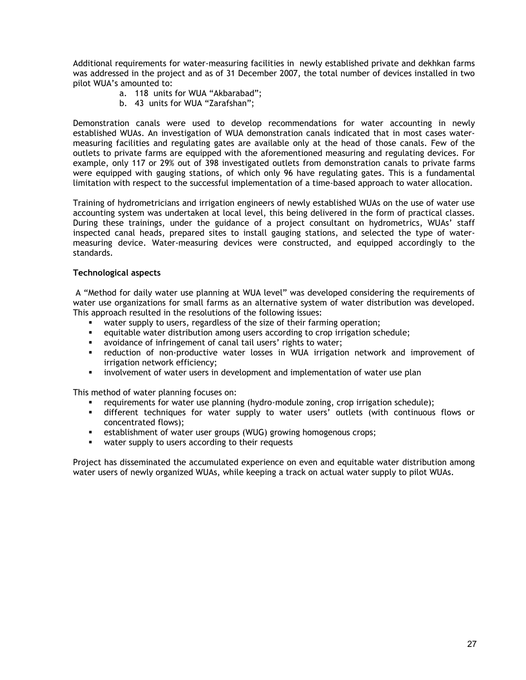Additional requirements for water-measuring facilities in newly established private and dekhkan farms was addressed in the project and as of 31 December 2007, the total number of devices installed in two pilot WUA's amounted to:

- a. 118 units for WUA "Akbarabad";
- b. 43 units for WUA "Zarafshan";

Demonstration canals were used to develop recommendations for water accounting in newly established WUAs. An investigation of WUA demonstration canals indicated that in most cases watermeasuring facilities and regulating gates are available only at the head of those canals. Few of the outlets to private farms are equipped with the aforementioned measuring and regulating devices. For example, only 117 or 29% out of 398 investigated outlets from demonstration canals to private farms were equipped with gauging stations, of which only 96 have regulating gates. This is a fundamental limitation with respect to the successful implementation of a time-based approach to water allocation.

Training of hydrometricians and irrigation engineers of newly established WUAs on the use of water use accounting system was undertaken at local level, this being delivered in the form of practical classes. During these trainings, under the guidance of a project consultant on hydrometrics, WUAs' staff inspected canal heads, prepared sites to install gauging stations, and selected the type of watermeasuring device. Water-measuring devices were constructed, and equipped accordingly to the standards.

#### **Technological aspects**

 A "Method for daily water use planning at WUA level" was developed considering the requirements of water use organizations for small farms as an alternative system of water distribution was developed. This approach resulted in the resolutions of the following issues:

- water supply to users, regardless of the size of their farming operation;
- equitable water distribution among users according to crop irrigation schedule;
- avoidance of infringement of canal tail users' rights to water;
- reduction of non-productive water losses in WUA irrigation network and improvement of irrigation network efficiency;
- involvement of water users in development and implementation of water use plan

This method of water planning focuses on:

- requirements for water use planning (hydro-module zoning, crop irrigation schedule);
- different techniques for water supply to water users' outlets (with continuous flows or concentrated flows);
- **EXECT** establishment of water user groups (WUG) growing homogenous crops;
- water supply to users according to their requests

Project has disseminated the accumulated experience on even and equitable water distribution among water users of newly organized WUAs, while keeping a track on actual water supply to pilot WUAs.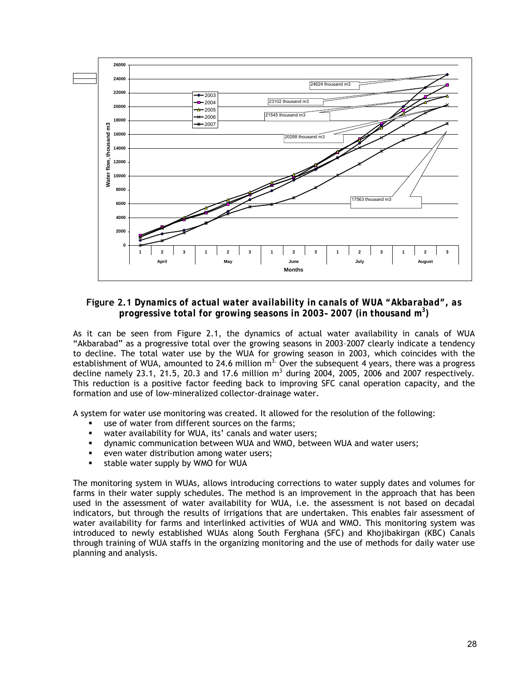

**Figure 2.1** *Dynamics of actual water availability in canals of WUA "Akbarabad", as progressive total for growing seasons in 2003– 2007 (in thousand m3 )*

As it can be seen from Figure 2.1, the dynamics of actual water availability in canals of WUA "Akbarabad" as a progressive total over the growing seasons in 2003–2007 clearly indicate a tendency to decline. The total water use by the WUA for growing season in 2003, which coincides with the establishment of WUA, amounted to 24.6 million  $m<sup>3</sup>$ . Over the subsequent 4 years, there was a progress decline namely 23.1, 21.5, 20.3 and 17.6 million  $m<sup>3</sup>$  during 2004, 2005, 2006 and 2007 respectively. This reduction is a positive factor feeding back to improving SFC canal operation capacity, and the formation and use of low-mineralized collector-drainage water.

A system for water use monitoring was created. It allowed for the resolution of the following:

- use of water from different sources on the farms;
- water availability for WUA, its' canals and water users;
- dynamic communication between WUA and WMO, between WUA and water users;
- even water distribution among water users;
- **stable water supply by WMO for WUA**

The monitoring system in WUAs, allows introducing corrections to water supply dates and volumes for farms in their water supply schedules. The method is an improvement in the approach that has been used in the assessment of water availability for WUA, i.e. the assessment is not based on decadal indicators, but through the results of irrigations that are undertaken. This enables fair assessment of water availability for farms and interlinked activities of WUA and WMO. This monitoring system was introduced to newly established WUAs along South Ferghana (SFC) and Khojibakirgan (KBC) Canals through training of WUA staffs in the organizing monitoring and the use of methods for daily water use planning and analysis.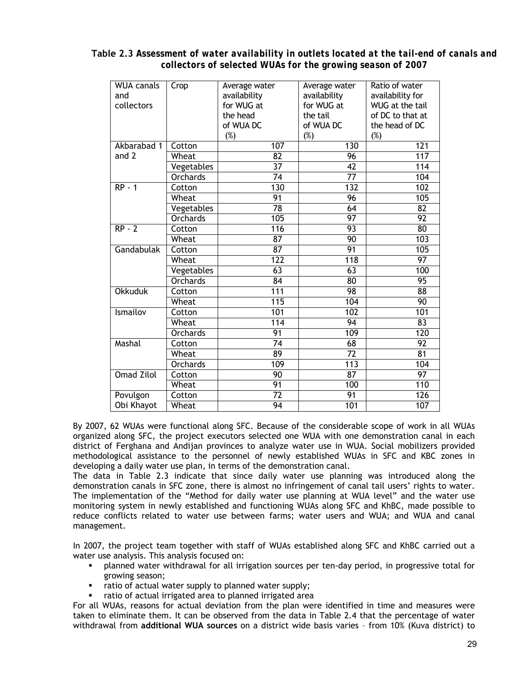| <b>WUA canals</b> | Crop            | Average water    | Average water    | Ratio of water   |
|-------------------|-----------------|------------------|------------------|------------------|
| and               |                 | availability     | availability     | availability for |
| collectors        |                 | for WUG at       | for WUG at       | WUG at the tail  |
|                   |                 | the head         | the tail         | of DC to that at |
|                   |                 | of WUA DC        | of WUA DC        | the head of DC   |
|                   |                 | (%)              | (%)              | $(\%)$           |
| Akbarabad 1       | Cotton          | 107              | 130              | $\overline{121}$ |
| and 2             | Wheat           | $\overline{82}$  | 96               | $\overline{117}$ |
|                   | Vegetables      | $\overline{37}$  | $\overline{42}$  | 114              |
|                   | <b>Orchards</b> | $\overline{74}$  | $\overline{77}$  | 104              |
| <b>RP - 1</b>     | Cotton          | 130              | 132              | 102              |
|                   | Wheat           | 91               | 96               | 105              |
|                   | Vegetables      | 78               | 64               | $\overline{82}$  |
|                   | <b>Orchards</b> | 105              | 97               | 92               |
| $RP - 2$          | Cotton          | 116              | 93               | 80               |
|                   | Wheat           | $\overline{87}$  | 90               | 103              |
| Gandabulak        | Cotton          | $\overline{87}$  | 91               | 105              |
|                   | Wheat           | $\overline{122}$ | $\overline{118}$ | $\overline{97}$  |
|                   | Vegetables      | 63               | 63               | 100              |
|                   | <b>Orchards</b> | 84               | $\overline{80}$  | 95               |
| <b>Okkuduk</b>    | Cotton          | 111              | 98               | $\overline{88}$  |
|                   | Wheat           | $\overline{115}$ | 104              | 90               |
| Ismailov          | Cotton          | 101              | 102              | 101              |
|                   | Wheat           | $\overline{114}$ | $\overline{94}$  | $\overline{83}$  |
|                   | <b>Orchards</b> | 91               | 109              | $\overline{120}$ |
| Mashal            | Cotton          | $\overline{74}$  | 68               | 92               |
|                   | Wheat           | 89               | $\overline{72}$  | 81               |
|                   | <b>Orchards</b> | 109              | 113              | 104              |
| <b>Omad Zilol</b> | Cotton          | 90               | $\overline{87}$  | 97               |
|                   | Wheat           | 91               | 100              | 110              |
| Povulgon          | Cotton          | 72               | $\overline{91}$  | 126              |
| Obi Khayot        | Wheat           | 94               | 101              | 107              |
|                   |                 |                  |                  |                  |

**Table 2.3** *Assessment of water availability in outlets located at the tail-end of canals and collectors of selected WUAs for the growing season of 2007*

By 2007, 62 WUAs were functional along SFC. Because of the considerable scope of work in all WUAs organized along SFC, the project executors selected one WUA with one demonstration canal in each district of Ferghana and Andijan provinces to analyze water use in WUA. Social mobilizers provided methodological assistance to the personnel of newly established WUAs in SFC and KBC zones in developing a daily water use plan, in terms of the demonstration canal.

The data in Table 2.3 indicate that since daily water use planning was introduced along the demonstration canals in SFC zone, there is almost no infringement of canal tail users' rights to water. The implementation of the "Method for daily water use planning at WUA level" and the water use monitoring system in newly established and functioning WUAs along SFC and KhBC, made possible to reduce conflicts related to water use between farms; water users and WUA; and WUA and canal management.

In 2007, the project team together with staff of WUAs established along SFC and KhBC carried out a water use analysis. This analysis focused on:

- planned water withdrawal for all irrigation sources per ten-day period, in progressive total for growing season;
- ratio of actual water supply to planned water supply;
- ratio of actual irrigated area to planned irrigated area

For all WUAs, reasons for actual deviation from the plan were identified in time and measures were taken to eliminate them. It can be observed from the data in Table 2.4 that the percentage of water withdrawal from **additional WUA sources** on a district wide basis varies – from 10% (Kuva district) to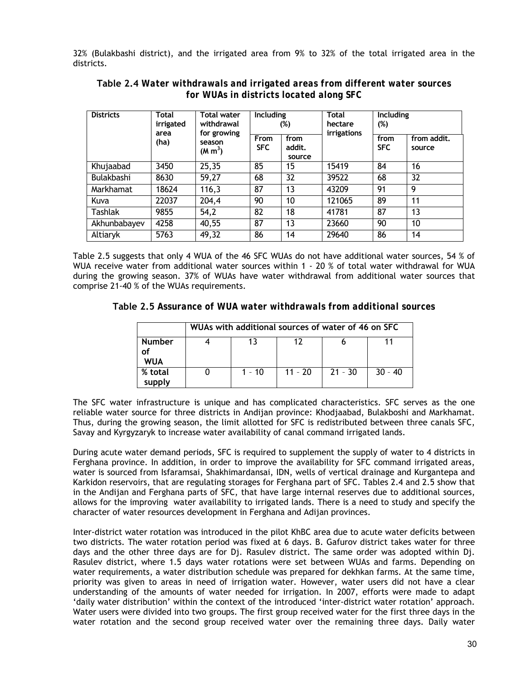32% (Bulakbashi district), and the irrigated area from 9% to 32% of the total irrigated area in the districts.

| <b>Districts</b> | <b>Total</b><br><b>Total water</b><br>irrigated<br>withdrawal<br>for growing<br>area |                               | <b>Including</b><br>(%)   |                          | <b>Total</b><br>hectare<br>irrigations | Including<br>$(\%)$ |                       |
|------------------|--------------------------------------------------------------------------------------|-------------------------------|---------------------------|--------------------------|----------------------------------------|---------------------|-----------------------|
|                  | (ha)                                                                                 | season<br>(M m <sup>3</sup> ) | <b>From</b><br><b>SFC</b> | from<br>addit.<br>source |                                        | from<br><b>SFC</b>  | from addit.<br>source |
| Khujaabad        | 3450                                                                                 | 25,35                         | 85                        | 15                       | 15419                                  | 84                  | 16                    |
| Bulakbashi       | 8630                                                                                 | 59,27                         | 68                        | 32                       | 39522                                  | 68                  | 32                    |
| Markhamat        | 18624                                                                                | 116,3                         | 87                        | 13                       | 43209                                  | 91                  | 9                     |
| Kuva             | 22037                                                                                | 204,4                         | 90                        | 10                       | 121065                                 | 89                  | 11                    |
| Tashlak          | 9855                                                                                 | 54,2                          | 82                        | 18                       | 41781                                  | 87                  | 13                    |
| Akhunbabayev     | 4258                                                                                 | 40,55                         | 87                        | 13                       | 23660                                  | 90                  | 10                    |
| Altiaryk         | 5763                                                                                 | 49,32                         | 86                        | 14                       | 29640                                  | 86                  | 14                    |

**Table 2.4** *Water withdrawals and irrigated areas from different water sources for WUAs in districts located along SFC* 

Table 2.5 suggests that only 4 WUA of the 46 SFC WUAs do not have additional water sources, 54 % of WUA receive water from additional water sources within 1 - 20 % of total water withdrawal for WUA during the growing season. 37% of WUAs have water withdrawal from additional water sources that comprise 21-40 % of the WUAs requirements.

**Table 2.5** *Assurance of WUA water withdrawals from additional sources* 

|                      | WUAs with additional sources of water of 46 on SFC |          |           |           |           |  |  |
|----------------------|----------------------------------------------------|----------|-----------|-----------|-----------|--|--|
| <b>Number</b><br>WUA |                                                    | 13       | 17        |           |           |  |  |
| % total<br>supply    |                                                    | $1 - 10$ | $11 - 20$ | $21 - 30$ | $30 - 40$ |  |  |

The SFC water infrastructure is unique and has complicated characteristics. SFC serves as the one reliable water source for three districts in Andijan province: Khodjaabad, Bulakboshi and Markhamat. Thus, during the growing season, the limit allotted for SFC is redistributed between three canals SFC, Savay and Kyrgyzaryk to increase water availability of canal command irrigated lands.

During acute water demand periods, SFC is required to supplement the supply of water to 4 districts in Ferghana province. In addition, in order to improve the availability for SFC command irrigated areas, water is sourced from Isfaramsai, Shakhimardansai, IDN, wells of vertical drainage and Kurgantepa and Karkidon reservoirs, that are regulating storages for Ferghana part of SFC. Tables 2.4 and 2.5 show that in the Andijan and Ferghana parts of SFC, that have large internal reserves due to additional sources, allows for the improving water availability to irrigated lands. There is a need to study and specify the character of water resources development in Ferghana and Adijan provinces.

Inter-district water rotation was introduced in the pilot KhBC area due to acute water deficits between two districts. The water rotation period was fixed at 6 days. B. Gafurov district takes water for three days and the other three days are for Dj. Rasulev district. The same order was adopted within Dj. Rasulev district, where 1.5 days water rotations were set between WUAs and farms. Depending on water requirements, a water distribution schedule was prepared for dekhkan farms. At the same time, priority was given to areas in need of irrigation water. However, water users did not have a clear understanding of the amounts of water needed for irrigation. In 2007, efforts were made to adapt 'daily water distribution' within the context of the introduced 'inter-district water rotation' approach. Water users were divided into two groups. The first group received water for the first three days in the water rotation and the second group received water over the remaining three days. Daily water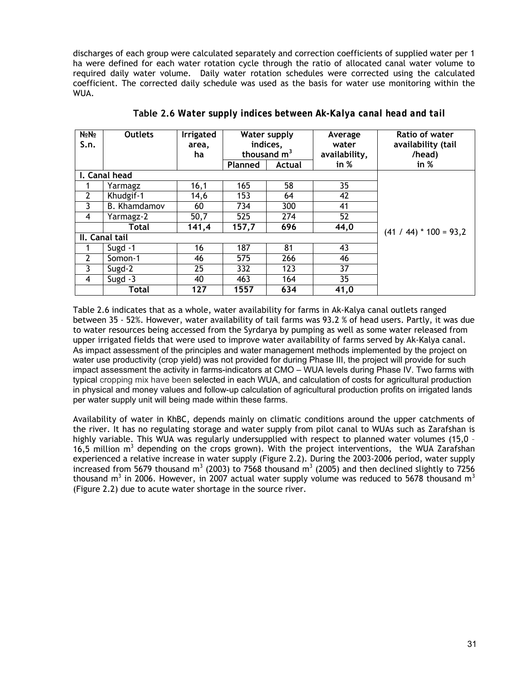discharges of each group were calculated separately and correction coefficients of supplied water per 1 ha were defined for each water rotation cycle through the ratio of allocated canal water volume to required daily water volume. Daily water rotation schedules were corrected using the calculated coefficient. The corrected daily schedule was used as the basis for water use monitoring within the WUA.

| No <sub>No</sub> | <b>Outlets</b>      | <b>Irrigated</b> | <b>Water supply</b> |        | Average       | Ratio of water           |
|------------------|---------------------|------------------|---------------------|--------|---------------|--------------------------|
| S.n.             |                     | area,            | indices,            |        | water         | availability (tail       |
|                  |                     | ha               | thousand $m3$       |        | availability, | /head)                   |
|                  |                     |                  | Planned             | Actual | in $%$        | in %                     |
|                  | I. Canal head       |                  |                     |        |               |                          |
|                  | Yarmagz             | 16,1             | 165                 | 58     | 35            |                          |
| $\overline{2}$   | Khudgif-1           | 14,6             | 153                 | 64     | 42            |                          |
| 3                | <b>B.</b> Khamdamov | 60               | 734                 | 300    | 41            |                          |
| 4                | Yarmagz-2           | 50,7             | 525                 | 274    | 52            |                          |
|                  | <b>Total</b>        | 141,4            | 157,7               | 696    | 44,0          | $(41 / 44)$ * 100 = 93,2 |
| II. Canal tail   |                     |                  |                     |        |               |                          |
|                  | Sugd $-1$           | 16               | 187                 | 81     | 43            |                          |
| $\overline{2}$   | Somon-1             | 46               | 575                 | 266    | 46            |                          |
| 3                | Sugd-2              | 25               | 332                 | 123    | 37            |                          |
| 4                | Sugd $-3$           | 40               | 463                 | 164    | 35            |                          |
|                  | Total               | 127              | 1557                | 634    | 41,0          |                          |

**Table 2.6** *Water supply indices between Ak-Kalya canal head and tail*

Table 2.6 indicates that as a whole, water availability for farms in Ak-Kalya canal outlets ranged between 35 - 52%. However, water availability of tail farms was 93.2 % of head users. Partly, it was due to water resources being accessed from the Syrdarya by pumping as well as some water released from upper irrigated fields that were used to improve water availability of farms served by Ak-Kalya canal. As impact assessment of the principles and water management methods implemented by the project on water use productivity (crop yield) was not provided for during Phase III, the project will provide for such impact assessment the activity in farms-indicators at CMO – WUA levels during Phase IV. Two farms with typical cropping mix have been selected in each WUA, and calculation of costs for agricultural production in physical and money values and follow-up calculation of agricultural production profits on irrigated lands per water supply unit will being made within these farms.

Availability of water in KhBC, depends mainly on climatic conditions around the upper catchments of the river. It has no regulating storage and water supply from pilot canal to WUAs such as Zarafshan is highly variable. This WUA was regularly undersupplied with respect to planned water volumes (15,0 – 16,5 million  $m<sup>3</sup>$  depending on the crops grown). With the project interventions, the WUA Zarafshan experienced a relative increase in water supply (Figure 2.2). During the 2003-2006 period, water supply increased from 5679 thousand m<sup>3</sup> (2003) to 7568 thousand m<sup>3</sup> (2005) and then declined slightly to 7256 thousand m<sup>3</sup> in 2006. However, in 2007 actual water supply volume was reduced to 5678 thousand m<sup>3</sup> (Figure 2.2) due to acute water shortage in the source river.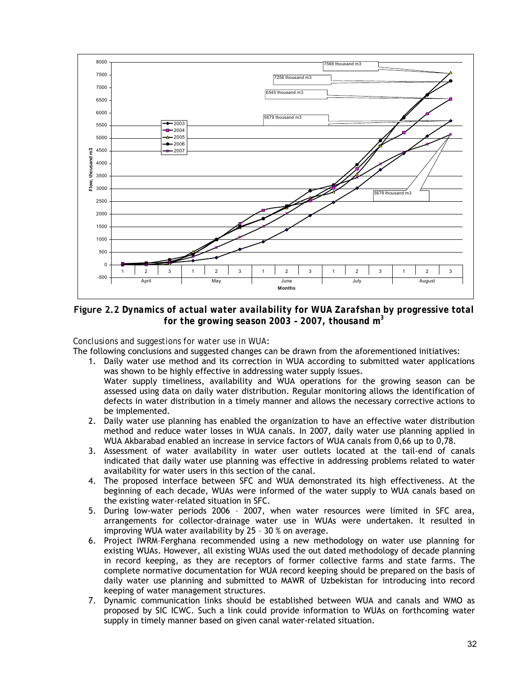

**Figure 2.2** *Dynamics of actual water availability for WUA Zarafshan by progressive total for the growing season 2003 – 2007, thousand m<sup>3</sup>*

## *Conclusions and suggestions for water use in WUA*:

The following conclusions and suggested changes can be drawn from the aforementioned initiatives:

- 1. Daily water use method and its correction in WUA according to submitted water applications was shown to be highly effective in addressing water supply issues. Water supply timeliness, availability and WUA operations for the growing season can be assessed using data on daily water distribution. Regular monitoring allows the identification of defects in water distribution in a timely manner and allows the necessary corrective actions to be implemented.
- 2. Daily water use planning has enabled the organization to have an effective water distribution method and reduce water losses in WUA canals. In 2007, daily water use planning applied in WUA Akbarabad enabled an increase in service factors of WUA canals from 0,66 up to 0,78.
- 3. Assessment of water availability in water user outlets located at the tail-end of canals indicated that daily water use planning was effective in addressing problems related to water availability for water users in this section of the canal.
- 4. The proposed interface between SFC and WUA demonstrated its high effectiveness. At the beginning of each decade, WUAs were informed of the water supply to WUA canals based on the existing water-related situation in SFC.
- 5. During low-water periods 2006 2007, when water resources were limited in SFC area, arrangements for collector-drainage water use in WUAs were undertaken. It resulted in improving WUA water availability by 25 – 30 % on average.
- 6. Project IWRM–Ferghana recommended using a new methodology on water use planning for existing WUAs. However, all existing WUAs used the out dated methodology of decade planning in record keeping, as they are receptors of former collective farms and state farms. The complete normative documentation for WUA record keeping should be prepared on the basis of daily water use planning and submitted to MAWR of Uzbekistan for introducing into record keeping of water management structures.
- 7. Dynamic communication links should be established between WUA and canals and WMO as proposed by SIC ICWC. Such a link could provide information to WUAs on forthcoming water supply in timely manner based on given canal water-related situation.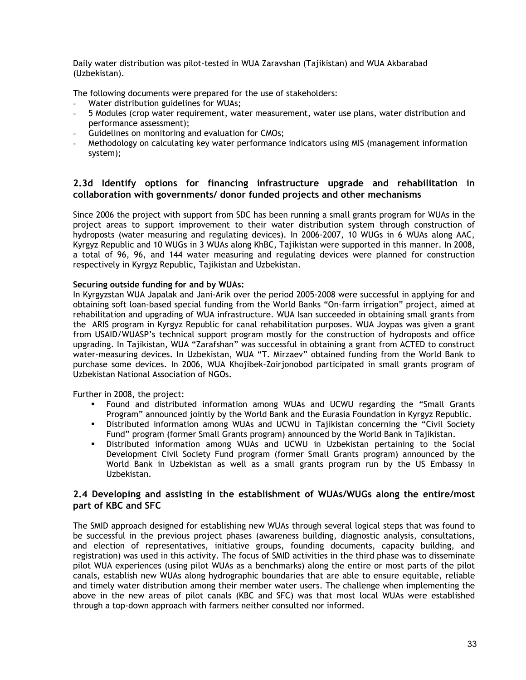<span id="page-32-0"></span>Daily water distribution was pilot-tested in WUA Zaravshan (Tajikistan) and WUA Akbarabad (Uzbekistan).

The following documents were prepared for the use of stakeholders:

- Water distribution guidelines for WUAs;
- 5 Modules (crop water requirement, water measurement, water use plans, water distribution and performance assessment);
- Guidelines on monitoring and evaluation for CMOs;
- Methodology on calculating key water performance indicators using MIS (management information system);

## **2.3d Identify options for financing infrastructure upgrade and rehabilitation in collaboration with governments/ donor funded projects and other mechanisms**

Since 2006 the project with support from SDC has been running a small grants program for WUAs in the project areas to support improvement to their water distribution system through construction of hydroposts (water measuring and regulating devices). In 2006-2007, 10 WUGs in 6 WUAs along AAC, Kyrgyz Republic and 10 WUGs in 3 WUAs along KhBC, Tajikistan were supported in this manner. In 2008, a total of 96, 96, and 144 water measuring and regulating devices were planned for construction respectively in Kyrgyz Republic, Tajikistan and Uzbekistan.

## **Securing outside funding for and by WUAs:**

In Kyrgyzstan WUA Japalak and Jani-Arik over the period 2005-2008 were successful in applying for and obtaining soft loan-based special funding from the World Banks "On-farm irrigation" project, aimed at rehabilitation and upgrading of WUA infrastructure. WUA Isan succeeded in obtaining small grants from the ARIS program in Kyrgyz Republic for canal rehabilitation purposes. WUA Joypas was given a grant from USAID/WUASP's technical support program mostly for the construction of hydroposts and office upgrading. In Tajikistan, WUA "Zarafshan" was successful in obtaining a grant from ACTED to construct water-measuring devices. In Uzbekistan, WUA "T. Mirzaev" obtained funding from the World Bank to purchase some devices. In 2006, WUA Khojibek-Zoirjonobod participated in small grants program of Uzbekistan National Association of NGOs.

Further in 2008, the project:

- Found and distributed information among WUAs and UCWU regarding the "Small Grants Program" announced jointly by the World Bank and the Eurasia Foundation in Kyrgyz Republic.
- Distributed information among WUAs and UCWU in Tajikistan concerning the "Civil Society Fund" program (former Small Grants program) announced by the World Bank in Tajikistan.
- Distributed information among WUAs and UCWU in Uzbekistan pertaining to the Social Development Civil Society Fund program (former Small Grants program) announced by the World Bank in Uzbekistan as well as a small grants program run by the US Embassy in Uzbekistan.

## **2.4 Developing and assisting in the establishment of WUAs/WUGs along the entire/most part of KBC and SFC**

The SMID approach designed for establishing new WUAs through several logical steps that was found to be successful in the previous project phases (awareness building, diagnostic analysis, consultations, and election of representatives, initiative groups, founding documents, capacity building, and registration) was used in this activity. The focus of SMID activities in the third phase was to disseminate pilot WUA experiences (using pilot WUAs as a benchmarks) along the entire or most parts of the pilot canals, establish new WUAs along hydrographic boundaries that are able to ensure equitable, reliable and timely water distribution among their member water users. The challenge when implementing the above in the new areas of pilot canals (KBC and SFC) was that most local WUAs were established through a top-down approach with farmers neither consulted nor informed.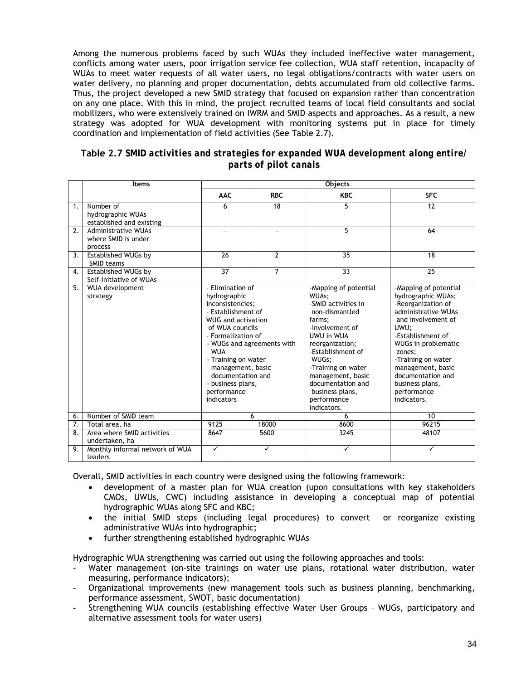Among the numerous problems faced by such WUAs they included ineffective water management, conflicts among water users, poor irrigation service fee collection, WUA staff retention, incapacity of WUAs to meet water requests of all water users, no legal obligations/contracts with water users on water delivery, no planning and proper documentation, debts accumulated from old collective farms. Thus, the project developed a new SMID strategy that focused on expansion rather than concentration on any one place. With this in mind, the project recruited teams of local field consultants and social mobilizers, who were extensively trained on IWRM and SMID aspects and approaches. As a result, a new strategy was adopted for WUA development with monitoring systems put in place for timely coordination and implementation of field activities (See Table 2.7).

| Table 2.7 SMID activities and strategies for expanded WUA development along entire/ |
|-------------------------------------------------------------------------------------|
| parts of pilot canals                                                               |

|                  | <b>Items</b>                                                 | <b>Objects</b>                                                                                                                                                                                                                                                                                                  |       |                |                                                                                                                                                                                                                                                                                      |                                                                                                                                                                                                                                                                                               |  |
|------------------|--------------------------------------------------------------|-----------------------------------------------------------------------------------------------------------------------------------------------------------------------------------------------------------------------------------------------------------------------------------------------------------------|-------|----------------|--------------------------------------------------------------------------------------------------------------------------------------------------------------------------------------------------------------------------------------------------------------------------------------|-----------------------------------------------------------------------------------------------------------------------------------------------------------------------------------------------------------------------------------------------------------------------------------------------|--|
|                  |                                                              | <b>AAC</b>                                                                                                                                                                                                                                                                                                      |       | <b>RBC</b>     | <b>KBC</b>                                                                                                                                                                                                                                                                           | <b>SFC</b>                                                                                                                                                                                                                                                                                    |  |
| 1 <sub>1</sub>   | Number of<br>hydrographic WUAs<br>established and existing   | 6                                                                                                                                                                                                                                                                                                               |       | 18             | 5                                                                                                                                                                                                                                                                                    | 12                                                                                                                                                                                                                                                                                            |  |
| $\overline{2}$ . | <b>Administrative WUAs</b><br>where SMID is under<br>process |                                                                                                                                                                                                                                                                                                                 |       |                | 5                                                                                                                                                                                                                                                                                    | 64                                                                                                                                                                                                                                                                                            |  |
| 3.               | Established WUGs by<br>SMID teams                            | $\overline{26}$                                                                                                                                                                                                                                                                                                 |       | $\overline{2}$ | 35                                                                                                                                                                                                                                                                                   | 18                                                                                                                                                                                                                                                                                            |  |
| 4.               | <b>Established WUGs by</b><br>Self-initiative of WUAs        | $\overline{37}$                                                                                                                                                                                                                                                                                                 |       | 7              | 33                                                                                                                                                                                                                                                                                   | $\overline{25}$                                                                                                                                                                                                                                                                               |  |
| 5.               | <b>WUA development</b><br>strategy                           | - Elimination of<br>hydrographic<br>inconsistencies;<br>- Establishment of<br><b>WUG and activation</b><br>of WUA councils<br>- Formalization of<br>- WUGs and agreements with<br><b>WUA</b><br>- Training on water<br>management, basic<br>documentation and<br>- business plans,<br>performance<br>indicators |       |                | -Mapping of potential<br>WUAs;<br>-SMID activities in<br>non-dismantled<br>farms:<br>-Involvement of<br>UWU in WUA<br>reorganization;<br>-Establishment of<br>WUGs;<br>-Training on water<br>management, basic<br>documentation and<br>business plans,<br>performance<br>indicators. | -Mapping of potential<br>hydrographic WUAs;<br>-Reorganization of<br>administrative WUAs<br>and involvement of<br>UWU:<br>-Establishment of<br>WUGs in problematic<br>zones;<br>-Training on water<br>management, basic<br>documentation and<br>business plans,<br>performance<br>indicators. |  |
| 6.               | Number of SMID team                                          | 6                                                                                                                                                                                                                                                                                                               |       |                | 6                                                                                                                                                                                                                                                                                    | 10                                                                                                                                                                                                                                                                                            |  |
| $\overline{7}$ . | Total area, ha                                               | 9125                                                                                                                                                                                                                                                                                                            | 18000 |                | 8600                                                                                                                                                                                                                                                                                 | 96215                                                                                                                                                                                                                                                                                         |  |
| 8.               | Area where SMID activities<br>undertaken, ha                 | 8647<br>5600                                                                                                                                                                                                                                                                                                    |       |                | 3245                                                                                                                                                                                                                                                                                 | 48107                                                                                                                                                                                                                                                                                         |  |
| 9.               | Monthly informal network of WUA<br>leaders                   | $\checkmark$                                                                                                                                                                                                                                                                                                    |       | ✓              | ✓                                                                                                                                                                                                                                                                                    | ✓                                                                                                                                                                                                                                                                                             |  |

Overall, SMID activities in each country were designed using the following framework:

- development of a master plan for WUA creation (upon consultations with key stakeholders CMOs, UWUs, CWC) including assistance in developing a conceptual map of potential hydrographic WUAs along SFC and KBC;
- the initial SMID steps (including legal procedures) to convert or reorganize existing administrative WUAs into hydrographic;
- further strengthening established hydrographic WUAs

Hydrographic WUA strengthening was carried out using the following approaches and tools:

- Water management (on-site trainings on water use plans, rotational water distribution, water measuring, performance indicators);
- Organizational improvements (new management tools such as business planning, benchmarking, performance assessment, SWOT, basic documentation)
- Strengthening WUA councils (establishing effective Water User Groups WUGs, participatory and alternative assessment tools for water users)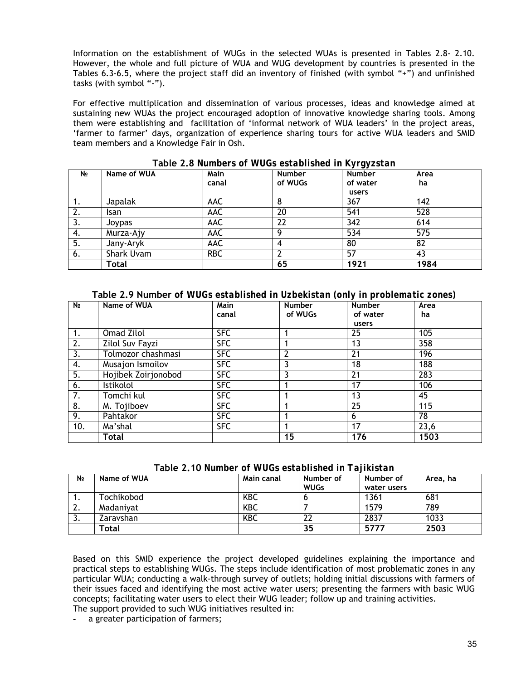Information on the establishment of WUGs in the selected WUAs is presented in Tables 2.8- 2.10. However, the whole and full picture of WUA and WUG development by countries is presented in the Tables 6.3-6.5, where the project staff did an inventory of finished (with symbol "+") and unfinished tasks (with symbol "-").

For effective multiplication and dissemination of various processes, ideas and knowledge aimed at sustaining new WUAs the project encouraged adoption of innovative knowledge sharing tools. Among them were establishing and facilitation of 'informal network of WUA leaders' in the project areas, 'farmer to farmer' days, organization of experience sharing tours for active WUA leaders and SMID team members and a Knowledge Fair in Osh.

| N <sub>2</sub> | Name of WUA | <b>Main</b><br>canal | Number<br>of WUGs | $7 - 31 = 10$<br><b>Number</b><br>of water<br>users | Area<br>ha |
|----------------|-------------|----------------------|-------------------|-----------------------------------------------------|------------|
| 1.             | Japalak     | AAC                  | 8                 | 367                                                 | 142        |
| 2.             | Isan        | AAC                  | 20                | 541                                                 | 528        |
| 3.             | Joypas      | AAC                  | 22                | 342                                                 | 614        |
| 4.             | Murza-Ajy   | AAC                  | Q                 | 534                                                 | 575        |
| 5.             | Jany-Aryk   | AAC                  | 4                 | 80                                                  | 82         |
| 6.             | Shark Uvam  | <b>RBC</b>           |                   | 57                                                  | 43         |
|                | Total       |                      | 65                | 1921                                                | 1984       |

**Table 2.8** *Numbers of WUGs established in Kyrgyzstan*

**Table 2.9 Number** *of WUGs established in Uzbekistan (only in problematic zones)*

| N <sub>2</sub>   | Name of WUA         | Main       | <b>Number</b> | <b>Number</b> | Area |
|------------------|---------------------|------------|---------------|---------------|------|
|                  |                     | canal      | of WUGs       | of water      | ha   |
|                  |                     |            |               | users         |      |
| 1.               | Omad Zilol          | <b>SFC</b> |               | 25            | 105  |
| 2.               | Zilol Suv Fayzi     | <b>SFC</b> |               | 13            | 358  |
| 3.               | Tolmozor chashmasi  | <b>SFC</b> |               | 21            | 196  |
| 4.               | Musajon Ismoilov    | <b>SFC</b> |               | 18            | 188  |
| 5.               | Hojibek Zoirjonobod | <b>SFC</b> |               | 21            | 283  |
| 6.               | Istikolol           | <b>SFC</b> |               | 17            | 106  |
| 7.               | Tomchi kul          | <b>SFC</b> |               | 13            | 45   |
| 8.               | M. Tojiboev         | <b>SFC</b> |               | 25            | 115  |
| $\overline{9}$ . | Pahtakor            | <b>SFC</b> |               | 6             | 78   |
| 10.              | Ma'shal             | <b>SFC</b> |               | 17            | 23,6 |
|                  | Total               |            | 15            | 176           | 1503 |

**Table 2.10** *Number of WUGs established in Tajikistan*

| N <sub>2</sub> | Name of WUA | Main canal | Number of<br><b>WUGs</b> | Number of<br>water users | Area, ha |
|----------------|-------------|------------|--------------------------|--------------------------|----------|
|                | Tochikobod  | KBC        |                          | 1361                     | 681      |
| ີ<br>z.        | Madaniyat   | KBC        |                          | 1579                     | 789      |
| J.             | Zaravshan   | KBC        | 22                       | 2837                     | 1033     |
|                | Total       |            | 35                       | 5777                     | 2503     |

Based on this SMID experience the project developed guidelines explaining the importance and practical steps to establishing WUGs. The steps include identification of most problematic zones in any particular WUA; conducting a walk-through survey of outlets; holding initial discussions with farmers of their issues faced and identifying the most active water users; presenting the farmers with basic WUG concepts; facilitating water users to elect their WUG leader; follow up and training activities.

The support provided to such WUG initiatives resulted in:

a greater participation of farmers;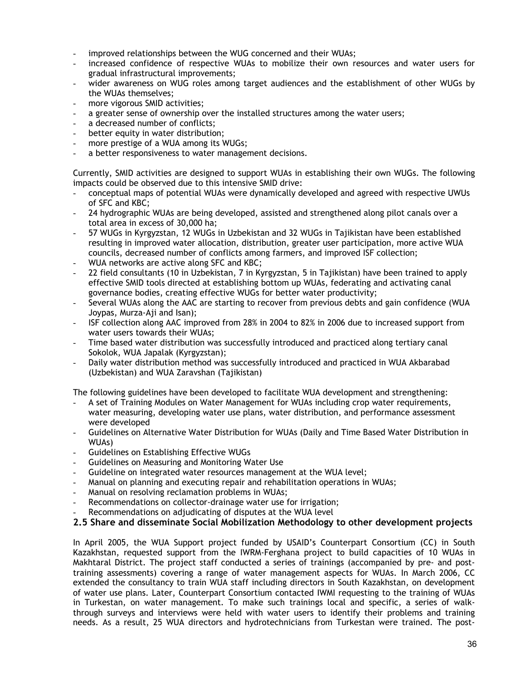- <span id="page-35-0"></span>improved relationships between the WUG concerned and their WUAs;
- increased confidence of respective WUAs to mobilize their own resources and water users for gradual infrastructural improvements;
- wider awareness on WUG roles among target audiences and the establishment of other WUGs by the WUAs themselves;
- more vigorous SMID activities;
- a greater sense of ownership over the installed structures among the water users;
- a decreased number of conflicts;
- better equity in water distribution;
- more prestige of a WUA among its WUGs;
- a better responsiveness to water management decisions.

Currently, SMID activities are designed to support WUAs in establishing their own WUGs. The following impacts could be observed due to this intensive SMID drive:

- conceptual maps of potential WUAs were dynamically developed and agreed with respective UWUs of SFC and KBC;
- 24 hydrographic WUAs are being developed, assisted and strengthened along pilot canals over a total area in excess of 30,000 ha;
- 57 WUGs in Kyrgyzstan, 12 WUGs in Uzbekistan and 32 WUGs in Tajikistan have been established resulting in improved water allocation, distribution, greater user participation, more active WUA councils, decreased number of conflicts among farmers, and improved ISF collection;
- WUA networks are active along SFC and KBC;
- 22 field consultants (10 in Uzbekistan, 7 in Kyrgyzstan, 5 in Tajikistan) have been trained to apply effective SMID tools directed at establishing bottom up WUAs, federating and activating canal governance bodies, creating effective WUGs for better water productivity;
- Several WUAs along the AAC are starting to recover from previous debts and gain confidence (WUA Joypas, Murza-Aji and Isan);
- ISF collection along AAC improved from 28% in 2004 to 82% in 2006 due to increased support from water users towards their WUAs;
- Time based water distribution was successfully introduced and practiced along tertiary canal Sokolok, WUA Japalak (Kyrgyzstan);
- Daily water distribution method was successfully introduced and practiced in WUA Akbarabad (Uzbekistan) and WUA Zaravshan (Tajikistan)

The following guidelines have been developed to facilitate WUA development and strengthening:

- A set of Training Modules on Water Management for WUAs including crop water requirements, water measuring, developing water use plans, water distribution, and performance assessment were developed
- Guidelines on Alternative Water Distribution for WUAs (Daily and Time Based Water Distribution in WUAs)
- Guidelines on Establishing Effective WUGs
- Guidelines on Measuring and Monitoring Water Use
- Guideline on integrated water resources management at the WUA level;
- Manual on planning and executing repair and rehabilitation operations in WUAs;
- Manual on resolving reclamation problems in WUAs;
- Recommendations on collector-drainage water use for irrigation;
- Recommendations on adjudicating of disputes at the WUA level

# **2.5 Share and disseminate Social Mobilization Methodology to other development projects**

In April 2005, the WUA Support project funded by USAID's Counterpart Consortium (CC) in South Kazakhstan, requested support from the IWRM-Ferghana project to build capacities of 10 WUAs in Makhtaral District. The project staff conducted a series of trainings (accompanied by pre- and posttraining assessments) covering a range of water management aspects for WUAs. In March 2006, CC extended the consultancy to train WUA staff including directors in South Kazakhstan, on development of water use plans. Later, Counterpart Consortium contacted IWMI requesting to the training of WUAs in Turkestan, on water management. To make such trainings local and specific, a series of walkthrough surveys and interviews were held with water users to identify their problems and training needs. As a result, 25 WUA directors and hydrotechnicians from Turkestan were trained. The post-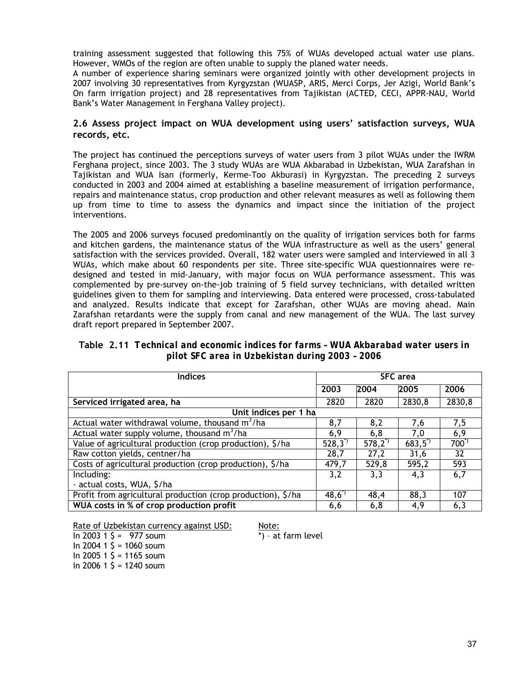training assessment suggested that following this 75% of WUAs developed actual water use plans. However, WMOs of the region are often unable to supply the planed water needs.

A number of experience sharing seminars were organized jointly with other development projects in 2007 involving 30 representatives from Kyrgyzstan (WUASP, ARIS, Merci Corps, Jer Azigi, World Bank's On farm irrigation project) and 28 representatives from Tajikistan (ACTED, CECI, APPR-NAU, World Bank's Water Management in Ferghana Valley project).

## **2.6 Assess project impact on WUA development using users' satisfaction surveys, WUA records, etc.**

The project has continued the perceptions surveys of water users from 3 pilot WUAs under the IWRM Ferghana project, since 2003. The 3 study WUAs are WUA Akbarabad in Uzbekistan, WUA Zarafshan in Tajikistan and WUA Isan (formerly, Kerme-Too Akburasi) in Kyrgyzstan. The preceding 2 surveys conducted in 2003 and 2004 aimed at establishing a baseline measurement of irrigation performance, repairs and maintenance status, crop production and other relevant measures as well as following them up from time to time to assess the dynamics and impact since the initiation of the project interventions.

The 2005 and 2006 surveys focused predominantly on the quality of irrigation services both for farms and kitchen gardens, the maintenance status of the WUA infrastructure as well as the users' general satisfaction with the services provided. Overall, 182 water users were sampled and interviewed in all 3 WUAs, which make about 60 respondents per site. Three site-specific WUA questionnaires were redesigned and tested in mid-January, with major focus on WUA performance assessment. This was complemented by pre-survey on-the-job training of 5 field survey technicians, with detailed written guidelines given to them for sampling and interviewing. Data entered were processed, cross-tabulated and analyzed. Results indicate that except for Zarafshan, other WUAs are moving ahead. Main Zarafshan retardants were the supply from canal and new management of the WUA. The last survey draft report prepared in September 2007.

| <b>Indices</b>                                               | <b>SFC</b> area    |                |                    |                 |  |
|--------------------------------------------------------------|--------------------|----------------|--------------------|-----------------|--|
|                                                              | 2003               | 2004           | 2005               | 2006            |  |
| Serviced irrigated area, ha                                  | 2820               | 2820           | 2830,8             | 2830,8          |  |
| Unit indices per 1 ha                                        |                    |                |                    |                 |  |
| Actual water withdrawal volume, thousand $m^3/ha$            | 8,7                | 8,2            | 7,6                | 7,5             |  |
| Actual water supply volume, thousand $m^3/ha$                | 6,9                | 6, 8           | 7,0                | 6,9             |  |
| Value of agricultural production (crop production), \$/ha    | $528,3^{^{\circ}}$ | $578,2^{^{n}}$ | $683,5^{^{\circ}}$ | $700^{\degree}$ |  |
| Raw cotton yields, centner/ha                                | 28,7               | 27,2           | 31,6               | 32              |  |
| Costs of agricultural production (crop production), \$/ha    | 479,7              | 529,8          | 595,2              | 593             |  |
| Including:                                                   | 3,2                | 3,3            | 4,3                | 6,7             |  |
| - actual costs, WUA, \$/ha                                   |                    |                |                    |                 |  |
| Profit from agricultural production (crop production), \$/ha | $48,6^{^{*}}$      | 48,4           | 88,3               | 107             |  |
| WUA costs in % of crop production profit                     | 6,6                | 6,8            | 4,9                | 6,3             |  |

**Table 2.11** *Technical and economic indices for farms – WUA Akbarabad water users in pilot SFC area in Uzbekistan during 2003 – 2006* 

Rate of Uzbekistan currency against USD: Note:

In 2003 1  $\frac{2003 + 15}{200}$  = 977 soum In 2004 1  $\text{S} = 1060$  soum In 2005 1  $\text{S} = 1165$  soum

In 2006 1  $\text{S} = 1240$  soum

\*) – at farm level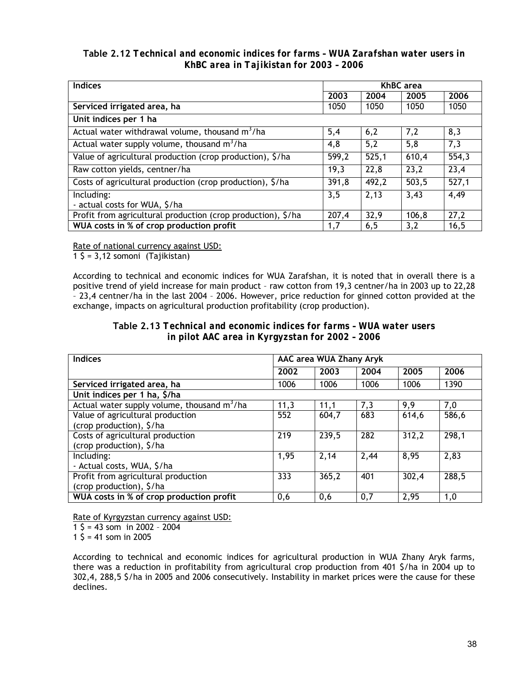**Table 2.12** *Technical and economic indices for farms – WUA Zarafshan water users in KhBC area in Tajikistan for 2003 – 2006*

| <b>Indices</b>                                               |       |       | <b>KhBC</b> area |       |
|--------------------------------------------------------------|-------|-------|------------------|-------|
|                                                              | 2003  | 2004  | 2005             | 2006  |
| Serviced irrigated area, ha                                  | 1050  | 1050  | 1050             | 1050  |
| Unit indices per 1 ha                                        |       |       |                  |       |
| Actual water withdrawal volume, thousand m <sup>3</sup> /ha  | 5,4   | 6,2   | 7,2              | 8,3   |
| Actual water supply volume, thousand $m^3/ha$                | 4,8   | 5,2   | 5,8              | 7,3   |
| Value of agricultural production (crop production), \$/ha    | 599,2 | 525,1 | 610,4            | 554,3 |
| Raw cotton yields, centner/ha                                | 19,3  | 22,8  | 23,2             | 23,4  |
| Costs of agricultural production (crop production), \$/ha    | 391,8 | 492,2 | 503,5            | 527,1 |
| Including:<br>- actual costs for WUA, \$/ha                  | 3,5   | 2,13  | 3,43             | 4,49  |
| Profit from agricultural production (crop production), \$/ha | 207,4 | 32,9  | 106, 8           | 27,2  |
| WUA costs in % of crop production profit                     | 1,7   | 6, 5  | 3,2              | 16,5  |

Rate of national currency against USD:

1 \$ = 3,12 somoni (Tajikistan)

According to technical and economic indices for WUA Zarafshan, it is noted that in overall there is a positive trend of yield increase for main product – raw cotton from 19,3 centner/ha in 2003 up to 22,28 – 23,4 centner/ha in the last 2004 – 2006. However, price reduction for ginned cotton provided at the exchange, impacts on agricultural production profitability (crop production).

**Table 2.13** *Technical and economic indices for farms – WUA water users in pilot AAC area in Kyrgyzstan for 2002 – 2006*

| <b>Indices</b>                                          | AAC area WUA Zhany Aryk |       |      |                    |       |  |  |
|---------------------------------------------------------|-------------------------|-------|------|--------------------|-------|--|--|
|                                                         | 2002                    | 2003  | 2004 | 2005               | 2006  |  |  |
| Serviced irrigated area, ha                             | 1006                    | 1006  | 1006 | 1006               | 1390  |  |  |
| Unit indices per 1 ha, \$/ha                            |                         |       |      |                    |       |  |  |
| Actual water supply volume, thousand m <sup>3</sup> /ha | 11,3                    | 11,1  | 7,3  | 9,9                | 7,0   |  |  |
| Value of agricultural production                        | 552                     | 604,7 | 683  | 614,6              | 586,6 |  |  |
| (crop production), \$/ha                                |                         |       |      |                    |       |  |  |
| Costs of agricultural production                        | $\overline{219}$        | 239,5 | 282  | 312,2              | 298,1 |  |  |
| (crop production), \$/ha                                |                         |       |      |                    |       |  |  |
| Including:                                              | 1,95                    | 2,14  | 2,44 | 8,95               | 2,83  |  |  |
| - Actual costs, WUA, \$/ha                              |                         |       |      |                    |       |  |  |
| Profit from agricultural production                     | 333                     | 365,2 | 401  | $\overline{302,4}$ | 288,5 |  |  |
| (crop production), \$/ha                                |                         |       |      |                    |       |  |  |
| WUA costs in % of crop production profit                | 0,6                     | 0,6   | 0,7  | 2,95               | 1,0   |  |  |

Rate of Kyrgyzstan currency against USD:

 $1\sqrt{5} = 43$  som in 2002 - 2004

1  $\frac{2005}{1}$  = 41 som in 2005

According to technical and economic indices for agricultural production in WUA Zhany Aryk farms, there was a reduction in profitability from agricultural crop production from 401 \$/ha in 2004 up to 302,4, 288,5 \$/ha in 2005 and 2006 consecutively. Instability in market prices were the cause for these declines.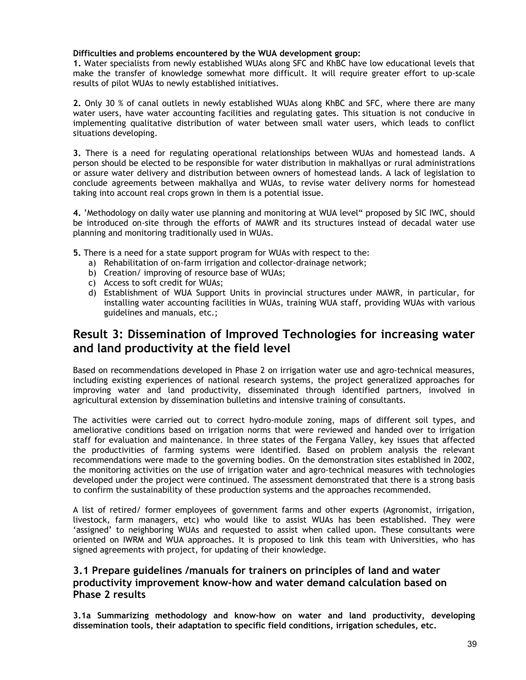## **Difficulties and problems encountered by the WUA development group:**

**1.** Water specialists from newly established WUAs along SFC and KhBC have low educational levels that make the transfer of knowledge somewhat more difficult. It will require greater effort to up-scale results of pilot WUAs to newly established initiatives.

**2.** Only 30 % of canal outlets in newly established WUAs along KhBC and SFC, where there are many water users, have water accounting facilities and regulating gates. This situation is not conducive in implementing qualitative distribution of water between small water users, which leads to conflict situations developing.

**3.** There is a need for regulating operational relationships between WUAs and homestead lands. A person should be elected to be responsible for water distribution in makhallyas or rural administrations or assure water delivery and distribution between owners of homestead lands. A lack of legislation to conclude agreements between makhallya and WUAs, to revise water delivery norms for homestead taking into account real crops grown in them is a potential issue.

**4.** 'Methodology on daily water use planning and monitoring at WUA level" proposed by SIC IWC, should be introduced on-site through the efforts of MAWR and its structures instead of decadal water use planning and monitoring traditionally used in WUAs.

- **5.** There is a need for a state support program for WUAs with respect to the:
	- a) Rehabilitation of on-farm irrigation and collector-drainage network;
	- b) Creation/ improving of resource base of WUAs;
	- c) Access to soft credit for WUAs;
	- d) Establishment of WUA Support Units in provincial structures under MAWR, in particular, for installing water accounting facilities in WUAs, training WUA staff, providing WUAs with various guidelines and manuals, etc.;

# **Result 3: Dissemination of Improved Technologies for increasing water and land productivity at the field level**

Based on recommendations developed in Phase 2 on irrigation water use and agro-technical measures, including existing experiences of national research systems, the project generalized approaches for improving water and land productivity, disseminated through identified partners, involved in agricultural extension by dissemination bulletins and intensive training of consultants.

The activities were carried out to correct hydro-module zoning, maps of different soil types, and ameliorative conditions based on irrigation norms that were reviewed and handed over to irrigation staff for evaluation and maintenance. In three states of the Fergana Valley, key issues that affected the productivities of farming systems were identified. Based on problem analysis the relevant recommendations were made to the governing bodies. On the demonstration sites established in 2002, the monitoring activities on the use of irrigation water and agro-technical measures with technologies developed under the project were continued. The assessment demonstrated that there is a strong basis to confirm the sustainability of these production systems and the approaches recommended.

A list of retired/ former employees of government farms and other experts (Agronomist, irrigation, livestock, farm managers, etc) who would like to assist WUAs has been established. They were 'assigned' to neighboring WUAs and requested to assist when called upon. These consultants were oriented on IWRM and WUA approaches. It is proposed to link this team with Universities, who has signed agreements with project, for updating of their knowledge.

# **3.1 Prepare guidelines /manuals for trainers on principles of land and water productivity improvement know-how and water demand calculation based on Phase 2 results**

**3.1a Summarizing methodology and know-how on water and land productivity, developing dissemination tools, their adaptation to specific field conditions, irrigation schedules, etc.**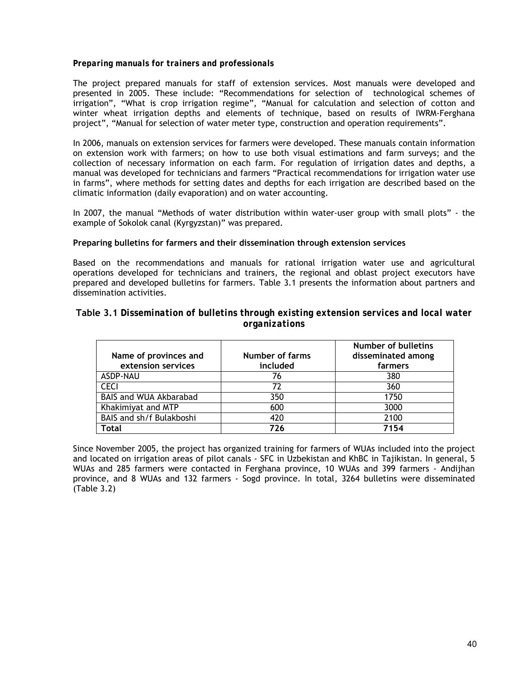### *Preparing manuals for trainers and professionals*

The project prepared manuals for staff of extension services. Most manuals were developed and presented in 2005. These include: "Recommendations for selection of technological schemes of irrigation", "What is crop irrigation regime", "Manual for calculation and selection of cotton and winter wheat irrigation depths and elements of technique, based on results of IWRM-Ferghana project", "Manual for selection of water meter type, construction and operation requirements".

In 2006, manuals on extension services for farmers were developed. These manuals contain information on extension work with farmers; on how to use both visual estimations and farm surveys; and the collection of necessary information on each farm. For regulation of irrigation dates and depths, a manual was developed for technicians and farmers "Practical recommendations for irrigation water use in farms", where methods for setting dates and depths for each irrigation are described based on the climatic information (daily evaporation) and on water accounting.

In 2007, the manual "Methods of water distribution within water-user group with small plots" - the example of Sokolok canal (Kyrgyzstan)" was prepared.

### **Preparing bulletins for farmers and their dissemination through extension services**

Based on the recommendations and manuals for rational irrigation water use and agricultural operations developed for technicians and trainers, the regional and oblast project executors have prepared and developed bulletins for farmers. Table 3.1 presents the information about partners and dissemination activities.

### **Table 3.1** *Dissemination of bulletins through existing extension services and local water organizations*

| Name of provinces and<br>extension services | <b>Number of farms</b><br>included | Number of bulletins<br>disseminated among<br>farmers |
|---------------------------------------------|------------------------------------|------------------------------------------------------|
| ASDP-NAU                                    | 76                                 | 380                                                  |
| <b>CECI</b>                                 | 77                                 | 360                                                  |
| BAIS and WUA Akbarabad                      | 350                                | 1750                                                 |
| Khakimiyat and MTP                          | 600                                | 3000                                                 |
| BAIS and sh/f Bulakboshi                    | 420                                | 2100                                                 |
| <b>Total</b>                                | 776                                | 7154                                                 |

Since November 2005, the project has organized training for farmers of WUAs included into the project and located on irrigation areas of pilot canals - SFC in Uzbekistan and KhBC in Tajikistan. In general, 5 WUAs and 285 farmers were contacted in Ferghana province, 10 WUAs and 399 farmers - Andijhan province, and 8 WUAs and 132 farmers - Sogd province. In total, 3264 bulletins were disseminated (Table 3.2)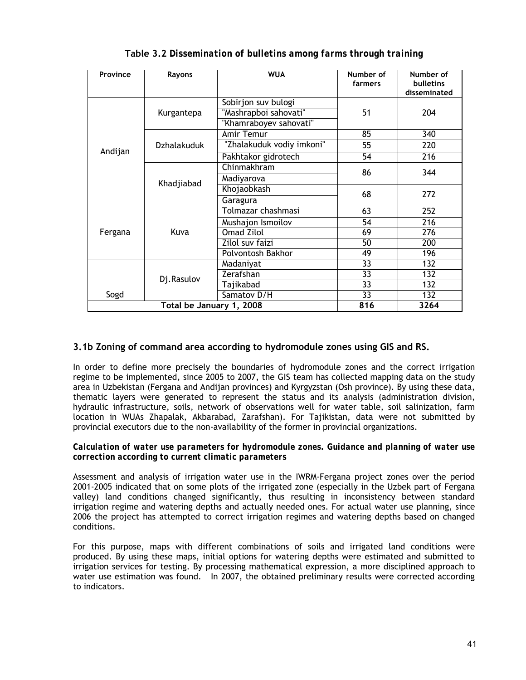| Province | Rayons                   | <b>WUA</b>                | Number of<br>farmers | Number of<br><b>bulletins</b><br>disseminated |  |
|----------|--------------------------|---------------------------|----------------------|-----------------------------------------------|--|
|          |                          | Sobirjon suv bulogi       |                      |                                               |  |
|          | Kurgantepa               | "Mashrapboi sahovati"     | 51                   | 204                                           |  |
|          |                          | "Khamraboyev sahovati"    |                      |                                               |  |
|          |                          | Amir Temur                | 85                   | 340                                           |  |
|          | <b>Dzhalakuduk</b>       | "Zhalakuduk vodiy imkoni" | 55                   | 220                                           |  |
| Andijan  |                          | Pakhtakor gidrotech       | 54                   | 216                                           |  |
|          |                          | Chinmakhram               | 86                   | 344                                           |  |
|          | Khadjiabad               | Madiyarova                |                      |                                               |  |
|          |                          | Khojaobkash               | 68                   | 272                                           |  |
|          |                          | Garagura                  |                      |                                               |  |
|          |                          | Tolmazar chashmasi        | 63                   | 252                                           |  |
|          |                          | Mushajon Ismoilov         | 54                   | 216                                           |  |
| Fergana  | Kuva                     | <b>Omad Zilol</b>         | 69                   | 276                                           |  |
|          |                          | Zilol suv faizi           | 50                   | 200                                           |  |
|          |                          | Polvontosh Bakhor         | 49                   | 196                                           |  |
|          |                          | Madaniyat                 | 33                   | 132                                           |  |
|          | Dj.Rasulov               | Zerafshan                 | 33                   | 132                                           |  |
|          |                          | Tajikabad                 | 33                   | 132                                           |  |
| Sogd     |                          | Samatov D/H               | $\overline{33}$      | 132                                           |  |
|          | Total be January 1, 2008 |                           | 816                  | 3264                                          |  |

**Table 3.2** *Dissemination of bulletins among farms through training*

# **3.1b Zoning of command area according to hydromodule zones using GIS and RS.**

In order to define more precisely the boundaries of hydromodule zones and the correct irrigation regime to be implemented, since 2005 to 2007, the GIS team has collected mapping data on the study area in Uzbekistan (Fergana and Andijan provinces) and Kyrgyzstan (Osh province). By using these data, thematic layers were generated to represent the status and its analysis (administration division, hydraulic infrastructure, soils, network of observations well for water table, soil salinization, farm location in WUAs Zhapalak, Akbarabad, Zarafshan). For Tajikistan, data were not submitted by provincial executors due to the non-availability of the former in provincial organizations.

### *Calculation of water use parameters for hydromodule zones. Guidance and planning of water use correction according to current climatic parameters*

Assessment and analysis of irrigation water use in the IWRM-Fergana project zones over the period 2001-2005 indicated that on some plots of the irrigated zone (especially in the Uzbek part of Fergana valley) land conditions changed significantly, thus resulting in inconsistency between standard irrigation regime and watering depths and actually needed ones. For actual water use planning, since 2006 the project has attempted to correct irrigation regimes and watering depths based on changed conditions.

For this purpose, maps with different combinations of soils and irrigated land conditions were produced. By using these maps, initial options for watering depths were estimated and submitted to irrigation services for testing. By processing mathematical expression, a more disciplined approach to water use estimation was found. In 2007, the obtained preliminary results were corrected according to indicators.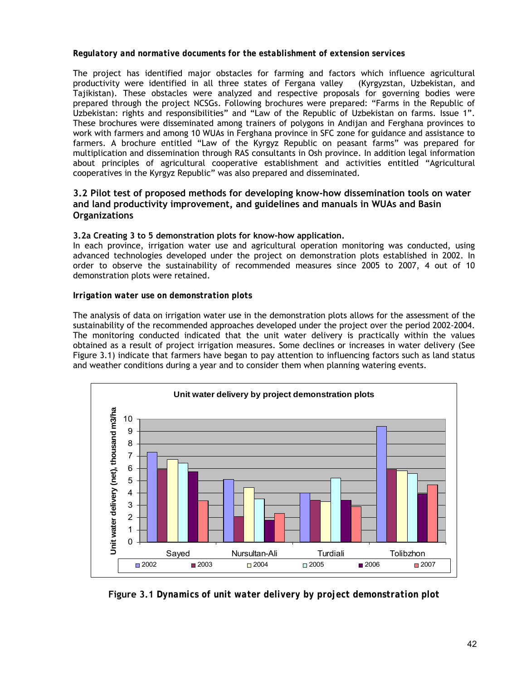### *Regulatory and normative documents for the establishment of extension services*

The project has identified major obstacles for farming and factors which influence agricultural productivity were identified in all three states of Fergana valley (Kyrgyzstan, Uzbekistan, and Tajikistan). These obstacles were analyzed and respective proposals for governing bodies were prepared through the project NCSGs. Following brochures were prepared: "Farms in the Republic of Uzbekistan: rights and responsibilities" and "Law of the Republic of Uzbekistan on farms. Issue 1". These brochures were disseminated among trainers of polygons in Andijan and Ferghana provinces to work with farmers and among 10 WUAs in Ferghana province in SFC zone for guidance and assistance to farmers. A brochure entitled "Law of the Kyrgyz Republic on peasant farms" was prepared for multiplication and dissemination through RAS consultants in Osh province. In addition legal information about principles of agricultural cooperative establishment and activities entitled "Agricultural cooperatives in the Kyrgyz Republic" was also prepared and disseminated.

# **3.2 Pilot test of proposed methods for developing know-how dissemination tools on water and land productivity improvement, and guidelines and manuals in WUAs and Basin Organizations**

### **3.2a Creating 3 to 5 demonstration plots for know-how application.**

In each province, irrigation water use and agricultural operation monitoring was conducted, using advanced technologies developed under the project on demonstration plots established in 2002. In order to observe the sustainability of recommended measures since 2005 to 2007, 4 out of 10 demonstration plots were retained.

### *Irrigation water use on demonstration plots*

The analysis of data on irrigation water use in the demonstration plots allows for the assessment of the sustainability of the recommended approaches developed under the project over the period 2002-2004. The monitoring conducted indicated that the unit water delivery is practically within the values obtained as a result of project irrigation measures. Some declines or increases in water delivery (See Figure 3.1) indicate that farmers have began to pay attention to influencing factors such as land status and weather conditions during a year and to consider them when planning watering events.



**Figure 3.1** *Dynamics of unit water delivery by project demonstration plot*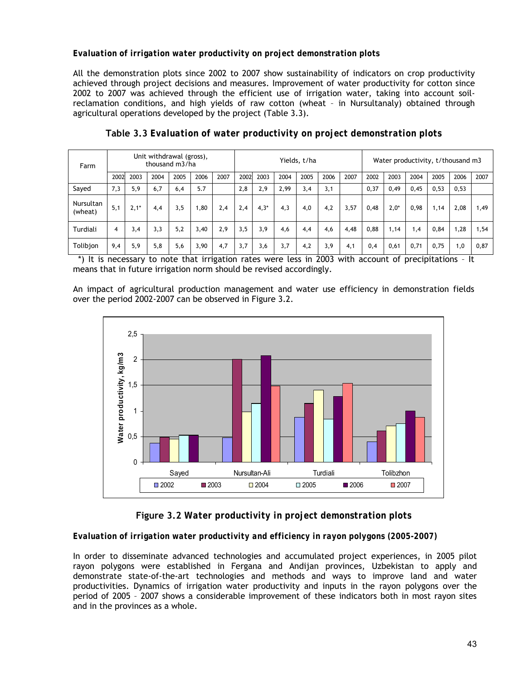# *Evaluation of irrigation water productivity on project demonstration plots*

All the demonstration plots since 2002 to 2007 show sustainability of indicators on crop productivity achieved through project decisions and measures. Improvement of water productivity for cotton since 2002 to 2007 was achieved through the efficient use of irrigation water, taking into account soilreclamation conditions, and high yields of raw cotton (wheat – in Nursultanaly) obtained through agricultural operations developed by the project (Table 3.3).

| Farm                        | Unit withdrawal (gross),<br>thousand m3/ha |        |      | Yields, t/ha |      |      | Water productivity, t/thousand m3 |        |      |      |      |      |      |        |      |      |      |      |
|-----------------------------|--------------------------------------------|--------|------|--------------|------|------|-----------------------------------|--------|------|------|------|------|------|--------|------|------|------|------|
|                             | 2002                                       | 2003   | 2004 | 2005         | 2006 | 2007 | 2002                              | 2003   | 2004 | 2005 | 2006 | 2007 | 2002 | 2003   | 2004 | 2005 | 2006 | 2007 |
| Sayed                       | 7,3                                        | 5,9    | 6,7  | 6,4          | 5.7  |      | 2,8                               | 2,9    | 2,99 | 3,4  | 3,1  |      | 0,37 | 0,49   | 0,45 | 0,53 | 0,53 |      |
| <b>Nursultan</b><br>(wheat) | 5,1                                        | $2,1*$ | 4,4  | 3,5          | 1,80 | 2,4  | 2,4                               | $4,3*$ | 4,3  | 4,0  | 4,2  | 3,57 | 0,48 | $2,0*$ | 0.98 | 1.14 | 2,08 | 1,49 |
| Turdiali                    | 4                                          | 3,4    | 3,3  | 5,2          | 3,40 | 2,9  | 3,5                               | 3,9    | 4,6  | 4,4  | 4,6  | 4,48 | 0,88 | 1,14   | 1,4  | 0,84 | 1,28 | 1,54 |
| Tolibjon                    | 9,4                                        | 5,9    | 5,8  | 5,6          | 3,90 | 4.7  | 3.7                               | 3,6    | 3,7  | 4.2  | 3,9  | 4,1  | 0,4  | 0,61   | 0,71 | 0.75 | 1.0  | 0,87 |

**Table 3.3** *Evaluation of water productivity on project demonstration plots*

 \*) It is necessary to note that irrigation rates were less in 2003 with account of precipitations – It means that in future irrigation norm should be revised accordingly.

An impact of agricultural production management and water use efficiency in demonstration fields over the period 2002-2007 can be observed in Figure 3.2.



# **Figure 3.2** *Water productivity in project demonstration plots*

## *Evaluation of irrigation water productivity and efficiency in rayon polygons (2005-2007)*

In order to disseminate advanced technologies and accumulated project experiences, in 2005 pilot rayon polygons were established in Fergana and Andijan provinces, Uzbekistan to apply and demonstrate state-of-the-art technologies and methods and ways to improve land and water productivities. Dynamics of irrigation water productivity and inputs in the rayon polygons over the period of 2005 – 2007 shows a considerable improvement of these indicators both in most rayon sites and in the provinces as a whole.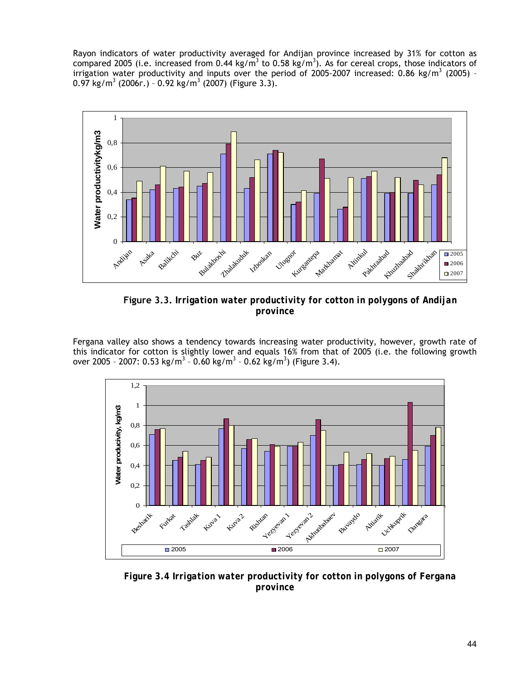Rayon indicators of water productivity averaged for Andijan province increased by 31% for cotton as compared 2005 (i.e. increased from 0.44 kg/m<sup>3</sup> to 0.58 kg/m<sup>3</sup>). As for cereal crops, those indicators of irrigation water productivity and inputs over the period of 2005-2007 increased: 0.86 kg/m<sup>3</sup> (2005) -0.97 kg/m<sup>3</sup> (2006г.) - 0.92 kg/m<sup>3</sup> (2007) (Figure 3.3).



**Figure 3.3.** *Irrigation water productivity for cotton in polygons of Andijan province* 

Fergana valley also shows a tendency towards increasing water productivity, however, growth rate of this indicator for cotton is slightly lower and equals 16% from that of 2005 (i.e. the following growth over 2005 - 2007: 0.53 kg/m<sup>3</sup> - 0.60 kg/m<sup>3</sup> - 0.62 kg/m<sup>3</sup>) (Figure 3.4).



*Figure 3.4 Irrigation water productivity for cotton in polygons of Fergana province*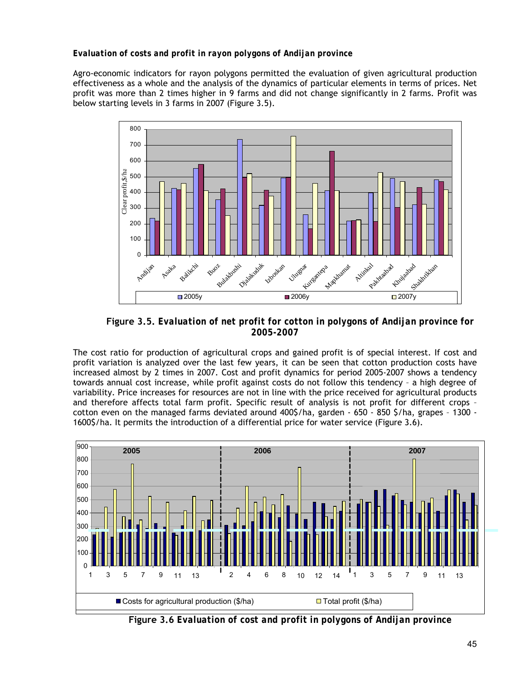# *Evaluation of costs and profit in rayon polygons of Andijan province*

Agro-economic indicators for rayon polygons permitted the evaluation of given agricultural production effectiveness as a whole and the analysis of the dynamics of particular elements in terms of prices. Net profit was more than 2 times higher in 9 farms and did not change significantly in 2 farms. Profit was below starting levels in 3 farms in 2007 (Figure 3.5).



**Figure 3.5.** *Evaluation of net profit for cotton in polygons of Andijan province for 2005-2007*

The cost ratio for production of agricultural crops and gained profit is of special interest. If cost and profit variation is analyzed over the last few years, it can be seen that cotton production costs have increased almost by 2 times in 2007. Cost and profit dynamics for period 2005-2007 shows a tendency towards annual cost increase, while profit against costs do not follow this tendency – a high degree of variability. Price increases for resources are not in line with the price received for agricultural products and therefore affects total farm profit. Specific result of analysis is not profit for different crops – cotton even on the managed farms deviated around 400\$/ha, garden - 650 - 850 \$/ha, grapes – 1300 - 1600\$/ha. It permits the introduction of a differential price for water service (Figure 3.6).



**Figure 3.6** *Evaluation of cost and profit in polygons of Andijan province*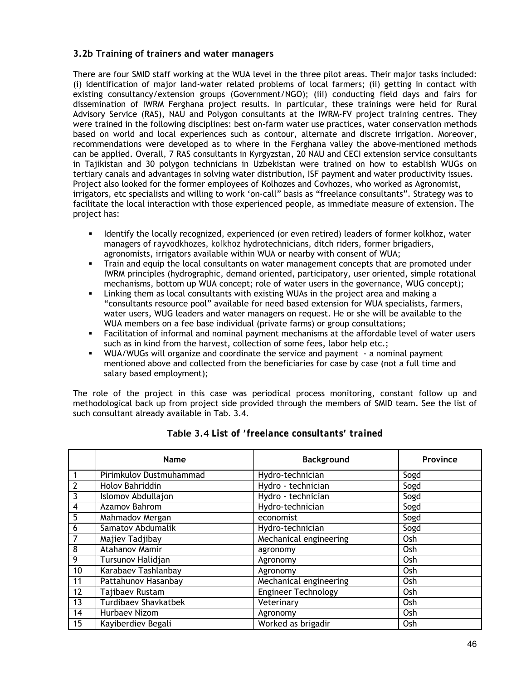# **3.2b Training of trainers and water managers**

There are four SMID staff working at the WUA level in the three pilot areas. Their major tasks included: (i) identification of major land-water related problems of local farmers; (ii) getting in contact with existing consultancy/extension groups (Government/NGO); (iii) conducting field days and fairs for dissemination of IWRM Ferghana project results. In particular, these trainings were held for Rural Advisory Service (RAS), NAU and Polygon consultants at the IWRM-FV project training centres. They were trained in the following disciplines: best on-farm water use practices, water conservation methods based on world and local experiences such as contour, alternate and discrete irrigation. Moreover, recommendations were developed as to where in the Ferghana valley the above-mentioned methods can be applied. Overall, 7 RAS consultants in Kyrgyzstan, 20 NAU and CECI extension service consultants in Tajikistan and 30 polygon technicians in Uzbekistan were trained on how to establish WUGs on tertiary canals and advantages in solving water distribution, ISF payment and water productivity issues. Project also looked for the former employees of Kolhozes and Covhozes, who worked as Agronomist, irrigators, etc specialists and willing to work 'on-call" basis as "freelance consultants". Strategy was to facilitate the local interaction with those experienced people, as immediate measure of extension. The project has:

- Identify the locally recognized, experienced (or even retired) leaders of former kolkhoz, water managers of *rayvodkhoz*es, *kolkhoz* hydrotechnicians, ditch riders, former brigadiers, agronomists, irrigators available within WUA or nearby with consent of WUA;
- Train and equip the local consultants on water management concepts that are promoted under IWRM principles (hydrographic, demand oriented, participatory, user oriented, simple rotational mechanisms, bottom up WUA concept; role of water users in the governance, WUG concept);
- Linking them as local consultants with existing WUAs in the project area and making a "consultants resource pool" available for need based extension for WUA specialists, farmers, water users, WUG leaders and water managers on request. He or she will be available to the WUA members on a fee base individual (private farms) or group consultations;
- Facilitation of informal and nominal payment mechanisms at the affordable level of water users such as in kind from the harvest, collection of some fees, labor help etc.;
- WUA/WUGs will organize and coordinate the service and payment a nominal payment mentioned above and collected from the beneficiaries for case by case (not a full time and salary based employment);

The role of the project in this case was periodical process monitoring, constant follow up and methodological back up from project side provided through the members of SMID team. See the list of such consultant already available in Tab. 3.4.

|    | <b>Name</b>                 | <b>Background</b>          | Province |
|----|-----------------------------|----------------------------|----------|
|    | Pirimkulov Dustmuhammad     | Hydro-technician           | Sogd     |
|    | Holov Bahriddin             | Hydro - technician         | Sogd     |
| 3  | Islomov Abdullajon          | Hydro - technician         | Sogd     |
| 4  | Azamov Bahrom               | Hydro-technician           | Sogd     |
| 5  | Mahmadov Mergan             | economist                  | Sogd     |
| 6  | Samatov Abdumalik           | Hydro-technician           | Sogd     |
|    | Majiev Tadjibay             | Mechanical engineering     | Osh      |
| 8  | Atahanov Mamir              | agronomy                   | Osh      |
| 9  | Tursunov Halidjan           | Agronomy                   | Osh      |
| 10 | Karabaev Tashlanbay         | Agronomy                   | Osh      |
| 11 | Pattahunov Hasanbay         | Mechanical engineering     | Osh      |
| 12 | Tajibaev Rustam             | <b>Engineer Technology</b> | Osh      |
| 13 | <b>Turdibaev Shavkatbek</b> | Veterinary                 | Osh      |
| 14 | Hurbaev Nizom               | Agronomy                   | Osh      |
| 15 | Kayiberdiev Begali          | Worked as brigadir         | Osh      |

## **Table 3.4** *List of 'freelance consultants' trained*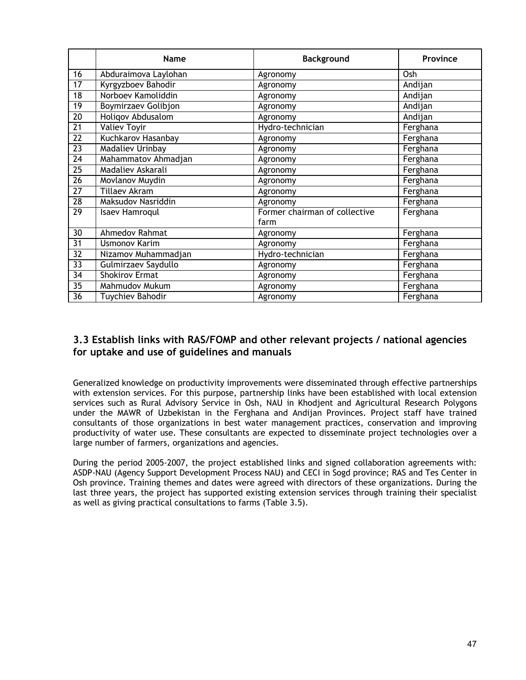|                 | <b>Name</b>             | <b>Background</b>                     | Province |
|-----------------|-------------------------|---------------------------------------|----------|
| 16              | Abduraimova Laylohan    | Agronomy                              | Osh      |
| 17              | Kyrgyzboev Bahodir      | Agronomy                              | Andijan  |
| $\overline{18}$ | Norboev Kamoliddin      | Agronomy                              | Andijan  |
| 19              | Boymirzaev Golibjon     | Agronomy                              | Andijan  |
| $\overline{20}$ | Holigov Abdusalom       | Agronomy                              | Andijan  |
| 21              | <b>Valiev Toyir</b>     | Hydro-technician                      | Ferghana |
| $\overline{22}$ | Kuchkarov Hasanbay      | Agronomy                              | Ferghana |
| 23              | <b>Madaliev Urinbay</b> | Agronomy                              | Ferghana |
| 24              | Mahammatov Ahmadjan     | Agronomy                              | Ferghana |
| 25              | Madaliev Askarali       | Agronomy                              | Ferghana |
| 26              | Movlanov Muydin         | Agronomy                              | Ferghana |
| $\overline{27}$ | <b>Tillaev Akram</b>    | Agronomy                              | Ferghana |
| $\overline{28}$ | Maksudov Nasriddin      | Agronomy                              | Ferghana |
| $\overline{29}$ | <b>Isaev Hamroqul</b>   | Former chairman of collective<br>farm | Ferghana |
| 30              | <b>Ahmedov Rahmat</b>   | Agronomy                              | Ferghana |
| 31              | <b>Usmonov Karim</b>    | Agronomy                              | Ferghana |
| 32              | Nizamov Muhammadjan     | Hydro-technician                      | Ferghana |
| 33              | Gulmirzaev Saydullo     | Agronomy                              | Ferghana |
| $\overline{34}$ | <b>Shokirov Ermat</b>   | Agronomy                              | Ferghana |
| $\overline{35}$ | Mahmudov Mukum          | Agronomy                              | Ferghana |
| $\overline{36}$ | <b>Tuychiev Bahodir</b> | Agronomy                              | Ferghana |

# **3.3 Establish links with RAS/FOMP and other relevant projects / national agencies for uptake and use of guidelines and manuals**

Generalized knowledge on productivity improvements were disseminated through effective partnerships with extension services. For this purpose, partnership links have been established with local extension services such as Rural Advisory Service in Osh, NAU in Khodjent and Agricultural Research Polygons under the MAWR of Uzbekistan in the Ferghana and Andijan Provinces. Project staff have trained consultants of those organizations in best water management practices, conservation and improving productivity of water use. These consultants are expected to disseminate project technologies over a large number of farmers, organizations and agencies.

During the period 2005-2007, the project established links and signed collaboration agreements with: ASDP-NAU (Agency Support Development Process NAU) and CECI in Sogd province; RAS and Tes Center in Osh province. Training themes and dates were agreed with directors of these organizations. During the last three years, the project has supported existing extension services through training their specialist as well as giving practical consultations to farms (Table 3.5).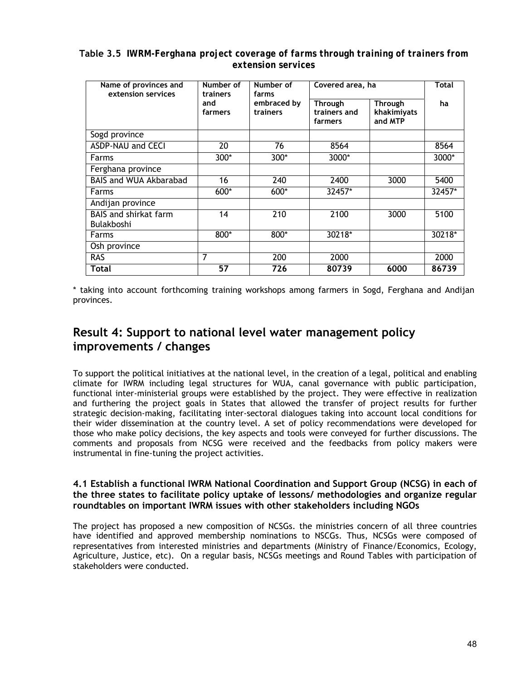| Table 3.5 IWRM-Ferghana project coverage of farms through training of trainers from |
|-------------------------------------------------------------------------------------|
| extension services                                                                  |

| Name of provinces and<br>extension services       | Number of<br>trainers | Number of<br>farms      | Covered area, ha                   | <b>Total</b>                      |        |
|---------------------------------------------------|-----------------------|-------------------------|------------------------------------|-----------------------------------|--------|
|                                                   | and<br>farmers        | embraced by<br>trainers | Through<br>trainers and<br>farmers | Through<br>khakimiyats<br>and MTP | ha     |
| Sogd province                                     |                       |                         |                                    |                                   |        |
| <b>ASDP-NAU and CECI</b>                          | 20                    | 76                      | 8564                               |                                   | 8564   |
| Farms                                             | 300*                  | 300*                    | 3000*                              |                                   | 3000*  |
| Ferghana province                                 |                       |                         |                                    |                                   |        |
| <b>BAIS and WUA Akbarabad</b>                     | 16                    | 240                     | 2400                               | 3000                              | 5400   |
| Farms                                             | 600*                  | 600*                    | 32457*                             |                                   | 32457* |
| Andijan province                                  |                       |                         |                                    |                                   |        |
| <b>BAIS and shirkat farm</b><br><b>Bulakboshi</b> | 14                    | 210                     | 2100                               | 3000                              | 5100   |
| <b>Farms</b>                                      | 800*                  | 800*                    | 30218*                             |                                   | 30218* |
| Osh province                                      |                       |                         |                                    |                                   |        |
| <b>RAS</b>                                        | 7                     | 200                     | 2000                               |                                   | 2000   |
| Total                                             | 57                    | 726                     | 80739                              | 6000                              | 86739  |

\* taking into account forthcoming training workshops among farmers in Sogd, Ferghana and Andijan provinces.

# **Result 4: Support to national level water management policy improvements / changes**

To support the political initiatives at the national level, in the creation of a legal, political and enabling climate for IWRM including legal structures for WUA, canal governance with public participation, functional inter-ministerial groups were established by the project. They were effective in realization and furthering the project goals in States that allowed the transfer of project results for further strategic decision-making, facilitating inter-sectoral dialogues taking into account local conditions for their wider dissemination at the country level. A set of policy recommendations were developed for those who make policy decisions, the key aspects and tools were conveyed for further discussions. The comments and proposals from NCSG were received and the feedbacks from policy makers were instrumental in fine-tuning the project activities.

# **4.1 Establish a functional IWRM National Coordination and Support Group (NCSG) in each of the three states to facilitate policy uptake of lessons/ methodologies and organize regular roundtables on important IWRM issues with other stakeholders including NGOs**

The project has proposed a new composition of NCSGs. the ministries concern of all three countries have identified and approved membership nominations to NSCGs. Thus, NCSGs were composed of representatives from interested ministries and departments (Ministry of Finance/Economics, Ecology, Agriculture, Justice, etc). On a regular basis, NCSGs meetings and Round Tables with participation of stakeholders were conducted.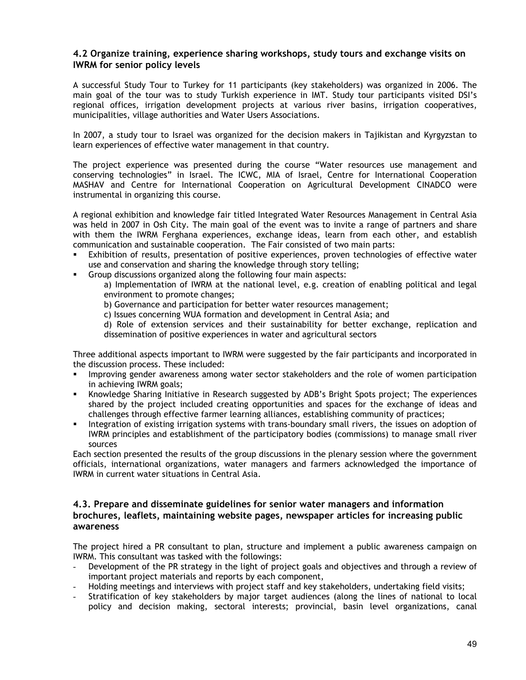## **4.2 Organize training, experience sharing workshops, study tours and exchange visits on IWRM for senior policy levels**

A successful Study Tour to Turkey for 11 participants (key stakeholders) was organized in 2006. The main goal of the tour was to study Turkish experience in IMT. Study tour participants visited DSI's regional offices, irrigation development projects at various river basins, irrigation cooperatives, municipalities, village authorities and Water Users Associations.

In 2007, a study tour to Israel was organized for the decision makers in Tajikistan and Kyrgyzstan to learn experiences of effective water management in that country.

The project experience was presented during the course "Water resources use management and conserving technologies" in Israel. The ICWC, MIA of Israel, Centre for International Cooperation MASHAV and Centre for International Cooperation on Agricultural Development CINADCO were instrumental in organizing this course.

A regional exhibition and knowledge fair titled Integrated Water Resources Management in Central Asia was held in 2007 in Osh City. The main goal of the event was to invite a range of partners and share with them the IWRM Ferghana experiences, exchange ideas, learn from each other, and establish communication and sustainable cooperation. The Fair consisted of two main parts:

- Exhibition of results, presentation of positive experiences, proven technologies of effective water use and conservation and sharing the knowledge through story telling;
- Group discussions organized along the following four main aspects:
	- a) Implementation of IWRM at the national level, e.g. creation of enabling political and legal environment to promote changes;
	- b) Governance and participation for better water resources management;
	- c) Issues concerning WUA formation and development in Central Asia; and

d) Role of extension services and their sustainability for better exchange, replication and dissemination of positive experiences in water and agricultural sectors

Three additional aspects important to IWRM were suggested by the fair participants and incorporated in the discussion process. These included:

- Improving gender awareness among water sector stakeholders and the role of women participation in achieving IWRM goals;
- Knowledge Sharing Initiative in Research suggested by ADB's Bright Spots project; The experiences shared by the project included creating opportunities and spaces for the exchange of ideas and challenges through effective farmer learning alliances, establishing community of practices;
- Integration of existing irrigation systems with trans-boundary small rivers, the issues on adoption of IWRM principles and establishment of the participatory bodies (commissions) to manage small river sources

Each section presented the results of the group discussions in the plenary session where the government officials, international organizations, water managers and farmers acknowledged the importance of IWRM in current water situations in Central Asia.

## **4.3. Prepare and disseminate guidelines for senior water managers and information brochures, leaflets, maintaining website pages, newspaper articles for increasing public awareness**

The project hired a PR consultant to plan, structure and implement a public awareness campaign on IWRM. This consultant was tasked with the followings:

- Development of the PR strategy in the light of project goals and objectives and through a review of important project materials and reports by each component,
- Holding meetings and interviews with project staff and key stakeholders, undertaking field visits;
- Stratification of key stakeholders by major target audiences (along the lines of national to local policy and decision making, sectoral interests; provincial, basin level organizations, canal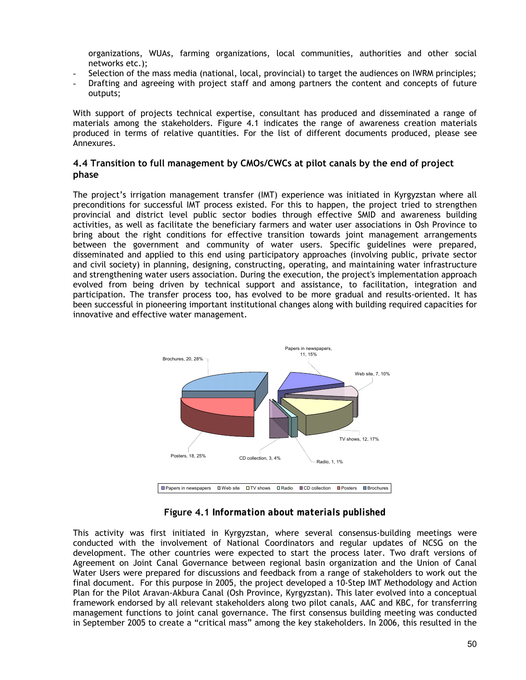organizations, WUAs, farming organizations, local communities, authorities and other social networks etc.);

- Selection of the mass media (national, local, provincial) to target the audiences on IWRM principles;
- Drafting and agreeing with project staff and among partners the content and concepts of future outputs;

With support of projects technical expertise, consultant has produced and disseminated a range of materials among the stakeholders. Figure 4.1 indicates the range of awareness creation materials produced in terms of relative quantities. For the list of different documents produced, please see Annexures.

# **4.4 Transition to full management by CMOs/CWCs at pilot canals by the end of project phase**

The project's irrigation management transfer (IMT) experience was initiated in Kyrgyzstan where all preconditions for successful IMT process existed. For this to happen, the project tried to strengthen provincial and district level public sector bodies through effective SMID and awareness building activities, as well as facilitate the beneficiary farmers and water user associations in Osh Province to bring about the right conditions for effective transition towards joint management arrangements between the government and community of water users. Specific guidelines were prepared, disseminated and applied to this end using participatory approaches (involving public, private sector and civil society) in planning, designing, constructing, operating, and maintaining water infrastructure and strengthening water users association. During the execution, the project's implementation approach evolved from being driven by technical support and assistance, to facilitation, integration and participation. The transfer process too, has evolved to be more gradual and results-oriented. It has been successful in pioneering important institutional changes along with building required capacities for innovative and effective water management.



# **Figure 4.1** *Information about materials published*

This activity was first initiated in Kyrgyzstan, where several consensus-building meetings were conducted with the involvement of National Coordinators and regular updates of NCSG on the development. The other countries were expected to start the process later. Two draft versions of Agreement on Joint Canal Governance between regional basin organization and the Union of Canal Water Users were prepared for discussions and feedback from a range of stakeholders to work out the final document. For this purpose in 2005, the project developed a 10-Step IMT Methodology and Action Plan for the Pilot Aravan-Akbura Canal (Osh Province, Kyrgyzstan). This later evolved into a conceptual framework endorsed by all relevant stakeholders along two pilot canals, AAC and KBC, for transferring management functions to joint canal governance. The first consensus building meeting was conducted in September 2005 to create a "critical mass" among the key stakeholders. In 2006, this resulted in the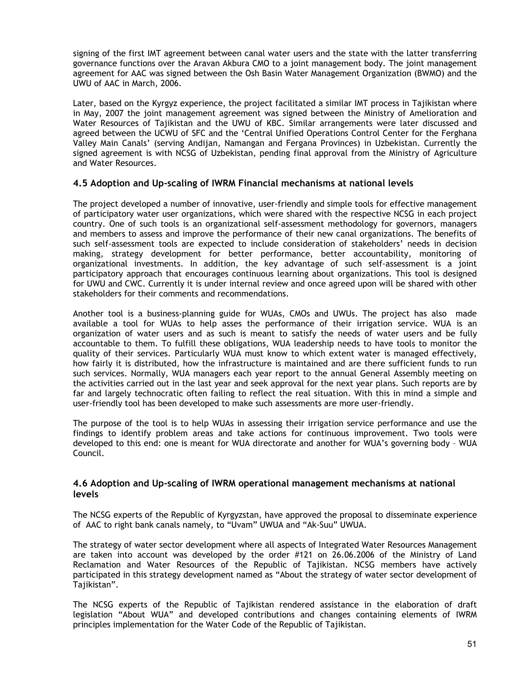signing of the first IMT agreement between canal water users and the state with the latter transferring governance functions over the Aravan Akbura CMO to a joint management body. The joint management agreement for AAC was signed between the Osh Basin Water Management Organization (BWMO) and the UWU of AAC in March, 2006.

Later, based on the Kyrgyz experience, the project facilitated a similar IMT process in Tajikistan where in May, 2007 the joint management agreement was signed between the Ministry of Amelioration and Water Resources of Tajikistan and the UWU of KBC. Similar arrangements were later discussed and agreed between the UCWU of SFC and the 'Central Unified Operations Control Center for the Ferghana Valley Main Canals' (serving Andijan, Namangan and Fergana Provinces) in Uzbekistan. Currently the signed agreement is with NCSG of Uzbekistan, pending final approval from the Ministry of Agriculture and Water Resources.

# **4.5 Adoption and Up-scaling of IWRM Financial mechanisms at national levels**

The project developed a number of innovative, user-friendly and simple tools for effective management of participatory water user organizations, which were shared with the respective NCSG in each project country. One of such tools is an organizational self-assessment methodology for governors, managers and members to assess and improve the performance of their new canal organizations. The benefits of such self-assessment tools are expected to include consideration of stakeholders' needs in decision making, strategy development for better performance, better accountability, monitoring of organizational investments. In addition, the key advantage of such self-assessment is a joint participatory approach that encourages continuous learning about organizations. This tool is designed for UWU and CWC. Currently it is under internal review and once agreed upon will be shared with other stakeholders for their comments and recommendations.

Another tool is a business-planning guide for WUAs, CMOs and UWUs. The project has also made available a tool for WUAs to help asses the performance of their irrigation service. WUA is an organization of water users and as such is meant to satisfy the needs of water users and be fully accountable to them. To fulfill these obligations, WUA leadership needs to have tools to monitor the quality of their services. Particularly WUA must know to which extent water is managed effectively, how fairly it is distributed, how the infrastructure is maintained and are there sufficient funds to run such services. Normally, WUA managers each year report to the annual General Assembly meeting on the activities carried out in the last year and seek approval for the next year plans. Such reports are by far and largely technocratic often failing to reflect the real situation. With this in mind a simple and user-friendly tool has been developed to make such assessments are more user-friendly.

The purpose of the tool is to help WUAs in assessing their irrigation service performance and use the findings to identify problem areas and take actions for continuous improvement. Two tools were developed to this end: one is meant for WUA directorate and another for WUA's governing body – WUA Council.

### **4.6 Adoption and Up-scaling of IWRM operational management mechanisms at national levels**

The NCSG experts of the Republic of Kyrgyzstan, have approved the proposal to disseminate experience of AAC to right bank canals namely, to "Uvam" UWUA and "Ak-Suu" UWUA.

The strategy of water sector development where all aspects of Integrated Water Resources Management are taken into account was developed by the order #121 on 26.06.2006 of the Ministry of Land Reclamation and Water Resources of the Republic of Tajikistan. NCSG members have actively participated in this strategy development named as "About the strategy of water sector development of Tajikistan".

The NCSG experts of the Republic of Tajikistan rendered assistance in the elaboration of draft legislation "About WUA" and developed contributions and changes containing elements of IWRM principles implementation for the Water Code of the Republic of Tajikistan.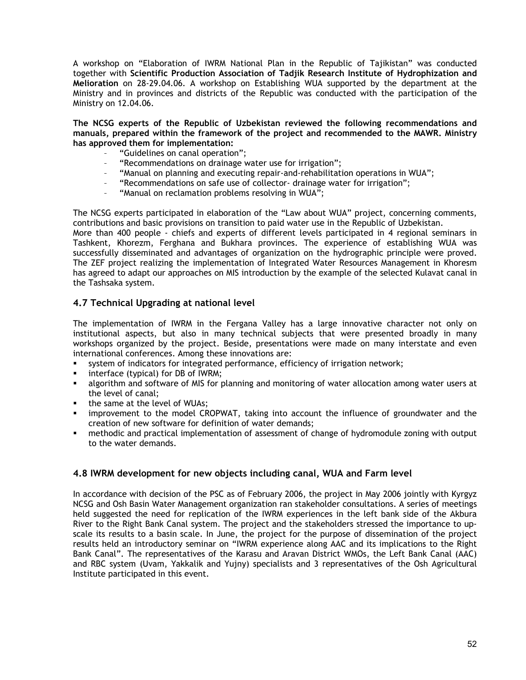A workshop on "Elaboration of IWRM National Plan in the Republic of Tajikistan" was conducted together with **Scientific Production Association of Tadjik Research Institute of Hydrophization and Melioration** on 28-29.04.06. A workshop on Establishing WUA supported by the department at the Ministry and in provinces and districts of the Republic was conducted with the participation of the Ministry on 12.04.06.

**The NCSG experts of the Republic of Uzbekistan reviewed the following recommendations and manuals, prepared within the framework of the project and recommended to the MAWR. Ministry has approved them for implementation:** 

- "Guidelines on canal operation";
- "Recommendations on drainage water use for irrigation";
- "Manual on planning and executing repair-and-rehabilitation operations in WUA";
- "Recommendations on safe use of collector- drainage water for irrigation";
- "Manual on reclamation problems resolving in WUA";

The NCSG experts participated in elaboration of the "Law about WUA" project, concerning comments, contributions and basic provisions on transition to paid water use in the Republic of Uzbekistan.

More than 400 people - chiefs and experts of different levels participated in 4 regional seminars in Tashkent, Khorezm, Ferghana and Bukhara provinces. The experience of establishing WUA was successfully disseminated and advantages of organization on the hydrographic principle were proved. The ZEF project realizing the implementation of Integrated Water Resources Management in Khoresm has agreed to adapt our approaches on MIS introduction by the example of the selected Kulavat canal in the Tashsaka system.

# **4.7 Technical Upgrading at national level**

The implementation of IWRM in the Fergana Valley has a large innovative character not only on institutional aspects, but also in many technical subjects that were presented broadly in many workshops organized by the project. Beside, presentations were made on many interstate and even international conferences. Among these innovations are:

- system of indicators for integrated performance, efficiency of irrigation network;
- **interface (typical) for DB of IWRM;**
- algorithm and software of MIS for planning and monitoring of water allocation among water users at the level of canal;
- the same at the level of WUAs;
- improvement to the model CROPWAT, taking into account the influence of groundwater and the creation of new software for definition of water demands;
- methodic and practical implementation of assessment of change of hydromodule zoning with output to the water demands.

## **4.8 IWRM development for new objects including canal, WUA and Farm level**

In accordance with decision of the PSC as of February 2006, the project in May 2006 jointly with Kyrgyz NCSG and Osh Basin Water Management organization ran stakeholder consultations. A series of meetings held suggested the need for replication of the IWRM experiences in the left bank side of the Akbura River to the Right Bank Canal system. The project and the stakeholders stressed the importance to upscale its results to a basin scale. In June, the project for the purpose of dissemination of the project results held an introductory seminar on "IWRM experience along AAC and its implications to the Right Bank Canal". The representatives of the Karasu and Aravan District WMOs, the Left Bank Canal (AAC) and RBC system (Uvam, Yakkalik and Yujny) specialists and 3 representatives of the Osh Agricultural Institute participated in this event.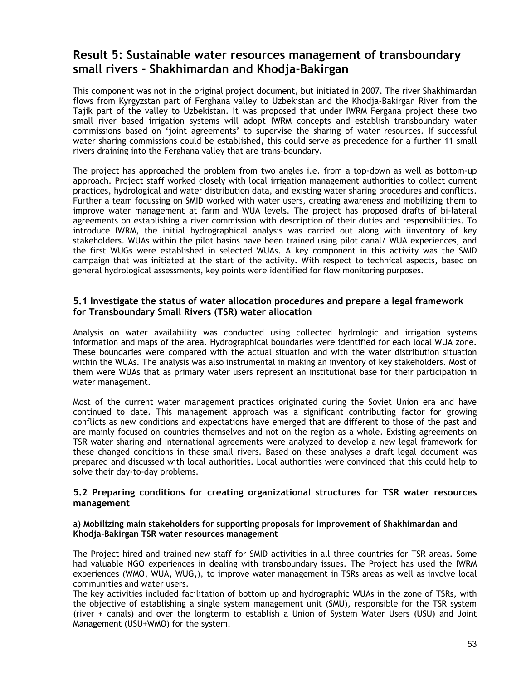# **Result 5: Sustainable water resources management of transboundary small rivers - Shakhimardan and Khodja-Bakirgan**

This component was not in the original project document, but initiated in 2007. The river Shakhimardan flows from Kyrgyzstan part of Ferghana valley to Uzbekistan and the Khodja-Bakirgan River from the Tajik part of the valley to Uzbekistan. It was proposed that under IWRM Fergana project these two small river based irrigation systems will adopt IWRM concepts and establish transboundary water commissions based on 'joint agreements' to supervise the sharing of water resources. If successful water sharing commissions could be established, this could serve as precedence for a further 11 small rivers draining into the Ferghana valley that are trans-boundary.

The project has approached the problem from two angles i.e. from a top-down as well as bottom-up approach. Project staff worked closely with local irrigation management authorities to collect current practices, hydrological and water distribution data, and existing water sharing procedures and conflicts. Further a team focussing on SMID worked with water users, creating awareness and mobilizing them to improve water management at farm and WUA levels. The project has proposed drafts of bi-lateral agreements on establishing a river commission with description of their duties and responsibilities. To introduce IWRM, the initial hydrographical analysis was carried out along with iinventory of key stakeholders. WUAs within the pilot basins have been trained using pilot canal/ WUA experiences, and the first WUGs were established in selected WUAs. A key component in this activity was the SMID campaign that was initiated at the start of the activity. With respect to technical aspects, based on general hydrological assessments, key points were identified for flow monitoring purposes.

## **5.1 Investigate the status of water allocation procedures and prepare a legal framework for Transboundary Small Rivers (TSR) water allocation**

Analysis on water availability was conducted using collected hydrologic and irrigation systems information and maps of the area. Hydrographical boundaries were identified for each local WUA zone. These boundaries were compared with the actual situation and with the water distribution situation within the WUAs. The analysis was also instrumental in making an inventory of key stakeholders. Most of them were WUAs that as primary water users represent an institutional base for their participation in water management.

Most of the current water management practices originated during the Soviet Union era and have continued to date. This management approach was a significant contributing factor for growing conflicts as new conditions and expectations have emerged that are different to those of the past and are mainly focused on countries themselves and not on the region as a whole. Existing agreements on TSR water sharing and International agreements were analyzed to develop a new legal framework for these changed conditions in these small rivers. Based on these analyses a draft legal document was prepared and discussed with local authorities. Local authorities were convinced that this could help to solve their day-to-day problems.

## **5.2 Preparing conditions for creating organizational structures for TSR water resources management**

#### **а) Mobilizing main stakeholders for supporting proposals for improvement of Shakhimardan and Khodja-Bakirgan TSR water resources management**

The Project hired and trained new staff for SMID activities in all three countries for TSR areas. Some had valuable NGO experiences in dealing with transboundary issues. The Project has used the IWRM experiences (WMO, WUA, WUG,), to improve water management in TSRs areas as well as involve local communities and water users.

The key activities included facilitation of bottom up and hydrographic WUAs in the zone of TSRs, with the objective of establishing a single system management unit (SMU), responsible for the TSR system (river + canals) and over the longterm to establish a Union of System Water Users (USU) and Joint Management (USU+WMO) for the system.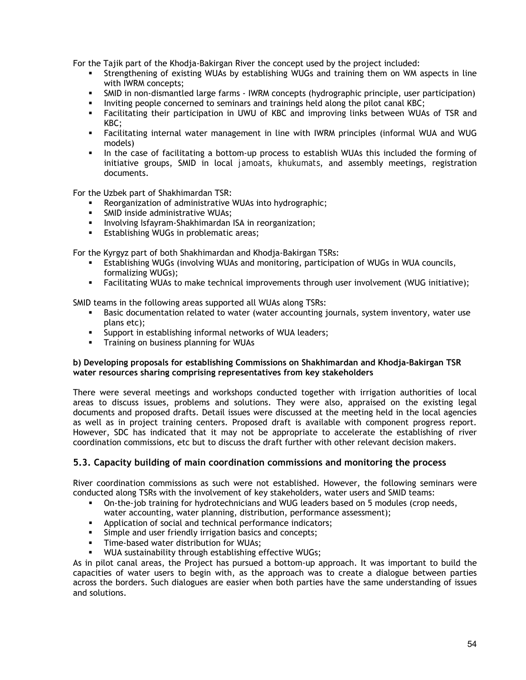For the Tajik part of the Khodja-Bakirgan River the concept used by the project included:

- Strengthening of existing WUAs by establishing WUGs and training them on WM aspects in line with IWRM concepts;
- SMID in non-dismantled large farms IWRM concepts (hydrographic principle, user participation)
- Inviting people concerned to seminars and trainings held along the pilot canal KBC;
- Facilitating their participation in UWU of KBC and improving links between WUAs of TSR and KBC;
- Facilitating internal water management in line with IWRM principles (informal WUA and WUG models)
- In the case of facilitating a bottom-up process to establish WUAs this included the forming of initiative groups, SMID in local *jamoats*, *khukumats*, and assembly meetings, registration documents.

For the Uzbek part of Shakhimardan TSR:

- Reorganization of administrative WUAs into hydrographic;
- SMID inside administrative WUAs;
- **Involving Isfayram-Shakhimardan ISA in reorganization;**
- **Establishing WUGs in problematic areas;**

For the Kyrgyz part of both Shakhimardan and Khodja-Bakirgan TSRs:

- Establishing WUGs (involving WUAs and monitoring, participation of WUGs in WUA councils, formalizing WUGs);
- Facilitating WUAs to make technical improvements through user involvement (WUG initiative);

SMID teams in the following areas supported all WUAs along TSRs:

- **Basic documentation related to water (water accounting journals, system inventory, water use** plans etc);
- Support in establishing informal networks of WUA leaders;
- Training on business planning for WUAs

#### **b) Developing proposals for establishing Commissions on Shakhimardan and Khodja-Bakirgan TSR water resources sharing comprising representatives from key stakeholders**

There were several meetings and workshops conducted together with irrigation authorities of local areas to discuss issues, problems and solutions. They were also, appraised on the existing legal documents and proposed drafts. Detail issues were discussed at the meeting held in the local agencies as well as in project training centers. Proposed draft is available with component progress report. However, SDC has indicated that it may not be appropriate to accelerate the establishing of river coordination commissions, etc but to discuss the draft further with other relevant decision makers.

## **5.3. Capacity building of main coordination commissions and monitoring the process**

River coordination commissions as such were not established. However, the following seminars were conducted along TSRs with the involvement of key stakeholders, water users and SMID teams:

- On-the-job training for hydrotechnicians and WUG leaders based on 5 modules (crop needs, water accounting, water planning, distribution, performance assessment);
- **Application of social and technical performance indicators;**
- Simple and user friendly irrigation basics and concepts;
- **Time-based water distribution for WUAs;**
- WUA sustainability through establishing effective WUGs;

As in pilot canal areas, the Project has pursued a bottom-up approach. It was important to build the capacities of water users to begin with, as the approach was to create a dialogue between parties across the borders. Such dialogues are easier when both parties have the same understanding of issues and solutions.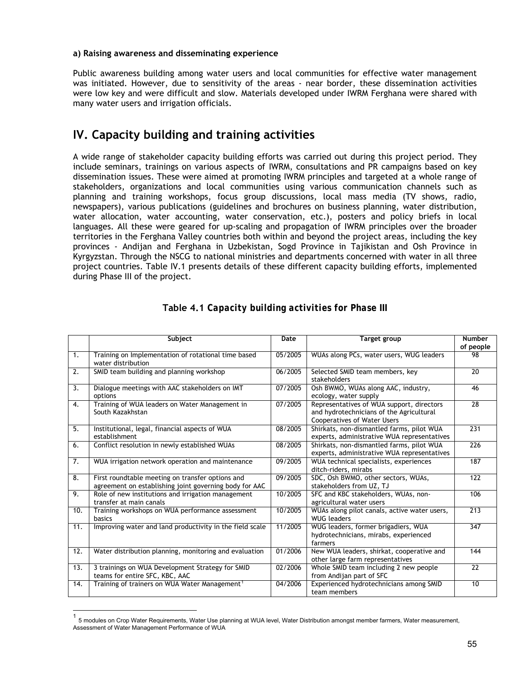#### <span id="page-54-0"></span>**a) Raising awareness and disseminating experience**

Public awareness building among water users and local communities for effective water management was initiated. However, due to sensitivity of the areas - near border, these dissemination activities were low key and were difficult and slow. Materials developed under IWRM Ferghana were shared with many water users and irrigation officials.

# **IV. Capacity building and training activities**

A wide range of stakeholder capacity building efforts was carried out during this project period. They include seminars, trainings on various aspects of IWRM, consultations and PR campaigns based on key dissemination issues. These were aimed at promoting IWRM principles and targeted at a whole range of stakeholders, organizations and local communities using various communication channels such as planning and training workshops, focus group discussions, local mass media (TV shows, radio, newspapers), various publications (guidelines and brochures on business planning, water distribution, water allocation, water accounting, water conservation, etc.), posters and policy briefs in local languages. All these were geared for up-scaling and propagation of IWRM principles over the broader territories in the Ferghana Valley countries both within and beyond the project areas, including the key provinces - Andijan and Ferghana in Uzbekistan, Sogd Province in Tajikistan and Osh Province in Kyrgyzstan. Through the NSCG to national ministries and departments concerned with water in all three project countries. Table IV.1 presents details of these different capacity building efforts, implemented during Phase III of the project.

|                  | Subject                                                                                                    | Date    | Target group                                                                                                                | <b>Number</b>   |
|------------------|------------------------------------------------------------------------------------------------------------|---------|-----------------------------------------------------------------------------------------------------------------------------|-----------------|
|                  |                                                                                                            |         |                                                                                                                             | of people       |
| 1.               | Training on Implementation of rotational time based<br>water distribution                                  | 05/2005 | WUAs along PCs, water users, WUG leaders                                                                                    | 98              |
| 2.               | SMID team building and planning workshop                                                                   | 06/2005 | Selected SMID team members, key<br>stakeholders                                                                             | 20              |
| 3.               | Dialogue meetings with AAC stakeholders on IMT<br>options                                                  | 07/2005 | Osh BWMO, WUAs along AAC, industry,<br>ecology, water supply                                                                | 46              |
| $\overline{4}$ . | Training of WUA leaders on Water Management in<br>South Kazakhstan                                         | 07/2005 | Representatives of WUA support, directors<br>and hydrotechnicians of the Agricultural<br><b>Cooperatives of Water Users</b> | $\overline{28}$ |
| 5.               | Institutional, legal, financial aspects of WUA<br>establishment                                            | 08/2005 | Shirkats, non-dismantled farms, pilot WUA<br>experts, administrative WUA representatives                                    | 231             |
| 6.               | Conflict resolution in newly established WUAs                                                              | 08/2005 | Shirkats, non-dismantled farms, pilot WUA<br>experts, administrative WUA representatives                                    | 226             |
| 7.               | WUA irrigation network operation and maintenance                                                           | 09/2005 | WUA technical specialists, experiences<br>ditch-riders, mirabs                                                              | 187             |
| 8.               | First roundtable meeting on transfer options and<br>agreement on establishing joint governing body for AAC | 09/2005 | SDC, Osh BWMO, other sectors, WUAs,<br>stakeholders from UZ, TJ                                                             | 122             |
| 9.               | Role of new institutions and irrigation management<br>transfer at main canals                              | 10/2005 | SFC and KBC stakeholders, WUAs, non-<br>agricultural water users                                                            | 106             |
| 10.              | Training workshops on WUA performance assessment<br>basics                                                 | 10/2005 | WUAs along pilot canals, active water users,<br><b>WUG leaders</b>                                                          | 213             |
| 11.              | Improving water and land productivity in the field scale                                                   | 11/2005 | WUG leaders, former brigadiers, WUA<br>hydrotechnicians, mirabs, experienced<br>farmers                                     | 347             |
| 12.              | Water distribution planning, monitoring and evaluation                                                     | 01/2006 | New WUA leaders, shirkat, cooperative and<br>other large farm representatives                                               | 144             |
| 13.              | 3 trainings on WUA Development Strategy for SMID<br>teams for entire SFC, KBC, AAC                         | 02/2006 | Whole SMID team including 2 new people<br>from Andijan part of SFC                                                          | 22              |
| 14.              | Training of trainers on WUA Water Management <sup>1</sup>                                                  | 04/2006 | Experienced hydrotechnicians among SMID<br>team members                                                                     | 10              |

# **Table 4.1** *Capacity building activities for Phase III*

-

<sup>1</sup> 5 modules on Crop Water Requirements, Water Use planning at WUA level, Water Distribution amongst member farmers, Water measurement, Assessment of Water Management Performance of WUA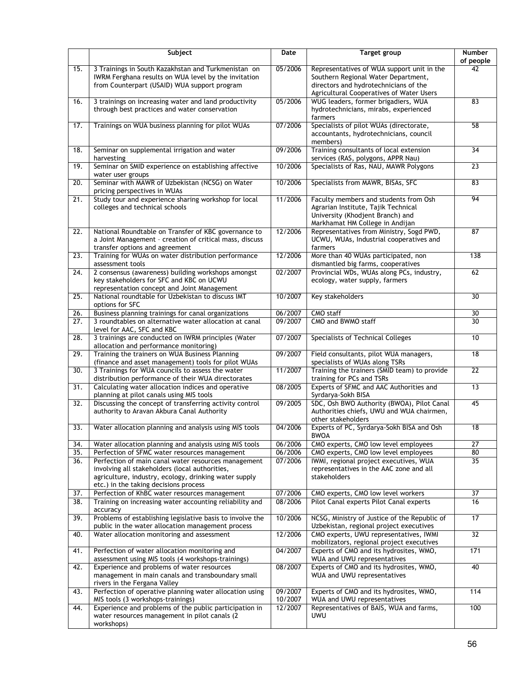|                   | Subject                                                                                                        | Date               | Target group                                                                            | Number<br>of people |
|-------------------|----------------------------------------------------------------------------------------------------------------|--------------------|-----------------------------------------------------------------------------------------|---------------------|
| 15.               | 3 Trainings in South Kazakhstan and Turkmenistan on                                                            | 05/2006            | Representatives of WUA support unit in the                                              | 42                  |
|                   | IWRM Ferghana results on WUA level by the invitation                                                           |                    | Southern Regional Water Department,                                                     |                     |
|                   | from Counterpart (USAID) WUA support program                                                                   |                    | directors and hydrotechnicians of the                                                   |                     |
| 16.               | 3 trainings on increasing water and land productivity                                                          | 05/2006            | Agricultural Cooperatives of Water Users<br>WUG leaders, former brigadiers, WUA         | 83                  |
|                   | through best practices and water conservation                                                                  |                    | hydrotechnicians, mirabs, experienced<br>farmers                                        |                     |
| 17.               | Trainings on WUA business planning for pilot WUAs                                                              | 07/2006            | Specialists of pilot WUAs (directorate,                                                 | $\overline{58}$     |
|                   |                                                                                                                |                    | accountants, hydrotechnicians, council<br>members)                                      |                     |
| 18.               | Seminar on supplemental irrigation and water<br>harvesting                                                     | 09/2006            | Training consultants of local extension<br>services (RAS, polygons, APPR Nau)           | 34                  |
| 19.               | Seminar on SMID experience on establishing affective<br>water user groups                                      | 10/2006            | Specialists of Ras, NAU, MAWR Polygons                                                  | 23                  |
| $\overline{20}$ . | Seminar with MAWR of Uzbekistan (NCSG) on Water<br>pricing perspectives in WUAs                                | 10/2006            | Specialists from MAWR, BISAs, SFC                                                       | 83                  |
| 21.               | Study tour and experience sharing workshop for local                                                           | 11/2006            | Faculty members and students from Osh                                                   | 94                  |
|                   | colleges and technical schools                                                                                 |                    | Agrarian Institute, Tajik Technical<br>University (Khodjent Branch) and                 |                     |
|                   |                                                                                                                |                    | Markhamat HM College in Andijan                                                         |                     |
| $\overline{22}$ . | National Roundtable on Transfer of KBC governance to                                                           | 12/2006            | Representatives from Ministry, Sogd PWD,                                                | 87                  |
|                   | a Joint Management - creation of critical mass, discuss                                                        |                    | UCWU, WUAs, Industrial cooperatives and                                                 |                     |
| 23.               | transfer options and agreement<br>Training for WUAs on water distribution performance                          | 12/2006            | farmers<br>More than 40 WUAs participated, non                                          | 138                 |
|                   | assessment tools                                                                                               |                    | dismantled big farms, cooperatives                                                      |                     |
| $\overline{24}$ . | 2 consensus (awareness) building workshops amongst                                                             | 02/2007            | Provincial WDs, WUAs along PCs, industry,                                               | 62                  |
|                   | key stakeholders for SFC and KBC on UCWU<br>representation concept and Joint Management                        |                    | ecology, water supply, farmers                                                          |                     |
| 25.               | National roundtable for Uzbekistan to discuss IMT                                                              | 10/2007            | Key stakeholders                                                                        | 30                  |
|                   | options for SFC                                                                                                |                    |                                                                                         |                     |
| 26.               | Business planning trainings for canal organizations                                                            | 06/2007            | CMO staff                                                                               | 30                  |
| $\overline{27}$ . | 3 roundtables on alternative water allocation at canal<br>level for AAC, SFC and KBC                           | 09/2007            | CMO and BWMO staff                                                                      | 30                  |
| 28.               | 3 trainings are conducted on IWRM principles (Water<br>allocation and performance monitoring)                  | 07/2007            | Specialists of Technical Colleges                                                       | 10                  |
| $\overline{29}$ . | Training the trainers on WUA Business Planning<br>(finance and asset management) tools for pilot WUAs          | 09/2007            | Field consultants, pilot WUA managers,<br>specialists of WUAs along TSRs                | 18                  |
| 30.               | 3 Trainings for WUA councils to assess the water<br>distribution performance of their WUA directorates         | 11/2007            | Training the trainers (SMID team) to provide<br>training for PCs and TSRs               | $\overline{22}$     |
| 31.               | Calculating water allocation indices and operative                                                             | 08/2005            | Experts of SFMC and AAC Authorities and                                                 | 13                  |
| 32.               | planning at pilot canals using MIS tools<br>Discussing the concept of transferring activity control            | 09/2005            | Syrdarya-Sokh BISA<br>SDC, Osh BWO Authority (BWOA), Pilot Canal                        | 45                  |
|                   | authority to Aravan Akbura Canal Authority                                                                     |                    | Authorities chiefs, UWU and WUA chairmen,<br>other stakeholders                         |                     |
| 33.               | Water allocation planning and analysis using MIS tools                                                         | 04/2006            | Experts of PC, Syrdarya-Sokh BISA and Osh                                               | $\overline{18}$     |
|                   |                                                                                                                |                    | <b>BWOA</b><br>CMO experts, CMO low level employees                                     | $\overline{27}$     |
| 34.<br>35.        | Water allocation planning and analysis using MIS tools<br>Perfection of SFMC water resources management        | 06/2006<br>06/2006 | CMO experts, CMO low level employees                                                    | 80                  |
| $\overline{36}$ . | Perfection of main canal water resources management                                                            | 07/2006            | IWMI, regional project executives, WUA                                                  | $\overline{35}$     |
|                   | involving all stakeholders (local authorities,                                                                 |                    | representatives in the AAC zone and all                                                 |                     |
|                   | agriculture, industry, ecology, drinking water supply                                                          |                    | stakeholders                                                                            |                     |
| 37.               | etc.) in the taking decisions process<br>Perfection of KhBC water resources management                         | 07/2006            | CMO experts, CMO low level workers                                                      | 37                  |
| 38.               | Training on increasing water accounting reliability and                                                        | 08/2006            | Pilot Canal experts Pilot Canal experts                                                 | 16                  |
|                   | accuracy                                                                                                       |                    |                                                                                         |                     |
| 39.               | Problems of establishing legislative basis to involve the<br>public in the water allocation management process | 10/2006            | NCSG, Ministry of Justice of the Republic of<br>Uzbekistan, regional project executives | $\overline{17}$     |
| 40.               | Water allocation monitoring and assessment                                                                     | 12/2006            | CMO experts, UWU representatives, IWMI<br>mobilizators, regional project executives     | $\overline{32}$     |
| 41.               | Perfection of water allocation monitoring and<br>assessment using MIS tools (4 workshops-trainings)            | 04/2007            | Experts of CMO and its hydrosites, WMO,<br>WUA and UWU representatives                  | 171                 |
| 42.               | Experience and problems of water resources                                                                     | 08/2007            | Experts of CMO and its hydrosites, WMO,                                                 | 40                  |
|                   | management in main canals and transboundary small<br>rivers in the Fergana Valley                              |                    | WUA and UWU representatives                                                             |                     |
| 43.               | Perfection of operative planning water allocation using<br>MIS tools (3 workshops-trainings)                   | 09/2007<br>10/2007 | Experts of CMO and its hydrosites, WMO,<br>WUA and UWU representatives                  | 114                 |
| 44.               | Experience and problems of the public participation in<br>water resources management in pilot canals (2        | 12/2007            | Representatives of BAIS, WUA and farms,<br><b>UWU</b>                                   | 100                 |
|                   | workshops)                                                                                                     |                    |                                                                                         |                     |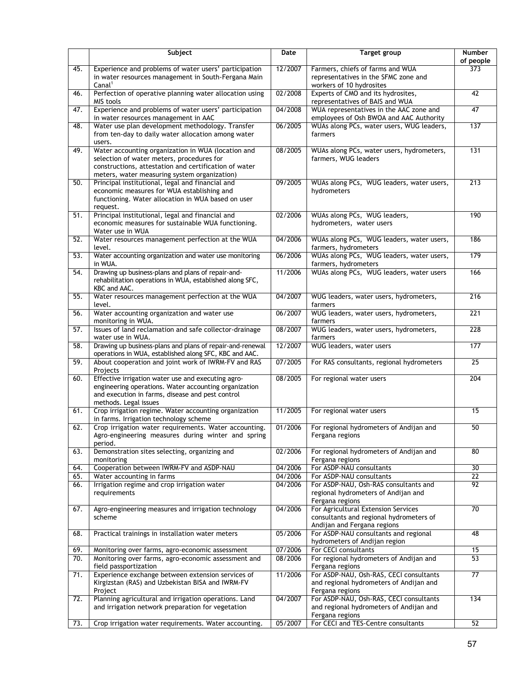|                   | Subject                                                                                               | Date               | <b>Target group</b>                                                                | <b>Number</b><br>of people |
|-------------------|-------------------------------------------------------------------------------------------------------|--------------------|------------------------------------------------------------------------------------|----------------------------|
| 45.               | Experience and problems of water users' participation                                                 | 12/2007            | Farmers, chiefs of farms and WUA                                                   | 373                        |
|                   | in water resources management in South-Fergana Main                                                   |                    | representatives in the SFMC zone and                                               |                            |
| 46.               | Canal <sup>1</sup><br>Perfection of operative planning water allocation using                         | 02/2008            | workers of 10 hydrosites<br>Experts of CMO and its hydrosites,                     | 42                         |
|                   | MIS tools                                                                                             |                    | representatives of BAIS and WUA                                                    |                            |
| 47.               | Experience and problems of water users' participation<br>in water resources management in AAC         | 04/2008            | WUA representatives in the AAC zone and<br>employees of Osh BWOA and AAC Authority | $\overline{47}$            |
| 48.               | Water use plan development methodology. Transfer                                                      | 06/2005            | WUAs along PCs, water users, WUG leaders,                                          | 137                        |
|                   | from ten-day to daily water allocation among water<br>users.                                          |                    | farmers                                                                            |                            |
| 49.               | Water accounting organization in WUA (location and                                                    | 08/2005            | WUAs along PCs, water users, hydrometers,                                          | 131                        |
|                   | selection of water meters, procedures for                                                             |                    | farmers, WUG leaders                                                               |                            |
|                   | constructions, attestation and certification of water<br>meters, water measuring system organization) |                    |                                                                                    |                            |
| 50.               | Principal institutional, legal and financial and                                                      | 09/2005            | WUAs along PCs, WUG leaders, water users,                                          | $\overline{213}$           |
|                   | economic measures for WUA establishing and                                                            |                    | hydrometers                                                                        |                            |
|                   | functioning. Water allocation in WUA based on user                                                    |                    |                                                                                    |                            |
|                   | request.                                                                                              |                    |                                                                                    |                            |
| 51.               | Principal institutional, legal and financial and                                                      | 02/2006            | WUAs along PCs, WUG leaders,                                                       | 190                        |
|                   | economic measures for sustainable WUA functioning.<br>Water use in WUA                                |                    | hydrometers, water users                                                           |                            |
| 52.               | Water resources management perfection at the WUA                                                      | 04/2006            | WUAs along PCs, WUG leaders, water users,                                          | 186                        |
|                   | level.                                                                                                |                    | farmers, hydrometers                                                               |                            |
| 53.               | Water accounting organization and water use monitoring<br>in WUA.                                     | 06/2006            | WUAs along PCs, WUG leaders, water users,<br>farmers, hydrometers                  | 179                        |
| $\overline{54}$ . | Drawing up business-plans and plans of repair-and-                                                    | 11/2006            | WUAs along PCs, WUG leaders, water users                                           | 166                        |
|                   | rehabilitation operations in WUA, established along SFC,                                              |                    |                                                                                    |                            |
| 55.               | KBC and AAC.<br>Water resources management perfection at the WUA                                      | 04/2007            |                                                                                    | $\overline{216}$           |
|                   | level.                                                                                                |                    | WUG leaders, water users, hydrometers,<br>farmers                                  |                            |
| 56.               | Water accounting organization and water use                                                           | 06/2007            | WUG leaders, water users, hydrometers,                                             | 221                        |
|                   | monitoring in WUA.                                                                                    |                    | farmers                                                                            |                            |
| 57.               | Issues of land reclamation and safe collector-drainage<br>water use in WUA.                           | 08/2007            | WUG leaders, water users, hydrometers,<br>farmers                                  | 228                        |
| 58.               | Drawing up business-plans and plans of repair-and-renewal                                             | 12/2007            | WUG leaders, water users                                                           | 177                        |
|                   | operations in WUA, established along SFC, KBC and AAC.                                                |                    |                                                                                    |                            |
| 59.               | About cooperation and joint work of IWRM-FV and RAS<br>Projects                                       | 07/2005            | For RAS consultants, regional hydrometers                                          | $\overline{25}$            |
| 60.               | Effective irrigation water use and executing agro-                                                    | 08/2005            | For regional water users                                                           | 204                        |
|                   | engineering operations. Water accounting organization                                                 |                    |                                                                                    |                            |
|                   | and execution in farms, disease and pest control                                                      |                    |                                                                                    |                            |
| 61.               | methods. Legal issues<br>Crop irrigation regime. Water accounting organization                        | 11/2005            | For regional water users                                                           | 15                         |
|                   | in farms. Irrigation technology scheme                                                                |                    |                                                                                    |                            |
| 62.               | Crop irrigation water requirements. Water accounting.                                                 | 01/2006            | For regional hydrometers of Andijan and                                            | 50                         |
|                   | Agro-engineering measures during winter and spring<br>period.                                         |                    | Fergana regions                                                                    |                            |
| 63.               | Demonstration sites selecting, organizing and                                                         | 02/2006            | For regional hydrometers of Andijan and                                            | 80                         |
|                   | monitoring                                                                                            |                    | Fergana regions                                                                    |                            |
| 64.               | Cooperation between IWRM-FV and ASDP-NAU                                                              | 04/2006            | For ASDP-NAU consultants                                                           | 30                         |
| 65.               | Water accounting in farms                                                                             | 04/2006            | For ASDP-NAU consultants                                                           | $\overline{22}$            |
| 66.               | Irrigation regime and crop irrigation water                                                           | 04/2006            | For ASDP-NAU, Osh-RAS consultants and                                              | 92                         |
|                   | requirements                                                                                          |                    | regional hydrometers of Andijan and<br>Fergana regions                             |                            |
| 67.               | Agro-engineering measures and irrigation technology                                                   | 04/2006            | For Agricultural Extension Services                                                | 70                         |
|                   | scheme                                                                                                |                    | consultants and regional hydrometers of                                            |                            |
|                   |                                                                                                       |                    | Andijan and Fergana regions                                                        |                            |
| 68.               | Practical trainings in installation water meters                                                      | 05/2006            | For ASDP-NAU consultants and regional                                              | 48                         |
|                   |                                                                                                       |                    | hydrometers of Andijan region                                                      |                            |
| 69.<br>70.        | Monitoring over farms, agro-economic assessment                                                       | 07/2006<br>08/2006 | For CECI consultants                                                               | 15<br>53                   |
|                   | Monitoring over farms, agro-economic assessment and<br>field passportization                          |                    | For regional hydrometers of Andijan and<br>Fergana regions                         |                            |
| 71.               | Experience exchange between extension services of                                                     | 11/2006            | For ASDP-NAU, Osh-RAS, CECI consultants                                            | $\overline{77}$            |
|                   | Kirgizstan (RAS) and Uzbekistan BISA and IWRM-FV                                                      |                    | and regional hydrometers of Andijan and                                            |                            |
|                   | Project                                                                                               |                    | Fergana regions                                                                    |                            |
| 72.               | Planning agricultural and irrigation operations. Land                                                 | 04/2007            | For ASDP-NAU, Osh-RAS, CECI consultants                                            | 134                        |
|                   | and irrigation network preparation for vegetation                                                     |                    | and regional hydrometers of Andijan and                                            |                            |
| 73.               | Crop irrigation water requirements. Water accounting.                                                 | 05/2007            | Fergana regions<br>For CECI and TES-Centre consultants                             | 52                         |
|                   |                                                                                                       |                    |                                                                                    |                            |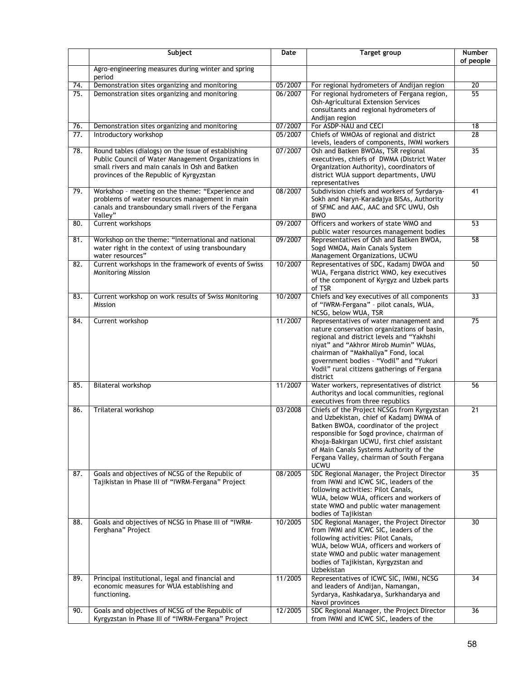|            | Subject                                                                                                                                                                                                 | Date               | Target group                                                                                                                                                                                                                                                                                                                         | Number<br>of people |
|------------|---------------------------------------------------------------------------------------------------------------------------------------------------------------------------------------------------------|--------------------|--------------------------------------------------------------------------------------------------------------------------------------------------------------------------------------------------------------------------------------------------------------------------------------------------------------------------------------|---------------------|
|            | Agro-engineering measures during winter and spring<br>period                                                                                                                                            |                    |                                                                                                                                                                                                                                                                                                                                      |                     |
| 74.        | Demonstration sites organizing and monitoring                                                                                                                                                           | 05/2007            | For regional hydrometers of Andijan region                                                                                                                                                                                                                                                                                           | $\overline{20}$     |
| 75.        | Demonstration sites organizing and monitoring                                                                                                                                                           | 06/2007            | For regional hydrometers of Fergana region,<br>Osh-Agricultural Extension Services<br>consultants and regional hydrometers of<br>Andijan region                                                                                                                                                                                      | 55                  |
| 76.<br>77. | Demonstration sites organizing and monitoring<br>Introductory workshop                                                                                                                                  | 07/2007<br>05/2007 | For ASDP-NAU and CECI<br>Chiefs of WMOAs of regional and district<br>levels, leaders of components, IWMI workers                                                                                                                                                                                                                     | 18<br>28            |
| 78.        | Round tables (dialogs) on the issue of establishing<br>Public Council of Water Management Organizations in<br>small rivers and main canals in Osh and Batken<br>provinces of the Republic of Kyrgyzstan | 07/2007            | Osh and Batken BWOAs, TSR regional<br>executives, chiefs of DWMA (District Water<br>Organization Authority), coordinators of<br>district WUA support departments, UWU<br>representatives                                                                                                                                             | $\overline{35}$     |
| 79.        | Workshop - meeting on the theme: "Experience and<br>problems of water resources management in main<br>canals and transboundary small rivers of the Fergana<br>Valley"                                   | 08/2007            | Subdivision chiefs and workers of Syrdarya-<br>Sokh and Naryn-Karadajya BISAs, Authority<br>of SFMC and AAC, AAC and SFC UWU, Osh<br><b>BWO</b>                                                                                                                                                                                      | 41                  |
| 80.        | Current workshops                                                                                                                                                                                       | 09/2007            | Officers and workers of state WMO and<br>public water resources management bodies                                                                                                                                                                                                                                                    | 53                  |
| 81.        | Workshop on the theme: "International and national<br>water right in the context of using transboundary<br>water resources"                                                                             | 09/2007            | Representatives of Osh and Batken BWOA,<br>Sogd WMOA, Main Canals System<br>Management Organizations, UCWU                                                                                                                                                                                                                           | 58                  |
| 82.        | Current workshops in the framework of events of Swiss<br><b>Monitoring Mission</b>                                                                                                                      | 10/2007            | Representatives of SDC, Kadamj DWOA and<br>WUA, Fergana district WMO, key executives<br>of the component of Kyrgyz and Uzbek parts<br>of TSR                                                                                                                                                                                         | 50                  |
| 83.        | Current workshop on work results of Swiss Monitoring<br>Mission                                                                                                                                         | 10/2007            | Chiefs and key executives of all components<br>of "IWRM-Fergana" - pilot canals, WUA,<br>NCSG, below WUA, TSR                                                                                                                                                                                                                        | 33                  |
| 84.        | Current workshop                                                                                                                                                                                        | 11/2007            | Representatives of water management and<br>nature conservation organizations of basin,<br>regional and district levels and "Yakhshi<br>niyat" and "Akhror Mirob Mumin" WUAs,<br>chairman of "Makhallya" Fond, local<br>government bodies - "Vodil" and "Yukori<br>Vodil" rural citizens gatherings of Fergana<br>district            | $\overline{75}$     |
| 85.        | Bilateral workshop                                                                                                                                                                                      | 11/2007            | Water workers, representatives of district<br>Authoritys and local communities, regional<br>executives from three republics                                                                                                                                                                                                          | 56                  |
| 86.        | Trilateral workshop                                                                                                                                                                                     | 03/2008            | Chiefs of the Project NCSGs from Kyrgyzstan<br>and Uzbekistan, chief of Kadamj DWMA of<br>Batken BWOA, coordinator of the project<br>responsible for Sogd province, chairman of<br>Khoja-Bakirgan UCWU, first chief assistant<br>of Main Canals Systems Authority of the<br>Fergana Valley, chairman of South Fergana<br><b>UCWU</b> | 21                  |
| 87.        | Goals and objectives of NCSG of the Republic of<br>Tajikistan in Phase III of "IWRM-Fergana" Project                                                                                                    | 08/2005            | SDC Regional Manager, the Project Director<br>from IWMI and ICWC SIC, leaders of the<br>following activities: Pilot Canals,<br>WUA, below WUA, officers and workers of<br>state WMO and public water management<br>bodies of Tajikistan                                                                                              | $\overline{35}$     |
| 88.        | Goals and objectives of NCSG in Phase III of "IWRM-<br>Ferghana" Project                                                                                                                                | 10/2005            | SDC Regional Manager, the Project Director<br>from IWMI and ICWC SIC, leaders of the<br>following activities: Pilot Canals,<br>WUA, below WUA, officers and workers of<br>state WMO and public water management<br>bodies of Tajikistan, Kyrgyzstan and<br>Uzbekistan                                                                | 30                  |
| 89.        | Principal institutional, legal and financial and<br>economic measures for WUA establishing and<br>functioning.                                                                                          | 11/2005            | Representatives of ICWC SIC, IWMI, NCSG<br>and leaders of Andijan, Namangan,<br>Syrdarya, Kashkadarya, Surkhandarya and<br>Navoi provinces                                                                                                                                                                                           | 34                  |
| 90.        | Goals and objectives of NCSG of the Republic of<br>Kyrgyzstan in Phase III of "IWRM-Fergana" Project                                                                                                    | 12/2005            | SDC Regional Manager, the Project Director<br>from IWMI and ICWC SIC, leaders of the                                                                                                                                                                                                                                                 | 36                  |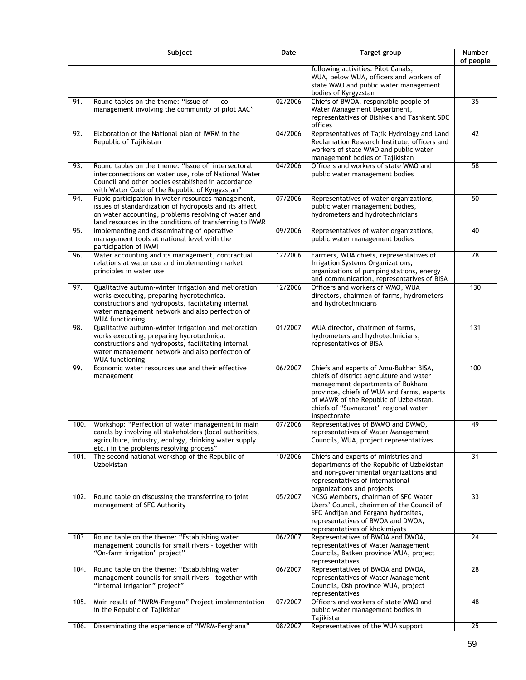|      | Subject                                                                                                                                                                                                                               | Date    | <b>Target group</b>                                                                                                                                                                                                                                                      | <b>Number</b><br>of people |
|------|---------------------------------------------------------------------------------------------------------------------------------------------------------------------------------------------------------------------------------------|---------|--------------------------------------------------------------------------------------------------------------------------------------------------------------------------------------------------------------------------------------------------------------------------|----------------------------|
|      |                                                                                                                                                                                                                                       |         | following activities: Pilot Canals,<br>WUA, below WUA, officers and workers of<br>state WMO and public water management<br>bodies of Kyrgyzstan                                                                                                                          |                            |
| 91.  | Round tables on the theme: "Issue of<br>CO-<br>management involving the community of pilot AAC"                                                                                                                                       | 02/2006 | Chiefs of BWOA, responsible people of<br>Water Management Department,<br>representatives of Bishkek and Tashkent SDC<br>offices                                                                                                                                          | 35                         |
| 92.  | Elaboration of the National plan of IWRM in the<br>Republic of Tajikistan                                                                                                                                                             | 04/2006 | Representatives of Tajik Hydrology and Land<br>Reclamation Research Institute, officers and<br>workers of state WMO and public water<br>management bodies of Tajikistan                                                                                                  | 42                         |
| 93.  | Round tables on the theme: "Issue of intersectoral<br>interconnections on water use, role of National Water<br>Council and other bodies established in accordance<br>with Water Code of the Republic of Kyrgyzstan"                   | 04/2006 | Officers and workers of state WMO and<br>public water management bodies                                                                                                                                                                                                  | $\overline{58}$            |
| 94.  | Pubic participation in water resources management,<br>issues of standardization of hydroposts and its affect<br>on water accounting, problems resolving of water and<br>land resources in the conditions of transferring to IWMR      | 07/2006 | Representatives of water organizations,<br>public water management bodies,<br>hydrometers and hydrotechnicians                                                                                                                                                           | 50                         |
| 95.  | Implementing and disseminating of operative<br>management tools at national level with the<br>participation of IWMI                                                                                                                   | 09/2006 | Representatives of water organizations,<br>public water management bodies                                                                                                                                                                                                | 40                         |
| 96.  | Water accounting and its management, contractual<br>relations at water use and implementing market<br>principles in water use                                                                                                         | 12/2006 | Farmers, WUA chiefs, representatives of<br>Irrigation Systems Organizations,<br>organizations of pumping stations, energy<br>and communication, representatives of BISA                                                                                                  | 78                         |
| 97.  | Qualitative autumn-winter irrigation and melioration<br>works executing, preparing hydrotechnical<br>constructions and hydroposts, facilitating internal<br>water management network and also perfection of<br><b>WUA functioning</b> | 12/2006 | Officers and workers of WMO, WUA<br>directors, chairmen of farms, hydrometers<br>and hydrotechnicians                                                                                                                                                                    | 130                        |
| 98.  | Qualitative autumn-winter irrigation and melioration<br>works executing, preparing hydrotechnical<br>constructions and hydroposts, facilitating internal<br>water management network and also perfection of<br><b>WUA functioning</b> | 01/2007 | WUA director, chairmen of farms,<br>hydrometers and hydrotechnicians,<br>representatives of BISA                                                                                                                                                                         | 131                        |
| 99.  | Economic water resources use and their effective<br>management                                                                                                                                                                        | 06/2007 | Chiefs and experts of Amu-Bukhar BISA,<br>chiefs of district agriculture and water<br>management departments of Bukhara<br>province, chiefs of WUA and farms, experts<br>of MAWR of the Republic of Uzbekistan,<br>chiefs of "Suvnazorat" regional water<br>inspectorate | 100                        |
| 100. | Workshop: "Perfection of water management in main<br>canals by involving all stakeholders (local authorities,<br>agriculture, industry, ecology, drinking water supply<br>etc.) in the problems resolving process"                    | 07/2006 | Representatives of BWMO and DWMO,<br>representatives of Water Management<br>Councils, WUA, project representatives                                                                                                                                                       | 49                         |
| 101. | The second national workshop of the Republic of<br>Uzbekistan                                                                                                                                                                         | 10/2006 | Chiefs and experts of ministries and<br>departments of the Republic of Uzbekistan<br>and non-governmental organizations and<br>representatives of international<br>organizations and projects                                                                            | 31                         |
| 102. | Round table on discussing the transferring to joint<br>management of SFC Authority                                                                                                                                                    | 05/2007 | NCSG Members, chairman of SFC Water<br>Users' Council, chairmen of the Council of<br>SFC Andijan and Fergana hydrosites,<br>representatives of BWOA and DWOA,<br>representatives of khokimiyats                                                                          | $\overline{33}$            |
| 103. | Round table on the theme: "Establishing water<br>management councils for small rivers - together with<br>"On-farm irrigation" project"                                                                                                | 06/2007 | Representatives of BWOA and DWOA,<br>representatives of Water Management<br>Councils, Batken province WUA, project<br>representatives                                                                                                                                    | 24                         |
| 104. | Round table on the theme: "Establishing water<br>management councils for small rivers - together with<br>"Internal irrigation" project"                                                                                               | 06/2007 | Representatives of BWOA and DWOA,<br>representatives of Water Management<br>Councils, Osh province WUA, project<br>representatives                                                                                                                                       | 28                         |
| 105. | Main result of "IWRM-Fergana" Project implementation<br>in the Republic of Tajikistan                                                                                                                                                 | 07/2007 | Officers and workers of state WMO and<br>public water management bodies in<br>Tajikistan                                                                                                                                                                                 | 48                         |
| 106. | Disseminating the experience of "IWRM-Ferghana"                                                                                                                                                                                       | 08/2007 | Representatives of the WUA support                                                                                                                                                                                                                                       | 25                         |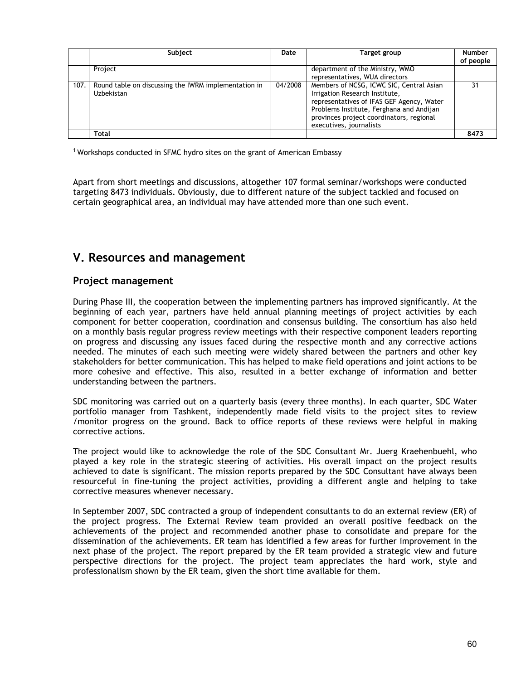|      | Subject                                                            | Date    | Target group                                                                                                                                                                                                                               | <b>Number</b><br>of people |
|------|--------------------------------------------------------------------|---------|--------------------------------------------------------------------------------------------------------------------------------------------------------------------------------------------------------------------------------------------|----------------------------|
|      | Project                                                            |         | department of the Ministry, WMO<br>representatives, WUA directors                                                                                                                                                                          |                            |
| 107. | Round table on discussing the IWRM implementation in<br>Uzbekistan | 04/2008 | Members of NCSG, ICWC SIC, Central Asian<br>Irrigation Research Institute,<br>representatives of IFAS GEF Agency, Water<br>Problems Institute, Ferghana and Andijan<br>provinces project coordinators, regional<br>executives, journalists | 31                         |
|      | Total                                                              |         |                                                                                                                                                                                                                                            | 8473                       |

<sup>1</sup> Workshops conducted in SFMC hydro sites on the grant of American Embassy

Apart from short meetings and discussions, altogether 107 formal seminar/workshops were conducted targeting 8473 individuals. Obviously, due to different nature of the subject tackled and focused on certain geographical area, an individual may have attended more than one such event.

# **V. Resources and management**

# **Project management**

During Phase III, the cooperation between the implementing partners has improved significantly. At the beginning of each year, partners have held annual planning meetings of project activities by each component for better cooperation, coordination and consensus building. The consortium has also held on a monthly basis regular progress review meetings with their respective component leaders reporting on progress and discussing any issues faced during the respective month and any corrective actions needed. The minutes of each such meeting were widely shared between the partners and other key stakeholders for better communication. This has helped to make field operations and joint actions to be more cohesive and effective. This also, resulted in a better exchange of information and better understanding between the partners.

SDC monitoring was carried out on a quarterly basis (every three months). In each quarter, SDC Water portfolio manager from Tashkent, independently made field visits to the project sites to review /monitor progress on the ground. Back to office reports of these reviews were helpful in making corrective actions.

The project would like to acknowledge the role of the SDC Consultant Mr. Juerg Kraehenbuehl, who played a key role in the strategic steering of activities. His overall impact on the project results achieved to date is significant. The mission reports prepared by the SDC Consultant have always been resourceful in fine-tuning the project activities, providing a different angle and helping to take corrective measures whenever necessary.

In September 2007, SDC contracted a group of independent consultants to do an external review (ER) of the project progress. The External Review team provided an overall positive feedback on the achievements of the project and recommended another phase to consolidate and prepare for the dissemination of the achievements. ER team has identified a few areas for further improvement in the next phase of the project. The report prepared by the ER team provided a strategic view and future perspective directions for the project. The project team appreciates the hard work, style and professionalism shown by the ER team, given the short time available for them.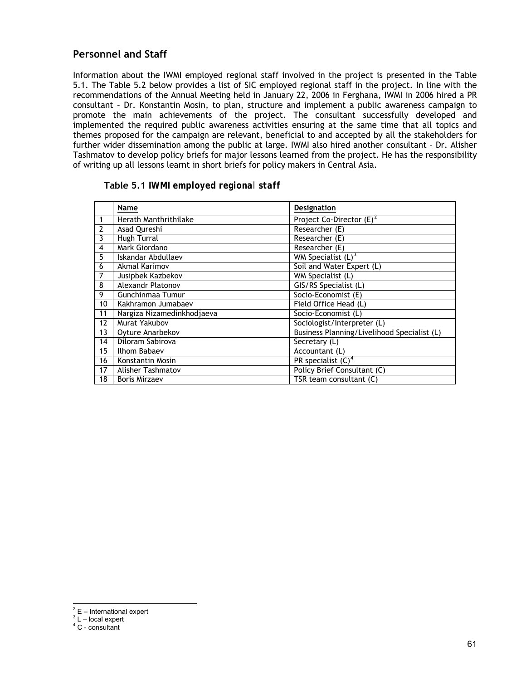# <span id="page-60-0"></span>**Personnel and Staff**

Information about the IWMI employed regional staff involved in the project is presented in the Table 5.1. The Table 5.2 below provides a list of SIC employed regional staff in the project. In line with the recommendations of the Annual Meeting held in January 22, 2006 in Ferghana, IWMI in 2006 hired a PR consultant – Dr. Konstantin Mosin, to plan, structure and implement a public awareness campaign to promote the main achievements of the project. The consultant successfully developed and implemented the required public awareness activities ensuring at the same time that all topics and themes proposed for the campaign are relevant, beneficial to and accepted by all the stakeholders for further wider dissemination among the public at large. IWMI also hired another consultant – Dr. Alisher Tashmatov to develop policy briefs for major lessons learned from the project. He has the responsibility of writing up all lessons learnt in short briefs for policy makers in Central Asia.

|                | Name                       | Designation                                 |
|----------------|----------------------------|---------------------------------------------|
|                | Herath Manthrithilake      | Project Co-Director $(E)^2$                 |
| $\overline{2}$ | Asad Qureshi               | Researcher (E)                              |
| 3              | Hugh Turral                | Researcher (E)                              |
| 4              | Mark Giordano              | Researcher (E)                              |
| 5              | Iskandar Abdullaev         | WM Specialist $(L)^3$                       |
| 6              | Akmal Karimov              | Soil and Water Expert (L)                   |
| 7              | Jusipbek Kazbekov          | WM Specialist (L)                           |
| 8              | <b>Alexandr Platonov</b>   | GIS/RS Specialist (L)                       |
| 9              | Gunchinmaa Tumur           | Socio-Economist (E)                         |
| 10             | Kakhramon Jumabaev         | Field Office Head (L)                       |
| 11             | Nargiza Nizamedinkhodjaeva | Socio-Economist (L)                         |
| 12             | Murat Yakubov              | Sociologist/Interpreter (L)                 |
| 13             | Oyture Anarbekov           | Business Planning/Livelihood Specialist (L) |
| 14             | Diloram Sabirova           | Secretary (L)                               |
| 15             | Ilhom Babaev               | Accountant (L)                              |
| 16             | Konstantin Mosin           | PR specialist $(C)^4$                       |
| 17             | Alisher Tashmatov          | Policy Brief Consultant (C)                 |
| 18             | <b>Boris Mirzaev</b>       | TSR team consultant (C)                     |

|  |  | Table 5.1 IWMI employed regional staff |  |  |
|--|--|----------------------------------------|--|--|
|--|--|----------------------------------------|--|--|

<sup>&</sup>lt;u>2</u><br>
E – International expert

 $3 L$  – local expert

<sup>4</sup> C - consultant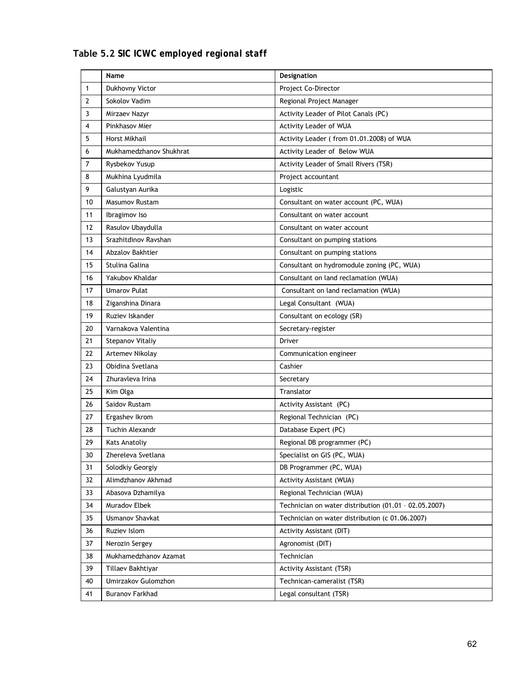|                | Name                    | Designation                                           |
|----------------|-------------------------|-------------------------------------------------------|
| 1              | Dukhovny Victor         | Project Co-Director                                   |
| 2              | Sokolov Vadim           | Regional Project Manager                              |
| 3              | Mirzaev Nazyr           | Activity Leader of Pilot Canals (PC)                  |
| 4              | Pinkhasov Mier          | Activity Leader of WUA                                |
| 5              | Horst Mikhail           | Activity Leader (from 01.01.2008) of WUA              |
| 6              | Mukhamedzhanov Shukhrat | Activity Leader of Below WUA                          |
| $\overline{7}$ | Rysbekov Yusup          | Activity Leader of Small Rivers (TSR)                 |
| 8              | Mukhina Lyudmila        | Project accountant                                    |
| 9              | Galustyan Aurika        | Logistic                                              |
| 10             | Masumov Rustam          | Consultant on water account (PC, WUA)                 |
| 11             | Ibragimov Iso           | Consultant on water account                           |
| 12             | Rasulov Ubaydulla       | Consultant on water account                           |
| 13             | Srazhitdinov Ravshan    | Consultant on pumping stations                        |
| 14             | <b>Abzalov Bakhtier</b> | Consultant on pumping stations                        |
| 15             | Stulina Galina          | Consultant on hydromodule zoning (PC, WUA)            |
| 16             | Yakubov Khaldar         | Consultant on land reclamation (WUA)                  |
| 17             | <b>Umarov Pulat</b>     | Consultant on land reclamation (WUA)                  |
| 18             | Ziganshina Dinara       | Legal Consultant (WUA)                                |
| 19             | Ruziev Iskander         | Consultant on ecology (SR)                            |
| 20             | Varnakova Valentina     | Secretary-register                                    |
| 21             | Stepanov Vitaliy        | Driver                                                |
| 22             | Artemev Nikolay         | Communication engineer                                |
| 23             | Obidina Svetlana        | Cashier                                               |
| 24             | Zhuravleva Irina        | Secretary                                             |
| 25             | Kim Olga                | Translator                                            |
| 26             | Saidov Rustam           | Activity Assistant (PC)                               |
| 27             | Ergashev Ikrom          | Regional Technician (PC)                              |
| 28             | Tuchin Alexandr         | Database Expert (PC)                                  |
| 29             | <b>Kats Anatoliy</b>    | Regional DB programmer (PC)                           |
| 30             | Zhereleva Svetlana      | Specialist on GIS (PC, WUA)                           |
| 31             | Solodkiy Georgiy        | DB Programmer (PC, WUA)                               |
| 32             | Alimdzhanov Akhmad      | <b>Activity Assistant (WUA)</b>                       |
| 33             | Abasova Dzhamilya       | Regional Technician (WUA)                             |
| 34             | Muradov Elbek           | Technician on water distribution (01.01 - 02.05.2007) |
| 35             | <b>Usmanov Shavkat</b>  | Technician on water distribution (c 01.06.2007)       |
| 36             | Ruziev Islom            | Activity Assistant (DIT)                              |
| 37             | Nerozin Sergey          | Agronomist (DIT)                                      |
| 38             | Mukhamedzhanov Azamat   | Technician                                            |
| 39             | Tillaev Bakhtiyar       | <b>Activity Assistant (TSR)</b>                       |
| 40             | Umirzakov Gulomzhon     | Technican-cameralist (TSR)                            |
| 41             | <b>Buranov Farkhad</b>  | Legal consultant (TSR)                                |
|                |                         |                                                       |

# **Table 5.2** *SIC ICWC employed regional staff*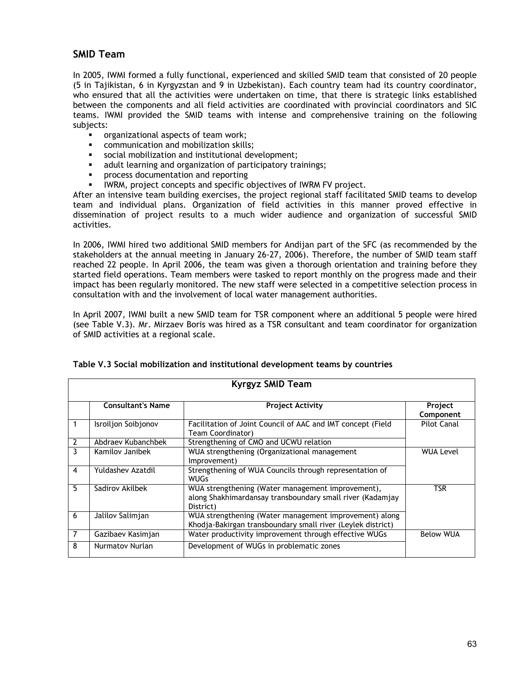# **SMID Team**

In 2005, IWMI formed a fully functional, experienced and skilled SMID team that consisted of 20 people (5 in Tajikistan, 6 in Kyrgyzstan and 9 in Uzbekistan). Each country team had its country coordinator, who ensured that all the activities were undertaken on time, that there is strategic links established between the components and all field activities are coordinated with provincial coordinators and SIC teams. IWMI provided the SMID teams with intense and comprehensive training on the following subjects:

- **•** organizational aspects of team work;
- **EXECOMMUNICATION AND MODEL EXAMPLE 1213**
- social mobilization and institutional development;
- **adult learning and organization of participatory trainings;**
- process documentation and reporting
- IWRM, project concepts and specific objectives of IWRM FV project.

After an intensive team building exercises, the project regional staff facilitated SMID teams to develop team and individual plans. Organization of field activities in this manner proved effective in dissemination of project results to a much wider audience and organization of successful SMID activities.

In 2006, IWMI hired two additional SMID members for Andijan part of the SFC (as recommended by the stakeholders at the annual meeting in January 26-27, 2006). Therefore, the number of SMID team staff reached 22 people. In April 2006, the team was given a thorough orientation and training before they started field operations. Team members were tasked to report monthly on the progress made and their impact has been regularly monitored. The new staff were selected in a competitive selection process in consultation with and the involvement of local water management authorities.

In April 2007, IWMI built a new SMID team for TSR component where an additional 5 people were hired (see Table V.3). Mr. Mirzaev Boris was hired as a TSR consultant and team coordinator for organization of SMID activities at a regional scale.

|                | <b>Kyrgyz SMID Team</b>    |                                                                                                                             |                      |  |  |  |
|----------------|----------------------------|-----------------------------------------------------------------------------------------------------------------------------|----------------------|--|--|--|
|                | <b>Consultant's Name</b>   | <b>Project Activity</b>                                                                                                     | Project<br>Component |  |  |  |
|                | <b>Isroiljon Soibjonov</b> | Facilitation of Joint Council of AAC and IMT concept (Field<br>Team Coordinator)                                            | <b>Pilot Canal</b>   |  |  |  |
| $\overline{2}$ | Abdraev Kubanchbek         | Strengthening of CMO and UCWU relation                                                                                      |                      |  |  |  |
| 3              | Kamilov Janibek            | WUA strengthening (Organizational management<br>Improvement)                                                                | WUA Level            |  |  |  |
| 4              | Yuldashev Azatdil          | Strengthening of WUA Councils through representation of<br><b>WUGs</b>                                                      |                      |  |  |  |
| 5              | Sadirov Akilbek            | WUA strengthening (Water management improvement),<br>along Shakhimardansay transboundary small river (Kadamjay<br>District) | TSR                  |  |  |  |
| 6              | Jalilov Salimjan           | WUA strengthening (Water management improvement) along<br>Khodja-Bakirgan transboundary small river (Leylek district)       |                      |  |  |  |
| 7              | Gazibaev Kasimjan          | Water productivity improvement through effective WUGs                                                                       | <b>Below WUA</b>     |  |  |  |
| 8              | Nurmatov Nurlan            | Development of WUGs in problematic zones                                                                                    |                      |  |  |  |

#### **Table V.3 Social mobilization and institutional development teams by countries**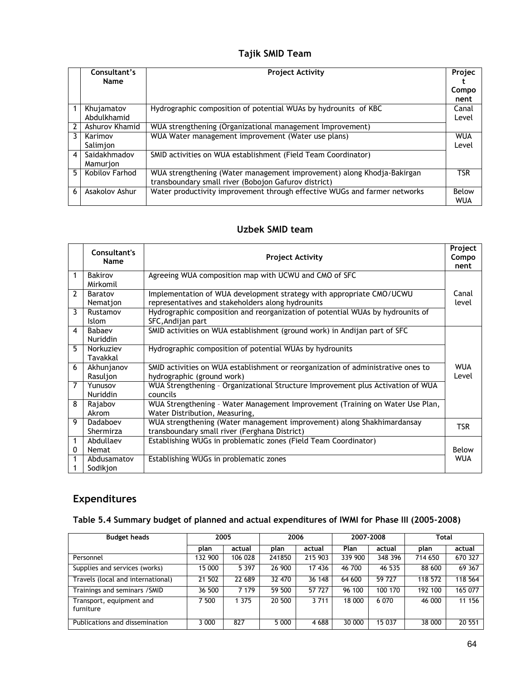# **Tajik SMID Team**

|   | Consultant's<br><b>Name</b> | <b>Project Activity</b>                                                                                                        | Projec<br>Compo<br>nent |
|---|-----------------------------|--------------------------------------------------------------------------------------------------------------------------------|-------------------------|
|   | Khujamatov<br>Abdulkhamid   | Hydrographic composition of potential WUAs by hydrounits of KBC                                                                | Canal<br>Level          |
|   | Ashurov Khamid              | WUA strengthening (Organizational management Improvement)                                                                      |                         |
| 3 | Karimov<br>Salimjon         | WUA Water management improvement (Water use plans)                                                                             | <b>WUA</b><br>Level     |
| 4 | Saidakhmadov<br>Mamurjon    | SMID activities on WUA establishment (Field Team Coordinator)                                                                  |                         |
| 5 | Kobilov Farhod              | WUA strengthening (Water management improvement) along Khodja-Bakirgan<br>transboundary small river (Bobojon Gafurov district) | <b>TSR</b>              |
| 6 | Asakolov Ashur              | Water productivity improvement through effective WUGs and farmer networks                                                      | Below<br><b>WUA</b>     |

# **Uzbek SMID team**

|                         | Consultant's<br>Name       | <b>Project Activity</b>                                                                                                   | Project<br>Compo<br>nent |
|-------------------------|----------------------------|---------------------------------------------------------------------------------------------------------------------------|--------------------------|
| 1                       | <b>Bakirov</b><br>Mirkomil | Agreeing WUA composition map with UCWU and CMO of SFC                                                                     |                          |
| $\overline{2}$          | Baratov<br>Nemation        | Implementation of WUA development strategy with appropriate CMO/UCWU<br>representatives and stakeholders along hydrounits | Canal<br>level           |
| 3                       | Rustamov<br><b>Islom</b>   | Hydrographic composition and reorganization of potential WUAs by hydrounits of<br>SFC, Andijan part                       |                          |
| $\overline{\mathbf{4}}$ | Babaev<br><b>Nuriddin</b>  | SMID activities on WUA establishment (ground work) in Andijan part of SFC                                                 |                          |
| 5                       | Norkuziev<br>Tavakkal      | Hydrographic composition of potential WUAs by hydrounits                                                                  |                          |
| 6                       | Akhunjanov<br>Rasuljon     | SMID activities on WUA establishment or reorganization of administrative ones to<br>hydrographic (ground work)            | <b>WUA</b><br>Level      |
| $\overline{7}$          | Yunusov<br><b>Nuriddin</b> | WUA Strengthening - Organizational Structure Improvement plus Activation of WUA<br>councils                               |                          |
| 8                       | Rajabov<br>Akrom           | WUA Strengthening - Water Management Improvement (Training on Water Use Plan,<br>Water Distribution, Measuring,           |                          |
| 9                       | Dadaboev<br>Shermirza      | WUA strengthening (Water management improvement) along Shakhimardansay<br>transboundary small river (Ferghana District)   | <b>TSR</b>               |
| 1<br>0                  | Abdullaev<br>Nemat         | Establishing WUGs in problematic zones (Field Team Coordinator)                                                           | Below                    |
|                         | Abdusamatov<br>Sodikjon    | Establishing WUGs in problematic zones                                                                                    | <b>WUA</b>               |

# **Expenditures**

| <b>Budget heads</b>                   | 2005    |         | 2006    |         | 2007-2008 |         | Total   |         |
|---------------------------------------|---------|---------|---------|---------|-----------|---------|---------|---------|
|                                       | plan    | actual  | plan    | actual  | Plan      | actual  | plan    | actual  |
| Personnel                             | 132 900 | 106 028 | 241850  | 215 903 | 339 900   | 348 396 | 714 650 | 670 327 |
| Supplies and services (works)         | 15 000  | 5 3 9 7 | 26 900  | 17 436  | 46 700    | 46 535  | 88 600  | 69 367  |
| Travels (local and international)     | 21 502  | 22 689  | 32 470  | 36 148  | 64 600    | 59 727  | 118 572 | 118 564 |
| Trainings and seminars / SMID         | 36 500  | 7 1 7 9 | 59 500  | 57 727  | 96 100    | 100 170 | 192 100 | 165 077 |
| Transport, equipment and<br>furniture | 7 500   | 1 3 7 5 | 20 500  | 3 7 1 1 | 18 000    | 6 0 7 0 | 46 000  | 11 156  |
| Publications and dissemination        | 3 000   | 827     | 5 0 0 0 | 4 6 8 8 | 30 000    | 15 037  | 38 000  | 20 551  |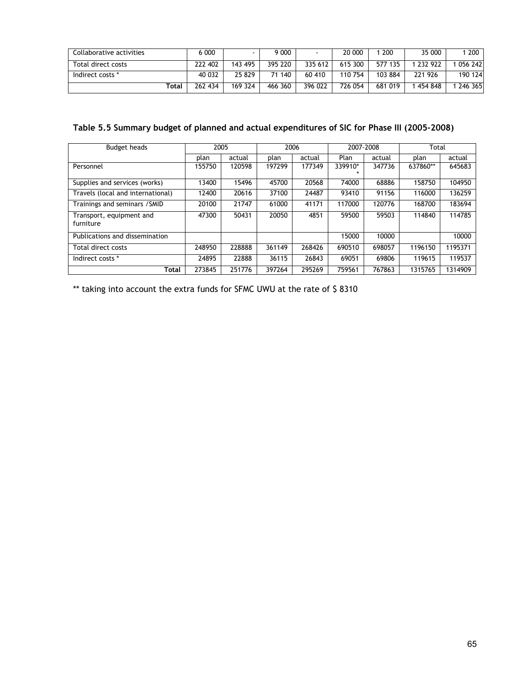| Collaborative activities | 6 0 0 0 |         | 000 (     |         | 20 000  | 200     | 35 000    | 200     |
|--------------------------|---------|---------|-----------|---------|---------|---------|-----------|---------|
| Total direct costs       | 222 402 | 143 495 | 395 220   | 335 612 | 615 300 | 577 135 | 1 232 922 | 056 242 |
| Indirect costs *         | 40 0 32 | 25 829  | 140<br>71 | 60 410  | 110 754 | 103 884 | 221 926   | 190 124 |
| Total                    | 262 434 | 169 324 | 466 360   | 396 022 | 726 054 | 681 019 | . 454 848 | 246 365 |

# **Table 5.5 Summary budget of planned and actual expenditures of SIC for Phase III (2005-2008)**

| <b>Budget heads</b>                   | 2005   |        | 2006   |        | 2007-2008 |        | Total    |         |
|---------------------------------------|--------|--------|--------|--------|-----------|--------|----------|---------|
|                                       | plan   | actual | plan   | actual | Plan      | actual |          | actual  |
| Personnel                             | 155750 | 120598 | 197299 | 177349 | 339910*   | 347736 | 637860** | 645683  |
| Supplies and services (works)         | 13400  | 15496  | 45700  | 20568  | 74000     | 68886  | 158750   | 104950  |
| Travels (local and international)     | 12400  | 20616  | 37100  | 24487  | 93410     | 91156  | 116000   | 136259  |
| Trainings and seminars / SMID         | 20100  | 21747  | 61000  | 41171  | 117000    | 120776 | 168700   | 183694  |
| Transport, equipment and<br>furniture | 47300  | 50431  | 20050  | 4851   | 59500     | 59503  | 114840   | 114785  |
| Publications and dissemination        |        |        |        |        | 15000     | 10000  |          | 10000   |
| Total direct costs                    | 248950 | 228888 | 361149 | 268426 | 690510    | 698057 | 1196150  | 1195371 |
| Indirect costs *                      | 24895  | 22888  | 36115  | 26843  | 69051     | 69806  | 119615   | 119537  |
| Total                                 | 273845 | 251776 | 397264 | 295269 | 759561    | 767863 | 1315765  | 1314909 |

\*\* taking into account the extra funds for SFMC UWU at the rate of \$8310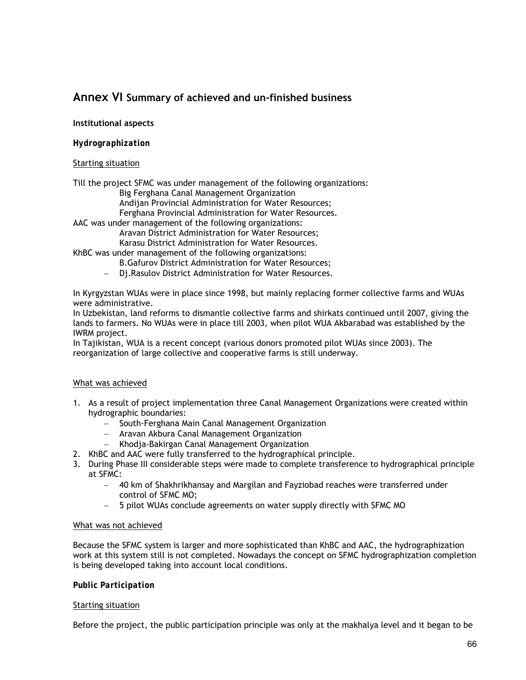# **Annex VI Summary of achieved and un-finished business**

# **Institutional aspects**

# *Hydrographization*

## Starting situation

Till the project SFMC was under management of the following organizations:

- Big Ferghana Canal Management Organization
- Andijan Provincial Administration for Water Resources;

Ferghana Provincial Administration for Water Resources.

AAC was under management of the following organizations:

Aravan District Administration for Water Resources;

Karasu District Administration for Water Resources.

KhBC was under management of the following organizations:

B.Gafurov District Administration for Water Resources;

− Dj.Rasulov District Administration for Water Resources.

In Kyrgyzstan WUAs were in place since 1998, but mainly replacing former collective farms and WUAs were administrative.

In Uzbekistan, land reforms to dismantle collective farms and shirkats continued until 2007, giving the lands to farmers. No WUAs were in place till 2003, when pilot WUA Akbarabad was established by the IWRM project.

In Tajikistan, WUA is a recent concept (various donors promoted pilot WUAs since 2003). The reorganization of large collective and cooperative farms is still underway.

## What was achieved

- 1. As a result of project implementation three Canal Management Organizations were created within hydrographic boundaries:
	- − South-Ferghana Main Canal Management Organization
	- − Aravan Akbura Canal Management Organization
	- − Khodja-Bakirgan Canal Management Organization
- 2. KhBC and AAC were fully transferred to the hydrographical principle.
- 3. During Phase III considerable steps were made to complete transference to hydrographical principle at SFMC:
	- − 40 km of Shakhrikhansay and Margilan and Fayziobad reaches were transferred under control of SFMC MO;
	- − 5 pilot WUAs conclude agreements on water supply directly with SFMC MO

#### What was not achieved

Because the SFMC system is larger and more sophisticated than KhBC and AAC, the hydrographization work at this system still is not completed. Nowadays the concept on SFMC hydrographization completion is being developed taking into account local conditions.

## *Public Participation*

#### Starting situation

Before the project, the public participation principle was only at the makhalya level and it began to be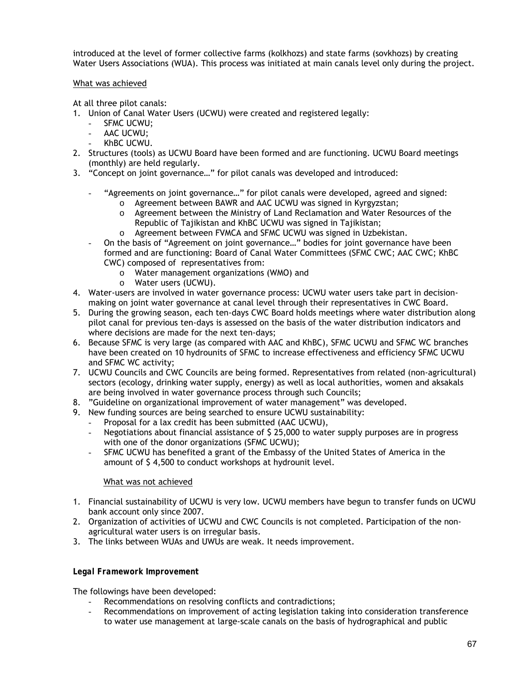introduced at the level of former collective farms (kolkhozs) and state farms (sovkhozs) by creating Water Users Associations (WUA). This process was initiated at main canals level only during the project.

## What was achieved

At all three pilot canals:

- 1. Union of Canal Water Users (UCWU) were created and registered legally:
	- SFMC UCWU:
	- AAC UCWU;
	- KhBC UCWU.
- 2. Structures (tools) as UCWU Board have been formed and are functioning. UCWU Board meetings (monthly) are held regularly.
- 3. "Concept on joint governance…" for pilot canals was developed and introduced:
	- "Agreements on joint governance..." for pilot canals were developed, agreed and signed:
		- o Agreement between BAWR and AAC UCWU was signed in Kyrgyzstan;
		- o Agreement between the Ministry of Land Reclamation and Water Resources of the Republic of Tajikistan and KhBC UCWU was signed in Tajikistan;
		- o Agreement between FVMCA and SFMC UCWU was signed in Uzbekistan.
	- On the basis of "Agreement on joint governance…" bodies for joint governance have been formed and are functioning: Board of Canal Water Committees (SFMC CWC; AAC CWC; KhBC CWC) composed of representatives from:
		- o Water management organizations (WMO) and
		- o Water users (UCWU).
- 4. Water-users are involved in water governance process: UCWU water users take part in decisionmaking on joint water governance at canal level through their representatives in CWC Board.
- 5. During the growing season, each ten-days CWC Board holds meetings where water distribution along pilot canal for previous ten-days is assessed on the basis of the water distribution indicators and where decisions are made for the next ten-days;
- 6. Because SFMC is very large (as compared with AAC and KhBC), SFMC UCWU and SFMC WC branches have been created on 10 hydrounits of SFMC to increase effectiveness and efficiency SFMC UCWU and SFMC WC activity;
- 7. UCWU Councils and CWC Councils are being formed. Representatives from related (non-agricultural) sectors (ecology, drinking water supply, energy) as well as local authorities, women and aksakals are being involved in water governance process through such Councils;
- 8. "Guideline on organizational improvement of water management" was developed.
- 9. New funding sources are being searched to ensure UCWU sustainability:
	- Proposal for a lax credit has been submitted (AAC UCWU),
	- Negotiations about financial assistance of \$ 25,000 to water supply purposes are in progress with one of the donor organizations (SFMC UCWU);
	- SFMC UCWU has benefited a grant of the Embassy of the United States of America in the amount of \$ 4,500 to conduct workshops at hydrounit level.

## What was not achieved

- 1. Financial sustainability of UCWU is very low. UCWU members have begun to transfer funds on UCWU bank account only since 2007.
- 2. Organization of activities of UCWU and CWC Councils is not completed. Participation of the nonagricultural water users is on irregular basis.
- 3. The links between WUAs and UWUs are weak. It needs improvement.

## *Legal Framework Improvement*

The followings have been developed:

- Recommendations on resolving conflicts and contradictions;
- Recommendations on improvement of acting legislation taking into consideration transference to water use management at large-scale canals on the basis of hydrographical and public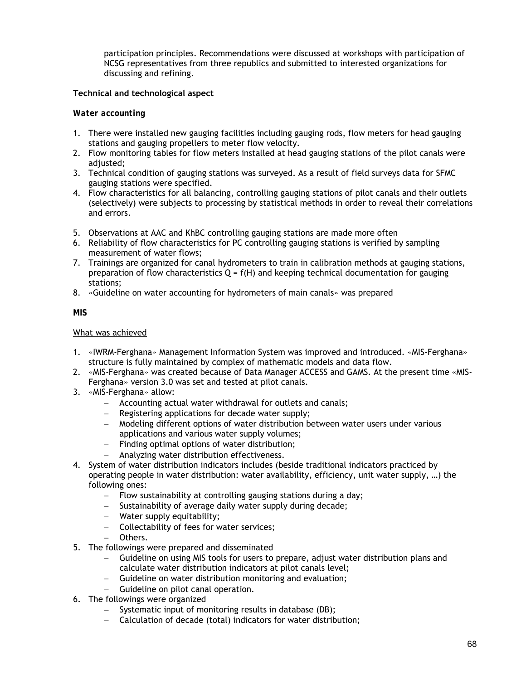participation principles. Recommendations were discussed at workshops with participation of NCSG representatives from three republics and submitted to interested organizations for discussing and refining.

# **Technical and technological aspect**

## *Water accounting*

- 1. There were installed new gauging facilities including gauging rods, flow meters for head gauging stations and gauging propellers to meter flow velocity.
- 2. Flow monitoring tables for flow meters installed at head gauging stations of the pilot canals were adjusted:
- 3. Technical condition of gauging stations was surveyed. As a result of field surveys data for SFMC gauging stations were specified.
- 4. Flow characteristics for all balancing, controlling gauging stations of pilot canals and their outlets (selectively) were subjects to processing by statistical methods in order to reveal their correlations and errors.
- 5. Observations at AAC and KhBC controlling gauging stations are made more often
- 6. Reliability of flow characteristics for PC controlling gauging stations is verified by sampling measurement of water flows;
- 7. Trainings are organized for canal hydrometers to train in calibration methods at gauging stations, preparation of flow characteristics  $Q = f(H)$  and keeping technical documentation for gauging stations;
- 8. «Guideline on water accounting for hydrometers of main canals» was prepared

### *MIS*

### What was achieved

- 1. «IWRM-Ferghana» Management Information System was improved and introduced. «MIS-Ferghana» structure is fully maintained by complex of mathematic models and data flow.
- 2. «MIS-Ferghana» was created because of Data Manager ACCESS and GAMS. At the present time «MIS-Ferghana» version 3.0 was set and tested at pilot canals.
- 3. «MIS-Ferghana» allow:
	- − Accounting actual water withdrawal for outlets and canals;
	- − Registering applications for decade water supply;
	- − Modeling different options of water distribution between water users under various applications and various water supply volumes;
	- − Finding optimal options of water distribution;
	- − Analyzing water distribution effectiveness.
- 4. System of water distribution indicators includes (beside traditional indicators practiced by operating people in water distribution: water availability, efficiency, unit water supply, …) the following ones:
	- − Flow sustainability at controlling gauging stations during a day;
	- − Sustainability of average daily water supply during decade;
	- − Water supply equitability;
	- − Collectability of fees for water services;
	- − Others.
- 5. The followings were prepared and disseminated
	- − Guideline on using MIS tools for users to prepare, adjust water distribution plans and calculate water distribution indicators at pilot canals level;
	- − Guideline on water distribution monitoring and evaluation;
	- − Guideline on pilot canal operation.
- 6. The followings were organized
	- − Systematic input of monitoring results in database (DB);
	- − Calculation of decade (total) indicators for water distribution;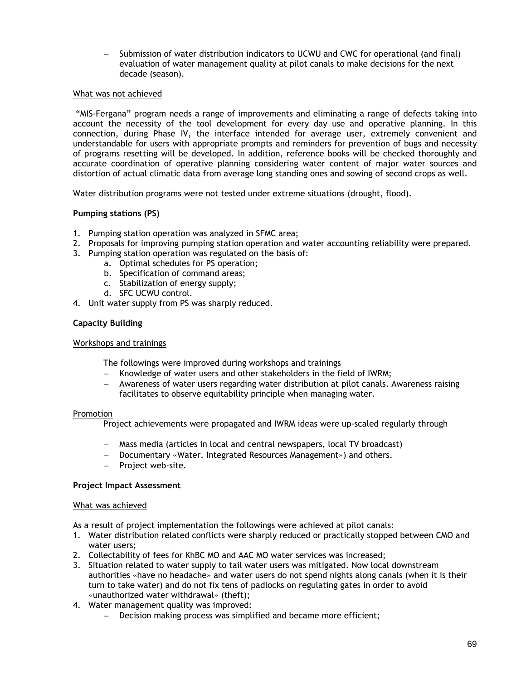− Submission of water distribution indicators to UCWU and CWC for operational (and final) evaluation of water management quality at pilot canals to make decisions for the next decade (season).

#### What was not achieved

 "MIS-Fergana" program needs a range of improvements and eliminating a range of defects taking into account the necessity of the tool development for every day use and operative planning. In this connection, during Phase IV, the interface intended for average user, extremely convenient and understandable for users with appropriate prompts and reminders for prevention of bugs and necessity of programs resetting will be developed. In addition, reference books will be checked thoroughly and accurate coordination of operative planning considering water content of major water sources and distortion of actual climatic data from average long standing ones and sowing of second crops as well.

Water distribution programs were not tested under extreme situations (drought, flood).

## **Pumping stations (PS)**

- 1. Pumping station operation was analyzed in SFMC area;
- 2. Proposals for improving pumping station operation and water accounting reliability were prepared.
- 3. Pumping station operation was regulated on the basis of:
	- a. Optimal schedules for PS operation;
		- b. Specification of command areas;
		- c. Stabilization of energy supply;
		- d. SFC UCWU control.
- 4. Unit water supply from PS was sharply reduced.

### **Capacity Building**

#### Workshops and trainings

The followings were improved during workshops and trainings

- − Knowledge of water users and other stakeholders in the field of IWRM;
- − Awareness of water users regarding water distribution at pilot canals. Awareness raising facilitates to observe equitability principle when managing water.

#### Promotion

Project achievements were propagated and IWRM ideas were up-scaled regularly through

- − Mass media (articles in local and central newspapers, local TV broadcast)
- − Documentary «Water. Integrated Resources Management») and others.
- Project web-site.

#### **Project Impact Assessment**

#### What was achieved

As a result of project implementation the followings were achieved at pilot canals:

- 1. Water distribution related conflicts were sharply reduced or practically stopped between CMO and water users;
- 2. Collectability of fees for KhBC MO and AAC MO water services was increased;
- 3. Situation related to water supply to tail water users was mitigated. Now local downstream authorities «have no headache» and water users do not spend nights along canals (when it is their turn to take water) and do not fix tens of padlocks on regulating gates in order to avoid «unauthorized water withdrawal» (theft);
- 4. Water management quality was improved:
	- Decision making process was simplified and became more efficient;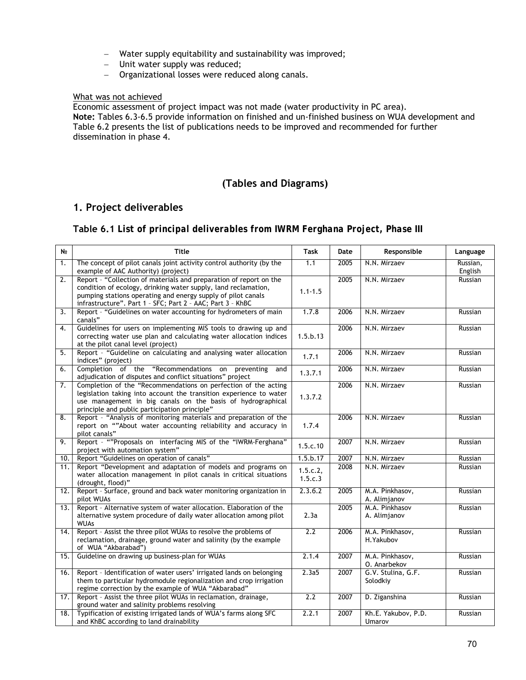- − Water supply equitability and sustainability was improved;
- − Unit water supply was reduced;
- − Organizational losses were reduced along canals.

## What was not achieved

Economic assessment of project impact was not made (water productivity in PC area). **Note:** Tables 6.3-6.5 provide information on finished and un-finished business on WUA development and Table 6.2 presents the list of publications needs to be improved and recommended for further

dissemination in phase 4.

# **(Tables and Diagrams)**

# **1. Project deliverables**

# **Table 6.1** *List of principal deliverables from IWRM Ferghana Project, Phase III*

| N <sub>2</sub>   | <b>Title</b>                                                                                                                                                                                                                                                       | <b>Task</b>         | Date | Responsible                     | Language            |
|------------------|--------------------------------------------------------------------------------------------------------------------------------------------------------------------------------------------------------------------------------------------------------------------|---------------------|------|---------------------------------|---------------------|
| 1.               | The concept of pilot canals joint activity control authority (by the<br>example of AAC Authority) (project)                                                                                                                                                        |                     | 2005 | N.N. Mirzaev                    | Russian,<br>English |
| 2.               | Report - "Collection of materials and preparation of report on the<br>condition of ecology, drinking water supply, land reclamation,<br>pumping stations operating and energy supply of pilot canals<br>infrastructure". Part 1 - SFC; Part 2 - AAC; Part 3 - KhBC | $1.1 - 1.5$         | 2005 | N.N. Mirzaev                    | Russian             |
| $\overline{3}$ . | Report - "Guidelines on water accounting for hydrometers of main<br>canals"                                                                                                                                                                                        | 1.7.8               | 2006 | N.N. Mirzaev                    | Russian             |
| 4.               | Guidelines for users on implementing MIS tools to drawing up and<br>correcting water use plan and calculating water allocation indices<br>at the pilot canal level (project)                                                                                       | 1.5.b.13            | 2006 | N.N. Mirzaev                    | Russian             |
| 5.               | Report - "Guideline on calculating and analysing water allocation<br>indices" (project)                                                                                                                                                                            | 1.7.1               | 2006 | N.N. Mirzaev                    | Russian             |
| 6.               | Completion of the "Recommendations on preventing<br>and<br>adjudication of disputes and conflict situations" project                                                                                                                                               | 1.3.7.1             | 2006 | N.N. Mirzaev                    | Russian             |
| 7.               | Completion of the "Recommendations on perfection of the acting<br>legislation taking into account the transition experience to water<br>use management in big canals on the basis of hydrographical<br>principle and public participation principle"               | 1.3.7.2             | 2006 | N.N. Mirzaev                    | Russian             |
| 8.               | Report - "Analysis of monitoring materials and preparation of the<br>report on ""About water accounting reliability and accuracy in<br>pilot canals"                                                                                                               | 1.7.4               | 2006 | N.N. Mirzaev                    | Russian             |
| 9.               | Report - ""Proposals on interfacing MIS of the "IWRM-Ferghana"<br>project with automation system"                                                                                                                                                                  | 1.5.c.10            | 2007 | N.N. Mirzaev                    | Russian             |
| 10.              | Report "Guidelines on operation of canals"                                                                                                                                                                                                                         | 1.5.b.17            | 2007 | N.N. Mirzaev                    | Russian             |
| 11.              | Report "Development and adaptation of models and programs on<br>water allocation management in pilot canals in critical situations<br>(drought, flood)"                                                                                                            | 1.5.c.2,<br>1.5.c.3 | 2008 | N.N. Mirzaev                    | Russian             |
| 12.              | Report - Surface, ground and back water monitoring organization in<br>pilot WUAs                                                                                                                                                                                   | 2.3.6.2             | 2005 | M.A. Pinkhasov,<br>A. Alimjanov | Russian             |
| 13.              | Report - Alternative system of water allocation. Elaboration of the<br>alternative system procedure of daily water allocation among pilot<br><b>WUAs</b>                                                                                                           | 2.3a                | 2005 | M.A. Pinkhasov<br>A. Alimjanov  | Russian             |
| 14.              | Report - Assist the three pilot WUAs to resolve the problems of<br>reclamation, drainage, ground water and salinity (by the example<br>of WUA "Akbarabad")                                                                                                         | $\overline{2.2}$    | 2006 | M.A. Pinkhasov,<br>H. Yakubov   | Russian             |
| 15.              | Guideline on drawing up business-plan for WUAs                                                                                                                                                                                                                     | 2.1.4               | 2007 | M.A. Pinkhasov,<br>O. Anarbekov | Russian             |
| 16.              | Report - Identification of water users' irrigated lands on belonging<br>them to particular hydromodule regionalization and crop irrigation<br>regime correction by the example of WUA "Akbarabad"                                                                  | 2.3a5               | 2007 | G.V. Stulina, G.F.<br>Solodkiy  | Russian             |
| 17.              | Report - Assist the three pilot WUAs in reclamation, drainage,<br>ground water and salinity problems resolving                                                                                                                                                     | 2.2                 | 2007 | D. Ziganshina                   | Russian             |
| 18.              | Typification of existing irrigated lands of WUA's farms along SFC<br>and KhBC according to land drainability                                                                                                                                                       | 2.2.1               | 2007 | Kh.E. Yakubov, P.D.<br>Umarov   | Russian             |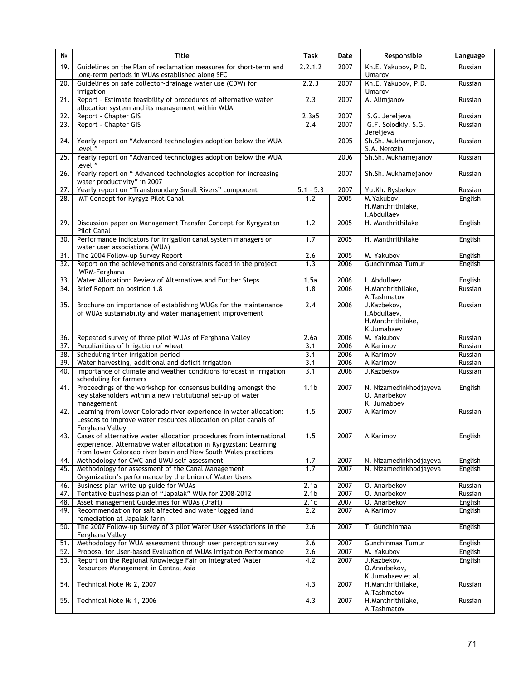| Kh.E. Yakubov, P.D.<br>19.<br>Guidelines on the Plan of reclamation measures for short-term and<br>2.2.1.2<br>2007<br>Russian<br>long-term periods in WUAs established along SFC<br>Umarov<br>2.2.3<br>Guidelines on safe collector-drainage water use (CDW) for<br>2007<br>Kh.E. Yakubov, P.D.<br>20.<br>Russian<br>irrigation<br>Umarov<br>Report - Estimate feasibility of procedures of alternative water<br>2.3<br>A. Alimjanov<br>2007<br>21.<br>Russian<br>allocation system and its management within WUA<br>2007<br>Report - Chapter GIS<br>2.3a5<br>S.G. Jereljeva<br>22.<br>Russian<br>Report - Chapter GIS<br>2007<br>G.F. Solodkiy, S.G.<br>2.4<br>23.<br>Russian<br>Jereljeva<br>Sh.Sh. Mukhamejanov,<br>Yearly report on "Advanced technologies adoption below the WUA<br>2005<br>Russian<br>24.<br>S.A. Nerozin<br>level"<br>Yearly report on "Advanced technologies adoption below the WUA<br>$\overline{25}$ .<br>2006<br>Sh.Sh. Mukhamejanov<br>Russian<br>level"<br>Yearly report on " Advanced technologies adoption for increasing<br>Sh.Sh. Mukhamejanov<br>$\overline{26}$<br>2007<br>Russian<br>water productivity" in 2007<br>Yearly report on "Transboundary Small Rivers" component<br>2007<br>$\overline{27}$<br>$5.1 - 5.3$<br>Yu.Kh. Rysbekov<br>Russian<br>IMT Concept for Kyrgyz Pilot Canal<br>2005<br>M. Yakubov,<br>28.<br>1.2<br>English<br>H.Manthrithilake,<br>I.Abdullaev<br>H. Manthrithilake<br>Discussion paper on Management Transfer Concept for Kyrgyzstan<br>1.2<br>2005<br>English<br>29.<br><b>Pilot Canal</b><br>H. Manthrithilake<br>English<br>Performance indicators for irrigation canal system managers or<br>1.7<br>30.<br>2005<br>water user associations (WUA)<br>M. Yakubov<br>31.<br>The 2004 Follow-up Survey Report<br>2.6<br>2005<br>English<br>Report on the achievements and constraints faced in the project<br>Gunchinmaa Tumur<br>English<br>32.<br>1.3<br>2006<br>IWRM-Ferghana<br>Water Allocation: Review of Alternatives and Further Steps<br>I. Abdullaev<br>English<br>33.<br>1.5a<br>2006<br>H.Manthrithilake,<br>Brief Report on position 1.8<br>1.8<br>2006<br>34.<br>Russian<br>A.Tashmatov<br>Brochure on importance of establishing WUGs for the maintenance<br>2.4<br>2006<br>J.Kazbekov,<br>Russian<br>35.<br>I.Abdullaev,<br>of WUAs sustainability and water management improvement<br>H.Manthrithilake,<br>K.Jumabaev<br>M. Yakubov<br>Repeated survey of three pilot WUAs of Ferghana Valley<br>2.6a<br>2006<br>36.<br>Russian<br>Peculiarities of Irrigation of wheat<br>3.1<br>2006<br>A.Karimov<br>37.<br>Russian<br>3.1<br>2006<br>38.<br>Scheduling inter-irrigation period<br>A.Karimov<br>Russian<br>Water harvesting, additional and deficit irrigation<br>39.<br>3.1<br>2006<br>A.Karimov<br>Russian<br>Importance of climate and weather conditions forecast in irrigation<br>3.1<br>2006<br>40.<br>J.Kazbekov<br>Russian<br>scheduling for farmers<br>Proceedings of the workshop for consensus building amongst the<br>1.1 <sub>b</sub><br>2007<br>N. Nizamedinkhodjayeva<br>English<br>41.<br>key stakeholders within a new institutional set-up of water<br>O. Anarbekov<br>K. Jumaboev<br>management<br>Learning from lower Colorado river experience in water allocation:<br>1.5<br>2007<br>A.Karimov<br>42.<br>Russian<br>Lessons to improve water resources allocation on pilot canals of<br>Ferghana Valley<br>Cases of alternative water allocation procedures from international<br>1.5<br>2007<br>43.<br>A.Karimov<br>English<br>experience. Alternative water allocation in Kyrgyzstan: Learning<br>from lower Colorado river basin and New South Wales practices<br>1.7<br>2007<br>Methodology for CWC and UWU self-assessment<br>N. Nizamedinkhodjayeva<br>English<br>44.<br>1.7<br>2007<br>45.<br>Methodology for assessment of the Canal Management<br>N. Nizamedinkhodjayeva<br>English<br>Organization's performance by the Union of Water Users<br>2.1a<br>2007<br>Business plan write-up guide for WUAs<br>O. Anarbekov<br>Russian<br>46.<br>Tentative business plan of "Japalak" WUA for 2008-2012<br>2.1 <sub>b</sub><br>2007<br>O. Anarbekov<br>47.<br>Russian<br>Asset management Guidelines for WUAs (Draft)<br>O. Anarbekov<br>2.1c<br>2007<br>English<br>48.<br>Recommendation for salt affected and water logged land<br>49.<br>2.2<br>2007<br>A.Karimov<br>English<br>remediation at Japalak farm<br>The 2007 Follow-up Survey of 3 pilot Water User Associations in the<br>2.6<br>2007<br>T. Gunchinmaa<br>English<br>50.<br>Ferghana Valley<br>Methodology for WUA assessment through user perception survey<br>2.6<br>English<br>51.<br>2007<br>Gunchinmaa Tumur<br>Proposal for User-based Evaluation of WUAs Irrigation Performance<br>2007<br>M. Yakubov<br>52.<br>2.6<br>English<br>4.2<br>Report on the Regional Knowledge Fair on Integrated Water<br>2007<br>J.Kazbekov,<br>53.<br>English<br>O.Anarbekov,<br>Resources Management in Central Asia<br>K.Jumabaev et al.<br>Technical Note Nº 2, 2007<br>2007<br>H.Manthrithilake,<br>54.<br>4.3<br>Russian<br>A.Tashmatov<br>Technical Note No 1, 2006<br>4.3<br>2007<br>H.Manthrithilake,<br>55.<br>Russian | N <sub>2</sub> | <b>Title</b> | <b>Task</b> | Date | Responsible | Language |
|------------------------------------------------------------------------------------------------------------------------------------------------------------------------------------------------------------------------------------------------------------------------------------------------------------------------------------------------------------------------------------------------------------------------------------------------------------------------------------------------------------------------------------------------------------------------------------------------------------------------------------------------------------------------------------------------------------------------------------------------------------------------------------------------------------------------------------------------------------------------------------------------------------------------------------------------------------------------------------------------------------------------------------------------------------------------------------------------------------------------------------------------------------------------------------------------------------------------------------------------------------------------------------------------------------------------------------------------------------------------------------------------------------------------------------------------------------------------------------------------------------------------------------------------------------------------------------------------------------------------------------------------------------------------------------------------------------------------------------------------------------------------------------------------------------------------------------------------------------------------------------------------------------------------------------------------------------------------------------------------------------------------------------------------------------------------------------------------------------------------------------------------------------------------------------------------------------------------------------------------------------------------------------------------------------------------------------------------------------------------------------------------------------------------------------------------------------------------------------------------------------------------------------------------------------------------------------------------------------------------------------------------------------------------------------------------------------------------------------------------------------------------------------------------------------------------------------------------------------------------------------------------------------------------------------------------------------------------------------------------------------------------------------------------------------------------------------------------------------------------------------------------------------------------------------------------------------------------------------------------------------------------------------------------------------------------------------------------------------------------------------------------------------------------------------------------------------------------------------------------------------------------------------------------------------------------------------------------------------------------------------------------------------------------------------------------------------------------------------------------------------------------------------------------------------------------------------------------------------------------------------------------------------------------------------------------------------------------------------------------------------------------------------------------------------------------------------------------------------------------------------------------------------------------------------------------------------------------------------------------------------------------------------------------------------------------------------------------------------------------------------------------------------------------------------------------------------------------------------------------------------------------------------------------------------------------------------------------------------------------------------------------------------------------------------------------------------------------------------------------------------------------------------------------------------------------------------------------------------------------------------------------------------------------------------------------------------------------------------------------------------------------------------------------------------------------------------------------------------------------------------------------------------------------------------------------------|----------------|--------------|-------------|------|-------------|----------|
|                                                                                                                                                                                                                                                                                                                                                                                                                                                                                                                                                                                                                                                                                                                                                                                                                                                                                                                                                                                                                                                                                                                                                                                                                                                                                                                                                                                                                                                                                                                                                                                                                                                                                                                                                                                                                                                                                                                                                                                                                                                                                                                                                                                                                                                                                                                                                                                                                                                                                                                                                                                                                                                                                                                                                                                                                                                                                                                                                                                                                                                                                                                                                                                                                                                                                                                                                                                                                                                                                                                                                                                                                                                                                                                                                                                                                                                                                                                                                                                                                                                                                                                                                                                                                                                                                                                                                                                                                                                                                                                                                                                                                                                                                                                                                                                                                                                                                                                                                                                                                                                                                                                                                                                                      |                |              |             |      |             |          |
|                                                                                                                                                                                                                                                                                                                                                                                                                                                                                                                                                                                                                                                                                                                                                                                                                                                                                                                                                                                                                                                                                                                                                                                                                                                                                                                                                                                                                                                                                                                                                                                                                                                                                                                                                                                                                                                                                                                                                                                                                                                                                                                                                                                                                                                                                                                                                                                                                                                                                                                                                                                                                                                                                                                                                                                                                                                                                                                                                                                                                                                                                                                                                                                                                                                                                                                                                                                                                                                                                                                                                                                                                                                                                                                                                                                                                                                                                                                                                                                                                                                                                                                                                                                                                                                                                                                                                                                                                                                                                                                                                                                                                                                                                                                                                                                                                                                                                                                                                                                                                                                                                                                                                                                                      |                |              |             |      |             |          |
|                                                                                                                                                                                                                                                                                                                                                                                                                                                                                                                                                                                                                                                                                                                                                                                                                                                                                                                                                                                                                                                                                                                                                                                                                                                                                                                                                                                                                                                                                                                                                                                                                                                                                                                                                                                                                                                                                                                                                                                                                                                                                                                                                                                                                                                                                                                                                                                                                                                                                                                                                                                                                                                                                                                                                                                                                                                                                                                                                                                                                                                                                                                                                                                                                                                                                                                                                                                                                                                                                                                                                                                                                                                                                                                                                                                                                                                                                                                                                                                                                                                                                                                                                                                                                                                                                                                                                                                                                                                                                                                                                                                                                                                                                                                                                                                                                                                                                                                                                                                                                                                                                                                                                                                                      |                |              |             |      |             |          |
|                                                                                                                                                                                                                                                                                                                                                                                                                                                                                                                                                                                                                                                                                                                                                                                                                                                                                                                                                                                                                                                                                                                                                                                                                                                                                                                                                                                                                                                                                                                                                                                                                                                                                                                                                                                                                                                                                                                                                                                                                                                                                                                                                                                                                                                                                                                                                                                                                                                                                                                                                                                                                                                                                                                                                                                                                                                                                                                                                                                                                                                                                                                                                                                                                                                                                                                                                                                                                                                                                                                                                                                                                                                                                                                                                                                                                                                                                                                                                                                                                                                                                                                                                                                                                                                                                                                                                                                                                                                                                                                                                                                                                                                                                                                                                                                                                                                                                                                                                                                                                                                                                                                                                                                                      |                |              |             |      |             |          |
|                                                                                                                                                                                                                                                                                                                                                                                                                                                                                                                                                                                                                                                                                                                                                                                                                                                                                                                                                                                                                                                                                                                                                                                                                                                                                                                                                                                                                                                                                                                                                                                                                                                                                                                                                                                                                                                                                                                                                                                                                                                                                                                                                                                                                                                                                                                                                                                                                                                                                                                                                                                                                                                                                                                                                                                                                                                                                                                                                                                                                                                                                                                                                                                                                                                                                                                                                                                                                                                                                                                                                                                                                                                                                                                                                                                                                                                                                                                                                                                                                                                                                                                                                                                                                                                                                                                                                                                                                                                                                                                                                                                                                                                                                                                                                                                                                                                                                                                                                                                                                                                                                                                                                                                                      |                |              |             |      |             |          |
|                                                                                                                                                                                                                                                                                                                                                                                                                                                                                                                                                                                                                                                                                                                                                                                                                                                                                                                                                                                                                                                                                                                                                                                                                                                                                                                                                                                                                                                                                                                                                                                                                                                                                                                                                                                                                                                                                                                                                                                                                                                                                                                                                                                                                                                                                                                                                                                                                                                                                                                                                                                                                                                                                                                                                                                                                                                                                                                                                                                                                                                                                                                                                                                                                                                                                                                                                                                                                                                                                                                                                                                                                                                                                                                                                                                                                                                                                                                                                                                                                                                                                                                                                                                                                                                                                                                                                                                                                                                                                                                                                                                                                                                                                                                                                                                                                                                                                                                                                                                                                                                                                                                                                                                                      |                |              |             |      |             |          |
|                                                                                                                                                                                                                                                                                                                                                                                                                                                                                                                                                                                                                                                                                                                                                                                                                                                                                                                                                                                                                                                                                                                                                                                                                                                                                                                                                                                                                                                                                                                                                                                                                                                                                                                                                                                                                                                                                                                                                                                                                                                                                                                                                                                                                                                                                                                                                                                                                                                                                                                                                                                                                                                                                                                                                                                                                                                                                                                                                                                                                                                                                                                                                                                                                                                                                                                                                                                                                                                                                                                                                                                                                                                                                                                                                                                                                                                                                                                                                                                                                                                                                                                                                                                                                                                                                                                                                                                                                                                                                                                                                                                                                                                                                                                                                                                                                                                                                                                                                                                                                                                                                                                                                                                                      |                |              |             |      |             |          |
|                                                                                                                                                                                                                                                                                                                                                                                                                                                                                                                                                                                                                                                                                                                                                                                                                                                                                                                                                                                                                                                                                                                                                                                                                                                                                                                                                                                                                                                                                                                                                                                                                                                                                                                                                                                                                                                                                                                                                                                                                                                                                                                                                                                                                                                                                                                                                                                                                                                                                                                                                                                                                                                                                                                                                                                                                                                                                                                                                                                                                                                                                                                                                                                                                                                                                                                                                                                                                                                                                                                                                                                                                                                                                                                                                                                                                                                                                                                                                                                                                                                                                                                                                                                                                                                                                                                                                                                                                                                                                                                                                                                                                                                                                                                                                                                                                                                                                                                                                                                                                                                                                                                                                                                                      |                |              |             |      |             |          |
|                                                                                                                                                                                                                                                                                                                                                                                                                                                                                                                                                                                                                                                                                                                                                                                                                                                                                                                                                                                                                                                                                                                                                                                                                                                                                                                                                                                                                                                                                                                                                                                                                                                                                                                                                                                                                                                                                                                                                                                                                                                                                                                                                                                                                                                                                                                                                                                                                                                                                                                                                                                                                                                                                                                                                                                                                                                                                                                                                                                                                                                                                                                                                                                                                                                                                                                                                                                                                                                                                                                                                                                                                                                                                                                                                                                                                                                                                                                                                                                                                                                                                                                                                                                                                                                                                                                                                                                                                                                                                                                                                                                                                                                                                                                                                                                                                                                                                                                                                                                                                                                                                                                                                                                                      |                |              |             |      |             |          |
|                                                                                                                                                                                                                                                                                                                                                                                                                                                                                                                                                                                                                                                                                                                                                                                                                                                                                                                                                                                                                                                                                                                                                                                                                                                                                                                                                                                                                                                                                                                                                                                                                                                                                                                                                                                                                                                                                                                                                                                                                                                                                                                                                                                                                                                                                                                                                                                                                                                                                                                                                                                                                                                                                                                                                                                                                                                                                                                                                                                                                                                                                                                                                                                                                                                                                                                                                                                                                                                                                                                                                                                                                                                                                                                                                                                                                                                                                                                                                                                                                                                                                                                                                                                                                                                                                                                                                                                                                                                                                                                                                                                                                                                                                                                                                                                                                                                                                                                                                                                                                                                                                                                                                                                                      |                |              |             |      |             |          |
|                                                                                                                                                                                                                                                                                                                                                                                                                                                                                                                                                                                                                                                                                                                                                                                                                                                                                                                                                                                                                                                                                                                                                                                                                                                                                                                                                                                                                                                                                                                                                                                                                                                                                                                                                                                                                                                                                                                                                                                                                                                                                                                                                                                                                                                                                                                                                                                                                                                                                                                                                                                                                                                                                                                                                                                                                                                                                                                                                                                                                                                                                                                                                                                                                                                                                                                                                                                                                                                                                                                                                                                                                                                                                                                                                                                                                                                                                                                                                                                                                                                                                                                                                                                                                                                                                                                                                                                                                                                                                                                                                                                                                                                                                                                                                                                                                                                                                                                                                                                                                                                                                                                                                                                                      |                |              |             |      |             |          |
|                                                                                                                                                                                                                                                                                                                                                                                                                                                                                                                                                                                                                                                                                                                                                                                                                                                                                                                                                                                                                                                                                                                                                                                                                                                                                                                                                                                                                                                                                                                                                                                                                                                                                                                                                                                                                                                                                                                                                                                                                                                                                                                                                                                                                                                                                                                                                                                                                                                                                                                                                                                                                                                                                                                                                                                                                                                                                                                                                                                                                                                                                                                                                                                                                                                                                                                                                                                                                                                                                                                                                                                                                                                                                                                                                                                                                                                                                                                                                                                                                                                                                                                                                                                                                                                                                                                                                                                                                                                                                                                                                                                                                                                                                                                                                                                                                                                                                                                                                                                                                                                                                                                                                                                                      |                |              |             |      |             |          |
|                                                                                                                                                                                                                                                                                                                                                                                                                                                                                                                                                                                                                                                                                                                                                                                                                                                                                                                                                                                                                                                                                                                                                                                                                                                                                                                                                                                                                                                                                                                                                                                                                                                                                                                                                                                                                                                                                                                                                                                                                                                                                                                                                                                                                                                                                                                                                                                                                                                                                                                                                                                                                                                                                                                                                                                                                                                                                                                                                                                                                                                                                                                                                                                                                                                                                                                                                                                                                                                                                                                                                                                                                                                                                                                                                                                                                                                                                                                                                                                                                                                                                                                                                                                                                                                                                                                                                                                                                                                                                                                                                                                                                                                                                                                                                                                                                                                                                                                                                                                                                                                                                                                                                                                                      |                |              |             |      |             |          |
|                                                                                                                                                                                                                                                                                                                                                                                                                                                                                                                                                                                                                                                                                                                                                                                                                                                                                                                                                                                                                                                                                                                                                                                                                                                                                                                                                                                                                                                                                                                                                                                                                                                                                                                                                                                                                                                                                                                                                                                                                                                                                                                                                                                                                                                                                                                                                                                                                                                                                                                                                                                                                                                                                                                                                                                                                                                                                                                                                                                                                                                                                                                                                                                                                                                                                                                                                                                                                                                                                                                                                                                                                                                                                                                                                                                                                                                                                                                                                                                                                                                                                                                                                                                                                                                                                                                                                                                                                                                                                                                                                                                                                                                                                                                                                                                                                                                                                                                                                                                                                                                                                                                                                                                                      |                |              |             |      |             |          |
|                                                                                                                                                                                                                                                                                                                                                                                                                                                                                                                                                                                                                                                                                                                                                                                                                                                                                                                                                                                                                                                                                                                                                                                                                                                                                                                                                                                                                                                                                                                                                                                                                                                                                                                                                                                                                                                                                                                                                                                                                                                                                                                                                                                                                                                                                                                                                                                                                                                                                                                                                                                                                                                                                                                                                                                                                                                                                                                                                                                                                                                                                                                                                                                                                                                                                                                                                                                                                                                                                                                                                                                                                                                                                                                                                                                                                                                                                                                                                                                                                                                                                                                                                                                                                                                                                                                                                                                                                                                                                                                                                                                                                                                                                                                                                                                                                                                                                                                                                                                                                                                                                                                                                                                                      |                |              |             |      |             |          |
|                                                                                                                                                                                                                                                                                                                                                                                                                                                                                                                                                                                                                                                                                                                                                                                                                                                                                                                                                                                                                                                                                                                                                                                                                                                                                                                                                                                                                                                                                                                                                                                                                                                                                                                                                                                                                                                                                                                                                                                                                                                                                                                                                                                                                                                                                                                                                                                                                                                                                                                                                                                                                                                                                                                                                                                                                                                                                                                                                                                                                                                                                                                                                                                                                                                                                                                                                                                                                                                                                                                                                                                                                                                                                                                                                                                                                                                                                                                                                                                                                                                                                                                                                                                                                                                                                                                                                                                                                                                                                                                                                                                                                                                                                                                                                                                                                                                                                                                                                                                                                                                                                                                                                                                                      |                |              |             |      |             |          |
|                                                                                                                                                                                                                                                                                                                                                                                                                                                                                                                                                                                                                                                                                                                                                                                                                                                                                                                                                                                                                                                                                                                                                                                                                                                                                                                                                                                                                                                                                                                                                                                                                                                                                                                                                                                                                                                                                                                                                                                                                                                                                                                                                                                                                                                                                                                                                                                                                                                                                                                                                                                                                                                                                                                                                                                                                                                                                                                                                                                                                                                                                                                                                                                                                                                                                                                                                                                                                                                                                                                                                                                                                                                                                                                                                                                                                                                                                                                                                                                                                                                                                                                                                                                                                                                                                                                                                                                                                                                                                                                                                                                                                                                                                                                                                                                                                                                                                                                                                                                                                                                                                                                                                                                                      |                |              |             |      |             |          |
|                                                                                                                                                                                                                                                                                                                                                                                                                                                                                                                                                                                                                                                                                                                                                                                                                                                                                                                                                                                                                                                                                                                                                                                                                                                                                                                                                                                                                                                                                                                                                                                                                                                                                                                                                                                                                                                                                                                                                                                                                                                                                                                                                                                                                                                                                                                                                                                                                                                                                                                                                                                                                                                                                                                                                                                                                                                                                                                                                                                                                                                                                                                                                                                                                                                                                                                                                                                                                                                                                                                                                                                                                                                                                                                                                                                                                                                                                                                                                                                                                                                                                                                                                                                                                                                                                                                                                                                                                                                                                                                                                                                                                                                                                                                                                                                                                                                                                                                                                                                                                                                                                                                                                                                                      |                |              |             |      |             |          |
|                                                                                                                                                                                                                                                                                                                                                                                                                                                                                                                                                                                                                                                                                                                                                                                                                                                                                                                                                                                                                                                                                                                                                                                                                                                                                                                                                                                                                                                                                                                                                                                                                                                                                                                                                                                                                                                                                                                                                                                                                                                                                                                                                                                                                                                                                                                                                                                                                                                                                                                                                                                                                                                                                                                                                                                                                                                                                                                                                                                                                                                                                                                                                                                                                                                                                                                                                                                                                                                                                                                                                                                                                                                                                                                                                                                                                                                                                                                                                                                                                                                                                                                                                                                                                                                                                                                                                                                                                                                                                                                                                                                                                                                                                                                                                                                                                                                                                                                                                                                                                                                                                                                                                                                                      |                |              |             |      |             |          |
|                                                                                                                                                                                                                                                                                                                                                                                                                                                                                                                                                                                                                                                                                                                                                                                                                                                                                                                                                                                                                                                                                                                                                                                                                                                                                                                                                                                                                                                                                                                                                                                                                                                                                                                                                                                                                                                                                                                                                                                                                                                                                                                                                                                                                                                                                                                                                                                                                                                                                                                                                                                                                                                                                                                                                                                                                                                                                                                                                                                                                                                                                                                                                                                                                                                                                                                                                                                                                                                                                                                                                                                                                                                                                                                                                                                                                                                                                                                                                                                                                                                                                                                                                                                                                                                                                                                                                                                                                                                                                                                                                                                                                                                                                                                                                                                                                                                                                                                                                                                                                                                                                                                                                                                                      |                |              |             |      |             |          |
|                                                                                                                                                                                                                                                                                                                                                                                                                                                                                                                                                                                                                                                                                                                                                                                                                                                                                                                                                                                                                                                                                                                                                                                                                                                                                                                                                                                                                                                                                                                                                                                                                                                                                                                                                                                                                                                                                                                                                                                                                                                                                                                                                                                                                                                                                                                                                                                                                                                                                                                                                                                                                                                                                                                                                                                                                                                                                                                                                                                                                                                                                                                                                                                                                                                                                                                                                                                                                                                                                                                                                                                                                                                                                                                                                                                                                                                                                                                                                                                                                                                                                                                                                                                                                                                                                                                                                                                                                                                                                                                                                                                                                                                                                                                                                                                                                                                                                                                                                                                                                                                                                                                                                                                                      |                |              |             |      |             |          |
|                                                                                                                                                                                                                                                                                                                                                                                                                                                                                                                                                                                                                                                                                                                                                                                                                                                                                                                                                                                                                                                                                                                                                                                                                                                                                                                                                                                                                                                                                                                                                                                                                                                                                                                                                                                                                                                                                                                                                                                                                                                                                                                                                                                                                                                                                                                                                                                                                                                                                                                                                                                                                                                                                                                                                                                                                                                                                                                                                                                                                                                                                                                                                                                                                                                                                                                                                                                                                                                                                                                                                                                                                                                                                                                                                                                                                                                                                                                                                                                                                                                                                                                                                                                                                                                                                                                                                                                                                                                                                                                                                                                                                                                                                                                                                                                                                                                                                                                                                                                                                                                                                                                                                                                                      |                |              |             |      |             |          |
|                                                                                                                                                                                                                                                                                                                                                                                                                                                                                                                                                                                                                                                                                                                                                                                                                                                                                                                                                                                                                                                                                                                                                                                                                                                                                                                                                                                                                                                                                                                                                                                                                                                                                                                                                                                                                                                                                                                                                                                                                                                                                                                                                                                                                                                                                                                                                                                                                                                                                                                                                                                                                                                                                                                                                                                                                                                                                                                                                                                                                                                                                                                                                                                                                                                                                                                                                                                                                                                                                                                                                                                                                                                                                                                                                                                                                                                                                                                                                                                                                                                                                                                                                                                                                                                                                                                                                                                                                                                                                                                                                                                                                                                                                                                                                                                                                                                                                                                                                                                                                                                                                                                                                                                                      |                |              |             |      |             |          |
|                                                                                                                                                                                                                                                                                                                                                                                                                                                                                                                                                                                                                                                                                                                                                                                                                                                                                                                                                                                                                                                                                                                                                                                                                                                                                                                                                                                                                                                                                                                                                                                                                                                                                                                                                                                                                                                                                                                                                                                                                                                                                                                                                                                                                                                                                                                                                                                                                                                                                                                                                                                                                                                                                                                                                                                                                                                                                                                                                                                                                                                                                                                                                                                                                                                                                                                                                                                                                                                                                                                                                                                                                                                                                                                                                                                                                                                                                                                                                                                                                                                                                                                                                                                                                                                                                                                                                                                                                                                                                                                                                                                                                                                                                                                                                                                                                                                                                                                                                                                                                                                                                                                                                                                                      |                |              |             |      |             |          |
|                                                                                                                                                                                                                                                                                                                                                                                                                                                                                                                                                                                                                                                                                                                                                                                                                                                                                                                                                                                                                                                                                                                                                                                                                                                                                                                                                                                                                                                                                                                                                                                                                                                                                                                                                                                                                                                                                                                                                                                                                                                                                                                                                                                                                                                                                                                                                                                                                                                                                                                                                                                                                                                                                                                                                                                                                                                                                                                                                                                                                                                                                                                                                                                                                                                                                                                                                                                                                                                                                                                                                                                                                                                                                                                                                                                                                                                                                                                                                                                                                                                                                                                                                                                                                                                                                                                                                                                                                                                                                                                                                                                                                                                                                                                                                                                                                                                                                                                                                                                                                                                                                                                                                                                                      |                |              |             |      |             |          |
|                                                                                                                                                                                                                                                                                                                                                                                                                                                                                                                                                                                                                                                                                                                                                                                                                                                                                                                                                                                                                                                                                                                                                                                                                                                                                                                                                                                                                                                                                                                                                                                                                                                                                                                                                                                                                                                                                                                                                                                                                                                                                                                                                                                                                                                                                                                                                                                                                                                                                                                                                                                                                                                                                                                                                                                                                                                                                                                                                                                                                                                                                                                                                                                                                                                                                                                                                                                                                                                                                                                                                                                                                                                                                                                                                                                                                                                                                                                                                                                                                                                                                                                                                                                                                                                                                                                                                                                                                                                                                                                                                                                                                                                                                                                                                                                                                                                                                                                                                                                                                                                                                                                                                                                                      |                |              |             |      |             |          |
|                                                                                                                                                                                                                                                                                                                                                                                                                                                                                                                                                                                                                                                                                                                                                                                                                                                                                                                                                                                                                                                                                                                                                                                                                                                                                                                                                                                                                                                                                                                                                                                                                                                                                                                                                                                                                                                                                                                                                                                                                                                                                                                                                                                                                                                                                                                                                                                                                                                                                                                                                                                                                                                                                                                                                                                                                                                                                                                                                                                                                                                                                                                                                                                                                                                                                                                                                                                                                                                                                                                                                                                                                                                                                                                                                                                                                                                                                                                                                                                                                                                                                                                                                                                                                                                                                                                                                                                                                                                                                                                                                                                                                                                                                                                                                                                                                                                                                                                                                                                                                                                                                                                                                                                                      |                |              |             |      |             |          |
|                                                                                                                                                                                                                                                                                                                                                                                                                                                                                                                                                                                                                                                                                                                                                                                                                                                                                                                                                                                                                                                                                                                                                                                                                                                                                                                                                                                                                                                                                                                                                                                                                                                                                                                                                                                                                                                                                                                                                                                                                                                                                                                                                                                                                                                                                                                                                                                                                                                                                                                                                                                                                                                                                                                                                                                                                                                                                                                                                                                                                                                                                                                                                                                                                                                                                                                                                                                                                                                                                                                                                                                                                                                                                                                                                                                                                                                                                                                                                                                                                                                                                                                                                                                                                                                                                                                                                                                                                                                                                                                                                                                                                                                                                                                                                                                                                                                                                                                                                                                                                                                                                                                                                                                                      |                |              |             |      |             |          |
|                                                                                                                                                                                                                                                                                                                                                                                                                                                                                                                                                                                                                                                                                                                                                                                                                                                                                                                                                                                                                                                                                                                                                                                                                                                                                                                                                                                                                                                                                                                                                                                                                                                                                                                                                                                                                                                                                                                                                                                                                                                                                                                                                                                                                                                                                                                                                                                                                                                                                                                                                                                                                                                                                                                                                                                                                                                                                                                                                                                                                                                                                                                                                                                                                                                                                                                                                                                                                                                                                                                                                                                                                                                                                                                                                                                                                                                                                                                                                                                                                                                                                                                                                                                                                                                                                                                                                                                                                                                                                                                                                                                                                                                                                                                                                                                                                                                                                                                                                                                                                                                                                                                                                                                                      |                |              |             |      |             |          |
|                                                                                                                                                                                                                                                                                                                                                                                                                                                                                                                                                                                                                                                                                                                                                                                                                                                                                                                                                                                                                                                                                                                                                                                                                                                                                                                                                                                                                                                                                                                                                                                                                                                                                                                                                                                                                                                                                                                                                                                                                                                                                                                                                                                                                                                                                                                                                                                                                                                                                                                                                                                                                                                                                                                                                                                                                                                                                                                                                                                                                                                                                                                                                                                                                                                                                                                                                                                                                                                                                                                                                                                                                                                                                                                                                                                                                                                                                                                                                                                                                                                                                                                                                                                                                                                                                                                                                                                                                                                                                                                                                                                                                                                                                                                                                                                                                                                                                                                                                                                                                                                                                                                                                                                                      |                |              |             |      |             |          |
|                                                                                                                                                                                                                                                                                                                                                                                                                                                                                                                                                                                                                                                                                                                                                                                                                                                                                                                                                                                                                                                                                                                                                                                                                                                                                                                                                                                                                                                                                                                                                                                                                                                                                                                                                                                                                                                                                                                                                                                                                                                                                                                                                                                                                                                                                                                                                                                                                                                                                                                                                                                                                                                                                                                                                                                                                                                                                                                                                                                                                                                                                                                                                                                                                                                                                                                                                                                                                                                                                                                                                                                                                                                                                                                                                                                                                                                                                                                                                                                                                                                                                                                                                                                                                                                                                                                                                                                                                                                                                                                                                                                                                                                                                                                                                                                                                                                                                                                                                                                                                                                                                                                                                                                                      |                |              |             |      |             |          |
|                                                                                                                                                                                                                                                                                                                                                                                                                                                                                                                                                                                                                                                                                                                                                                                                                                                                                                                                                                                                                                                                                                                                                                                                                                                                                                                                                                                                                                                                                                                                                                                                                                                                                                                                                                                                                                                                                                                                                                                                                                                                                                                                                                                                                                                                                                                                                                                                                                                                                                                                                                                                                                                                                                                                                                                                                                                                                                                                                                                                                                                                                                                                                                                                                                                                                                                                                                                                                                                                                                                                                                                                                                                                                                                                                                                                                                                                                                                                                                                                                                                                                                                                                                                                                                                                                                                                                                                                                                                                                                                                                                                                                                                                                                                                                                                                                                                                                                                                                                                                                                                                                                                                                                                                      |                |              |             |      |             |          |
|                                                                                                                                                                                                                                                                                                                                                                                                                                                                                                                                                                                                                                                                                                                                                                                                                                                                                                                                                                                                                                                                                                                                                                                                                                                                                                                                                                                                                                                                                                                                                                                                                                                                                                                                                                                                                                                                                                                                                                                                                                                                                                                                                                                                                                                                                                                                                                                                                                                                                                                                                                                                                                                                                                                                                                                                                                                                                                                                                                                                                                                                                                                                                                                                                                                                                                                                                                                                                                                                                                                                                                                                                                                                                                                                                                                                                                                                                                                                                                                                                                                                                                                                                                                                                                                                                                                                                                                                                                                                                                                                                                                                                                                                                                                                                                                                                                                                                                                                                                                                                                                                                                                                                                                                      |                |              |             |      |             |          |
|                                                                                                                                                                                                                                                                                                                                                                                                                                                                                                                                                                                                                                                                                                                                                                                                                                                                                                                                                                                                                                                                                                                                                                                                                                                                                                                                                                                                                                                                                                                                                                                                                                                                                                                                                                                                                                                                                                                                                                                                                                                                                                                                                                                                                                                                                                                                                                                                                                                                                                                                                                                                                                                                                                                                                                                                                                                                                                                                                                                                                                                                                                                                                                                                                                                                                                                                                                                                                                                                                                                                                                                                                                                                                                                                                                                                                                                                                                                                                                                                                                                                                                                                                                                                                                                                                                                                                                                                                                                                                                                                                                                                                                                                                                                                                                                                                                                                                                                                                                                                                                                                                                                                                                                                      |                |              |             |      |             |          |
|                                                                                                                                                                                                                                                                                                                                                                                                                                                                                                                                                                                                                                                                                                                                                                                                                                                                                                                                                                                                                                                                                                                                                                                                                                                                                                                                                                                                                                                                                                                                                                                                                                                                                                                                                                                                                                                                                                                                                                                                                                                                                                                                                                                                                                                                                                                                                                                                                                                                                                                                                                                                                                                                                                                                                                                                                                                                                                                                                                                                                                                                                                                                                                                                                                                                                                                                                                                                                                                                                                                                                                                                                                                                                                                                                                                                                                                                                                                                                                                                                                                                                                                                                                                                                                                                                                                                                                                                                                                                                                                                                                                                                                                                                                                                                                                                                                                                                                                                                                                                                                                                                                                                                                                                      |                |              |             |      |             |          |
|                                                                                                                                                                                                                                                                                                                                                                                                                                                                                                                                                                                                                                                                                                                                                                                                                                                                                                                                                                                                                                                                                                                                                                                                                                                                                                                                                                                                                                                                                                                                                                                                                                                                                                                                                                                                                                                                                                                                                                                                                                                                                                                                                                                                                                                                                                                                                                                                                                                                                                                                                                                                                                                                                                                                                                                                                                                                                                                                                                                                                                                                                                                                                                                                                                                                                                                                                                                                                                                                                                                                                                                                                                                                                                                                                                                                                                                                                                                                                                                                                                                                                                                                                                                                                                                                                                                                                                                                                                                                                                                                                                                                                                                                                                                                                                                                                                                                                                                                                                                                                                                                                                                                                                                                      |                |              |             |      |             |          |
|                                                                                                                                                                                                                                                                                                                                                                                                                                                                                                                                                                                                                                                                                                                                                                                                                                                                                                                                                                                                                                                                                                                                                                                                                                                                                                                                                                                                                                                                                                                                                                                                                                                                                                                                                                                                                                                                                                                                                                                                                                                                                                                                                                                                                                                                                                                                                                                                                                                                                                                                                                                                                                                                                                                                                                                                                                                                                                                                                                                                                                                                                                                                                                                                                                                                                                                                                                                                                                                                                                                                                                                                                                                                                                                                                                                                                                                                                                                                                                                                                                                                                                                                                                                                                                                                                                                                                                                                                                                                                                                                                                                                                                                                                                                                                                                                                                                                                                                                                                                                                                                                                                                                                                                                      |                |              |             |      | A.Tashmatov |          |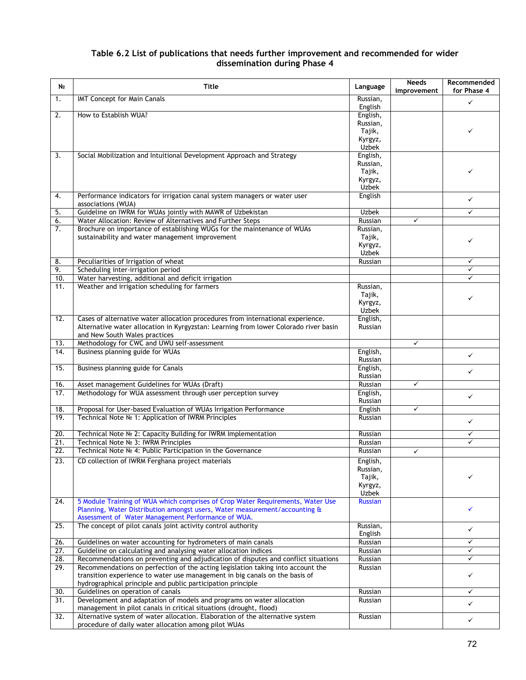## **Table 6.2 List of publications that needs further improvement and recommended for wider dissemination during Phase 4**

| Nº                | <b>Title</b>                                                                                                                                        | Language            | <b>Needs</b><br>improvement | Recommended<br>for Phase 4 |
|-------------------|-----------------------------------------------------------------------------------------------------------------------------------------------------|---------------------|-----------------------------|----------------------------|
| 1.                | IMT Concept for Main Canals                                                                                                                         | Russian,            |                             | $\checkmark$               |
|                   |                                                                                                                                                     | English             |                             |                            |
| 2.                | How to Establish WUA?                                                                                                                               | English,            |                             |                            |
|                   |                                                                                                                                                     | Russian,            |                             |                            |
|                   |                                                                                                                                                     | Tajik,              |                             | ✓                          |
|                   |                                                                                                                                                     | Kyrgyz,             |                             |                            |
|                   |                                                                                                                                                     | Uzbek               |                             |                            |
| 3.                | Social Mobilization and Intuitional Development Approach and Strategy                                                                               | English,            |                             |                            |
|                   |                                                                                                                                                     | Russian,<br>Tajik,  |                             |                            |
|                   |                                                                                                                                                     | Kyrgyz,             |                             |                            |
|                   |                                                                                                                                                     | Uzbek               |                             |                            |
| 4.                | Performance indicators for irrigation canal system managers or water user                                                                           | English             |                             |                            |
|                   | associations (WUA)                                                                                                                                  |                     |                             | ✓                          |
| 5.                | Guideline on IWRM for WUAs jointly with MAWR of Uzbekistan                                                                                          | <b>Uzbek</b>        |                             | $\checkmark$               |
| 6.                | Water Allocation: Review of Alternatives and Further Steps                                                                                          | Russian             | ✓                           |                            |
| 7.                | Brochure on importance of establishing WUGs for the maintenance of WUAs                                                                             | Russian,            |                             |                            |
|                   | sustainability and water management improvement                                                                                                     | Tajik,              |                             |                            |
|                   |                                                                                                                                                     | Kyrgyz,             |                             | ✓                          |
|                   |                                                                                                                                                     | Uzbek               |                             |                            |
| 8.                | Peculiarities of Irrigation of wheat                                                                                                                | Russian             |                             | ✓                          |
| 9.                | Scheduling inter-irrigation period                                                                                                                  |                     |                             | ✓                          |
| 10.               | Water harvesting, additional and deficit irrigation                                                                                                 |                     |                             | ✓                          |
| 11.               | Weather and irrigation scheduling for farmers                                                                                                       | Russian,            |                             |                            |
|                   |                                                                                                                                                     | Tajik,              |                             |                            |
|                   |                                                                                                                                                     | Kyrgyz,             |                             |                            |
|                   |                                                                                                                                                     | Uzbek               |                             |                            |
| 12.               | Cases of alternative water allocation procedures from international experience.                                                                     | English,            |                             |                            |
|                   | Alternative water allocation in Kyrgyzstan: Learning from lower Colorado river basin                                                                | Russian             |                             |                            |
|                   | and New South Wales practices                                                                                                                       |                     |                             |                            |
| 13.               | Methodology for CWC and UWU self-assessment                                                                                                         |                     | ✓                           |                            |
| 14.               | Business planning guide for WUAs                                                                                                                    | English,            |                             | $\checkmark$               |
|                   |                                                                                                                                                     | Russian             |                             |                            |
| 15.               | Business planning guide for Canals                                                                                                                  | English,            |                             | ✓                          |
|                   |                                                                                                                                                     | Russian<br>Russian  | ✓                           |                            |
| 16.<br>17.        | Asset management Guidelines for WUAs (Draft)<br>Methodology for WUA assessment through user perception survey                                       |                     |                             |                            |
|                   |                                                                                                                                                     | English,<br>Russian |                             | $\checkmark$               |
| 18.               | Proposal for User-based Evaluation of WUAs Irrigation Performance                                                                                   | English             | ✓                           |                            |
| 19.               | Technical Note № 1: Application of IWRM Principles                                                                                                  | Russian             |                             |                            |
|                   |                                                                                                                                                     |                     |                             | ✓                          |
| 20.               | Technical Note № 2: Capacity Building for IWRM Implementation                                                                                       | Russian             |                             | ✓                          |
| 21.               | Technical Note Nº 3: IWRM Principles                                                                                                                | Russian             |                             |                            |
| $\overline{22}$ . | Technical Note Nº 4: Public Participation in the Governance                                                                                         | Russian             | $\checkmark$                |                            |
| 23.               | CD collection of IWRM Ferghana project materials                                                                                                    | English             |                             |                            |
|                   |                                                                                                                                                     | Russian,            |                             |                            |
|                   |                                                                                                                                                     | Tajik,              |                             |                            |
|                   |                                                                                                                                                     | Kyrgyz,             |                             |                            |
|                   |                                                                                                                                                     | Uzbek               |                             |                            |
| 24.               | 5 Module Training of WUA which comprises of Crop Water Requirements, Water Use                                                                      | <b>Russian</b>      |                             |                            |
|                   | Planning, Water Distribution amongst users, Water measurement/accounting &                                                                          |                     |                             | ✓                          |
|                   | Assessment of Water Management Performance of WUA.                                                                                                  |                     |                             |                            |
| 25.               | The concept of pilot canals joint activity control authority                                                                                        | Russian,            |                             | ✓                          |
|                   |                                                                                                                                                     | English             |                             |                            |
| 26.               | Guidelines on water accounting for hydrometers of main canals                                                                                       | Russian             |                             | ✓                          |
| 27.               | Guideline on calculating and analysing water allocation indices                                                                                     | Russian             |                             |                            |
| 28.               | Recommendations on preventing and adjudication of disputes and conflict situations                                                                  | Russian             |                             | ✓                          |
| 29.               | Recommendations on perfection of the acting legislation taking into account the                                                                     | Russian             |                             |                            |
|                   | transition experience to water use management in big canals on the basis of                                                                         |                     |                             | ✓                          |
|                   | hydrographical principle and public participation principle                                                                                         |                     |                             |                            |
| 30.               | Guidelines on operation of canals                                                                                                                   | Russian             |                             | ✓                          |
| 31.               | Development and adaptation of models and programs on water allocation                                                                               | Russian             |                             | ✓                          |
| 32.               | management in pilot canals in critical situations (drought, flood)<br>Alternative system of water allocation. Elaboration of the alternative system | Russian             |                             |                            |
|                   | procedure of daily water allocation among pilot WUAs                                                                                                |                     |                             | ✓                          |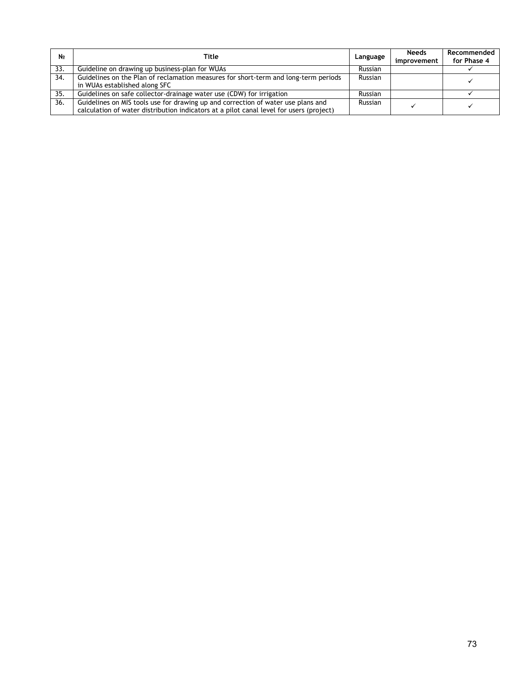| <b>No</b> | <b>Title</b>                                                                                                                                                                | Language | <b>Needs</b><br>improvement | Recommended<br>for Phase 4 |
|-----------|-----------------------------------------------------------------------------------------------------------------------------------------------------------------------------|----------|-----------------------------|----------------------------|
| 33.       | Guideline on drawing up business-plan for WUAs                                                                                                                              | Russian  |                             |                            |
| 34.       | Guidelines on the Plan of reclamation measures for short-term and long-term periods<br>in WUAs established along SFC                                                        | Russian  |                             |                            |
| 35.       | Guidelines on safe collector-drainage water use (CDW) for irrigation                                                                                                        | Russian  |                             |                            |
| 36.       | Guidelines on MIS tools use for drawing up and correction of water use plans and<br>calculation of water distribution indicators at a pilot canal level for users (project) | Russian  |                             |                            |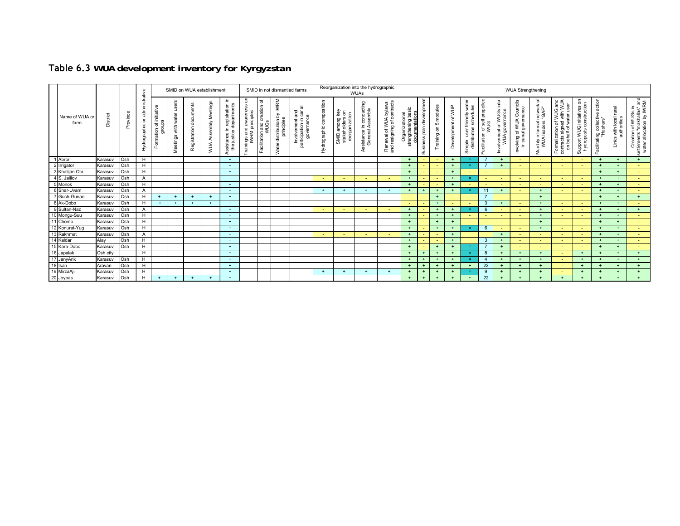|                        |          |          |                                            |                                        |                                               |                               | SMID on WUA establishment      |                                                               |                                                                         |                                              | SMID in not dismantled farms                                |                                                                         |                                  | Reorganization into the hydrographic                    | <b>WUAs</b>                                             |                                                     |                                       |                           |                                                       |                    |                                                             |                                                         |                                            | <b>WUA Strengthening</b>                                                                    |                                                          |                                                                                                                               |                                                           |                                                    |                        |                                                                                |
|------------------------|----------|----------|--------------------------------------------|----------------------------------------|-----------------------------------------------|-------------------------------|--------------------------------|---------------------------------------------------------------|-------------------------------------------------------------------------|----------------------------------------------|-------------------------------------------------------------|-------------------------------------------------------------------------|----------------------------------|---------------------------------------------------------|---------------------------------------------------------|-----------------------------------------------------|---------------------------------------|---------------------------|-------------------------------------------------------|--------------------|-------------------------------------------------------------|---------------------------------------------------------|--------------------------------------------|---------------------------------------------------------------------------------------------|----------------------------------------------------------|-------------------------------------------------------------------------------------------------------------------------------|-----------------------------------------------------------|----------------------------------------------------|------------------------|--------------------------------------------------------------------------------|
| Name of WUA or<br>farm | District | Province | administrative<br>৯<br><b>Hydrographic</b> | initiative<br>groups<br>৳<br>Formation | $\omega$<br>user<br>water<br>with<br>Meetings | ments<br>docu<br>Registration | etings<br>≗<br>Assembly<br>NUA | ssistance in registration in<br>the justice departments<br>S, | $\epsilon$<br>d awareness of<br>principles<br>rainings and a<br>IWRM pr | ৳<br>creation<br>WUGs<br>and<br>Facilitation | by IWRM<br>$\mathbf{u}$<br>Water distribution<br>principles | canal<br>Involvement and<br>articipation in cana<br>governance<br>parti | sition<br>compos<br>Hydrographic | vey<br>on<br>among<br>tholders<br>rganiz<br>SMID<br>sta | n conducting<br>ssembly<br>∛ ⊇.<br>istance i<br>General | Renewal of WUA bylaws<br>and resigning of contracts | Organizational<br>strengthening basic | Business plan development | modules<br>$\mathfrak{g}$<br>$\mathsf{S}$<br>Training | Development of WUP | water<br>distribution schedules<br>user friendly<br>Simple, | self propelle<br><b>ANNG</b><br>ъ<br>acilitation<br>-il | Involvement of WUGs into<br>WUA governance | f WUA Councils<br>governance<br>$\overline{5}$ $\overline{6}$<br>Involving<br>ă<br>$\equiv$ | ৳<br>network<br>leaders<br>informal<br>Monthly ir<br>WUA | AUW<br>WUA<br>user<br><b>WUG</b><br>ŧ<br>water<br>$\overline{\mathbf{c}}$<br>Formalization of \<br>đ<br>on behalf<br>$\sigma$ | 5<br>Support WUG initiatives o<br>hvdroposts construction | action<br>acilitating collective<br>"Hashars"<br>ш | Links with local rural | Creation of WUGs in<br>settlements "makhallas" and<br>water allocation by IWRM |
| 1 Abror                | Karasuv  | Osh      | H                                          |                                        |                                               |                               |                                | $+$                                                           |                                                                         |                                              |                                                             |                                                                         |                                  |                                                         |                                                         |                                                     | $+$                                   | $\sim$                    |                                                       | $+$                | $=$                                                         |                                                         |                                            |                                                                                             |                                                          |                                                                                                                               |                                                           | $+$                                                | $+$                    | $+$                                                                            |
| 2 Irrigator            | Karasuv  | Osh      | H                                          |                                        |                                               |                               |                                | $+$                                                           |                                                                         |                                              |                                                             |                                                                         |                                  |                                                         |                                                         |                                                     | $+$                                   | $\sim$                    |                                                       | $+$                | $\equiv$                                                    |                                                         |                                            | $\sim$                                                                                      |                                                          | $\sim$                                                                                                                        | $\sim$                                                    | $+$                                                |                        | a.                                                                             |
| 3 Khalijan Ota         | Karasuv  | Osh      | H                                          |                                        |                                               |                               |                                | $+$                                                           |                                                                         |                                              |                                                             |                                                                         |                                  |                                                         |                                                         |                                                     | $+$                                   | $\overline{\phantom{a}}$  |                                                       | $+$                |                                                             | $\sim$                                                  |                                            | $\sim$                                                                                      | ٠                                                        | $\sim$                                                                                                                        | $\sim$                                                    | $+$                                                | $+$                    | $\sim$                                                                         |
| 4 S. Jalilov           | Karasuv  | Osh      | $\overline{A}$                             |                                        |                                               |                               |                                | $+$                                                           |                                                                         |                                              |                                                             |                                                                         | $\sim$                           |                                                         |                                                         | $\sim$                                              | $+$                                   | ÷                         |                                                       | $\div$             | a t                                                         | $\overline{\phantom{a}}$                                |                                            | ٠                                                                                           |                                                          |                                                                                                                               |                                                           | $+$                                                | $+$                    | <b>Section</b>                                                                 |
| 5 Monok                | Karasuv  | Osh      | H                                          |                                        |                                               |                               |                                | $+$                                                           |                                                                         |                                              |                                                             |                                                                         |                                  |                                                         |                                                         |                                                     | $+$                                   | $\overline{\phantom{0}}$  | н.                                                    | $+$                |                                                             | $\sim$                                                  |                                            | $\overline{\phantom{0}}$                                                                    |                                                          |                                                                                                                               | $\sim$                                                    | $+$                                                |                        | <b>Section</b>                                                                 |
| 6 Shar-Uvam            | Karasuv  | Osh      | $\overline{A}$                             |                                        |                                               |                               |                                | $+$                                                           |                                                                         |                                              |                                                             |                                                                         | $+$                              | $+$                                                     | $+$                                                     | $+$                                                 | $+$                                   | $+$                       | $+$                                                   | $+$                | <b>E</b>                                                    | 11                                                      | $+$                                        | $\sim$                                                                                      | $+$                                                      | $\sim$                                                                                                                        |                                                           | $+$                                                | $+$                    | a.                                                                             |
| 7 Guch-Gunan           | Karasuv  | Osh      | H                                          |                                        |                                               | $\overline{1}$                | $+$                            | $+$                                                           |                                                                         |                                              |                                                             |                                                                         |                                  |                                                         |                                                         |                                                     | $\overline{\phantom{0}}$              | ÷                         | $+$                                                   |                    |                                                             |                                                         |                                            | $\overline{\phantom{0}}$                                                                    | $+$                                                      |                                                                                                                               |                                                           | $+$                                                | $\rightarrow$          | $+$                                                                            |
| 8 Ak-Dobo              | Karasuv  | Osh      | H                                          | $\ddot{}$                              |                                               |                               |                                | $+$                                                           |                                                                         |                                              |                                                             |                                                                         |                                  |                                                         |                                                         |                                                     |                                       | $\sim$                    | $+$                                                   |                    |                                                             | $\mathbf{3}$                                            |                                            |                                                                                             | $+$                                                      |                                                                                                                               |                                                           | $+$                                                |                        | a.                                                                             |
| 9 Sultan-Naz           | Karasuv  | Osh      | $\overline{A}$                             |                                        |                                               |                               |                                | $+$                                                           |                                                                         |                                              |                                                             |                                                                         | $\sim$                           |                                                         | $\sim$                                                  | $\sim$                                              | $+$                                   | $\sim$                    | $+$                                                   | $+$                | $\equiv$                                                    | 6                                                       |                                            | $\sim$                                                                                      | $+$                                                      | $\overline{\phantom{0}}$                                                                                                      |                                                           | $+$                                                | $+$                    | $+$                                                                            |
| 10 Mongu-Suu           | Karasuv  | Osh      | H                                          |                                        |                                               |                               |                                | $+$                                                           |                                                                         |                                              |                                                             |                                                                         |                                  |                                                         |                                                         |                                                     | $+$                                   |                           |                                                       |                    |                                                             | $\overline{\phantom{a}}$                                |                                            | $\sim$                                                                                      | $+$                                                      |                                                                                                                               |                                                           | $+$                                                | $+$                    |                                                                                |
| 11 Chomo               | Karasuv  | Osh      | H                                          |                                        |                                               |                               |                                | $+$                                                           |                                                                         |                                              |                                                             |                                                                         |                                  |                                                         |                                                         |                                                     | $+$                                   | $\overline{\phantom{a}}$  | $+$                                                   | $+$                |                                                             | $\overline{\phantom{a}}$                                |                                            | $\overline{\phantom{0}}$                                                                    | $+$                                                      |                                                                                                                               |                                                           | $+$                                                | $+$                    | <b>College</b>                                                                 |
| 12 Konurat-Yug         | Karasuv  | Osh      | $\overline{H}$                             |                                        |                                               |                               |                                | $+$                                                           |                                                                         |                                              |                                                             |                                                                         |                                  |                                                         |                                                         |                                                     | $+$                                   | н.                        | $+$                                                   | $+$                | $=$                                                         | 6                                                       |                                            | $\overline{\phantom{0}}$                                                                    | $+$                                                      |                                                                                                                               |                                                           | $+$                                                | $+$                    | <b>Section</b>                                                                 |
| 13 Rakhmat             | Karasuv  | Osh      | $\overline{A}$                             |                                        |                                               |                               |                                | $+$                                                           |                                                                         |                                              |                                                             |                                                                         | $\sim$                           |                                                         | $\sim$                                                  | $\sim$                                              | $+$                                   |                           |                                                       |                    |                                                             |                                                         |                                            | $\sim$                                                                                      |                                                          |                                                                                                                               |                                                           | $+$                                                | $+$                    | <b>Section</b>                                                                 |
| 14 Kaldar              | Alay     | Osh      | H                                          |                                        |                                               |                               |                                | $+$                                                           |                                                                         |                                              |                                                             |                                                                         |                                  |                                                         |                                                         |                                                     | $+$                                   | $\overline{\phantom{a}}$  |                                                       | $+$                |                                                             | 3 <sup>1</sup>                                          |                                            | $\overline{\phantom{a}}$                                                                    |                                                          |                                                                                                                               |                                                           | $+$                                                | $+$                    | <b>Section</b>                                                                 |
| 15 Kara-Dobo           | Karasuv  | Osh      | H                                          |                                        |                                               |                               |                                | $+$                                                           |                                                                         |                                              |                                                             |                                                                         |                                  |                                                         |                                                         |                                                     |                                       | н.                        | $+$                                                   | $+$                | a m                                                         |                                                         |                                            | $\overline{\phantom{0}}$                                                                    |                                                          |                                                                                                                               |                                                           | $+$                                                |                        | <b>Section</b>                                                                 |
| 16 Japalak             | Osh city |          | H                                          |                                        |                                               |                               |                                | $+$                                                           |                                                                         |                                              |                                                             |                                                                         |                                  |                                                         |                                                         |                                                     | $+$                                   | $+$                       |                                                       | $+$                | $=$                                                         | 8                                                       |                                            | $+$                                                                                         | $+$                                                      | $\sim$                                                                                                                        | $+$                                                       | $+$                                                | $\overline{+}$         | $+$                                                                            |
| 17 JanyArik            | Karasuv  | Osh      | H                                          |                                        |                                               |                               |                                | $+$                                                           |                                                                         |                                              |                                                             |                                                                         |                                  |                                                         |                                                         |                                                     | $+$                                   | $+$                       |                                                       | $+$                | $\equiv$                                                    | $\overline{4}$                                          |                                            | $+$                                                                                         | $+$                                                      |                                                                                                                               | $+$                                                       | $+$                                                | $+$                    | $+$                                                                            |
| 18 Isan                | Aravan   | Osh      | H                                          |                                        |                                               |                               |                                | $+$                                                           |                                                                         |                                              |                                                             |                                                                         |                                  |                                                         |                                                         |                                                     |                                       | $+$                       |                                                       | $+$                |                                                             | 22                                                      |                                            | $+$                                                                                         | $+$                                                      |                                                                                                                               |                                                           | $+$                                                |                        | $+$                                                                            |
| 19 MirzaAji            | Karasuv  | Osh      | H                                          |                                        |                                               |                               |                                | $+$                                                           |                                                                         |                                              |                                                             |                                                                         | $+$                              | $\overline{+}$                                          | $+$                                                     | $+$                                                 |                                       | $\ddot{}$                 |                                                       | $+$                | $=$                                                         | -9                                                      |                                            |                                                                                             |                                                          |                                                                                                                               |                                                           | $+$                                                | $\rightarrow$          | $+$                                                                            |
| 20 Joypas              | Karasuv  | Osh      | H                                          | $+$                                    | $+$                                           |                               |                                | $+$                                                           |                                                                         |                                              |                                                             |                                                                         |                                  |                                                         |                                                         |                                                     | $+$                                   | $+$                       |                                                       | $+$                | $+$                                                         | 22                                                      |                                            | $+$                                                                                         |                                                          |                                                                                                                               | $+$                                                       |                                                    | $+$                    | $+$                                                                            |

## **Table 6.3** *WUA development inventory for Kyrgyzstan*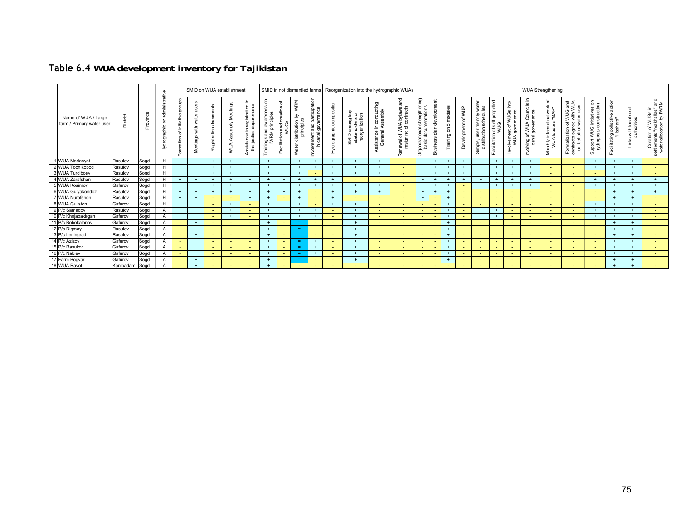|                                                 |           |          |                                                 |                                                       |                     |                                                     | SMID on WUA establishment |                                                             |                                                                 |                                                     | SMID in not dismantled farms                                             |                                                 |                 | Reorganization into the hydrographic WUAs                              |                                                 |                                                        |                                                                         |                                        |                                         |                          |                                      |                                                 |                                                                                                         |                                                                 | <b>WUA Strengthening</b>                            |                                                                                                          |                                                                  |                                                                                        |                                               |                                                                                |
|-------------------------------------------------|-----------|----------|-------------------------------------------------|-------------------------------------------------------|---------------------|-----------------------------------------------------|---------------------------|-------------------------------------------------------------|-----------------------------------------------------------------|-----------------------------------------------------|--------------------------------------------------------------------------|-------------------------------------------------|-----------------|------------------------------------------------------------------------|-------------------------------------------------|--------------------------------------------------------|-------------------------------------------------------------------------|----------------------------------------|-----------------------------------------|--------------------------|--------------------------------------|-------------------------------------------------|---------------------------------------------------------------------------------------------------------|-----------------------------------------------------------------|-----------------------------------------------------|----------------------------------------------------------------------------------------------------------|------------------------------------------------------------------|----------------------------------------------------------------------------------------|-----------------------------------------------|--------------------------------------------------------------------------------|
| Name of WUA / Large<br>farm / Primary water use | District  | Province | nistrative<br>adm<br>১<br>ographic<br>Hydr<br>H | oups<br>ਰ<br>$\omega$<br>initiativ<br>৳<br>ation<br>Ë | with<br>ö<br>ے<br>S | <sub>1ts</sub><br>۵D<br>-3<br>-8<br>gistration<br>ଝ | eting<br>mbly<br>ЖIЙ      | Ξ.<br>Assistance in registration<br>the justice departments | ទី<br>$\omega$<br>ö<br>Trainings and awarene<br>IWRM principles | ৳<br>ă<br>creatio<br>n and c<br>WUGS<br>Facilitatio | <b>IWRM</b><br>$\gtrsim$<br>principles<br>distribution <b>t</b><br>Water | participation<br>and<br>ō<br>anal<br>nvolvement | drographic<br>£ | SMID among key<br>stakeholders on<br>$\overline{a}$<br>organizati<br>உ | ting<br>ssembly<br>.⊆ <ॅ<br>sistance<br>General | and<br>Renewal of WUA bylaws<br>resigning of contracts | Ξ<br>$\mathfrak{c}$<br>$\frac{1}{9}$<br>븠<br>回<br>-e<br>Organizati<br>÷ | development<br>plan<br><b>Business</b> | modules<br>Б<br>$\mathsf S$<br>Training | WUP<br>৳<br>opment<br>கீ | 습<br>ွ<br>৯<br>stribi<br>mple,<br>öō | elled<br>prope<br>of self<br>WUG<br>acilitation | $int_{\mathcal{O}}$<br>WUGs<br>mance<br>vernan<br>৳<br>$\vec{\epsilon}$ $\theta$<br>olvemer<br>WUA<br>르 | dis<br>Counce<br>nance<br>WUA<br>gover<br>চ ট<br>olving<br>cana | ৳<br>network<br>Monthly informal n<br>WUA leaders " | AUW<br>WUA<br>wug<br>€<br>₽<br>'চ স্ট<br>ation<br>acts<br>Formaliza<br>contracts<br>$\omega$<br>$\Omega$ | initiatives on<br>ponstruction<br>Support WUG i<br>hydroposts co | action<br>$\omega$<br>collectiv<br>-acilitating collectiv<br>"Hashars"<br>$\mathbf{u}$ | Tural<br>s with local<br>authorities<br>Links | Creation of WUGs in<br>settlements "makhallas" and<br>water allocation by IWRM |
| 1 WUA Madanyat                                  | Rasulov   | Sogd     | H                                               | $+$                                                   |                     |                                                     |                           |                                                             | $^{+}$                                                          | $+$                                                 |                                                                          | $+$                                             |                 |                                                                        | $+$                                             |                                                        | $+$                                                                     | $+$                                    | $\rightarrow$                           | $+$                      |                                      | $+$                                             | $\overline{a}$                                                                                          | $+$                                                             | $\sim$                                              | $\sim$                                                                                                   |                                                                  | $\ddot{}$                                                                              | $+$                                           | <b>Section</b>                                                                 |
| 2 WUA Tochikobod                                | Rasulov   | Sogd     | H                                               |                                                       |                     |                                                     |                           |                                                             | $\rightarrow$                                                   | $+$                                                 |                                                                          | $+$                                             |                 |                                                                        |                                                 |                                                        | $+$                                                                     | $+$                                    |                                         |                          |                                      | $^+$                                            |                                                                                                         |                                                                 |                                                     |                                                                                                          | $\overline{+}$                                                   |                                                                                        | $+$                                           |                                                                                |
| 3 WUA Turdiboev                                 | Rasulov   | Sogd     | H                                               |                                                       |                     |                                                     |                           |                                                             |                                                                 | $\ddot{}$                                           |                                                                          |                                                 |                 |                                                                        |                                                 |                                                        |                                                                         | $+$                                    |                                         |                          |                                      |                                                 |                                                                                                         |                                                                 |                                                     |                                                                                                          |                                                                  |                                                                                        | $+$                                           |                                                                                |
| 4 WUA Zarafshan                                 | Rasulov   | Sogd     | H                                               |                                                       |                     |                                                     |                           |                                                             |                                                                 | $+$                                                 |                                                                          | $\div$                                          |                 |                                                                        |                                                 |                                                        | $\rightarrow$                                                           | $+$                                    |                                         |                          |                                      | $^{+}$                                          |                                                                                                         |                                                                 |                                                     |                                                                                                          |                                                                  |                                                                                        | $+$                                           |                                                                                |
| 5 WUA Kosimov                                   | Gafurov   | Sogd     | H                                               |                                                       |                     |                                                     |                           |                                                             | $\rightarrow$                                                   | $+$                                                 |                                                                          | $+$                                             |                 |                                                                        |                                                 |                                                        | $\rightarrow$                                                           | $+$                                    |                                         |                          |                                      | $+$                                             |                                                                                                         |                                                                 |                                                     |                                                                                                          |                                                                  |                                                                                        | $+$                                           | $+$                                                                            |
| 6 WUA Gulyakondoz                               | Rasulov   | Sogd     | н                                               |                                                       |                     |                                                     |                           |                                                             |                                                                 | $\ddot{}$                                           |                                                                          |                                                 |                 |                                                                        |                                                 |                                                        | $\rightarrow$                                                           | $+$                                    |                                         |                          |                                      |                                                 |                                                                                                         |                                                                 |                                                     |                                                                                                          |                                                                  |                                                                                        | $\overline{a}$                                |                                                                                |
| 7 WUA Nurafshon                                 | Rasulov   | Sogd     | H                                               |                                                       |                     |                                                     |                           |                                                             |                                                                 | ٠                                                   |                                                                          |                                                 |                 |                                                                        |                                                 |                                                        | $\overline{+}$                                                          | $\sim$                                 |                                         |                          |                                      | $\sim$                                          |                                                                                                         |                                                                 |                                                     |                                                                                                          |                                                                  |                                                                                        | $+$                                           | $\sim$                                                                         |
| 8 WUA Guliston                                  | Gafurov   | Sogd     | H                                               | $+$                                                   |                     |                                                     |                           |                                                             | $+$                                                             | $+$                                                 |                                                                          |                                                 |                 |                                                                        |                                                 |                                                        | ÷                                                                       | $\sim$                                 | $\overline{+}$                          |                          |                                      | $\sim$                                          |                                                                                                         |                                                                 |                                                     |                                                                                                          | $\rightarrow$                                                    |                                                                                        | $+$                                           | <b>Section</b>                                                                 |
| 9 P/c Samadov                                   | Rasulov   | Sogd     | А                                               | $+$                                                   |                     |                                                     |                           |                                                             | $+$                                                             | $+$                                                 |                                                                          | $+$                                             |                 |                                                                        |                                                 |                                                        | ٠                                                                       | $\sim$                                 | $\rightarrow$                           |                          |                                      | $+$                                             |                                                                                                         |                                                                 |                                                     |                                                                                                          |                                                                  |                                                                                        | $+$                                           | <b>Section</b>                                                                 |
| 10 P/c Khojabakirgan                            | Gafurov   | Sogd     | A                                               |                                                       |                     |                                                     |                           |                                                             |                                                                 | $\ddot{}$                                           |                                                                          | $\div$                                          |                 |                                                                        |                                                 |                                                        | ٠                                                                       | $\sim$                                 | -4                                      |                          |                                      |                                                 |                                                                                                         |                                                                 |                                                     |                                                                                                          |                                                                  |                                                                                        | $+$                                           |                                                                                |
| 11 P/c Bobokalonov                              | Gafurov   | Sogd     | A                                               |                                                       |                     |                                                     |                           |                                                             | $\rightarrow$                                                   | $\sim$                                              | $\equiv$                                                                 |                                                 |                 |                                                                        |                                                 |                                                        | $\overline{\phantom{0}}$                                                | $\sim$                                 |                                         |                          |                                      |                                                 |                                                                                                         |                                                                 |                                                     |                                                                                                          |                                                                  |                                                                                        | $+$                                           | <b>Section</b>                                                                 |
| 12 P/c Digmay                                   | Rasulov   | Sogd     | A                                               |                                                       |                     |                                                     |                           |                                                             | $+$                                                             | $\sim$                                              | ÷.                                                                       |                                                 |                 |                                                                        |                                                 |                                                        | $\sim$                                                                  | $\sim$                                 | $\rightarrow$                           |                          |                                      | $\sim$                                          |                                                                                                         |                                                                 |                                                     |                                                                                                          |                                                                  | $\ddot{}$                                                                              | $+$                                           |                                                                                |
| 13 P/c Leningrad                                | Rasulov   | Sogd     | A                                               | $\overline{\phantom{0}}$                              |                     |                                                     |                           |                                                             | $^{+}$                                                          | $\sim$                                              | $=$                                                                      |                                                 |                 |                                                                        |                                                 |                                                        | $\sim$                                                                  | $\sim$                                 | $+$                                     | $\overline{\phantom{0}}$ |                                      | $\sim$                                          |                                                                                                         |                                                                 |                                                     |                                                                                                          |                                                                  | $+$                                                                                    | $+$                                           | <b>Section</b>                                                                 |
| 14 P/c Azizov                                   | Gafurov   | Sogd     |                                                 |                                                       |                     |                                                     |                           |                                                             |                                                                 | $\sim$                                              |                                                                          | $+$                                             |                 |                                                                        |                                                 |                                                        | ٠                                                                       | $\sim$                                 | $\rightarrow$                           |                          |                                      | $\sim$                                          |                                                                                                         |                                                                 |                                                     |                                                                                                          |                                                                  |                                                                                        | $+$                                           | $\sim$                                                                         |
| 15 P/c Rasulov                                  | Gafurov   | Sogd     | A                                               |                                                       |                     |                                                     |                           |                                                             |                                                                 | $\sim$                                              | $=$                                                                      | $+$                                             |                 |                                                                        |                                                 |                                                        | $\overline{\phantom{0}}$                                                | $\sim$                                 |                                         | $\overline{\phantom{0}}$ |                                      | $\sim$                                          |                                                                                                         |                                                                 |                                                     |                                                                                                          |                                                                  | $\ddot{}$                                                                              | $+$                                           | <b>Section</b>                                                                 |
| 16 P/c Nabiev                                   | Gafurov   | Sogd     | A                                               |                                                       |                     |                                                     |                           |                                                             | $+$                                                             | $\sim$                                              | a.                                                                       | $+$                                             |                 |                                                                        |                                                 |                                                        | ÷                                                                       | $\sim$                                 |                                         |                          |                                      | $\sim$                                          |                                                                                                         |                                                                 |                                                     |                                                                                                          |                                                                  |                                                                                        | $+$                                           |                                                                                |
| 17 Farm Bogvar                                  | Gafurov   | Sogd     | A                                               |                                                       |                     |                                                     |                           |                                                             | $+$                                                             | $\sim$                                              | a.                                                                       |                                                 |                 |                                                                        |                                                 |                                                        | $\sim$                                                                  | $\sim$                                 | $\rightarrow$                           | $\overline{\phantom{0}}$ |                                      | $\sim$                                          |                                                                                                         |                                                                 |                                                     |                                                                                                          |                                                                  | $\Delta \omega$                                                                        | $+$                                           | $\sim$                                                                         |
| 18 WUA Ravot                                    | Kanibadam | Sogd     | A                                               |                                                       |                     |                                                     |                           |                                                             |                                                                 | $\sim$                                              |                                                                          |                                                 |                 |                                                                        |                                                 |                                                        | ÷                                                                       | $\sim$                                 |                                         |                          |                                      |                                                 |                                                                                                         |                                                                 |                                                     |                                                                                                          |                                                                  |                                                                                        | $+$                                           |                                                                                |

## **Table 6.4** *WUA development inventory for Tajikistan*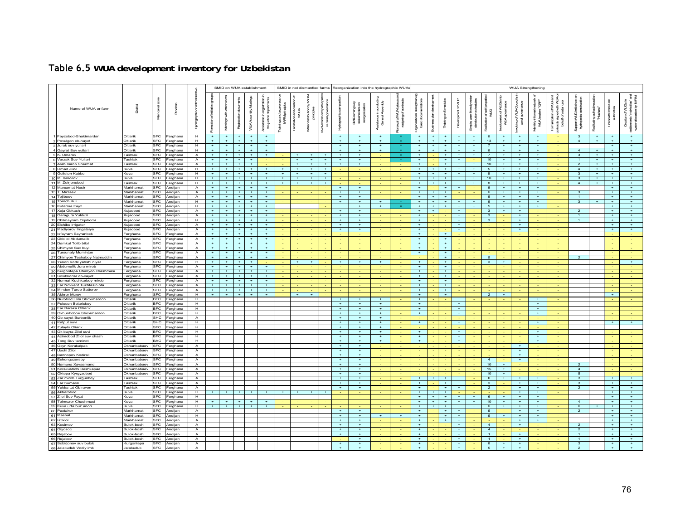| Table 6.5 WUA development inventory for Uzbekistan |
|----------------------------------------------------|
|                                                    |

|                                                       |                                          |                          |                      |                                  |                                 | SMID on WUA establishment |                         |                              |                                                     |                           |             |                                          |                      |                      | SMID in not dismantled farms Reorganization into the hydrographic WUAs |                                                 |                                                   |                                                    |                                  |                       |                       |                                          |                                  |                              | <b>WUA Strengthening</b>                  |                                            |                                                                        |                                           |              |                                        |                                                     |
|-------------------------------------------------------|------------------------------------------|--------------------------|----------------------|----------------------------------|---------------------------------|---------------------------|-------------------------|------------------------------|-----------------------------------------------------|---------------------------|-------------|------------------------------------------|----------------------|----------------------|------------------------------------------------------------------------|-------------------------------------------------|---------------------------------------------------|----------------------------------------------------|----------------------------------|-----------------------|-----------------------|------------------------------------------|----------------------------------|------------------------------|-------------------------------------------|--------------------------------------------|------------------------------------------------------------------------|-------------------------------------------|--------------|----------------------------------------|-----------------------------------------------------|
| Name of WUA or farm                                   | Datid                                    | g<br>复                   |                      |                                  |                                 |                           | Registration clocuments | β<br>İ<br><b>WJAAssently</b> | asstance in registration<br>the justice departments | ingsandawan<br>IWRWphindp | namo<br>WUG | ğ<br>Vater distribution by<br>principles | cover<br>e<br>G<br>Š | Hydrographic         | ହି 8<br>reorganization<br>Ē<br>ğ<br>Å                                  | oordudii<br>enthy<br>stance in c<br>General Ass | eagring of contracts<br>of WLA bylaws<br><b>B</b> | Ogarizalonal strengthering<br>basic documentations | <b>Business plan development</b> | Training on 5 modules | Development of WLF    | uerfriendy<br>Julion schedu<br>in distri | post<br>ा<br>ज≝<br>एउ            | indvenert of VLCs<br>wuxgoxe | waving of VUA Councils<br>canal governmos | g.<br>nthyinformal r<br>VVLA leaders"<br>£ | Formalization of VUC and<br>₹<br>rads signed with<br>behalf of water u | <b>Support VAUGINTER</b><br>長<br><b>R</b> | <b>Haras</b> | F<br>swithlocal<br>authorities<br>in¥s | slocationby<br><b>TANA</b><br>han"sha<br>water<br>ō |
| 1 Fayzobod-Shakimardan                                | Oltiarik                                 |                          | Ferghana             | H                                |                                 |                           |                         |                              |                                                     |                           |             |                                          |                      |                      |                                                                        |                                                 |                                                   |                                                    |                                  |                       |                       |                                          | 6                                |                              |                                           |                                            |                                                                        | 3                                         |              |                                        | $+$                                                 |
| 2 Povulgon ob-hayot                                   | Oltiarik                                 | SEC.                     | Ferghana             | H                                | $+$                             | $+$                       | $\rightarrow$           | $+$                          | $\pm$                                               |                           |             |                                          |                      | $\mathbf{u}$         |                                                                        | $\mathbf{r}$                                    |                                                   | $\pm$                                              | $+$                              | $+$                   | $+$                   | $\pm$                                    | 13                               | $+$                          | $\pm$                                     | $\rightarrow$                              |                                                                        | $\overline{4}$                            | $+$          | $+$                                    | $\pm$                                               |
| 3 Jurak suv yullari                                   | Oltiarik                                 | SEC.                     | Ferghana             | Ŧ                                | $+$                             | $+$<br>$+$                | $+$                     | $+$                          | $+$<br>$+$                                          |                           |             |                                          |                      | $\rightarrow$        | $\rightarrow$                                                          | $+$<br>$\overline{+}$                           |                                                   | $+$<br>$+$                                         | $+$                              | $+$<br>$+$            | $+$<br>$\overline{+}$ | $+$<br>$\overline{+}$                    | $\overline{7}$                   | $+$<br>$\overline{+}$        | $+$                                       | $+$<br>$+$                                 |                                                                        |                                           |              | $+$<br>$\overline{+}$                  | $+$<br>$\overline{+}$                               |
| 4 Gavrat Suv vullar                                   | Oltiarik                                 | <b>SFC</b><br><b>SFC</b> | Ferghana             | $\overline{H}$                   | $\rightarrow$<br>$+$            | $+$                       | $\pm$<br>$+$            | $+$<br>$+$                   | $+$                                                 |                           |             |                                          |                      | $\rightarrow$<br>$+$ | $\pm$<br>$+$                                                           |                                                 |                                                   | $+$                                                |                                  | $+$                   | $+$                   | $+$                                      | 6<br>$\overline{7}$              | $+$                          | $+$<br>$+$                                | $+$                                        |                                                                        | $\overline{4}$                            | $\pm$<br>$+$ | $+$                                    | $+$                                                 |
| 5 K. Umarov<br>6 Varzak Suv Yullari                   | <b>Tashlak</b><br>Tashlak                | SEC.                     | Ferghana<br>Ferghana | $\overline{A}$<br>$\overline{A}$ | $\rightarrow$                   | $+$                       | $+$                     | $+$                          |                                                     |                           | $+$         | $+$                                      | $+$                  | $\overline{+}$       | $+$                                                                    |                                                 |                                                   | $+$                                                |                                  | <b>A</b>              | $+$                   |                                          | 10                               | $+$                          | $+$                                       | $+$                                        |                                                                        | $\overline{\mathbf{3}}$<br>$\overline{1}$ | $+$          | $+$                                    | $\overline{+}$                                      |
| 7 Arab mirob Shermat                                  | Tashlak                                  | <b>SFC</b>               | Ferghana             | $\overline{A}$                   | $+$                             | $+$                       | $+$                     | $+$                          |                                                     |                           | $+$         | $+$                                      | $+$                  | $+$                  | $+$                                                                    |                                                 |                                                   | $+$                                                |                                  | $+$                   | $+$                   | $+$                                      | 10 <sup>1</sup>                  | $+$                          | $+$                                       | $+$                                        |                                                                        | $\overline{2}$                            | $+$          | $+$                                    | $+$                                                 |
| 8 Omad Zilol                                          | Kuva                                     | <b>SFC</b>               | Ferghana             | H                                | $+$                             | $+$                       | $+$                     | $+$                          | $+$                                                 | $+$                       | $+$         | $+$                                      | $+$                  |                      |                                                                        |                                                 |                                                   | $+$                                                |                                  | $+$                   | $+$                   | $+$                                      | 5                                | $+$                          | $+$                                       | $+$                                        |                                                                        | $\overline{4}$                            | $+$          | $+$                                    | $+$                                                 |
| 9 Guliston Kubbo                                      | Kuva                                     | SFC                      | Ferghana             | H                                | $+$                             | $+$                       |                         | $+$                          | $\ddot{}$                                           | $\ddot{}$                 | $+$         |                                          | $+$                  |                      |                                                                        |                                                 |                                                   | $+$                                                |                                  | $+$                   | $+$                   | $+$                                      | 9                                | $+$                          | $+$                                       | $+$                                        |                                                                        | $\mathbf{3}$                              | $+$          | $+$                                    | $\pm$                                               |
| 10 M. Ismoilov                                        | Kuva                                     | SFC                      | Ferghana             | H                                |                                 | $+$                       |                         |                              |                                                     |                           |             |                                          |                      |                      |                                                                        |                                                 |                                                   |                                                    |                                  |                       |                       |                                          | 10                               |                              |                                           |                                            |                                                                        | 3                                         |              |                                        |                                                     |
| 11 M. Zoirjonobod                                     | Tashlak                                  | SEC.                     | Ferghana             | H                                | $+$                             | $+$                       | $\rightarrow$           | $+$                          | $\pm$                                               | $\pm$                     | $+$         | $\ddot{}$                                | $+$                  |                      |                                                                        |                                                 |                                                   | $\rightarrow$                                      | a.                               | $+$                   | $\pm$                 | $\mathbf{u}$                             | 8                                | $\pm$                        | $\rightarrow$                             | $\rightarrow$                              |                                                                        | $\overline{a}$                            | <b>ALC</b>   | $\rightarrow$                          | $\pm$                                               |
| 12 Marxamat Nosir                                     | Markhamat                                | <b>SFC</b>               | Andijan              | A                                | $+$                             | $+$                       | $\pm$                   | $+$                          | $+$                                                 |                           |             |                                          |                      | $\ddot{}$            | $+$                                                                    |                                                 |                                                   | $+$                                                |                                  | $+$                   | $+$                   |                                          | 6                                | $+$                          | $+$                                       | $+$                                        |                                                                        |                                           |              | $+$                                    | $\overline{+}$                                      |
| 13 T. Mirzaev<br>14 Tojiboev                          | Markhamat<br>Markhamat                   | SEC.<br><b>SFC</b>       | Andijan<br>Andijan   | $\mathbf{A}$<br>$\mathsf{A}$     | $\rightarrow$<br>$+$            | $+$<br>$+$                | $\ddot{\phantom{1}}$    | $\pm$<br>$+$                 | $+$<br>$+$                                          |                           |             |                                          |                      | $\pm$<br>$\ddot{}$   | $\overline{+}$<br>$+$                                                  |                                                 |                                                   | $\overline{+}$<br>$+$                              | $+$                              | $+$                   |                       |                                          | 6<br>6                           | $\pm$<br>$+$                 | $\pm$<br>$+$                              | $\overline{+}$<br>$+$                      |                                                                        | $\mathbf{R}$<br>$\overline{1}$            |              | $\rightarrow$<br>$+$                   | $+$<br>$+$                                          |
| 15 Tomch Kuli                                         | Markhamat                                | <b>SFC</b>               | Andijan              | $\overline{H}$                   | $+$                             | $+$                       | $\rightarrow$           | $+$                          | $+$                                                 |                           |             |                                          |                      | $+$                  | $+$                                                                    |                                                 |                                                   | $+$                                                | $+$                              | $+$                   | $+$                   | $+$                                      | 6 <sup>6</sup>                   | $+$                          | $+$                                       | $+$                                        |                                                                        | $\overline{\mathbf{3}}$                   |              | $+$                                    | $+$                                                 |
| 16 Kutarma Fayz                                       | Markhamat                                | <b>SFC</b>               | Andiian              | H                                | $+$                             | $+$                       | $+$                     | $+$                          | $+$                                                 |                           |             |                                          |                      |                      | $+$                                                                    | $+$                                             |                                                   | $+$                                                | $+$                              | $+$                   | $+$                   | $+$                                      | 5                                | $+$                          | $+$                                       | $+$                                        |                                                                        |                                           |              | $+$                                    | $+$                                                 |
| 17 Xoja Obkash                                        | Kuiaobod                                 | <b>SFC</b>               | Andiian              | A                                | $+$                             | $+$                       |                         | $+$                          | $+$                                                 |                           |             |                                          |                      |                      | $+$                                                                    |                                                 |                                                   | $+$                                                |                                  |                       | $+$                   |                                          | 3                                | $+$                          | $+$                                       |                                            |                                                                        | $\overline{2}$                            |              | $+$                                    | $+$                                                 |
| 18 Garagura Yulduzi                                   | <b>Guiaobod</b>                          | <b>SFC</b>               | Andiian              | $\overline{A}$                   |                                 | $+$                       |                         | $+$                          | $\color{red}{+}$                                    |                           |             |                                          |                      |                      | $+$                                                                    |                                                 |                                                   | $+$                                                |                                  |                       |                       |                                          | $\overline{\mathbf{3}}$          |                              | $+$                                       |                                            |                                                                        | $\overline{1}$                            |              |                                        | $\pm$                                               |
| 19 Chilmayram Oqshomi                                 | <b>Gujaobod</b>                          | <b>SFC</b>               | Andijan              | H                                |                                 | $+$                       |                         |                              | $\ddot{}$                                           |                           |             |                                          |                      | ÷                    | $+$                                                                    |                                                 |                                                   |                                                    |                                  |                       |                       |                                          | 3                                |                              | $+$                                       |                                            |                                                                        | $\mathbf{1}$                              |              | $\ddot{}$                              | $+$                                                 |
| 20 Elchibe irrigator                                  | Xujaobod                                 | SEC.                     | Andijan              | $\overline{A}$                   | $+$                             | $+$                       |                         | $+$                          | $\pm$                                               |                           |             |                                          |                      | $\pm$                | $\pm$                                                                  |                                                 |                                                   | $+$                                                |                                  |                       | $+$                   |                                          |                                  |                              | $+$                                       |                                            |                                                                        |                                           |              | $+$                                    | $\pm$                                               |
| 21 Madiyorov Irrigatsiya                              | Xujaobod                                 | SEC.                     | Andijan              | $\overline{A}$                   | $+$                             | $+$                       | $+$                     | $+$                          | $+$                                                 |                           |             |                                          |                      | $+$                  | $+$                                                                    |                                                 |                                                   | $+$                                                |                                  |                       | $+$                   |                                          |                                  |                              | $+$                                       |                                            |                                                                        |                                           |              | $+$                                    | $\overline{+}$                                      |
| 22 Isfayram Sayranbek                                 | erghana                                  | SEC.                     | Ferghana             | $\overline{A}$                   | $\rightarrow$<br>$+$            | $+$<br>$+$                | $\ddot{}$<br>$+$        | $+$<br>$+$                   | $+$<br>$+$                                          |                           |             |                                          |                      |                      |                                                                        |                                                 |                                                   | $\rightarrow$<br>$+$                               |                                  | $+$                   |                       |                                          |                                  |                              |                                           |                                            |                                                                        |                                           |              |                                        |                                                     |
| 23 Okbilol Abdumalik<br>24 Damkul Tolib bilol         | erghana<br>Ferghana                      | <b>SFC</b><br><b>SFC</b> | Ferghana<br>Ferghana | $\mathsf{A}$<br>$\overline{A}$   | $+$                             | $+$                       | $\overline{+}$          | $+$                          | $+$                                                 |                           |             |                                          |                      |                      |                                                                        |                                                 |                                                   | $+$                                                |                                  | $+$                   |                       |                                          |                                  |                              |                                           |                                            |                                                                        |                                           |              |                                        |                                                     |
| 25 Chimyon Suv buyi                                   | Ferghana                                 | <b>SFC</b>               | Ferghana             | $\overline{A}$                   | $+$                             | $+$                       | $\pm$                   | $+$                          | $+$                                                 |                           |             |                                          |                      |                      |                                                                        |                                                 |                                                   | $+$                                                |                                  | $+$                   |                       |                                          |                                  |                              |                                           |                                            |                                                                        |                                           |              |                                        |                                                     |
| 26 Tursunaly Muminjon                                 | Ferghana                                 | SEC.                     | Ferghana             | $\overline{A}$                   | $+$                             | $+$                       | $+$                     | $+$                          | $+$                                                 |                           |             |                                          |                      |                      |                                                                        |                                                 |                                                   | $+$                                                |                                  | $+$                   |                       |                                          |                                  |                              |                                           |                                            |                                                                        |                                           |              |                                        |                                                     |
| 27 Chimyon Teshaboy Najmuddin                         | Ferghana                                 | <b>SFC</b>               | Ferghana             | $\mathsf{A}$                     | $+$                             | $\pm$                     |                         | $+$                          | $\ddot{}$                                           |                           |             |                                          |                      |                      |                                                                        |                                                 |                                                   |                                                    |                                  | $\pm$                 |                       |                                          | 5                                |                              |                                           |                                            |                                                                        | $\overline{a}$                            |              |                                        |                                                     |
| 28 Yukori Vodil yahshi niyat                          | erghana                                  | SFC                      | erghana              | Ξ                                | $+$                             | $+$                       |                         |                              |                                                     |                           |             |                                          |                      |                      |                                                                        |                                                 |                                                   |                                                    |                                  | $+$                   |                       |                                          | $\mathbf{3}$                     |                              |                                           |                                            |                                                                        |                                           |              |                                        |                                                     |
| 29 Abdumalik Jura mirob                               | Ferghana                                 | SFC                      | Ferghana             | $\mathsf{A}$                     | $+$                             | $+$                       |                         | $+$                          | $\pm$                                               |                           |             |                                          |                      |                      |                                                                        |                                                 |                                                   | $+$                                                |                                  | $+$                   |                       |                                          |                                  |                              |                                           |                                            |                                                                        |                                           |              |                                        |                                                     |
| 30 Kurgontepa Chimyon chashmasi                       | Ferghana                                 | <b>SFC</b>               | Ferghana             | $\overline{A}$                   | $+$                             | $+$                       | $\pm$                   | $+$                          | $+$                                                 |                           |             |                                          |                      |                      |                                                                        |                                                 |                                                   | $+$                                                |                                  | $+$                   |                       |                                          |                                  |                              |                                           |                                            |                                                                        |                                           |              |                                        |                                                     |
| 31 Soxibkorlar ob-xayot<br>32 Nurmat Kuchkarboy mirob | Ferghana<br>Ferghana                     | SEC.<br><b>SFC</b>       | Ferghana<br>Ferghana | $\overline{A}$<br>A              | $\rightarrow$<br>$\overline{+}$ | $\overline{+}$<br>$+$     |                         | $+$<br>$+$                   | $\overline{+}$<br>$+$                               |                           |             |                                          |                      |                      |                                                                        |                                                 |                                                   | $\overline{+}$<br>$+$                              |                                  | $+$<br>$+$            |                       |                                          |                                  |                              |                                           |                                            |                                                                        |                                           |              |                                        |                                                     |
| 33 Far Novkent Tukhtasin ota                          | Ferghana                                 | <b>SFC</b>               | Ferghana             | $\overline{A}$                   | $+$                             | $+$                       |                         | $+$                          | $\overline{+}$                                      |                           |             |                                          |                      |                      |                                                                        |                                                 |                                                   | $+$                                                |                                  | $+$                   |                       |                                          |                                  |                              |                                           |                                            |                                                                        |                                           |              |                                        |                                                     |
| 34 Mindon Turob Sattorov                              | Ferghana                                 | <b>SFC</b>               | Ferghana             | $\overline{A}$                   | $+$                             | $+$                       |                         | $+$                          | $+$                                                 |                           |             |                                          |                      |                      |                                                                        |                                                 |                                                   | $+$                                                |                                  | $+$                   |                       |                                          |                                  |                              |                                           |                                            |                                                                        |                                           |              |                                        |                                                     |
| 35 Akhror Murov                                       | Ferghana                                 | SEC.                     | Ferghana             | H                                | $+$                             | $+$                       |                         | $+$                          | $+$                                                 |                           |             |                                          |                      |                      |                                                                        |                                                 |                                                   | $+$                                                |                                  | $+$                   |                       |                                          | $\overline{2}$                   |                              |                                           |                                            |                                                                        |                                           |              |                                        |                                                     |
| 36 Nurobod Lola Shoximardon                           | Oltiarik                                 | BFC.                     | Ferghana             | H                                |                                 |                           |                         |                              |                                                     |                           |             |                                          |                      | $\overline{+}$       | $+$                                                                    | ٠                                               |                                                   | $+$                                                |                                  |                       | $+$                   |                                          |                                  |                              |                                           | $+$                                        |                                                                        |                                           |              |                                        |                                                     |
| 37 Poloson Belariskoy                                 | <b>Oltiarik</b>                          | <b>BEC</b>               | erghana              | Ξ                                |                                 |                           |                         |                              |                                                     |                           |             |                                          |                      | Ŧ                    | $+$                                                                    | Ŧ                                               |                                                   | $+$                                                |                                  |                       | $+$                   |                                          |                                  |                              |                                           | $+$                                        |                                                                        |                                           |              |                                        |                                                     |
| 38 Far Baraka Oltiarik                                | <b>Oltiarik</b>                          | <b>BFC</b>               | erghana              | H                                |                                 |                           |                         |                              |                                                     |                           |             |                                          |                      | <b>A</b>             | $+$                                                                    | $\mathbf{r}$                                    |                                                   | <b>ALC</b><br>$+$                                  |                                  |                       |                       |                                          |                                  |                              |                                           | <b>ALC</b><br>$+$                          |                                                                        |                                           |              |                                        |                                                     |
| 39 Okhunboboe Shoximardon<br>40 Ob-xavot Burbonlik    | Oltiarik<br>Oltiarik                     | <b>BFC</b><br>SHC.       | Ferghana<br>Ferghana | Ŧ<br>$\overline{A}$              |                                 |                           |                         |                              |                                                     |                           |             |                                          |                      | $+$<br>$\pm$         | $\rightarrow$                                                          | $+$<br>$\pm$                                    |                                                   |                                                    |                                  |                       | $+$                   |                                          |                                  |                              |                                           |                                            |                                                                        |                                           |              |                                        |                                                     |
| 41 Katput suvi                                        | <b>Oltiarik</b>                          | <b>SHC</b>               | Ferghana             | H                                |                                 |                           |                         |                              |                                                     |                           |             |                                          |                      | $\ddot{}$            |                                                                        | $\ddot{}$                                       |                                                   | $+$                                                |                                  |                       |                       |                                          |                                  |                              |                                           | $+$                                        |                                                                        |                                           |              |                                        |                                                     |
| 42 Zulaylo Oliarik                                    | Oltiarik                                 | <b>SFC</b>               | Ferghana             | $\overline{H}$                   |                                 |                           |                         |                              |                                                     |                           |             |                                          |                      | $+$                  | $+$                                                                    | $+$                                             |                                                   |                                                    |                                  |                       |                       |                                          |                                  |                              |                                           |                                            |                                                                        |                                           |              |                                        |                                                     |
| 43 Ok buyra Zilol suvi                                | Oltiarik                                 | <b>BFC</b>               | Ferghana             | H                                |                                 |                           |                         |                              |                                                     |                           |             |                                          |                      | $+$                  | $+$                                                                    | $+$                                             |                                                   | $+$                                                |                                  |                       | $+$                   |                                          |                                  |                              |                                           | $+$                                        |                                                                        |                                           |              |                                        |                                                     |
| 44 Azimobod Zilol suv chash                           | Oltiarik                                 | <b>BFC</b>               | Ferghana             | H                                |                                 |                           |                         |                              |                                                     |                           |             |                                          |                      | $+$                  | $+$                                                                    | $+$                                             |                                                   | $+$                                                |                                  |                       | $+$                   |                                          |                                  |                              |                                           | $+$                                        |                                                                        |                                           |              |                                        |                                                     |
| 45 Tong Suv taminot                                   | Oltiarik                                 | BAC.                     | Ferghana             | H                                |                                 |                           |                         |                              |                                                     |                           |             |                                          |                      | $+$                  | $+$                                                                    | $+$                                             |                                                   | $+$                                                |                                  |                       | $+$                   |                                          |                                  |                              |                                           | $+$                                        |                                                                        |                                           |              |                                        |                                                     |
| 46 Oxyn Korakalpak<br>47 Uxchi Zilol                  | <b>Okhunbabaev</b><br><b>Okhunbabaev</b> | SFC<br><b>SFC</b>        | Ferghana             | $\mathsf{A}$<br>А                |                                 |                           |                         |                              |                                                     |                           |             |                                          |                      | $\ddot{}$            | $+$                                                                    |                                                 |                                                   |                                                    |                                  |                       |                       |                                          |                                  |                              |                                           |                                            |                                                                        |                                           |              |                                        |                                                     |
| 48 Bannopov Kodirali                                  | <b>Okhunhahaov</b>                       | SEC.                     | erghana<br>Ferghana  | $\overline{A}$                   |                                 |                           |                         |                              |                                                     |                           |             |                                          |                      | $\rightarrow$        | $+$                                                                    |                                                 |                                                   |                                                    |                                  |                       |                       |                                          |                                  |                              | $+$                                       |                                            |                                                                        |                                           |              |                                        |                                                     |
| 49 Eshonguzarsoy                                      | <b>Ikhunbahaev</b>                       | <b>SFC</b>               | Ferghana             | $\overline{A}$                   |                                 |                           |                         |                              |                                                     |                           |             |                                          |                      | $\ddot{}$            | $+$                                                                    |                                                 |                                                   |                                                    |                                  |                       |                       |                                          | $\overline{a}$                   |                              | $\overline{+}$                            |                                            |                                                                        |                                           |              |                                        |                                                     |
| 50 Namuna Xavasmand                                   | Okhunbabaev                              | <b>SFC</b>               | Ferghana             | $\overline{A}$                   |                                 |                           |                         |                              |                                                     |                           |             |                                          |                      |                      | $+$                                                                    |                                                 |                                                   |                                                    |                                  |                       |                       |                                          | 10                               |                              |                                           |                                            |                                                                        | $\mathcal{P}$                             |              |                                        |                                                     |
| 51 Korakushchi Beshkapaa                              | <b>Ikhunbahaev</b>                       | SEC.                     | Ferghana             | $\mathsf{A}$                     |                                 |                           |                         |                              |                                                     |                           |             |                                          |                      | $\pm$                | $+$                                                                    |                                                 |                                                   |                                                    |                                  |                       |                       |                                          | 15                               | $+$                          |                                           |                                            |                                                                        | $\overline{a}$                            |              |                                        |                                                     |
| 52 Oktepa Kyrgyzobod                                  | Okhunbabaev                              | <b>SFC</b>               | Ferghana             | $\overline{A}$                   |                                 |                           |                         |                              |                                                     |                           |             |                                          |                      | $+$                  | $+$                                                                    |                                                 |                                                   |                                                    |                                  |                       |                       |                                          | 10                               | $+$                          |                                           |                                            |                                                                        | $5\overline{5}$                           |              |                                        |                                                     |
| 53 Zar mirob Turgunboy                                | Tashlak                                  | SEC.                     | Ferghana             | $\overline{A}$                   |                                 |                           |                         |                              |                                                     |                           |             |                                          |                      | $+$                  | $+$                                                                    |                                                 |                                                   | $+$                                                |                                  | $+$                   | $+$                   |                                          | 8 <sup>2</sup>                   | $+$                          | $+$                                       | $+$                                        |                                                                        | $\overline{\mathbf{3}}$                   |              | $+$                                    | $+$                                                 |
| 54 Far Kumarik                                        | <b>Tashlak</b>                           | SEC.<br><b>SFC</b>       | Ferghana             | $\overline{A}$                   |                                 |                           |                         |                              |                                                     |                           |             |                                          |                      | $+$                  | $+$<br>$+$                                                             |                                                 |                                                   | $+$<br>$\overline{+}$                              |                                  | $+$                   | $+$                   |                                          | $\mathbf{3}$<br>$\overline{2}$   |                              | $+$                                       | $+$<br>$+$                                 |                                                                        | $\mathbf{3}$                              |              | $+$<br>$\overline{+}$                  | $+$<br>$+$                                          |
| 55 Yakka tut Obiravon<br>56 Akbarobod                 | <b>Tashlak</b><br>(uva                   | <b>SFC</b>               | erghana<br>erghana   | $\overline{A}$<br>H              |                                 |                           |                         |                              |                                                     |                           |             |                                          |                      |                      |                                                                        |                                                 |                                                   |                                                    |                                  |                       |                       |                                          |                                  |                              |                                           |                                            |                                                                        | $\overline{2}$                            |              |                                        |                                                     |
| 57 Zilol Suv Fayzi                                    | Kuva                                     | SEC.                     | erghana              | H                                |                                 |                           |                         |                              |                                                     |                           |             |                                          |                      |                      |                                                                        |                                                 |                                                   | $+$                                                | $+$                              | $+$                   | $+$                   | $\pm$                                    | -6                               | $+$                          | $+$                                       | $+$                                        |                                                                        |                                           |              | $+$                                    | $+$                                                 |
| 58 Tolmozor Chashmasi                                 | Kuva                                     | SEC.                     | Ferghana             | H                                | $+$                             | $+$                       | $+$                     | $+$                          | $+$                                                 |                           |             |                                          |                      |                      |                                                                        |                                                 |                                                   | $+$                                                | $+$                              | $+$                   | $+$                   | $+$                                      | 10                               | $+$                          | $+$                                       | $+$                                        |                                                                        | $\overline{a}$                            |              | $+$                                    | $+$                                                 |
| 59 Kuva urta buz anori                                | Kuva                                     | <b>SFC</b>               | Ferghana             | $\overline{H}$                   |                                 |                           |                         | $\overline{+}$               |                                                     |                           |             |                                          |                      |                      |                                                                        |                                                 |                                                   | $\overline{+}$                                     |                                  |                       | $\overline{+}$        | $\overline{+}$                           | 6                                | $+$                          | $\overline{+}$                            | $\overline{+}$                             |                                                                        | 6                                         |              | $\overline{+}$                         | $\overline{+}$                                      |
| 60 Paxtakor                                           | Markhamat                                | SEC.                     | Andijan              | $\overline{A}$                   |                                 |                           |                         |                              |                                                     |                           |             |                                          |                      |                      | $+$                                                                    |                                                 |                                                   | $+$                                                |                                  | $\pm$                 | $\ddot{}$             |                                          | $5^{\circ}$                      |                              | $+$                                       | $+$                                        |                                                                        | $\overline{a}$                            |              | $+$                                    | $+$                                                 |
| 61 Mashal                                             | Markhamat                                | SFC                      | Andijan              | $\blacksquare$                   |                                 |                           |                         |                              |                                                     |                           |             |                                          |                      | $\overline{+}$       | $+$                                                                    |                                                 | $+$                                               | $+$                                                |                                  | $+$                   | $+$                   |                                          | 5                                | $+$                          | $+$                                       | $+$                                        |                                                                        |                                           |              | $+$                                    | $+$                                                 |
| 62 Istiklol<br>63 Kosimov                             | Markhamat<br><b>Bulok-boshi</b>          | SEC.<br>SEC.             | Andiian<br>Andiian   | $\overline{A}$                   |                                 |                           |                         |                              |                                                     |                           |             |                                          |                      | $+$                  | $+$                                                                    |                                                 |                                                   | $+$                                                |                                  | $+$                   | $+$                   |                                          |                                  |                              | $+$                                       | $+$                                        |                                                                        |                                           |              | $+$<br>$+$                             | $+$                                                 |
| 64 Giyosoc                                            | Bulok-boshi                              | SFC                      | Andijan              | $\overline{A}$<br>$\overline{A}$ |                                 |                           |                         |                              |                                                     |                           |             |                                          |                      | $+$                  | $+$<br>$+$                                                             |                                                 |                                                   | $+$<br>$+$                                         |                                  |                       | $+$<br>$+$            |                                          | $\overline{4}$<br>$\overline{4}$ |                              | $+$                                       |                                            |                                                                        | $\mathcal{P}$<br>$\overline{2}$           |              | $\overline{+}$                         | $+$<br>$+$                                          |
| 65<br>Rajabov                                         | <b>Bulok-boshi</b>                       | FC.                      | Andijan              | А                                |                                 |                           |                         |                              |                                                     |                           |             |                                          |                      |                      |                                                                        |                                                 |                                                   |                                                    |                                  |                       |                       |                                          | $\mathbf{1}$                     |                              |                                           |                                            |                                                                        | $\mathbf{1}$                              |              |                                        | $\pm$                                               |
| 66 Rejabov                                            | Bulok-boshi                              | SFC                      | Andijan              | $\mathsf{A}$                     |                                 |                           |                         |                              |                                                     |                           |             |                                          |                      |                      | $+$                                                                    |                                                 |                                                   | $+$                                                |                                  |                       | $+$                   |                                          | $\blacksquare$                   |                              | $+$                                       |                                            |                                                                        | $\overline{1}$                            |              | $+$                                    | $+$                                                 |
| 67 Sobirjonov suv bulok                               | Kurgontepa                               | <b>SFC</b>               | Andiian              | $\overline{A}$                   |                                 |                           |                         |                              |                                                     |                           |             |                                          |                      | $+$                  | $+$                                                                    |                                                 |                                                   | $+$                                                |                                  |                       | $+$                   |                                          | $\overline{8}$                   | $+$                          | $+$                                       |                                            |                                                                        | $\mathbf{3}$                              |              | $+$                                    | $+$                                                 |
| 68 Jalakuduk Vodiy imk                                | Jalakuduk                                | <b>SFC</b>               | Andiian              | $\overline{A}$                   |                                 |                           |                         |                              |                                                     |                           |             |                                          |                      | $\overline{+}$       |                                                                        |                                                 |                                                   | $+$                                                |                                  |                       | $+$                   |                                          | $-5$                             | $+$                          | $+$                                       |                                            |                                                                        | $\overline{2}$                            |              | $+$                                    |                                                     |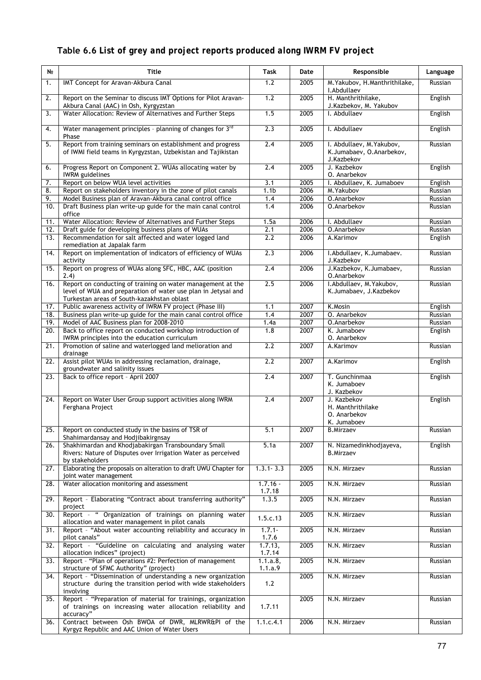# **Table 6.6** *List of grey and project reports produced along IWRM FV project*

| N <sub>2</sub>    | <b>Title</b>                                                                                                                                                               | Task                 | Date | Responsible                                                         | Language |
|-------------------|----------------------------------------------------------------------------------------------------------------------------------------------------------------------------|----------------------|------|---------------------------------------------------------------------|----------|
| 1.                | IMT Concept for Aravan-Akbura Canal                                                                                                                                        | 1.2                  | 2005 | M. Yakubov, H. Manthrithilake,<br>I.Abdullaev                       | Russian  |
| 2.                | Report on the Seminar to discuss IMT Options for Pilot Aravan-<br>Akbura Canal (AAC) in Osh, Kyrgyzstan                                                                    | 1.2                  | 2005 | H. Manthrithilake,<br>J.Kazbekov, M. Yakubov                        | English  |
| 3.                | Water Allocation: Review of Alternatives and Further Steps                                                                                                                 | 1.5                  | 2005 | I. Abdullaev                                                        | English  |
| 4.                | Water management principles - planning of changes for 3rd<br>Phase                                                                                                         | 2.3                  | 2005 | I. Abdullaev                                                        | English  |
| 5.                | Report from training seminars on establishment and progress<br>of IWMI field teams in Kyrgyzstan, Uzbekistan and Tajikistan                                                | $\overline{2.4}$     | 2005 | I. Abdullaev, M. Yakubov,<br>K.Jumabaev, O.Anarbekov,<br>J.Kazbekov | Russian  |
| 6.                | Progress Report on Component 2. WUAs allocating water by<br><b>IWRM</b> guidelines                                                                                         | 2.4                  | 2005 | J. Kazbekov<br>O. Anarbekov                                         | English  |
| 7.                | Report on below WUA level activities                                                                                                                                       | 3.1                  | 2005 | I. Abdullaev, K. Jumaboev                                           | English  |
| 8.                | Report on stakeholders inventory in the zone of pilot canals                                                                                                               | 1.1 <sub>b</sub>     | 2006 | M. Yakubov                                                          | Russian  |
| 9.                | Model Business plan of Aravan-Akbura canal control office                                                                                                                  | 1.4                  | 2006 | O.Anarbekov                                                         | Russian  |
| 10.               | Draft Business plan write-up guide for the main canal control<br>office                                                                                                    | 1.4                  | 2006 | O.Anarbekov                                                         | Russian  |
| 11.               | Water Allocation: Review of Alternatives and Further Steps                                                                                                                 | 1.5a                 | 2006 | I. Abdullaev                                                        | Russian  |
| 12.               | Draft guide for developing business plans of WUAs                                                                                                                          | 2.1                  | 2006 | O.Anarbekov                                                         | Russian  |
| 13.               | Recommendation for salt affected and water logged land<br>remediation at Japalak farm                                                                                      | 2.2                  | 2006 | A.Karimov                                                           | English  |
| 14.               | Report on implementation of indicators of efficiency of WUAs<br>activity                                                                                                   | 2.3                  | 2006 | I.Abdullaev, K.Jumabaev.<br>J.Kazbekov                              | Russian  |
| 15.               | Report on progress of WUAs along SFC, HBC, AAC (position<br>(2.4)                                                                                                          | 2.4                  | 2006 | J.Kazbekov, K.Jumabaev,<br>O.Anarbekov                              | Russian  |
| 16.               | Report on conducting of training on water management at the<br>level of WUA and preparation of water use plan in Jetysai and<br>Turkestan areas of South-kazakhstan oblast | 2.5                  | 2006 | I. Abdullaev, M. Yakubov,<br>K.Jumabaev, J.Kazbekov                 | Russian  |
| 17.               | Public awareness activity of IWRM FV project (Phase III)                                                                                                                   | 1.1                  | 2007 | K.Mosin                                                             | English  |
| $\overline{18}$ . | Business plan write-up guide for the main canal control office                                                                                                             | 1.4                  | 2007 | O. Anarbekov                                                        | Russian  |
| 19.               | Model of AAC Business plan for 2008-2010                                                                                                                                   | 1.4a                 | 2007 | O.Anarbekov                                                         | Russian  |
| 20.               | Back to office report on conducted workshop introduction of<br>IWRM principles into the education curriculum                                                               | 1.8                  | 2007 | K. Jumaboev<br>O. Anarbekov                                         | English  |
| 21.               | Promotion of saline and waterlogged land melioration and<br>drainage                                                                                                       | 2.2                  | 2007 | A.Karimov                                                           | Russian  |
| 22.               | Assist pilot WUAs in addressing reclamation, drainage,<br>groundwater and salinity issues                                                                                  | $\overline{2.2}$     | 2007 | A.Karimov                                                           | English  |
| 23.               | Back to office report - April 2007                                                                                                                                         | 2.4                  | 2007 | T. Gunchinmaa<br>K. Jumaboev<br>J. Kazbekov                         | English  |
| 24.               | Report on Water User Group support activities along IWRM<br>Ferghana Project                                                                                               | 2.4                  | 2007 | J. Kazbekov<br>H. Manthrithilake<br>O. Anarbekov<br>K. Jumaboev     | English  |
| 25.               | Report on conducted study in the basins of TSR of<br>Shahimardansay and Hodjibakirgnsay                                                                                    | 5.1                  | 2007 | <b>B.Mirzaev</b>                                                    | Russian  |
| 26.               | Shakhimardan and Khodjabakirgan Transboundary Small<br>Rivers: Nature of Disputes over Irrigation Water as perceived<br>by stakeholders                                    | 5.1a                 | 2007 | N. Nizamedinkhodjayeva,<br><b>B.Mirzaev</b>                         | English  |
| 27.               | Elaborating the proposals on alteration to draft UWU Chapter for<br>joint water management                                                                                 | $1.3.1 - 3.3$        | 2005 | N.N. Mirzaev                                                        | Russian  |
| 28.               | Water allocation monitoring and assessment                                                                                                                                 | $1.7.16 -$<br>1.7.18 | 2005 | N.N. Mirzaev                                                        | Russian  |
| 29.               | Report - Elaborating "Contract about transferring authority"<br>project                                                                                                    | 1.3.5                | 2005 | N.N. Mirzaev                                                        | Russian  |
| 30.               | Report - " Organization of trainings on planning water<br>allocation and water management in pilot canals                                                                  | 1.5.c.13             | 2005 | N.N. Mirzaev                                                        | Russian  |
| 31.               | Report - "About water accounting reliability and accuracy in<br>pilot canals"                                                                                              | $1.7.1 -$<br>1.7.6   | 2005 | N.N. Mirzaev                                                        | Russian  |
| 32.               | Report - "Guideline on calculating and analysing water<br>allocation indices" (project)                                                                                    | 1.7.13,<br>1.7.14    | 2005 | N.N. Mirzaev                                                        | Russian  |
| 33.               | Report - "Plan of operations #2: Perfection of management<br>structure of SFMC Authority" (project)                                                                        | 1.1.a.8,<br>1.1.a.9  | 2005 | N.N. Mirzaev                                                        | Russian  |
| 34.               | Report - "Dissemination of understanding a new organization<br>structure during the transition period with wide stakeholders<br>involving                                  | 1.2                  | 2005 | N.N. Mirzaev                                                        | Russian  |
| 35.               | Report - "Preparation of material for trainings, organization<br>of trainings on increasing water allocation reliability and<br>accuracy"                                  | 1.7.11               | 2005 | N.N. Mirzaev                                                        | Russian  |
| 36.               | Contract between Osh BWOA of DWR, MLRWR&PI of the<br>Kyrgyz Republic and AAC Union of Water Users                                                                          | 1.1.c.4.1            | 2006 | N.N. Mirzaev                                                        | Russian  |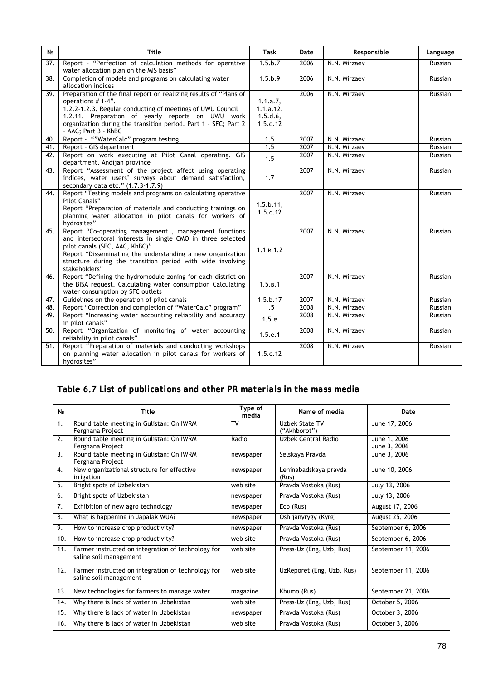| N <sub>2</sub>    | <b>Title</b>                                                                                                                                                                                                                                                                                            | <b>Task</b>                                      | Date | Responsible  | Language |
|-------------------|---------------------------------------------------------------------------------------------------------------------------------------------------------------------------------------------------------------------------------------------------------------------------------------------------------|--------------------------------------------------|------|--------------|----------|
| 37.               | Report - "Perfection of calculation methods for operative<br>water allocation plan on the MIS basis"                                                                                                                                                                                                    | 1.5.b.7                                          | 2006 | N.N. Mirzaev | Russian  |
| 38.               | Completion of models and programs on calculating water<br>allocation indices                                                                                                                                                                                                                            | 1.5.b.9                                          | 2006 | N.N. Mirzaev | Russian  |
| $\overline{39}$ . | Preparation of the final report on realizing results of "Plans of<br>operations $# 1-4$ .<br>1.2.2-1.2.3. Regular conducting of meetings of UWU Council<br>1.2.11. Preparation of yearly reports on UWU work<br>organization during the transition period. Part 1 - SFC; Part 2<br>- AAC; Part 3 - KhBC | 1.1.a.7,<br>$1.1.a.12$ ,<br>1.5.d.6,<br>1.5.d.12 | 2006 | N.N. Mirzaev | Russian  |
| 40.               | Report - ""WaterCalc" program testing                                                                                                                                                                                                                                                                   | 1.5                                              | 2007 | N.N. Mirzaev | Russian  |
| 41.               | Report - GIS department                                                                                                                                                                                                                                                                                 | 1.5                                              | 2007 | N.N. Mirzaev | Russian  |
| 42.               | Report on work executing at Pilot Canal operating. GIS<br>department. Andijan province                                                                                                                                                                                                                  | 1.5                                              | 2007 | N.N. Mirzaev | Russian  |
| 43.               | Report "Assessment of the project affect using operating<br>indices, water users' surveys about demand satisfaction,<br>secondary data etc." (1.7.3-1.7.9)                                                                                                                                              | 1.7                                              | 2007 | N.N. Mirzaev | Russian  |
| 44.               | Report "Testing models and programs on calculating operative<br>Pilot Canals"<br>Report "Preparation of materials and conducting trainings on<br>planning water allocation in pilot canals for workers of<br>hydrosites"                                                                                | 1.5.b.11.<br>1.5.c.12                            | 2007 | N.N. Mirzaev | Russian  |
| 45.               | Report "Co-operating management, management functions<br>and intersectoral interests in single CMO in three selected<br>pilot canals (SFC, AAC, KhBC)"<br>Report "Disseminating the understanding a new organization<br>structure during the transition period with wide involving<br>stakeholders"     | $1.1 \times 1.2$                                 | 2007 | N.N. Mirzaev | Russian  |
| 46.               | Report "Defining the hydromodule zoning for each district on<br>the BISA request. Calculating water consumption Calculating<br>water consumption by SFC outlets                                                                                                                                         | 1.5.B.1                                          | 2007 | N.N. Mirzaev | Russian  |
| 47.               | Guidelines on the operation of pilot canals                                                                                                                                                                                                                                                             | 1.5.b.17                                         | 2007 | N.N. Mirzaev | Russian  |
| 48.               | Report "Correction and completion of "WaterCalc" program"                                                                                                                                                                                                                                               | 1.5                                              | 2008 | N.N. Mirzaev | Russian  |
| 49.               | Report "Increasing water accounting reliability and accuracy<br>in pilot canals"                                                                                                                                                                                                                        | 1.5.e                                            | 2008 | N.N. Mirzaev | Russian  |
| 50.               | Report "Organization of monitoring of water accounting<br>reliability in pilot canals"                                                                                                                                                                                                                  | 1.5.e.1                                          | 2008 | N.N. Mirzaev | Russian  |
| 51.               | Report "Preparation of materials and conducting workshops<br>on planning water allocation in pilot canals for workers of<br>hydrosites"                                                                                                                                                                 | 1.5.c.12                                         | 2008 | N.N. Mirzaev | Russian  |

# **Table 6.7** *List of publications and other PR materials in the mass media*

| N∘               | Title                                                                        | Type of<br>media | Name of media                  | Date                         |
|------------------|------------------------------------------------------------------------------|------------------|--------------------------------|------------------------------|
| 1.               | Round table meeting in Gulistan: On IWRM<br>Ferghana Project                 | <b>TV</b>        | Uzbek State TV<br>("Akhborot") | June 17, 2006                |
| 2.               | Round table meeting in Gulistan: On IWRM<br>Ferghana Project                 | Radio            | Uzbek Central Radio            | June 1, 2006<br>June 3, 2006 |
| $\overline{3}$ . | Round table meeting in Gulistan: On IWRM<br>Ferghana Project                 | newspaper        | Selskaya Pravda                | June 3, 2006                 |
| 4.               | New organizational structure for effective<br>irrigation                     | newspaper        | Leninabadskaya pravda<br>(Rus) | June 10, 2006                |
| 5.               | Bright spots of Uzbekistan                                                   | web site         | Pravda Vostoka (Rus)           | July 13, 2006                |
| 6.               | Bright spots of Uzbekistan                                                   | newspaper        | Pravda Vostoka (Rus)           | July 13, 2006                |
| 7.               | Exhibition of new agro technology                                            | newspaper        | Eco (Rus)                      | August 17, 2006              |
| 8.               | What is happening in Japalak WUA?                                            | newspaper        | Osh janyrygy (Kyrg)            | August 25, 2006              |
| 9.               | How to increase crop productivity?                                           | newspaper        | Pravda Vostoka (Rus)           | September 6, 2006            |
| 10.              | How to increase crop productivity?                                           | web site         | Pravda Vostoka (Rus)           | September 6, 2006            |
| 11.              | Farmer instructed on integration of technology for<br>saline soil management | web site         | Press-Uz (Eng, Uzb, Rus)       | September 11, 2006           |
| 12.              | Farmer instructed on integration of technology for<br>saline soil management | web site         | UzReporet (Eng, Uzb, Rus)      | September 11, 2006           |
| 13.              | New technologies for farmers to manage water                                 | magazine         | Khumo (Rus)                    | September 21, 2006           |
| 14.              | Why there is lack of water in Uzbekistan                                     | web site         | Press-Uz (Eng, Uzb, Rus)       | October 5, 2006              |
| 15.              | Why there is lack of water in Uzbekistan                                     | newspaper        | Pravda Vostoka (Rus)           | October 3, 2006              |
| 16.              | Why there is lack of water in Uzbekistan                                     | web site         | Pravda Vostoka (Rus)           | October 3, 2006              |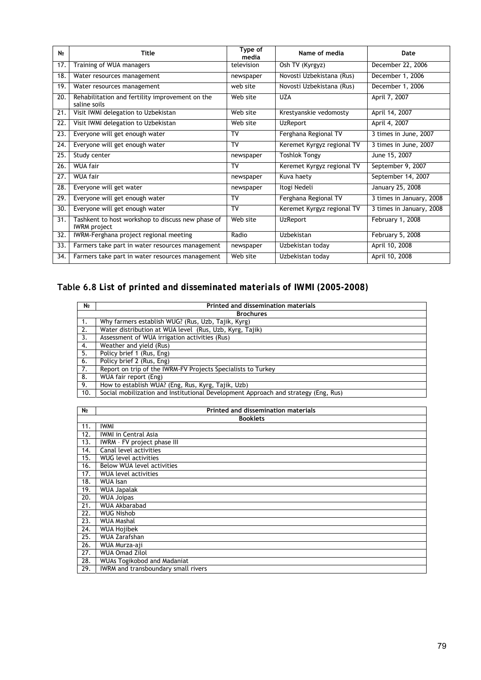| N∘  | <b>Title</b>                                                             | Type of<br>media | Name of media              | Date                     |
|-----|--------------------------------------------------------------------------|------------------|----------------------------|--------------------------|
| 17. | Training of WUA managers                                                 | television       | Osh TV (Kyrgyz)            | December 22, 2006        |
| 18. | Water resources management                                               | newspaper        | Novosti Uzbekistana (Rus)  | December 1, 2006         |
| 19. | Water resources management                                               | web site         | Novosti Uzbekistana (Rus)  | December 1, 2006         |
| 20. | Rehabilitation and fertility improvement on the<br>saline soils          | Web site         | <b>UZA</b>                 | April 7, 2007            |
| 21. | Visit IWMI delegation to Uzbekistan                                      | Web site         | Krestyanskie vedomosty     | April 14, 2007           |
| 22. | Visit IWMI delegation to Uzbekistan                                      | Web site         | <b>UzReport</b>            | April 4, 2007            |
| 23. | Everyone will get enough water                                           | TV               | Ferghana Regional TV       | 3 times in June, 2007    |
| 24. | Everyone will get enough water                                           | TV               | Keremet Kyrgyz regional TV | 3 times in June, 2007    |
| 25. | Study center                                                             | newspaper        | <b>Toshlok Tongy</b>       | June 15, 2007            |
| 26. | WUA fair                                                                 | TV               | Keremet Kyrgyz regional TV | September 9, 2007        |
| 27. | <b>WUA fair</b>                                                          | newspaper        | Kuva haety                 | September 14, 2007       |
| 28. | Everyone will get water                                                  | newspaper        | Itogi Nedeli               | January 25, 2008         |
| 29. | Everyone will get enough water                                           | TV               | Ferghana Regional TV       | 3 times in January, 2008 |
| 30. | Everyone will get enough water                                           | TV               | Keremet Kyrgyz regional TV | 3 times in January, 2008 |
| 31. | Tashkent to host workshop to discuss new phase of<br><b>IWRM</b> project | Web site         | <b>UzReport</b>            | February 1, 2008         |
| 32. | IWRM-Ferghana project regional meeting                                   | Radio            | Uzbekistan                 | February 5, 2008         |
| 33. | Farmers take part in water resources management                          | newspaper        | Uzbekistan today           | April 10, 2008           |
| 34. | Farmers take part in water resources management                          | Web site         | Uzbekistan today           | April 10, 2008           |

#### **Table 6.8** *List of printed and disseminated materials of IWMI (2005-2008)*

| N <sub>2</sub> | Printed and dissemination materials                                                |
|----------------|------------------------------------------------------------------------------------|
|                | <b>Brochures</b>                                                                   |
| -1.            | Why farmers establish WUG? (Rus, Uzb, Tajik, Kyrg)                                 |
| 2.             | Water distribution at WUA level (Rus, Uzb, Kyrg, Tajik)                            |
| 3.             | Assessment of WUA irrigation activities (Rus)                                      |
| 4.             | Weather and yield (Rus)                                                            |
| 5.             | Policy brief 1 (Rus, Eng)                                                          |
| 6.             | Policy brief 2 (Rus, Eng)                                                          |
| 7.             | Report on trip of the IWRM-FV Projects Specialists to Turkey                       |
| 8.             | WUA fair report (Eng)                                                              |
| 9.             | How to establish WUA? (Eng, Rus, Kyrg, Tajik, Uzb)                                 |
| 10.            | Social mobilization and Institutional Development Approach and strategy (Eng. Rus) |

| N <sub>⊵</sub> | Printed and dissemination materials |
|----------------|-------------------------------------|
|                | <b>Booklets</b>                     |
| 11.            | <b>IWMI</b>                         |
| 12.            | <b>IWMI in Central Asia</b>         |
| 13.            | IWRM - FV project phase III         |
| 14.            | Canal level activities              |
| 15.            | <b>WUG</b> level activities         |
| 16.            | Below WUA level activities          |
| 17.            | <b>WUA level activities</b>         |
| 18.            | <b>WUA Isan</b>                     |
| 19.            | <b>WUA Japalak</b>                  |
| 20.            | <b>WUA Joipas</b>                   |
| 21.            | <b>WUA Akbarabad</b>                |
| 22.            | <b>WUG Nishob</b>                   |
| 23.            | <b>WUA Mashal</b>                   |
| 24.            | <b>WUA Hojibek</b>                  |
| 25.            | <b>WUA Zarafshan</b>                |
| 26.            | WUA Murza-aji                       |
| 27.            | <b>WUA Omad Zilol</b>               |
| 28.            | <b>WUAs Togikobod and Madaniat</b>  |
| 29.            | IWRM and transboundary small rivers |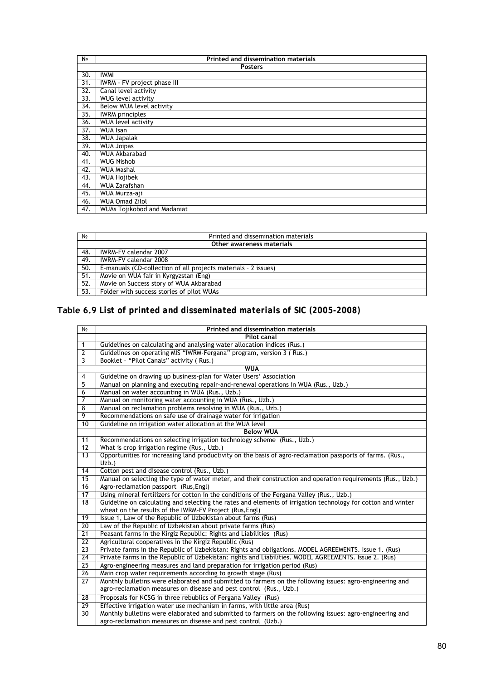| N <sub>2</sub> | Printed and dissemination materials |
|----------------|-------------------------------------|
|                | <b>Posters</b>                      |
| 30.            | <b>IWMI</b>                         |
| 31.            | IWRM - FV project phase III         |
| 32.            | Canal level activity                |
| 33.            | <b>WUG</b> level activity           |
| 34.            | Below WUA level activity            |
| 35.            | <b>IWRM</b> principles              |
| 36.            | <b>WUA level activity</b>           |
| 37.            | <b>WUA Isan</b>                     |
| 38.            | <b>WUA Japalak</b>                  |
| 39.            | <b>WUA Joipas</b>                   |
| 40.            | <b>WUA Akbarabad</b>                |
| 41.            | <b>WUG Nishob</b>                   |
| 42.            | WUA Mashal                          |
| 43.            | <b>WUA Hojibek</b>                  |
| 44.            | <b>WUA Zarafshan</b>                |
| 45.            | WUA Murza-aji                       |
| 46.            | <b>WUA Omad Zilol</b>               |
| 47.            | <b>WUAs Tojikobod and Madaniat</b>  |

| No                        | Printed and dissemination materials                            |  |
|---------------------------|----------------------------------------------------------------|--|
| Other awareness materials |                                                                |  |
| 48.                       | IWRM-FV calendar 2007                                          |  |
| 49.                       | IWRM-FV calendar 2008                                          |  |
| 50.                       | E-manuals (CD-collection of all projects materials - 2 issues) |  |
| 51.                       | Movie on WUA fair in Kyrgyzstan (Eng)                          |  |
| 52.                       | Movie on Success story of WUA Akbarabad                        |  |
| 53.                       | Folder with success stories of pilot WUAs                      |  |

#### **Table 6.9** *List of printed and disseminated materials of SIC (2005-2008)*

| No              | <b>Printed and dissemination materials</b>                                                                                                                               |  |
|-----------------|--------------------------------------------------------------------------------------------------------------------------------------------------------------------------|--|
|                 | <b>Pilot canal</b>                                                                                                                                                       |  |
| $\mathbf{1}$    | Guidelines on calculating and analysing water allocation indices (Rus.)                                                                                                  |  |
| $\overline{2}$  | Guidelines on operating MIS "IWRM-Fergana" program, version 3 (Rus.)                                                                                                     |  |
| 3               | Booklet - "Pilot Canals" activity (Rus.)                                                                                                                                 |  |
| <b>WUA</b>      |                                                                                                                                                                          |  |
| 4               | Guideline on drawing up business-plan for Water Users' Association                                                                                                       |  |
| 5               | Manual on planning and executing repair-and-renewal operations in WUA (Rus., Uzb.)                                                                                       |  |
| 6               | Manual on water accounting in WUA (Rus., Uzb.)                                                                                                                           |  |
| $\overline{7}$  | Manual on monitoring water accounting in WUA (Rus., Uzb.)                                                                                                                |  |
| $\overline{8}$  | Manual on reclamation problems resolving in WUA (Rus., Uzb.)                                                                                                             |  |
| $\overline{9}$  | Recommendations on safe use of drainage water for irrigation                                                                                                             |  |
| 10              | Guideline on irrigation water allocation at the WUA level                                                                                                                |  |
|                 | <b>Below WUA</b>                                                                                                                                                         |  |
| 11              | Recommendations on selecting irrigation technology scheme (Rus., Uzb.)                                                                                                   |  |
| $\overline{12}$ | What is crop irrigation regime (Rus., Uzb.)                                                                                                                              |  |
| $\overline{13}$ | Opportunities for increasing land productivity on the basis of agro-reclamation passports of farms. (Rus.,                                                               |  |
|                 | $Uzb.$ )                                                                                                                                                                 |  |
| 14              | Cotton pest and disease control (Rus., Uzb.)                                                                                                                             |  |
| $\overline{15}$ | Manual on selecting the type of water meter, and their construction and operation requirements (Rus., Uzb.)                                                              |  |
| 16              | Agro-reclamation passport (Rus, Engl)                                                                                                                                    |  |
| 17              | Using mineral fertilizers for cotton in the conditions of the Fergana Valley (Rus., Uzb.)                                                                                |  |
| 18              | Guideline on calculating and selecting the rates and elements of irrigation technology for cotton and winter<br>wheat on the results of the IWRM-FV Project (Rus, Engl)  |  |
| 19              | Issue 1, Law of the Republic of Uzbekistan about farms (Rus)                                                                                                             |  |
| $\overline{20}$ | Law of the Republic of Uzbekistan about private farms (Rus)                                                                                                              |  |
| $\overline{21}$ | Peasant farms in the Kirgiz Republic: Rights and Liabilities (Rus)                                                                                                       |  |
| $\overline{22}$ | Agricultural cooperatives in the Kirgiz Republic (Rus)                                                                                                                   |  |
| $\overline{23}$ | Private farms in the Republic of Uzbekistan: Rights and obligations. MODEL AGREEMENTS. Issue 1. (Rus)                                                                    |  |
| $\overline{24}$ | Private farms in the Republic of Uzbekistan: rights and Liabilities. MODEL AGREEMENTS. Issue 2. (Rus)                                                                    |  |
| 25              | Agro-engineering measures and land preparation for irrigation period (Rus)                                                                                               |  |
| $\overline{26}$ | Main crop water requirements according to growth stage (Rus)                                                                                                             |  |
| 27              | Monthly bulletins were elaborated and submitted to farmers on the following issues: agro-engineering and                                                                 |  |
|                 | agro-reclamation measures on disease and pest control (Rus., Uzb.)                                                                                                       |  |
| $\overline{28}$ | Proposals for NCSG in three rebublics of Fergana Valley (Rus)                                                                                                            |  |
| 29              | Effective irrigation water use mechanism in farms, with little area (Rus)                                                                                                |  |
| 30              | Monthly bulletins were elaborated and submitted to farmers on the following issues: agro-engineering and<br>agro-reclamation measures on disease and pest control (Uzb.) |  |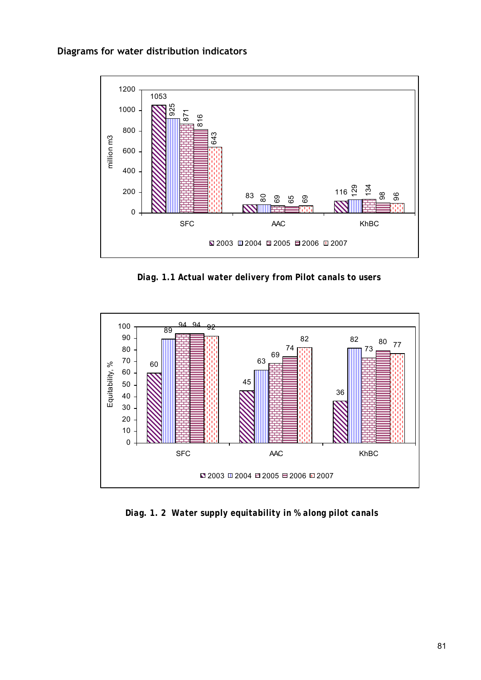

*Diag. 1.1 Actual water delivery from Pilot canals to users* 



*Diag. 1. 2 Water supply equitability in % along pilot canals*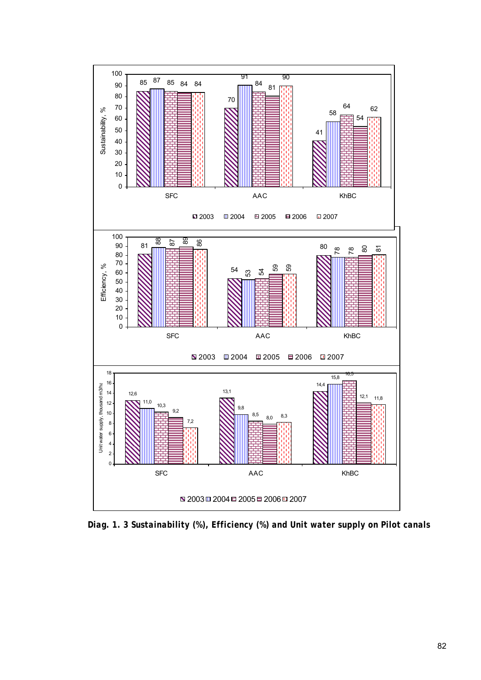

*Diag. 1. 3 Sustainability (%), Efficiency (%) and Unit water supply on Pilot canals*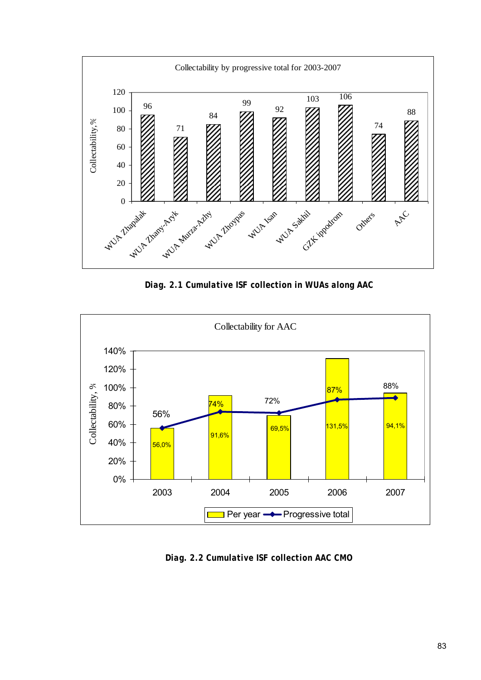

*Diag. 2.1 Cumulative ISF collection in WUAs along AAC* 



*Diag. 2.2 Cumulative ISF collection AAC CMO*